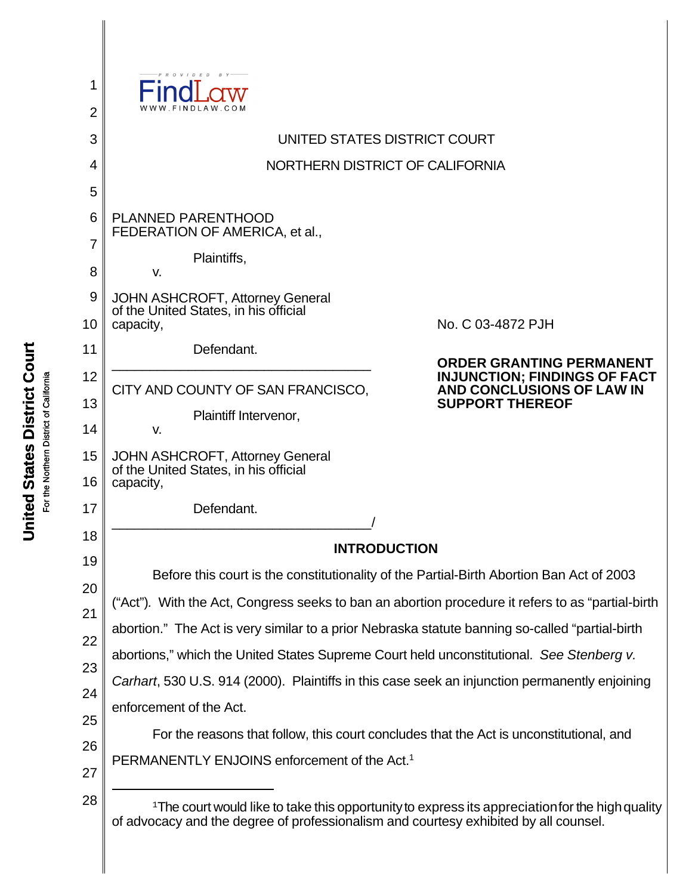| 1              |                                                                                                                                                                                                                                                                                                   |                                                                  |  |  |
|----------------|---------------------------------------------------------------------------------------------------------------------------------------------------------------------------------------------------------------------------------------------------------------------------------------------------|------------------------------------------------------------------|--|--|
| $\overline{2}$ | FINDLAW <sub>C</sub>                                                                                                                                                                                                                                                                              |                                                                  |  |  |
| 3              | UNITED STATES DISTRICT COURT                                                                                                                                                                                                                                                                      |                                                                  |  |  |
| $\overline{4}$ | NORTHERN DISTRICT OF CALIFORNIA                                                                                                                                                                                                                                                                   |                                                                  |  |  |
| 5              |                                                                                                                                                                                                                                                                                                   |                                                                  |  |  |
| 6              | <b>PLANNED PARENTHOOD</b><br>FEDERATION OF AMERICA, et al.,                                                                                                                                                                                                                                       |                                                                  |  |  |
| 7              | Plaintiffs,                                                                                                                                                                                                                                                                                       |                                                                  |  |  |
| 8              | V.                                                                                                                                                                                                                                                                                                |                                                                  |  |  |
| 9              | <b>JOHN ASHCROFT, Attorney General</b><br>of the United States, in his official                                                                                                                                                                                                                   |                                                                  |  |  |
| 10             | capacity,                                                                                                                                                                                                                                                                                         | No. C 03-4872 PJH                                                |  |  |
| 11             | Defendant.                                                                                                                                                                                                                                                                                        | <b>ORDER GRANTING PERMANENT</b>                                  |  |  |
| 12             | CITY AND COUNTY OF SAN FRANCISCO,                                                                                                                                                                                                                                                                 | <b>INJUNCTION; FINDINGS OF FACT</b><br>AND CONCLUSIONS OF LAW IN |  |  |
| 13             | Plaintiff Intervenor,                                                                                                                                                                                                                                                                             | <b>SUPPORT THEREOF</b>                                           |  |  |
| 14             | V.                                                                                                                                                                                                                                                                                                |                                                                  |  |  |
| 15<br>16       | JOHN ASHCROFT, Attorney General<br>of the United States, in his official<br>capacity,                                                                                                                                                                                                             |                                                                  |  |  |
| 17             | Defendant.                                                                                                                                                                                                                                                                                        |                                                                  |  |  |
| 18             | <b>INTRODUCTION</b>                                                                                                                                                                                                                                                                               |                                                                  |  |  |
| 19             | Before this court is the constitutionality of the Partial-Birth Abortion Ban Act of 2003<br>("Act"). With the Act, Congress seeks to ban an abortion procedure it refers to as "partial-birth<br>abortion." The Act is very similar to a prior Nebraska statute banning so-called "partial-birth" |                                                                  |  |  |
| 20             |                                                                                                                                                                                                                                                                                                   |                                                                  |  |  |
| 21             |                                                                                                                                                                                                                                                                                                   |                                                                  |  |  |
| 22             | abortions," which the United States Supreme Court held unconstitutional. See Stenberg v.                                                                                                                                                                                                          |                                                                  |  |  |
| 23             |                                                                                                                                                                                                                                                                                                   |                                                                  |  |  |
| 24             | Carhart, 530 U.S. 914 (2000). Plaintiffs in this case seek an injunction permanently enjoining<br>enforcement of the Act.                                                                                                                                                                         |                                                                  |  |  |
| 25             | For the reasons that follow, this court concludes that the Act is unconstitutional, and                                                                                                                                                                                                           |                                                                  |  |  |
| 26             |                                                                                                                                                                                                                                                                                                   |                                                                  |  |  |
| 27             | PERMANENTLY ENJOINS enforcement of the Act. <sup>1</sup>                                                                                                                                                                                                                                          |                                                                  |  |  |
| 28             | <sup>1</sup> The court would like to take this opportunity to express its appreciation for the high quality<br>of advocacy and the degree of professionalism and courtesy exhibited by all counsel.                                                                                               |                                                                  |  |  |

United States District Court **United States District Court** For the Northern District of California For the Northern District of California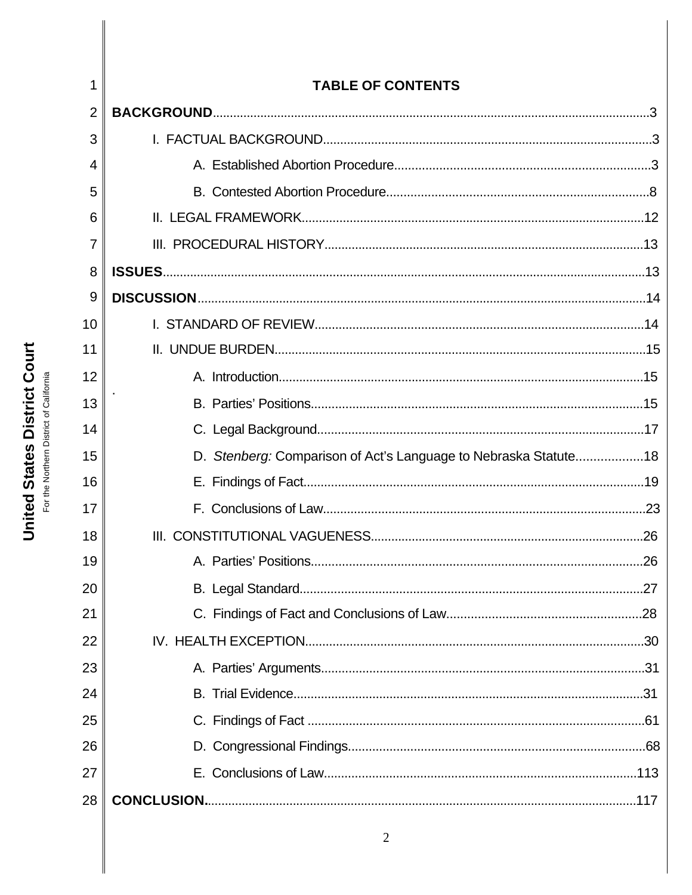|                | <b>TABLE OF CONTENTS</b>                                        |  |
|----------------|-----------------------------------------------------------------|--|
| $\overline{2}$ |                                                                 |  |
| 3              |                                                                 |  |
| 4              |                                                                 |  |
| 5              |                                                                 |  |
| 6              |                                                                 |  |
| 7              |                                                                 |  |
| 8              |                                                                 |  |
| 9              |                                                                 |  |
| 10             |                                                                 |  |
| 11             |                                                                 |  |
| 12             |                                                                 |  |
| 13             |                                                                 |  |
| 14             |                                                                 |  |
| 15             | D. Stenberg: Comparison of Act's Language to Nebraska Statute18 |  |
| 16             |                                                                 |  |
| 17             |                                                                 |  |
| 18             |                                                                 |  |
| 19             |                                                                 |  |
| 20             |                                                                 |  |
| 21             |                                                                 |  |
| 22             |                                                                 |  |
| 23             |                                                                 |  |
| 24             |                                                                 |  |
| 25             |                                                                 |  |
| 26             |                                                                 |  |
| 27             |                                                                 |  |
| 28             |                                                                 |  |
|                | $\overline{2}$                                                  |  |

# **United States District Court** For the Northern District of California

 $\mathbf{I}$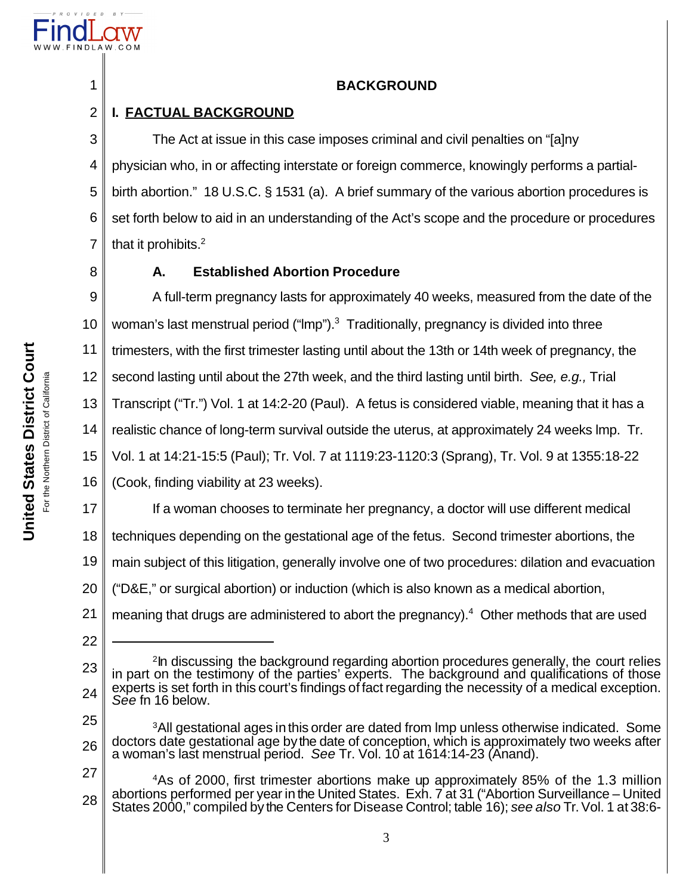

1

8

# **BACKGROUND**

### 2 **I. FACTUAL BACKGROUND**

3 4 5 6 7 The Act at issue in this case imposes criminal and civil penalties on "[a]ny physician who, in or affecting interstate or foreign commerce, knowingly performs a partialbirth abortion." 18 U.S.C. § 1531 (a). A brief summary of the various abortion procedures is set forth below to aid in an understanding of the Act's scope and the procedure or procedures that it prohibits.<sup>2</sup>

# **A. Established Abortion Procedure**

9 10 11 12 13 14 15 A full-term pregnancy lasts for approximately 40 weeks, measured from the date of the woman's last menstrual period ("Imp").<sup>3</sup> Traditionally, pregnancy is divided into three trimesters, with the first trimester lasting until about the 13th or 14th week of pregnancy, the second lasting until about the 27th week, and the third lasting until birth. *See, e.g.,* Trial Transcript ("Tr.") Vol. 1 at 14:2-20 (Paul). A fetus is considered viable, meaning that it has a realistic chance of long-term survival outside the uterus, at approximately 24 weeks lmp. Tr. Vol. 1 at 14:21-15:5 (Paul); Tr. Vol. 7 at 1119:23-1120:3 (Sprang), Tr. Vol. 9 at 1355:18-22

16 (Cook, finding viability at 23 weeks).

If a woman chooses to terminate her pregnancy, a doctor will use different medical

18 techniques depending on the gestational age of the fetus. Second trimester abortions, the

19 main subject of this litigation, generally involve one of two procedures: dilation and evacuation

20 ("D&E," or surgical abortion) or induction (which is also known as a medical abortion,

21 meaning that drugs are administered to abort the pregnancy).<sup>4</sup> Other methods that are used

22

17

25

26 <sup>3</sup>All gestational ages in this order are dated from Imp unless otherwise indicated. Some doctors date gestational age bythe date of conception, which is approximately two weeks after a woman's last menstrual period. *See* Tr. Vol. 10 at 1614:14-23 (Anand).

27 28 <sup>4</sup>As of 2000, first trimester abortions make up approximately 85% of the 1.3 million abortions performed per year in the United States. Exh. 7 at 31 ("Abortion Surveillance – United States 2000," compiled by the Centers for Disease Control; table 16); *see also* Tr.Vol. 1 at 38:6-

<sup>23</sup> 24 <sup>2</sup> In discussing the background regarding abortion procedures generally, the court relies in part on the testimony of the parties' experts. The background and qualifications of those experts is set forth in this court's findings of fact regarding the necessity of a medical exception. *See* fn 16 below.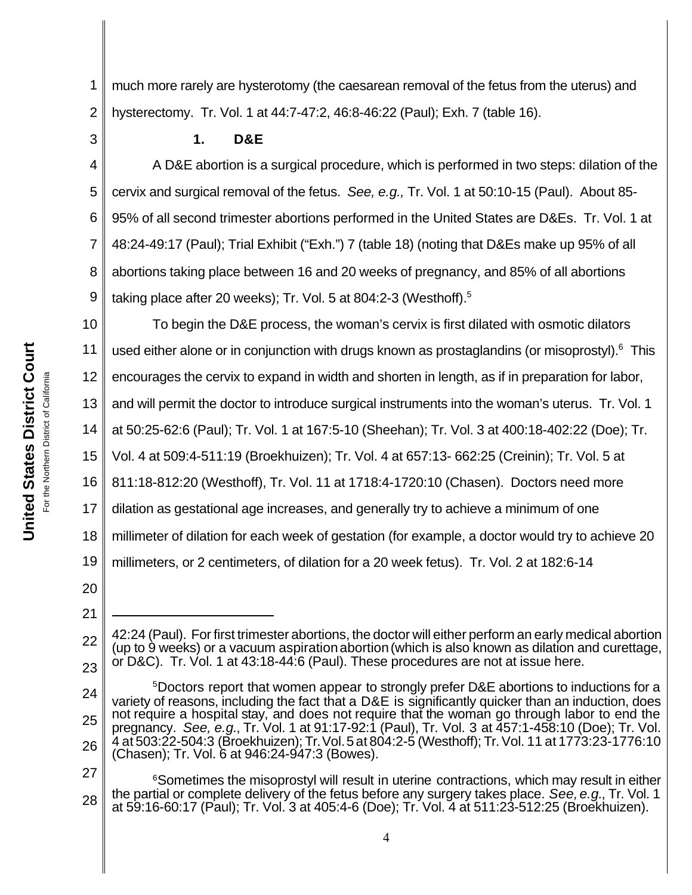**United States District Court United States District Court** California For the Northern District of California For the Northern District of

1 2 much more rarely are hysterotomy (the caesarean removal of the fetus from the uterus) and hysterectomy. Tr. Vol. 1 at 44:7-47:2, 46:8-46:22 (Paul); Exh. 7 (table 16).

**1. D&E** 

4 6 7 8 9 A D&E abortion is a surgical procedure, which is performed in two steps: dilation of the cervix and surgical removal of the fetus. *See, e.g.,* Tr. Vol. 1 at 50:10-15 (Paul). About 85- 95% of all second trimester abortions performed in the United States are D&Es. Tr. Vol. 1 at 48:24-49:17 (Paul); Trial Exhibit ("Exh.") 7 (table 18) (noting that D&Es make up 95% of all abortions taking place between 16 and 20 weeks of pregnancy, and 85% of all abortions taking place after 20 weeks); Tr. Vol. 5 at 804:2-3 (Westhoff).<sup>5</sup>

10 11 12 13 14 15 16 17 18 19 To begin the D&E process, the woman's cervix is first dilated with osmotic dilators used either alone or in conjunction with drugs known as prostaglandins (or misoprostyl).<sup>6</sup> This encourages the cervix to expand in width and shorten in length, as if in preparation for labor, and will permit the doctor to introduce surgical instruments into the woman's uterus. Tr. Vol. 1 at 50:25-62:6 (Paul); Tr. Vol. 1 at 167:5-10 (Sheehan); Tr. Vol. 3 at 400:18-402:22 (Doe); Tr. Vol. 4 at 509:4-511:19 (Broekhuizen); Tr. Vol. 4 at 657:13- 662:25 (Creinin); Tr. Vol. 5 at 811:18-812:20 (Westhoff), Tr. Vol. 11 at 1718:4-1720:10 (Chasen). Doctors need more dilation as gestational age increases, and generally try to achieve a minimum of one millimeter of dilation for each week of gestation (for example, a doctor would try to achieve 20 millimeters, or 2 centimeters, of dilation for a 20 week fetus). Tr. Vol. 2 at 182:6-14

20 21

3

5

27 28 <sup>6</sup>Sometimes the misoprostyl will result in uterine contractions, which may result in either the partial or complete delivery of the fetus before any surgery takes place. *See, e.g.*, Tr. Vol. 1 at 59:16-60:17 (Paul); Tr. Vol. 3 at 405:4-6 (Doe); Tr. Vol. 4 at 511:23-512:25 (Broekhuizen).

<sup>22</sup> 23 42:24 (Paul). For first trimester abortions, the doctor will either perform an early medical abortion (up to 9 weeks) or a vacuum aspirationabortion(which is also known as dilation and curettage, or D&C). Tr. Vol. 1 at 43:18-44:6 (Paul). These procedures are not at issue here.

<sup>24</sup> 25 26 <sup>5</sup>Doctors report that women appear to strongly prefer D&E abortions to inductions for a variety of reasons, including the fact that a D&E is significantly quicker than an induction, does not require a hospital stay, and does not require that the woman go through labor to end the pregnancy. *See, e.g.*, Tr. Vol. 1 at 91:17-92:1 (Paul), Tr. Vol. 3 at 457:1-458:10 (Doe); Tr. Vol. 4 at 503:22-504:3 (Broekhuizen); Tr.Vol.5at 804:2-5 (Westhoff); Tr.Vol. 11 at 1773:23-1776:10 (Chasen); Tr. Vol. 6 at 946:24-947:3 (Bowes).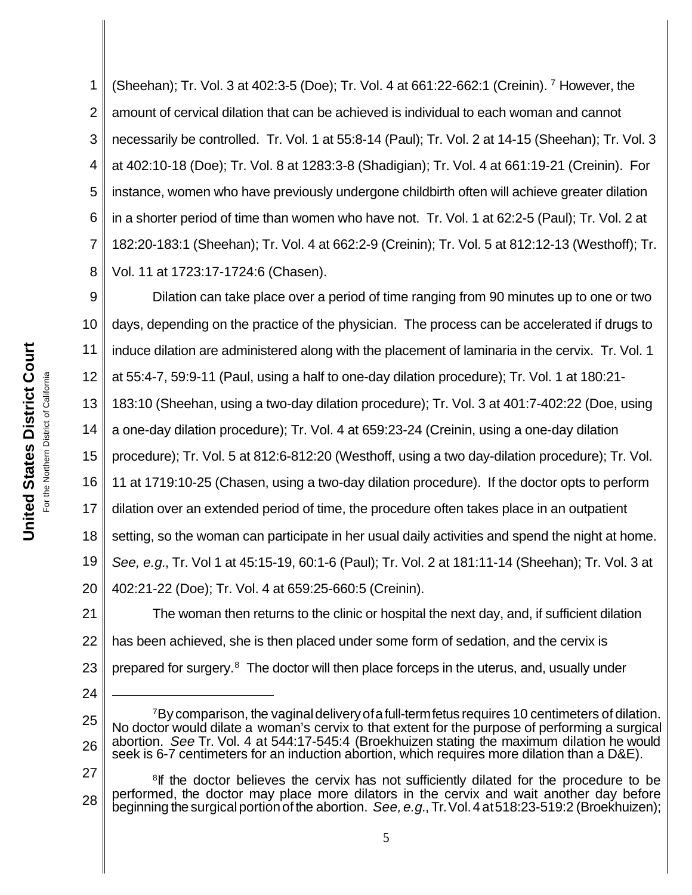1 2 3 4 5 6 7 8 (Sheehan); Tr. Vol. 3 at 402:3-5 (Doe); Tr. Vol. 4 at 661:22-662:1 (Creinin). <sup>7</sup> However, the amount of cervical dilation that can be achieved is individual to each woman and cannot necessarily be controlled. Tr. Vol. 1 at 55:8-14 (Paul); Tr. Vol. 2 at 14-15 (Sheehan); Tr. Vol. 3 at 402:10-18 (Doe); Tr. Vol. 8 at 1283:3-8 (Shadigian); Tr. Vol. 4 at 661:19-21 (Creinin). For instance, women who have previously undergone childbirth often will achieve greater dilation in a shorter period of time than women who have not. Tr. Vol. 1 at 62:2-5 (Paul); Tr. Vol. 2 at 182:20-183:1 (Sheehan); Tr. Vol. 4 at 662:2-9 (Creinin); Tr. Vol. 5 at 812:12-13 (Westhoff); Tr. Vol. 11 at 1723:17-1724:6 (Chasen).

9 10 11 12 13 14 15 16 17 18 19 20 21 22 Dilation can take place over a period of time ranging from 90 minutes up to one or two days, depending on the practice of the physician. The process can be accelerated if drugs to induce dilation are administered along with the placement of laminaria in the cervix. Tr. Vol. 1 at 55:4-7, 59:9-11 (Paul, using a half to one-day dilation procedure); Tr. Vol. 1 at 180:21- 183:10 (Sheehan, using a two-day dilation procedure); Tr. Vol. 3 at 401:7-402:22 (Doe, using a one-day dilation procedure); Tr. Vol. 4 at 659:23-24 (Creinin, using a one-day dilation procedure); Tr. Vol. 5 at 812:6-812:20 (Westhoff, using a two day-dilation procedure); Tr. Vol. 11 at 1719:10-25 (Chasen, using a two-day dilation procedure). If the doctor opts to perform dilation over an extended period of time, the procedure often takes place in an outpatient setting, so the woman can participate in her usual daily activities and spend the night at home. *See, e.g.*, Tr. Vol 1 at 45:15-19, 60:1-6 (Paul); Tr. Vol. 2 at 181:11-14 (Sheehan); Tr. Vol. 3 at 402:21-22 (Doe); Tr. Vol. 4 at 659:25-660:5 (Creinin). The woman then returns to the clinic or hospital the next day, and, if sufficient dilation has been achieved, she is then placed under some form of sedation, and the cervix is

23 prepared for surgery.<sup>8</sup> The doctor will then place forceps in the uterus, and, usually under

- 24
- 25 26 <sup>7</sup>By comparison, the vaginal delivery of a full-term fetus requires 10 centimeters of dilation. No doctor would dilate a woman's cervix to that extent for the purpose of performing a surgical abortion. *See* Tr. Vol. 4 at 544:17-545:4 (Broekhuizen stating the maximum dilation he would seek is 6-7 centimeters for an induction abortion, which requires more dilation than a D&E).

<sup>27</sup> 28 <sup>8</sup>If the doctor believes the cervix has not sufficiently dilated for the procedure to be performed, the doctor may place more dilators in the cervix and wait another day before beginning the surgicalportionof the abortion. *See, e.g.*, Tr.Vol.4at518:23-519:2 (Broekhuizen);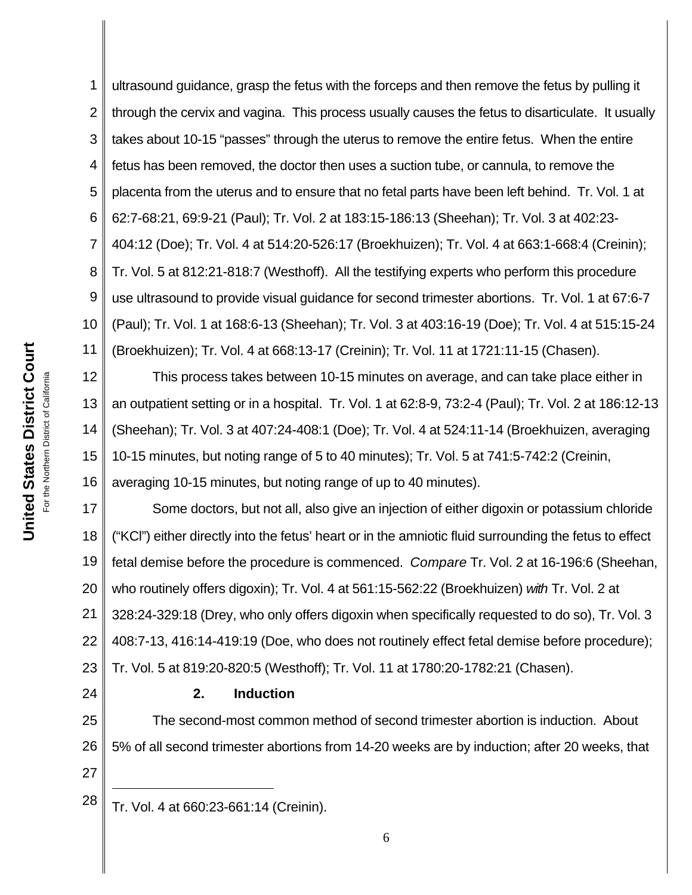1 2 3 4 5 6 7 8 9 10 11 ultrasound guidance, grasp the fetus with the forceps and then remove the fetus by pulling it through the cervix and vagina. This process usually causes the fetus to disarticulate. It usually takes about 10-15 "passes" through the uterus to remove the entire fetus. When the entire fetus has been removed, the doctor then uses a suction tube, or cannula, to remove the placenta from the uterus and to ensure that no fetal parts have been left behind. Tr. Vol. 1 at 62:7-68:21, 69:9-21 (Paul); Tr. Vol. 2 at 183:15-186:13 (Sheehan); Tr. Vol. 3 at 402:23- 404:12 (Doe); Tr. Vol. 4 at 514:20-526:17 (Broekhuizen); Tr. Vol. 4 at 663:1-668:4 (Creinin); Tr. Vol. 5 at 812:21-818:7 (Westhoff). All the testifying experts who perform this procedure use ultrasound to provide visual guidance for second trimester abortions. Tr. Vol. 1 at 67:6-7 (Paul); Tr. Vol. 1 at 168:6-13 (Sheehan); Tr. Vol. 3 at 403:16-19 (Doe); Tr. Vol. 4 at 515:15-24 (Broekhuizen); Tr. Vol. 4 at 668:13-17 (Creinin); Tr. Vol. 11 at 1721:11-15 (Chasen).

12 13 14 15 16 This process takes between 10-15 minutes on average, and can take place either in an outpatient setting or in a hospital. Tr. Vol. 1 at 62:8-9, 73:2-4 (Paul); Tr. Vol. 2 at 186:12-13 (Sheehan); Tr. Vol. 3 at 407:24-408:1 (Doe); Tr. Vol. 4 at 524:11-14 (Broekhuizen, averaging 10-15 minutes, but noting range of 5 to 40 minutes); Tr. Vol. 5 at 741:5-742:2 (Creinin, averaging 10-15 minutes, but noting range of up to 40 minutes).

17 18 19 20 21 22 23 Some doctors, but not all, also give an injection of either digoxin or potassium chloride ("KCl") either directly into the fetus' heart or in the amniotic fluid surrounding the fetus to effect fetal demise before the procedure is commenced. *Compare* Tr. Vol. 2 at 16-196:6 (Sheehan, who routinely offers digoxin); Tr. Vol. 4 at 561:15-562:22 (Broekhuizen) *with* Tr. Vol. 2 at 328:24-329:18 (Drey, who only offers digoxin when specifically requested to do so), Tr. Vol. 3 408:7-13, 416:14-419:19 (Doe, who does not routinely effect fetal demise before procedure); Tr. Vol. 5 at 819:20-820:5 (Westhoff); Tr. Vol. 11 at 1780:20-1782:21 (Chasen).

# **2. Induction**

25 26 27 The second-most common method of second trimester abortion is induction. About 5% of all second trimester abortions from 14-20 weeks are by induction; after 20 weeks, that

 $28$  Tr. Vol. 4 at 660:23-661:14 (Creinin).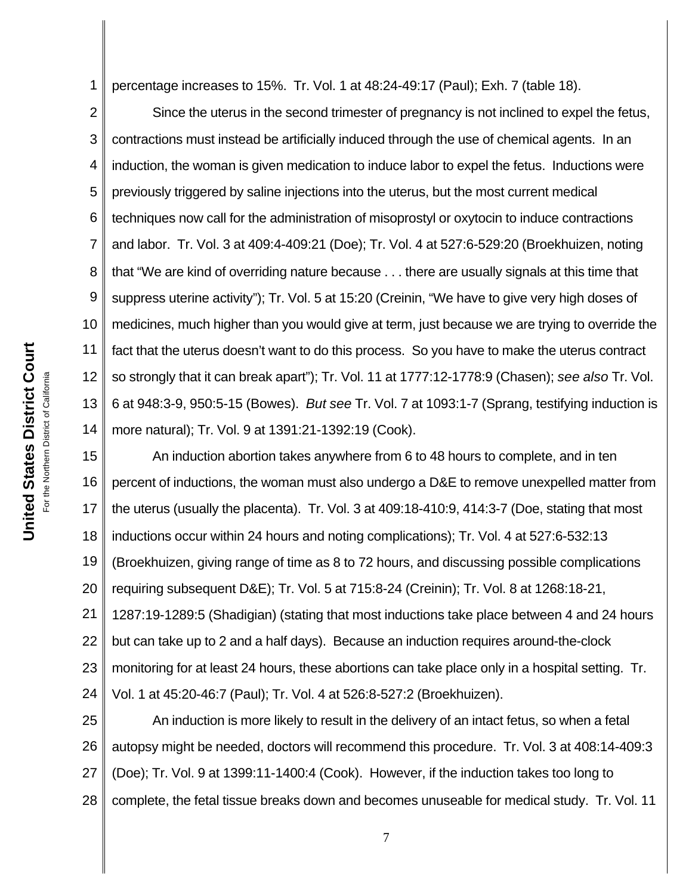1 percentage increases to 15%. Tr. Vol. 1 at 48:24-49:17 (Paul); Exh. 7 (table 18).

2 3 4 5 6 7 8 9 10 11 12 13 14 Since the uterus in the second trimester of pregnancy is not inclined to expel the fetus, contractions must instead be artificially induced through the use of chemical agents. In an induction, the woman is given medication to induce labor to expel the fetus. Inductions were previously triggered by saline injections into the uterus, but the most current medical techniques now call for the administration of misoprostyl or oxytocin to induce contractions and labor. Tr. Vol. 3 at 409:4-409:21 (Doe); Tr. Vol. 4 at 527:6-529:20 (Broekhuizen, noting that "We are kind of overriding nature because . . . there are usually signals at this time that suppress uterine activity"); Tr. Vol. 5 at 15:20 (Creinin, "We have to give very high doses of medicines, much higher than you would give at term, just because we are trying to override the fact that the uterus doesn't want to do this process. So you have to make the uterus contract so strongly that it can break apart"); Tr. Vol. 11 at 1777:12-1778:9 (Chasen); *see also* Tr. Vol. 6 at 948:3-9, 950:5-15 (Bowes). *But see* Tr. Vol. 7 at 1093:1-7 (Sprang, testifying induction is more natural); Tr. Vol. 9 at 1391:21-1392:19 (Cook).

15 16 17 18 19 20 21 22 23 24 An induction abortion takes anywhere from 6 to 48 hours to complete, and in ten percent of inductions, the woman must also undergo a D&E to remove unexpelled matter from the uterus (usually the placenta). Tr. Vol. 3 at 409:18-410:9, 414:3-7 (Doe, stating that most inductions occur within 24 hours and noting complications); Tr. Vol. 4 at 527:6-532:13 (Broekhuizen, giving range of time as 8 to 72 hours, and discussing possible complications requiring subsequent D&E); Tr. Vol. 5 at 715:8-24 (Creinin); Tr. Vol. 8 at 1268:18-21, 1287:19-1289:5 (Shadigian) (stating that most inductions take place between 4 and 24 hours but can take up to 2 and a half days). Because an induction requires around-the-clock monitoring for at least 24 hours, these abortions can take place only in a hospital setting. Tr. Vol. 1 at 45:20-46:7 (Paul); Tr. Vol. 4 at 526:8-527:2 (Broekhuizen).

25 26 27 28 An induction is more likely to result in the delivery of an intact fetus, so when a fetal autopsy might be needed, doctors will recommend this procedure. Tr. Vol. 3 at 408:14-409:3 (Doe); Tr. Vol. 9 at 1399:11-1400:4 (Cook). However, if the induction takes too long to complete, the fetal tissue breaks down and becomes unuseable for medical study. Tr. Vol. 11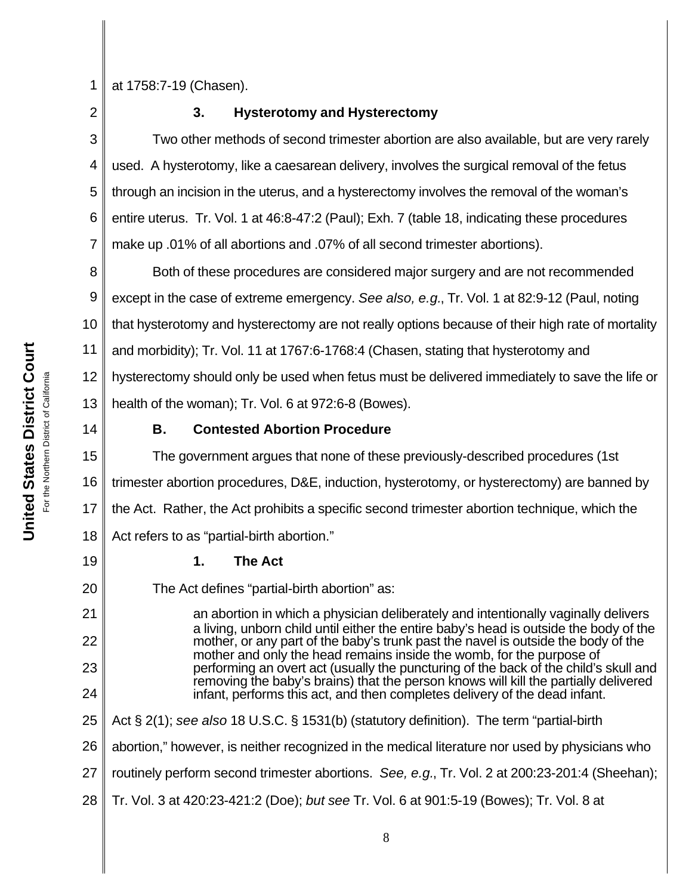1

at 1758:7-19 (Chasen).

2

# **3. Hysterotomy and Hysterectomy**

3 4 5 6 7 Two other methods of second trimester abortion are also available, but are very rarely used. A hysterotomy, like a caesarean delivery, involves the surgical removal of the fetus through an incision in the uterus, and a hysterectomy involves the removal of the woman's entire uterus. Tr. Vol. 1 at 46:8-47:2 (Paul); Exh. 7 (table 18, indicating these procedures make up .01% of all abortions and .07% of all second trimester abortions).

8 9 10 11 12 13 Both of these procedures are considered major surgery and are not recommended except in the case of extreme emergency. *See also, e.g.*, Tr. Vol. 1 at 82:9-12 (Paul, noting that hysterotomy and hysterectomy are not really options because of their high rate of mortality and morbidity); Tr. Vol. 11 at 1767:6-1768:4 (Chasen, stating that hysterotomy and hysterectomy should only be used when fetus must be delivered immediately to save the life or health of the woman); Tr. Vol. 6 at 972:6-8 (Bowes).

14

19

20

21

22

23

24

25

# **B. Contested Abortion Procedure**

15 16 17 18 The government argues that none of these previously-described procedures (1st trimester abortion procedures, D&E, induction, hysterotomy, or hysterectomy) are banned by the Act. Rather, the Act prohibits a specific second trimester abortion technique, which the Act refers to as "partial-birth abortion."

# **1. The Act**

The Act defines "partial-birth abortion" as:

an abortion in which a physician deliberately and intentionally vaginally delivers a living, unborn child until either the entire baby's head is outside the body of the mother, or any part of the baby's trunk past the navel is outside the body of the mother and only the head remains inside the womb, for the purpose of performing an overt act (usually the puncturing of the back of the child's skull and removing the baby's brains) that the person knows will kill the partially delivered infant, performs this act, and then completes delivery of the dead infant.

Act § 2(1); *see also* 18 U.S.C. § 1531(b) (statutory definition). The term "partial-birth

26 abortion," however, is neither recognized in the medical literature nor used by physicians who

- 27 routinely perform second trimester abortions. *See, e.g.*, Tr. Vol. 2 at 200:23-201:4 (Sheehan);
- 28 Tr. Vol. 3 at 420:23-421:2 (Doe); *but see* Tr. Vol. 6 at 901:5-19 (Bowes); Tr. Vol. 8 at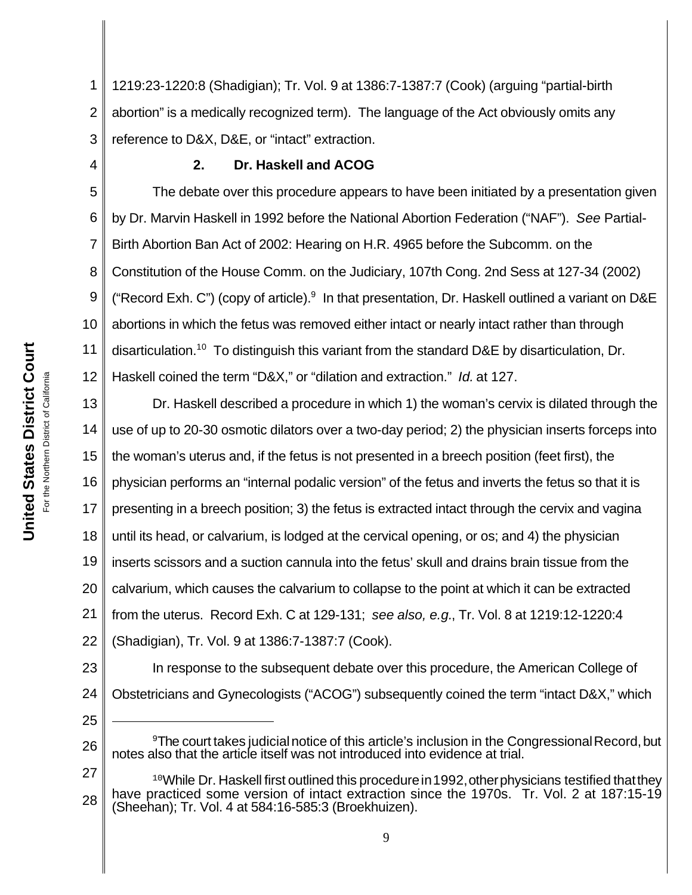1 2 3 1219:23-1220:8 (Shadigian); Tr. Vol. 9 at 1386:7-1387:7 (Cook) (arguing "partial-birth abortion" is a medically recognized term). The language of the Act obviously omits any reference to D&X, D&E, or "intact" extraction.

# **2. Dr. Haskell and ACOG**

5 6 7 8 9 10 11 12 The debate over this procedure appears to have been initiated by a presentation given by Dr. Marvin Haskell in 1992 before the National Abortion Federation ("NAF"). *See* Partial-Birth Abortion Ban Act of 2002: Hearing on H.R. 4965 before the Subcomm. on the Constitution of the House Comm. on the Judiciary, 107th Cong. 2nd Sess at 127-34 (2002) ("Record Exh. C") (copy of article). In that presentation, Dr. Haskell outlined a variant on D&E abortions in which the fetus was removed either intact or nearly intact rather than through disarticulation.<sup>10</sup> To distinguish this variant from the standard D&E by disarticulation, Dr. Haskell coined the term "D&X," or "dilation and extraction." *Id.* at 127.

13 14 15 16 17 18 19 20 21 22 Dr. Haskell described a procedure in which 1) the woman's cervix is dilated through the use of up to 20-30 osmotic dilators over a two-day period; 2) the physician inserts forceps into the woman's uterus and, if the fetus is not presented in a breech position (feet first), the physician performs an "internal podalic version" of the fetus and inverts the fetus so that it is presenting in a breech position; 3) the fetus is extracted intact through the cervix and vagina until its head, or calvarium, is lodged at the cervical opening, or os; and 4) the physician inserts scissors and a suction cannula into the fetus' skull and drains brain tissue from the calvarium, which causes the calvarium to collapse to the point at which it can be extracted from the uterus. Record Exh. C at 129-131; *see also, e.g.*, Tr. Vol. 8 at 1219:12-1220:4 (Shadigian), Tr. Vol. 9 at 1386:7-1387:7 (Cook).

23 24 In response to the subsequent debate over this procedure, the American College of Obstetricians and Gynecologists ("ACOG") subsequently coined the term "intact D&X," which

- 26 <sup>9</sup>The court takes judicial notice of this article's inclusion in the Congressional Record, but notes also that the article itself was not introduced into evidence at trial.
- 27 28 <sup>10</sup>While Dr. Haskell first outlined this procedure in 1992, other physicians testified that they have practiced some version of intact extraction since the 1970s. Tr. Vol. 2 at 187:15-19 (Sheehan); Tr. Vol. 4 at 584:16-585:3 (Broekhuizen).

25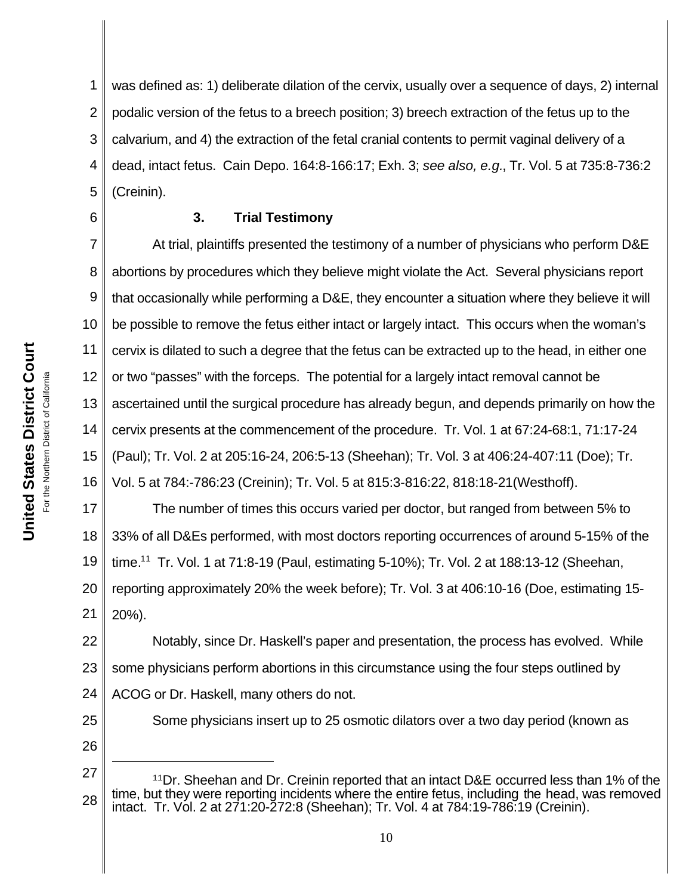**United States District Court** California For the Northern District of California For the Northern District of

**United States District Court** 

6

1 2 3 4 5 was defined as: 1) deliberate dilation of the cervix, usually over a sequence of days, 2) internal podalic version of the fetus to a breech position; 3) breech extraction of the fetus up to the calvarium, and 4) the extraction of the fetal cranial contents to permit vaginal delivery of a dead, intact fetus. Cain Depo. 164:8-166:17; Exh. 3; *see also, e.g.*, Tr. Vol. 5 at 735:8-736:2 (Creinin).

# **3. Trial Testimony**

7 8 9 10 11 12 13 14 15 16 At trial, plaintiffs presented the testimony of a number of physicians who perform D&E abortions by procedures which they believe might violate the Act. Several physicians report that occasionally while performing a D&E, they encounter a situation where they believe it will be possible to remove the fetus either intact or largely intact. This occurs when the woman's cervix is dilated to such a degree that the fetus can be extracted up to the head, in either one or two "passes" with the forceps. The potential for a largely intact removal cannot be ascertained until the surgical procedure has already begun, and depends primarily on how the cervix presents at the commencement of the procedure. Tr. Vol. 1 at 67:24-68:1, 71:17-24 (Paul); Tr. Vol. 2 at 205:16-24, 206:5-13 (Sheehan); Tr. Vol. 3 at 406:24-407:11 (Doe); Tr. Vol. 5 at 784:-786:23 (Creinin); Tr. Vol. 5 at 815:3-816:22, 818:18-21(Westhoff).

17 18 19 20 21 The number of times this occurs varied per doctor, but ranged from between 5% to 33% of all D&Es performed, with most doctors reporting occurrences of around 5-15% of the time.<sup>11</sup> Tr. Vol. 1 at 71:8-19 (Paul, estimating 5-10%); Tr. Vol. 2 at 188:13-12 (Sheehan, reporting approximately 20% the week before); Tr. Vol. 3 at 406:10-16 (Doe, estimating 15- 20%).

22 23 24 Notably, since Dr. Haskell's paper and presentation, the process has evolved. While some physicians perform abortions in this circumstance using the four steps outlined by ACOG or Dr. Haskell, many others do not.

25 26

27 28  $11$ Dr. Sheehan and Dr. Creinin reported that an intact D&E occurred less than 1% of the time, but they were reporting incidents where the entire fetus, including the head, was removed intact. Tr. Vol. 2 at 271:20-272:8 (Sheehan); Tr. Vol. 4 at 784:19-786:19 (Creinin).

Some physicians insert up to 25 osmotic dilators over a two day period (known as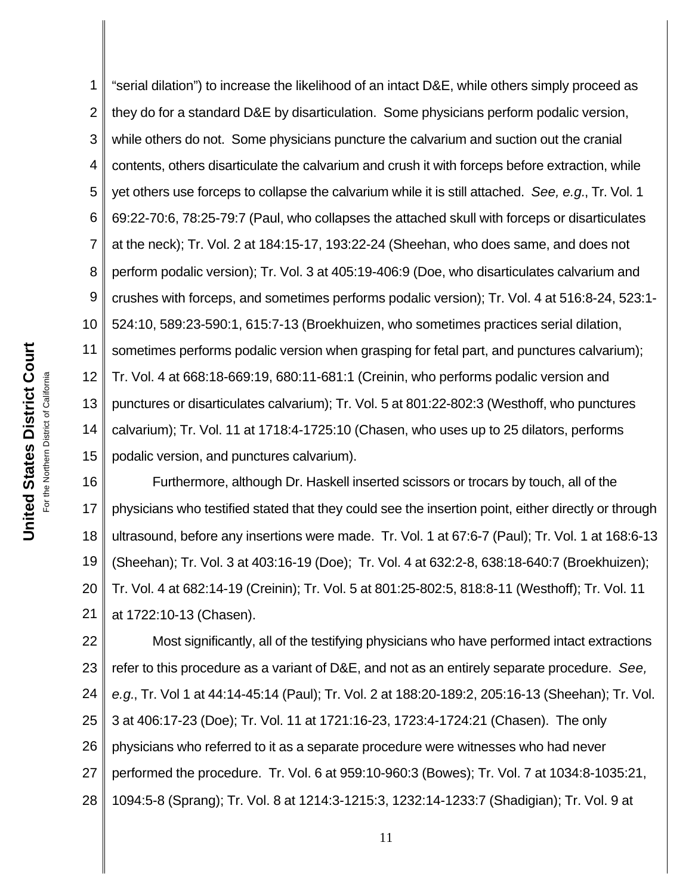1 2 3 4 5 6 7 8 9 10 11 12 13 14 15 "serial dilation") to increase the likelihood of an intact D&E, while others simply proceed as they do for a standard D&E by disarticulation. Some physicians perform podalic version, while others do not. Some physicians puncture the calvarium and suction out the cranial contents, others disarticulate the calvarium and crush it with forceps before extraction, while yet others use forceps to collapse the calvarium while it is still attached. *See, e.g.*, Tr. Vol. 1 69:22-70:6, 78:25-79:7 (Paul, who collapses the attached skull with forceps or disarticulates at the neck); Tr. Vol. 2 at 184:15-17, 193:22-24 (Sheehan, who does same, and does not perform podalic version); Tr. Vol. 3 at 405:19-406:9 (Doe, who disarticulates calvarium and crushes with forceps, and sometimes performs podalic version); Tr. Vol. 4 at 516:8-24, 523:1- 524:10, 589:23-590:1, 615:7-13 (Broekhuizen, who sometimes practices serial dilation, sometimes performs podalic version when grasping for fetal part, and punctures calvarium); Tr. Vol. 4 at 668:18-669:19, 680:11-681:1 (Creinin, who performs podalic version and punctures or disarticulates calvarium); Tr. Vol. 5 at 801:22-802:3 (Westhoff, who punctures calvarium); Tr. Vol. 11 at 1718:4-1725:10 (Chasen, who uses up to 25 dilators, performs podalic version, and punctures calvarium).

16 17 18 19 20 21 Furthermore, although Dr. Haskell inserted scissors or trocars by touch, all of the physicians who testified stated that they could see the insertion point, either directly or through ultrasound, before any insertions were made. Tr. Vol. 1 at 67:6-7 (Paul); Tr. Vol. 1 at 168:6-13 (Sheehan); Tr. Vol. 3 at 403:16-19 (Doe); Tr. Vol. 4 at 632:2-8, 638:18-640:7 (Broekhuizen); Tr. Vol. 4 at 682:14-19 (Creinin); Tr. Vol. 5 at 801:25-802:5, 818:8-11 (Westhoff); Tr. Vol. 11 at 1722:10-13 (Chasen).

22 23 24 25 26 27 28 Most significantly, all of the testifying physicians who have performed intact extractions refer to this procedure as a variant of D&E, and not as an entirely separate procedure. *See, e.g.*, Tr. Vol 1 at 44:14-45:14 (Paul); Tr. Vol. 2 at 188:20-189:2, 205:16-13 (Sheehan); Tr. Vol. 3 at 406:17-23 (Doe); Tr. Vol. 11 at 1721:16-23, 1723:4-1724:21 (Chasen). The only physicians who referred to it as a separate procedure were witnesses who had never performed the procedure. Tr. Vol. 6 at 959:10-960:3 (Bowes); Tr. Vol. 7 at 1034:8-1035:21, 1094:5-8 (Sprang); Tr. Vol. 8 at 1214:3-1215:3, 1232:14-1233:7 (Shadigian); Tr. Vol. 9 at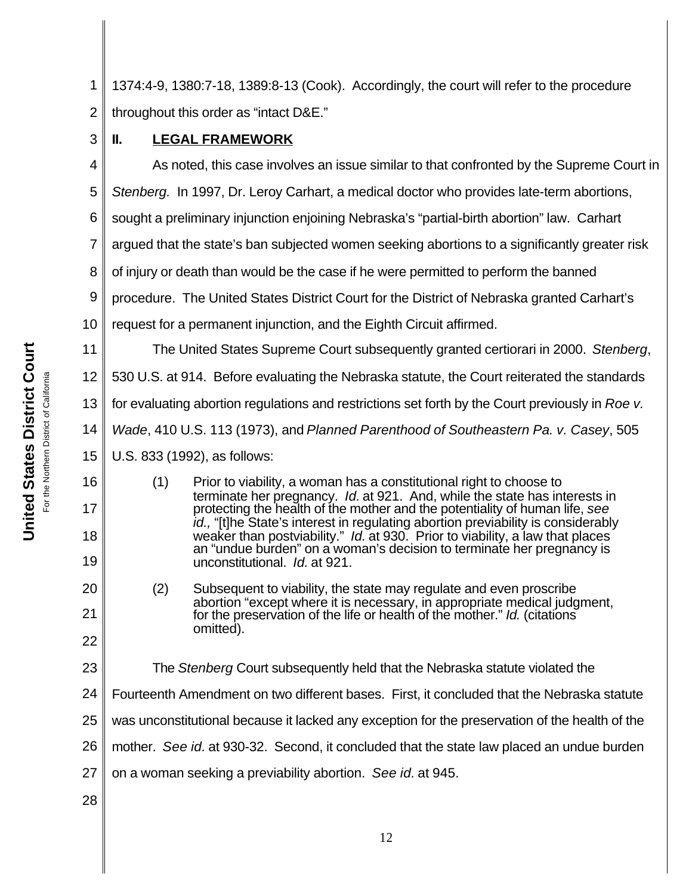**United States District Court** For the Northern District of California California For the Northern District of

United States District Court

1 2 3 1374:4-9, 1380:7-18, 1389:8-13 (Cook). Accordingly, the court will refer to the procedure throughout this order as "intact D&E." **II. LEGAL FRAMEWORK**

4

11

16

17

18

19

20

21

22

23

As noted, this case involves an issue similar to that confronted by the Supreme Court in

5 *Stenberg.* In 1997, Dr. Leroy Carhart, a medical doctor who provides late-term abortions,

6 sought a preliminary injunction enjoining Nebraska's "partial-birth abortion" law. Carhart

7 argued that the state's ban subjected women seeking abortions to a significantly greater risk

8 of injury or death than would be the case if he were permitted to perform the banned

9 procedure. The United States District Court for the District of Nebraska granted Carhart's

10 request for a permanent injunction, and the Eighth Circuit affirmed.

The United States Supreme Court subsequently granted certiorari in 2000. *Stenberg*,

12 530 U.S. at 914. Before evaluating the Nebraska statute, the Court reiterated the standards

13 for evaluating abortion regulations and restrictions set forth by the Court previously in *Roe v.*

14 *Wade*, 410 U.S. 113 (1973), and *Planned Parenthood of Southeastern Pa. v. Casey*, 505

15 U.S. 833 (1992), as follows:

> (1) Prior to viability, a woman has a constitutional right to choose to terminate her pregnancy. *Id.* at 921. And, while the state has interests in protecting the health of the mother and the potentiality of human life, *see id.,* "[t]he State's interest in regulating abortion previability is considerably weaker than postviability." *Id.* at 930. Prior to viability, a law that places an "undue burden" on a woman's decision to terminate her pregnancy is unconstitutional. *Id.* at 921.

(2) Subsequent to viability, the state may regulate and even proscribe abortion "except where it is necessary, in appropriate medical judgment, for the preservation of the life or health of the mother." *Id.* (citations omitted).

The *Stenberg* Court subsequently held that the Nebraska statute violated the

24 Fourteenth Amendment on two different bases. First, it concluded that the Nebraska statute

25 was unconstitutional because it lacked any exception for the preservation of the health of the

26 mother. *See id.* at 930-32. Second, it concluded that the state law placed an undue burden

27 on a woman seeking a previability abortion. *See id.* at 945.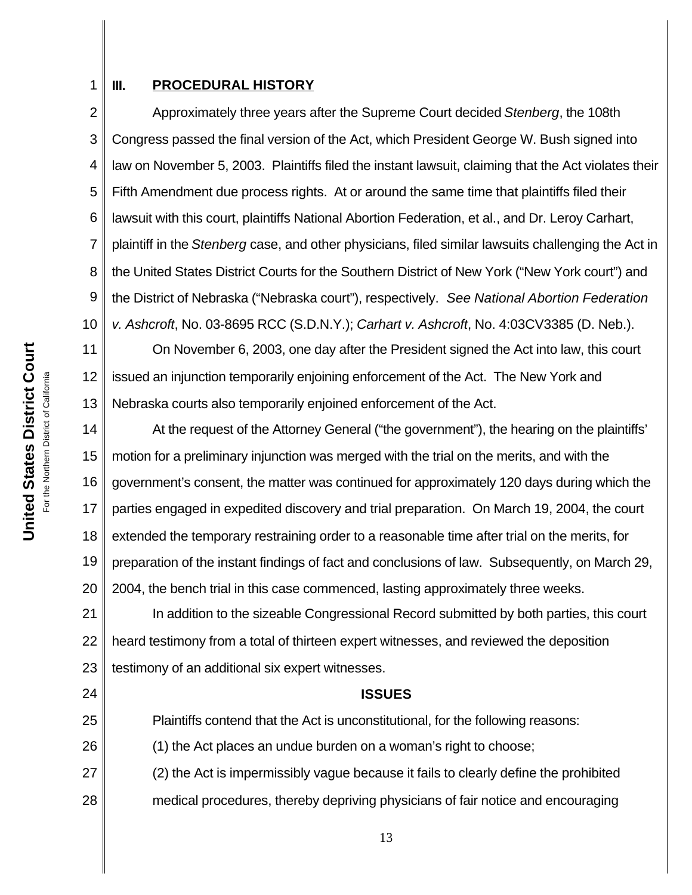# 1 2

# **III. PROCEDURAL HISTORY**

3 4 5 6 7 8 9 10 Approximately three years after the Supreme Court decided *Stenberg*, the 108th Congress passed the final version of the Act, which President George W. Bush signed into law on November 5, 2003. Plaintiffs filed the instant lawsuit, claiming that the Act violates their Fifth Amendment due process rights. At or around the same time that plaintiffs filed their lawsuit with this court, plaintiffs National Abortion Federation, et al., and Dr. Leroy Carhart, plaintiff in the *Stenberg* case, and other physicians, filed similar lawsuits challenging the Act in the United States District Courts for the Southern District of New York ("New York court") and the District of Nebraska ("Nebraska court"), respectively.*See National Abortion Federation v. Ashcroft*, No. 03-8695 RCC (S.D.N.Y.); *Carhart v. Ashcroft*, No. 4:03CV3385 (D. Neb.).

11 12 13 On November 6, 2003, one day after the President signed the Act into law, this court issued an injunction temporarily enjoining enforcement of the Act. The New York and Nebraska courts also temporarily enjoined enforcement of the Act.

14 15 16 17 18 19 20 At the request of the Attorney General ("the government"), the hearing on the plaintiffs' motion for a preliminary injunction was merged with the trial on the merits, and with the government's consent, the matter was continued for approximately 120 days during which the parties engaged in expedited discovery and trial preparation. On March 19, 2004, the court extended the temporary restraining order to a reasonable time after trial on the merits, for preparation of the instant findings of fact and conclusions of law. Subsequently, on March 29, 2004, the bench trial in this case commenced, lasting approximately three weeks.

21 22 23 In addition to the sizeable Congressional Record submitted by both parties, this court heard testimony from a total of thirteen expert witnesses, and reviewed the deposition testimony of an additional six expert witnesses.

**ISSUES**

Plaintiffs contend that the Act is unconstitutional, for the following reasons:

26 (1) the Act places an undue burden on a woman's right to choose;

27 28 (2) the Act is impermissibly vague because it fails to clearly define the prohibited medical procedures, thereby depriving physicians of fair notice and encouraging

24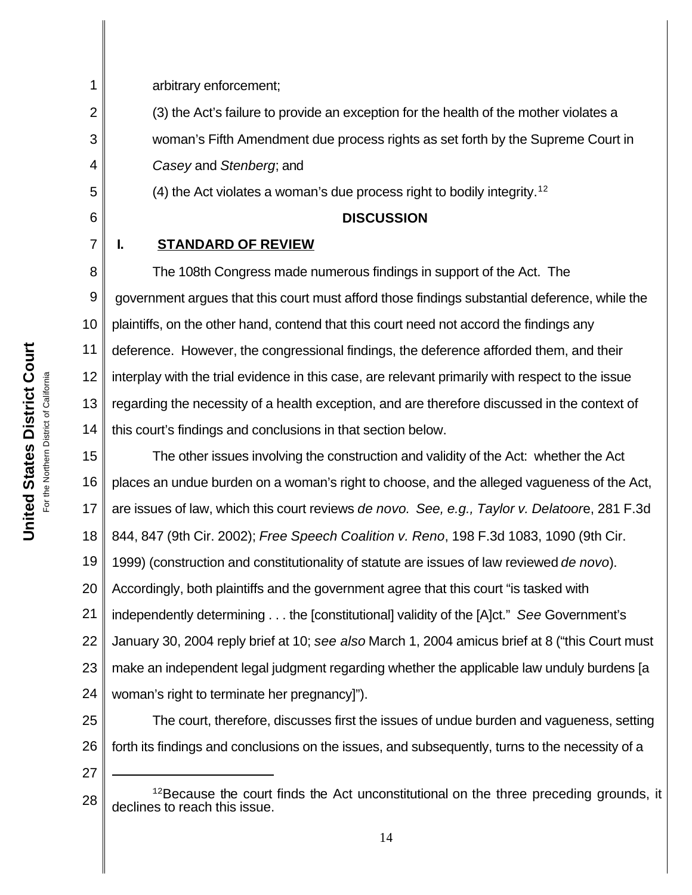arbitrary enforcement;

1

2

3

4

5

6

7

11

(3) the Act's failure to provide an exception for the health of the mother violates a woman's Fifth Amendment due process rights as set forth by the Supreme Court in *Casey* and *Stenberg*; and

(4) the Act violates a woman's due process right to bodily integrity.<sup>12</sup>

# **DISCUSSION**

**I. STANDARD OF REVIEW**

8 9 10 12 13 14 The 108th Congress made numerous findings in support of the Act. The government argues that this court must afford those findings substantial deference, while the plaintiffs, on the other hand, contend that this court need not accord the findings any deference. However, the congressional findings, the deference afforded them, and their interplay with the trial evidence in this case, are relevant primarily with respect to the issue regarding the necessity of a health exception, and are therefore discussed in the context of this court's findings and conclusions in that section below.

15 16 17 18 19 20 21 22 23 24 The other issues involving the construction and validity of the Act: whether the Act places an undue burden on a woman's right to choose, and the alleged vagueness of the Act, are issues of law, which this court reviews *de novo. See, e.g., Taylor v. Delatoor*e, 281 F.3d 844, 847 (9th Cir. 2002); *Free Speech Coalition v. Reno*, 198 F.3d 1083, 1090 (9th Cir. 1999) (construction and constitutionality of statute are issues of law reviewed *de novo*). Accordingly, both plaintiffs and the government agree that this court "is tasked with independently determining . . . the [constitutional] validity of the [A]ct." *See* Government's January 30, 2004 reply brief at 10; *see also* March 1, 2004 amicus brief at 8 ("this Court must make an independent legal judgment regarding whether the applicable law unduly burdens [a woman's right to terminate her pregnancy]").

- 25 26 The court, therefore, discusses first the issues of undue burden and vagueness, setting forth its findings and conclusions on the issues, and subsequently, turns to the necessity of a
- 27

<sup>28</sup> <sup>12</sup>Because the court finds the Act unconstitutional on the three preceding grounds, it declines to reach this issue.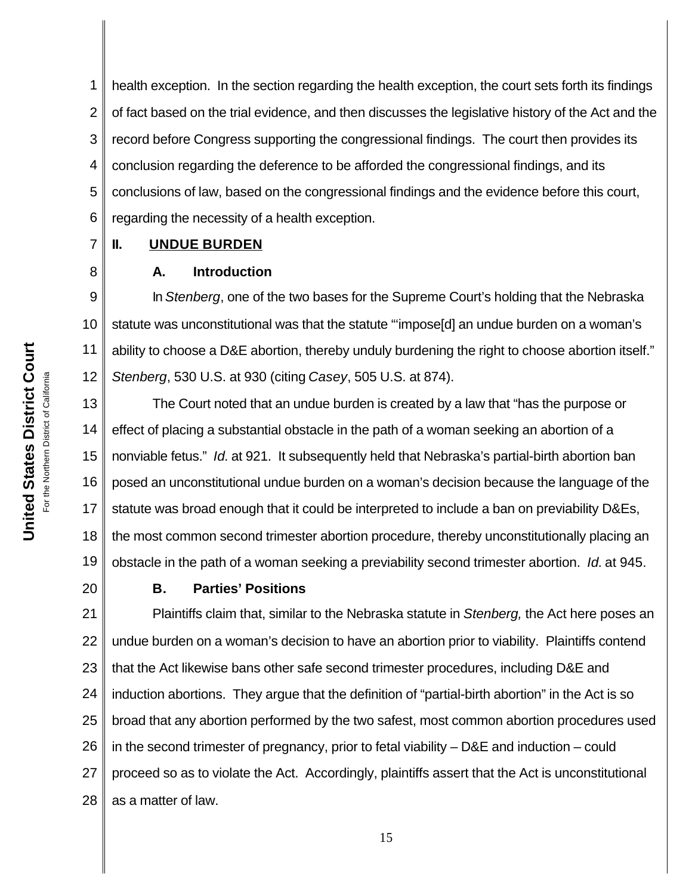1 2 3 4 5 6 health exception. In the section regarding the health exception, the court sets forth its findings of fact based on the trial evidence, and then discusses the legislative history of the Act and the record before Congress supporting the congressional findings. The court then provides its conclusion regarding the deference to be afforded the congressional findings, and its conclusions of law, based on the congressional findings and the evidence before this court, regarding the necessity of a health exception.

### 7 **II. UNDUE BURDEN**

# **A. Introduction**

9 10 11 12 In *Stenberg*, one of the two bases for the Supreme Court's holding that the Nebraska statute was unconstitutional was that the statute "'impose[d] an undue burden on a woman's ability to choose a D&E abortion, thereby unduly burdening the right to choose abortion itself." *Stenberg*, 530 U.S. at 930 (citing *Casey*, 505 U.S. at 874).

13 14 15 16 17 18 19 The Court noted that an undue burden is created by a law that "has the purpose or effect of placing a substantial obstacle in the path of a woman seeking an abortion of a nonviable fetus."*Id.* at 921. It subsequently held that Nebraska's partial-birth abortion ban posed an unconstitutional undue burden on a woman's decision because the language of the statute was broad enough that it could be interpreted to include a ban on previability D&Es, the most common second trimester abortion procedure, thereby unconstitutionally placing an obstacle in the path of a woman seeking a previability second trimester abortion. *Id.* at 945.

20

8

# **B. Parties' Positions**

21 22 23 24 25 26 27 28 Plaintiffs claim that, similar to the Nebraska statute in *Stenberg,* the Act here poses an undue burden on a woman's decision to have an abortion prior to viability. Plaintiffs contend that the Act likewise bans other safe second trimester procedures, including D&E and induction abortions. They argue that the definition of "partial-birth abortion" in the Act is so broad that any abortion performed by the two safest, most common abortion procedures used in the second trimester of pregnancy, prior to fetal viability – D&E and induction – could proceed so as to violate the Act. Accordingly, plaintiffs assert that the Act is unconstitutional as a matter of law.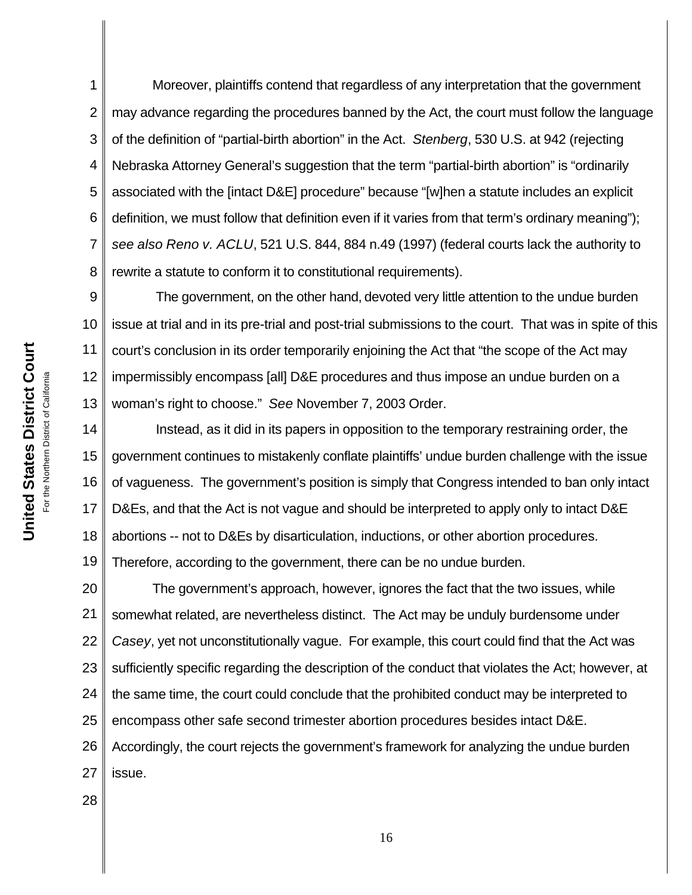1 2 3 4 5 6 7 8 Moreover, plaintiffs contend that regardless of any interpretation that the government may advance regarding the procedures banned by the Act, the court must follow the language of the definition of "partial-birth abortion" in the Act. *Stenberg*, 530 U.S. at 942 (rejecting Nebraska Attorney General's suggestion that the term "partial-birth abortion" is "ordinarily associated with the [intact D&E] procedure" because "[w]hen a statute includes an explicit definition, we must follow that definition even if it varies from that term's ordinary meaning"); *see also Reno v. ACLU*, 521 U.S. 844, 884 n.49 (1997) (federal courts lack the authority to rewrite a statute to conform it to constitutional requirements).

9 10 11 12 13 The government, on the other hand, devoted very little attention to the undue burden issue at trial and in its pre-trial and post-trial submissions to the court. That was in spite of this court's conclusion in its order temporarily enjoining the Act that "the scope of the Act may impermissibly encompass [all] D&E procedures and thus impose an undue burden on a woman's right to choose." *See* November 7, 2003 Order.

14 15 16 17 18 19 Instead, as it did in its papers in opposition to the temporary restraining order, the government continues to mistakenly conflate plaintiffs' undue burden challenge with the issue of vagueness. The government's position is simply that Congress intended to ban only intact D&Es, and that the Act is not vague and should be interpreted to apply only to intact D&E abortions -- not to D&Es by disarticulation, inductions, or other abortion procedures. Therefore, according to the government, there can be no undue burden.

20 21 22 23 24 25 26 27 The government's approach, however, ignores the fact that the two issues, while somewhat related, are nevertheless distinct. The Act may be unduly burdensome under *Casey*, yet not unconstitutionally vague. For example, this court could find that the Act was sufficiently specific regarding the description of the conduct that violates the Act; however, at the same time, the court could conclude that the prohibited conduct may be interpreted to encompass other safe second trimester abortion procedures besides intact D&E. Accordingly, the court rejects the government's framework for analyzing the undue burden issue.

28

**United States District Court United States District Court** For the Northern District of California For the Northern District of California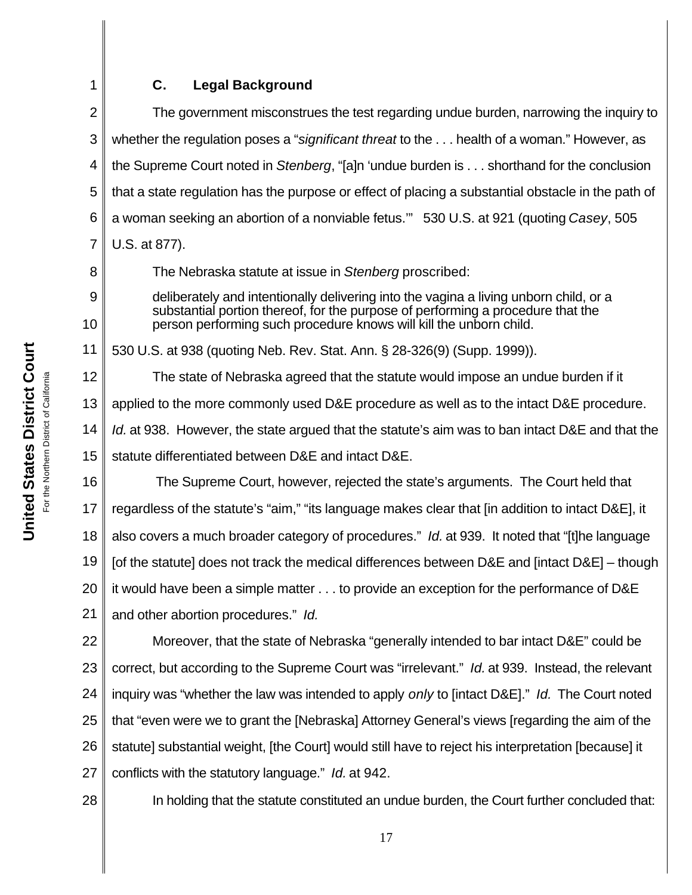# **C. Legal Background**

2 3 4 5 6 7 The government misconstrues the test regarding undue burden, narrowing the inquiry to whether the regulation poses a "*significant threat* to the . . . health of a woman." However, as the Supreme Court noted in *Stenberg*, "[a]n 'undue burden is . . . shorthand for the conclusion that a state regulation has the purpose or effect of placing a substantial obstacle in the path of a woman seeking an abortion of a nonviable fetus.'" 530 U.S. at 921 (quoting *Casey*, 505 U.S. at 877).

The Nebraska statute at issue in *Stenberg* proscribed:

deliberately and intentionally delivering into the vagina a living unborn child, or a substantial portion thereof, for the purpose of performing a procedure that the person performing such procedure knows will kill the unborn child.

11 530 U.S. at 938 (quoting Neb. Rev. Stat. Ann. § 28-326(9) (Supp. 1999)).

12 13 14 15 The state of Nebraska agreed that the statute would impose an undue burden if it applied to the more commonly used D&E procedure as well as to the intact D&E procedure. *Id.* at 938. However, the state argued that the statute's aim was to ban intact D&E and that the statute differentiated between D&E and intact D&E.

16 17 18 19 20 21 The Supreme Court, however, rejected the state's arguments. The Court held that regardless of the statute's "aim," "its language makes clear that [in addition to intact D&E], it also covers a much broader category of procedures." *Id.* at 939. It noted that "[t]he language [of the statute] does not track the medical differences between D&E and [intact D&E] – though it would have been a simple matter . . . to provide an exception for the performance of D&E and other abortion procedures." *Id.*

22 23 24 25 26 27 Moreover, that the state of Nebraska "generally intended to bar intact D&E" could be correct, but according to the Supreme Court was "irrelevant." *Id.* at 939. Instead, the relevant inquiry was "whether the law was intended to apply *only* to [intact D&E]." *Id.* The Court noted that "even were we to grant the [Nebraska] Attorney General's views [regarding the aim of the statute] substantial weight, [the Court] would still have to reject his interpretation [because] it conflicts with the statutory language." *Id.* at 942.

28

In holding that the statute constituted an undue burden, the Court further concluded that:

1

8

9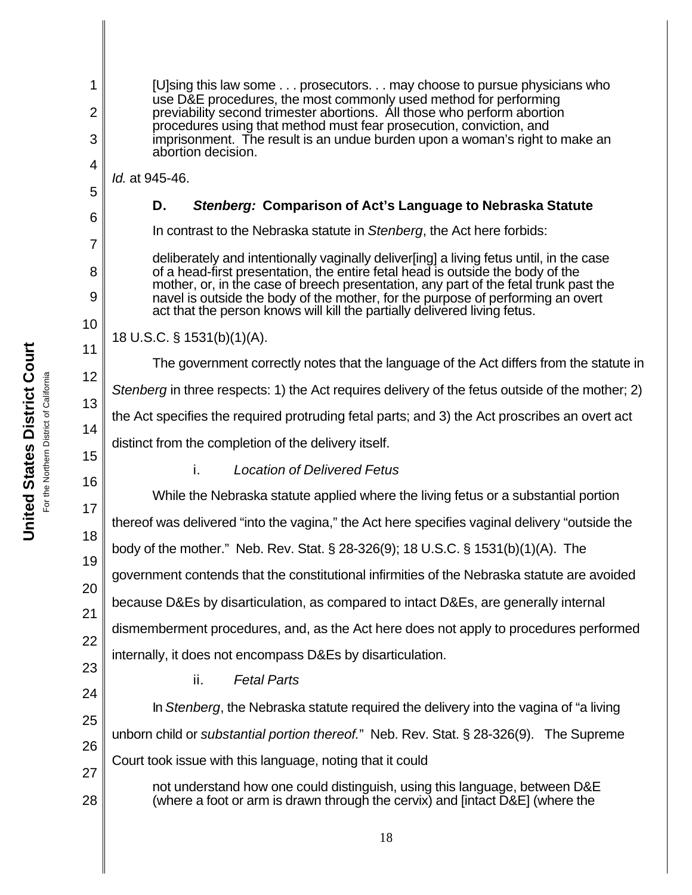1 2 3 4 5 6 7 8 9 10 11 12 13 14 15 16 17 18 19 20 21 22 23 24 25 26 27 28 [U]sing this law some . . . prosecutors. . . may choose to pursue physicians who use D&E procedures, the most commonly used method for performing previability second trimester abortions. All those who perform abortion procedures using that method must fear prosecution, conviction, and imprisonment. The result is an undue burden upon a woman's right to make an abortion decision. *Id.* at 945-46. **D.** *Stenberg:* **Comparison of Act's Language to Nebraska Statute** In contrast to the Nebraska statute in *Stenberg*, the Act here forbids: deliberately and intentionally vaginally deliver[ing] a living fetus until, in the case of a head-first presentation, the entire fetal head is outside the body of the mother, or, in the case of breech presentation, any part of the fetal trunk past the navel is outside the body of the mother, for the purpose of performing an overt act that the person knows will kill the partially delivered living fetus. 18 U.S.C. § 1531(b)(1)(A). The government correctly notes that the language of the Act differs from the statute in *Stenberg* in three respects: 1) the Act requires delivery of the fetus outside of the mother; 2) the Act specifies the required protruding fetal parts; and 3) the Act proscribes an overt act distinct from the completion of the delivery itself. i. *Location of Delivered Fetus* While the Nebraska statute applied where the living fetus or a substantial portion thereof was delivered "into the vagina," the Act here specifies vaginal delivery "outside the body of the mother." Neb. Rev. Stat. § 28-326(9); 18 U.S.C. § 1531(b)(1)(A). The government contends that the constitutional infirmities of the Nebraska statute are avoided because D&Es by disarticulation, as compared to intact D&Es, are generally internal dismemberment procedures, and, as the Act here does not apply to procedures performed internally, it does not encompass D&Es by disarticulation. ii. *Fetal Parts* In *Stenberg*, the Nebraska statute required the delivery into the vagina of "a living unborn child or *substantial portion thereof.*" Neb. Rev. Stat. § 28-326(9). The Supreme Court took issue with this language, noting that it could not understand how one could distinguish, using this language, between D&E (where a foot or arm is drawn through the cervix) and [intact D&E] (where the

**United States District Court United States District Court** For the Northern District of California For the Northern District of California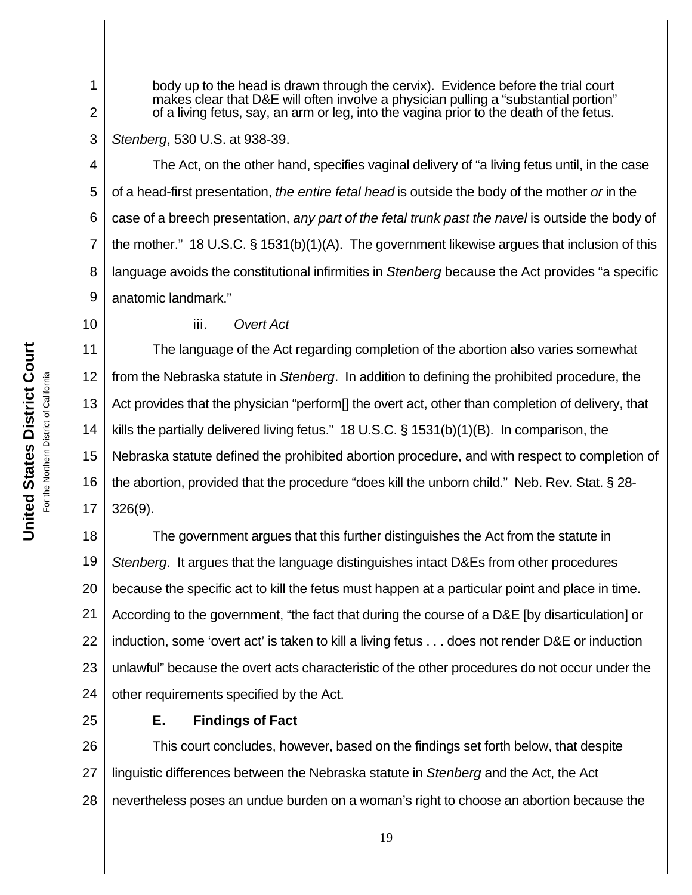body up to the head is drawn through the cervix). Evidence before the trial court makes clear that D&E will often involve a physician pulling a "substantial portion" of a living fetus, say, an arm or leg, into the vagina prior to the death of the fetus.

### 3 *Stenberg*, 530 U.S. at 938-39.

4 5 6 7 8 9 The Act, on the other hand, specifies vaginal delivery of "a living fetus until, in the case of a head-first presentation, *the entire fetal head* is outside the body of the mother *or* in the case of a breech presentation, *any part of the fetal trunk past the navel* is outside the body of the mother." 18 U.S.C. § 1531(b)(1)(A). The government likewise argues that inclusion of this language avoids the constitutional infirmities in *Stenberg* because the Act provides "a specific anatomic landmark."

10

1

2

# iii. *Overt Act*

11 12 13 14 15 16 17 The language of the Act regarding completion of the abortion also varies somewhat from the Nebraska statute in *Stenberg*. In addition to defining the prohibited procedure, the Act provides that the physician "perform[] the overt act, other than completion of delivery, that kills the partially delivered living fetus." 18 U.S.C. § 1531(b)(1)(B). In comparison, the Nebraska statute defined the prohibited abortion procedure, and with respect to completion of the abortion, provided that the procedure "does kill the unborn child." Neb. Rev. Stat. § 28- 326(9).

18 19 20 21 22 23 24 The government argues that this further distinguishes the Act from the statute in *Stenberg*. It argues that the language distinguishes intact D&Es from other procedures because the specific act to kill the fetus must happen at a particular point and place in time. According to the government, "the fact that during the course of a D&E [by disarticulation] or induction, some 'overt act' is taken to kill a living fetus . . . does not render D&E or induction unlawful" because the overt acts characteristic of the other procedures do not occur under the other requirements specified by the Act.

25

# **E. Findings of Fact**

26 27 28 This court concludes, however, based on the findings set forth below, that despite linguistic differences between the Nebraska statute in *Stenberg* and the Act, the Act nevertheless poses an undue burden on a woman's right to choose an abortion because the

**United States District Court United States District Court** California For the Northern District of California For the Northern District of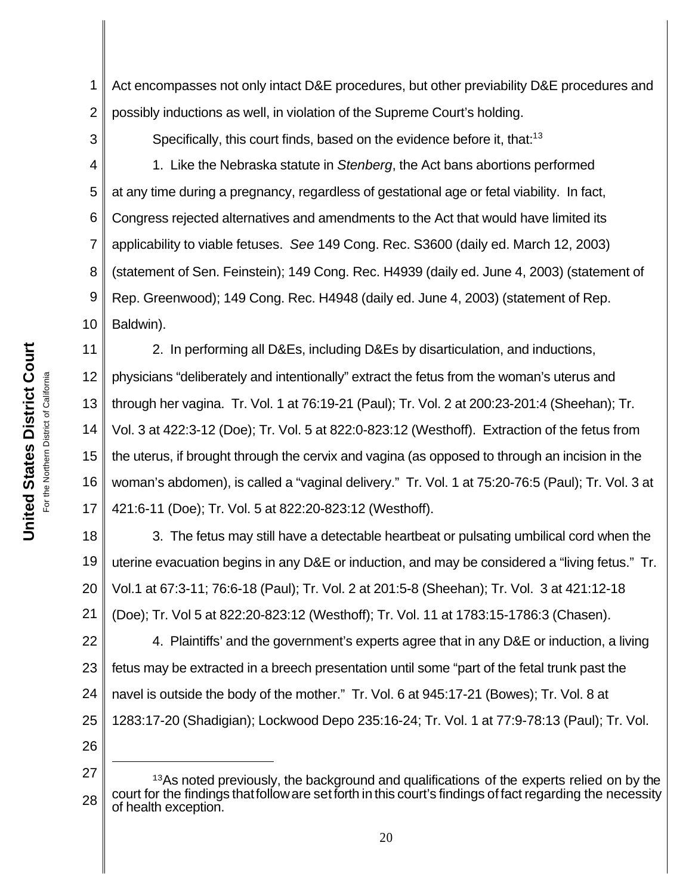1 2 Act encompasses not only intact D&E procedures, but other previability D&E procedures and possibly inductions as well, in violation of the Supreme Court's holding.

3

Specifically, this court finds, based on the evidence before it, that:<sup>13</sup>

4 5 6 7 8 9 10 1. Like the Nebraska statute in *Stenberg*, the Act bans abortions performed at any time during a pregnancy, regardless of gestational age or fetal viability. In fact, Congress rejected alternatives and amendments to the Act that would have limited its applicability to viable fetuses. *See* 149 Cong. Rec. S3600 (daily ed. March 12, 2003) (statement of Sen. Feinstein); 149 Cong. Rec. H4939 (daily ed. June 4, 2003) (statement of Rep. Greenwood); 149 Cong. Rec. H4948 (daily ed. June 4, 2003) (statement of Rep. Baldwin).

11 12 13 14 15 16 17 2. In performing all D&Es, including D&Es by disarticulation, and inductions, physicians "deliberately and intentionally" extract the fetus from the woman's uterus and through her vagina. Tr. Vol. 1 at 76:19-21 (Paul); Tr. Vol. 2 at 200:23-201:4 (Sheehan); Tr. Vol. 3 at 422:3-12 (Doe); Tr. Vol. 5 at 822:0-823:12 (Westhoff). Extraction of the fetus from the uterus, if brought through the cervix and vagina (as opposed to through an incision in the woman's abdomen), is called a "vaginal delivery." Tr. Vol. 1 at 75:20-76:5 (Paul); Tr. Vol. 3 at 421:6-11 (Doe); Tr. Vol. 5 at 822:20-823:12 (Westhoff).

18 19 20 21 3. The fetus may still have a detectable heartbeat or pulsating umbilical cord when the uterine evacuation begins in any D&E or induction, and may be considered a "living fetus." Tr. Vol.1 at 67:3-11; 76:6-18 (Paul); Tr. Vol. 2 at 201:5-8 (Sheehan); Tr. Vol. 3 at 421:12-18 (Doe); Tr. Vol 5 at 822:20-823:12 (Westhoff); Tr. Vol. 11 at 1783:15-1786:3 (Chasen).

22 23 24 25 26 4. Plaintiffs' and the government's experts agree that in any D&E or induction, a living fetus may be extracted in a breech presentation until some "part of the fetal trunk past the navel is outside the body of the mother." Tr. Vol. 6 at 945:17-21 (Bowes); Tr. Vol. 8 at 1283:17-20 (Shadigian); Lockwood Depo 235:16-24; Tr. Vol. 1 at 77:9-78:13 (Paul); Tr. Vol.

27 28 <sup>13</sup>As noted previously, the background and qualifications of the experts relied on by the court for the findings thatfolloware setforth in this court's findings of fact regarding the necessity of health exception.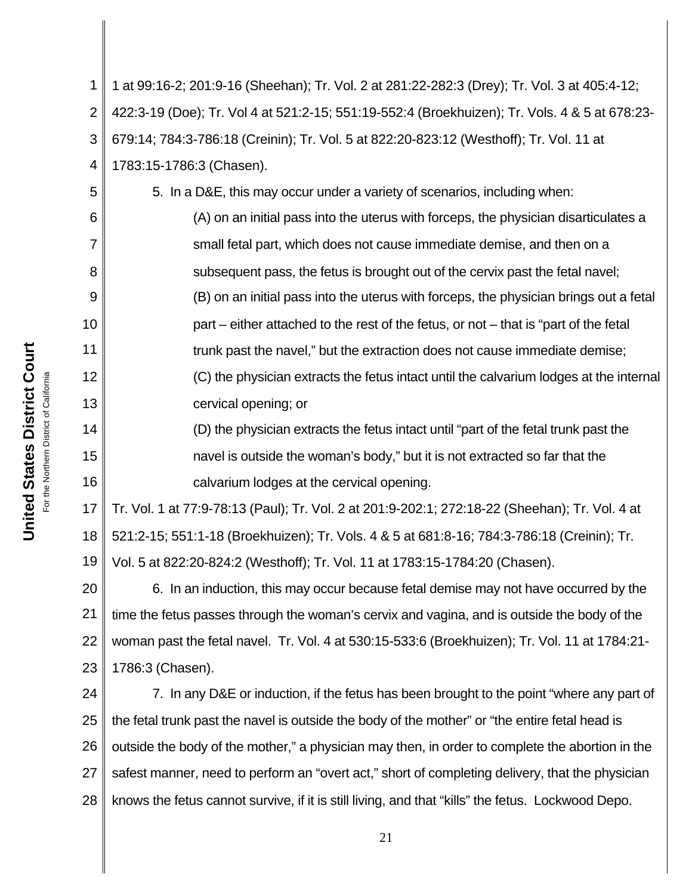1 2 3 4 5 6 7 8 9 10 11 12 13 14 15 16 17 18 19 20 21 22 23 24 25 26 27 1 at 99:16-2; 201:9-16 (Sheehan); Tr. Vol. 2 at 281:22-282:3 (Drey); Tr. Vol. 3 at 405:4-12; 422:3-19 (Doe); Tr. Vol 4 at 521:2-15; 551:19-552:4 (Broekhuizen); Tr. Vols. 4 & 5 at 678:23- 679:14; 784:3-786:18 (Creinin); Tr. Vol. 5 at 822:20-823:12 (Westhoff); Tr. Vol. 11 at 1783:15-1786:3 (Chasen). 5. In a D&E, this may occur under a variety of scenarios, including when: (A) on an initial pass into the uterus with forceps, the physician disarticulates a small fetal part, which does not cause immediate demise, and then on a subsequent pass, the fetus is brought out of the cervix past the fetal navel; (B) on an initial pass into the uterus with forceps, the physician brings out a fetal part – either attached to the rest of the fetus, or not – that is "part of the fetal trunk past the navel," but the extraction does not cause immediate demise; (C) the physician extracts the fetus intact until the calvarium lodges at the internal cervical opening; or (D) the physician extracts the fetus intact until "part of the fetal trunk past the navel is outside the woman's body," but it is not extracted so far that the calvarium lodges at the cervical opening. Tr. Vol. 1 at 77:9-78:13 (Paul); Tr. Vol. 2 at 201:9-202:1; 272:18-22 (Sheehan); Tr. Vol. 4 at 521:2-15; 551:1-18 (Broekhuizen); Tr. Vols. 4 & 5 at 681:8-16; 784:3-786:18 (Creinin); Tr. Vol. 5 at 822:20-824:2 (Westhoff); Tr. Vol. 11 at 1783:15-1784:20 (Chasen). 6. In an induction, this may occur because fetal demise may not have occurred by the time the fetus passes through the woman's cervix and vagina, and is outside the body of the woman past the fetal navel. Tr. Vol. 4 at 530:15-533:6 (Broekhuizen); Tr. Vol. 11 at 1784:21- 1786:3 (Chasen). 7. In any D&E or induction, if the fetus has been brought to the point "where any part of the fetal trunk past the navel is outside the body of the mother" or "the entire fetal head is outside the body of the mother," a physician may then, in order to complete the abortion in the safest manner, need to perform an "overt act," short of completing delivery, that the physician

28

21

knows the fetus cannot survive, if it is still living, and that "kills" the fetus. Lockwood Depo.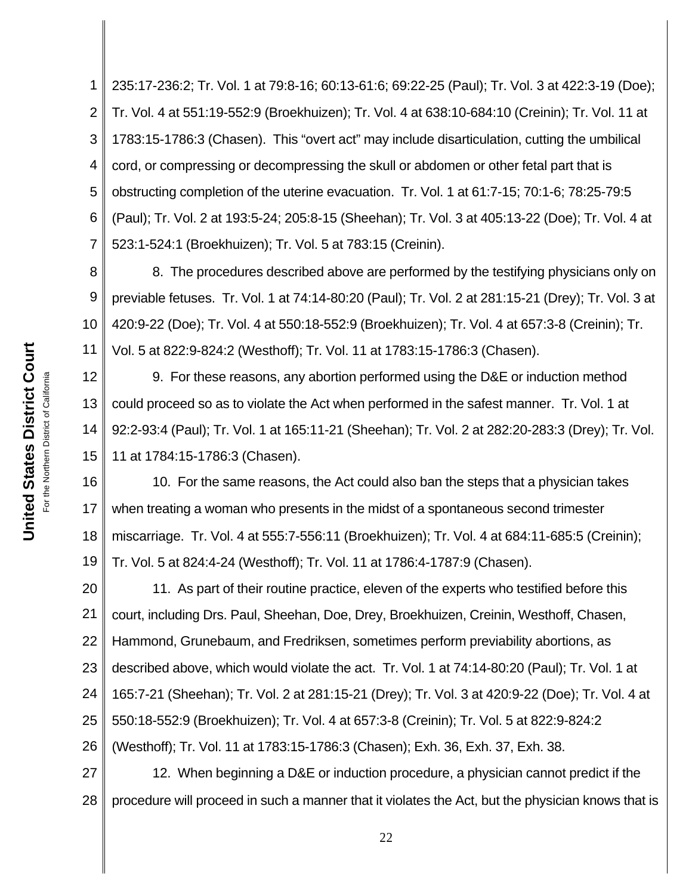1 2 3 4 5 6 7 235:17-236:2; Tr. Vol. 1 at 79:8-16; 60:13-61:6; 69:22-25 (Paul); Tr. Vol. 3 at 422:3-19 (Doe); Tr. Vol. 4 at 551:19-552:9 (Broekhuizen); Tr. Vol. 4 at 638:10-684:10 (Creinin); Tr. Vol. 11 at 1783:15-1786:3 (Chasen). This "overt act" may include disarticulation, cutting the umbilical cord, or compressing or decompressing the skull or abdomen or other fetal part that is obstructing completion of the uterine evacuation. Tr. Vol. 1 at 61:7-15; 70:1-6; 78:25-79:5 (Paul); Tr. Vol. 2 at 193:5-24; 205:8-15 (Sheehan); Tr. Vol. 3 at 405:13-22 (Doe); Tr. Vol. 4 at 523:1-524:1 (Broekhuizen); Tr. Vol. 5 at 783:15 (Creinin).

8 9 10 11 8. The procedures described above are performed by the testifying physicians only on previable fetuses. Tr. Vol. 1 at 74:14-80:20 (Paul); Tr. Vol. 2 at 281:15-21 (Drey); Tr. Vol. 3 at 420:9-22 (Doe); Tr. Vol. 4 at 550:18-552:9 (Broekhuizen); Tr. Vol. 4 at 657:3-8 (Creinin); Tr. Vol. 5 at 822:9-824:2 (Westhoff); Tr. Vol. 11 at 1783:15-1786:3 (Chasen).

12 13 14 15 9. For these reasons, any abortion performed using the D&E or induction method could proceed so as to violate the Act when performed in the safest manner. Tr. Vol. 1 at 92:2-93:4 (Paul); Tr. Vol. 1 at 165:11-21 (Sheehan); Tr. Vol. 2 at 282:20-283:3 (Drey); Tr. Vol. 11 at 1784:15-1786:3 (Chasen).

16 17 18 19 10. For the same reasons, the Act could also ban the steps that a physician takes when treating a woman who presents in the midst of a spontaneous second trimester miscarriage. Tr. Vol. 4 at 555:7-556:11 (Broekhuizen); Tr. Vol. 4 at 684:11-685:5 (Creinin); Tr. Vol. 5 at 824:4-24 (Westhoff); Tr. Vol. 11 at 1786:4-1787:9 (Chasen).

20 21 22 23 24 25 26 11. As part of their routine practice, eleven of the experts who testified before this court, including Drs. Paul, Sheehan, Doe, Drey, Broekhuizen, Creinin, Westhoff, Chasen, Hammond, Grunebaum, and Fredriksen, sometimes perform previability abortions, as described above, which would violate the act. Tr. Vol. 1 at 74:14-80:20 (Paul); Tr. Vol. 1 at 165:7-21 (Sheehan); Tr. Vol. 2 at 281:15-21 (Drey); Tr. Vol. 3 at 420:9-22 (Doe); Tr. Vol. 4 at 550:18-552:9 (Broekhuizen); Tr. Vol. 4 at 657:3-8 (Creinin); Tr. Vol. 5 at 822:9-824:2 (Westhoff); Tr. Vol. 11 at 1783:15-1786:3 (Chasen); Exh. 36, Exh. 37, Exh. 38.

27 28 12. When beginning a D&E or induction procedure, a physician cannot predict if the procedure will proceed in such a manner that it violates the Act, but the physician knows that is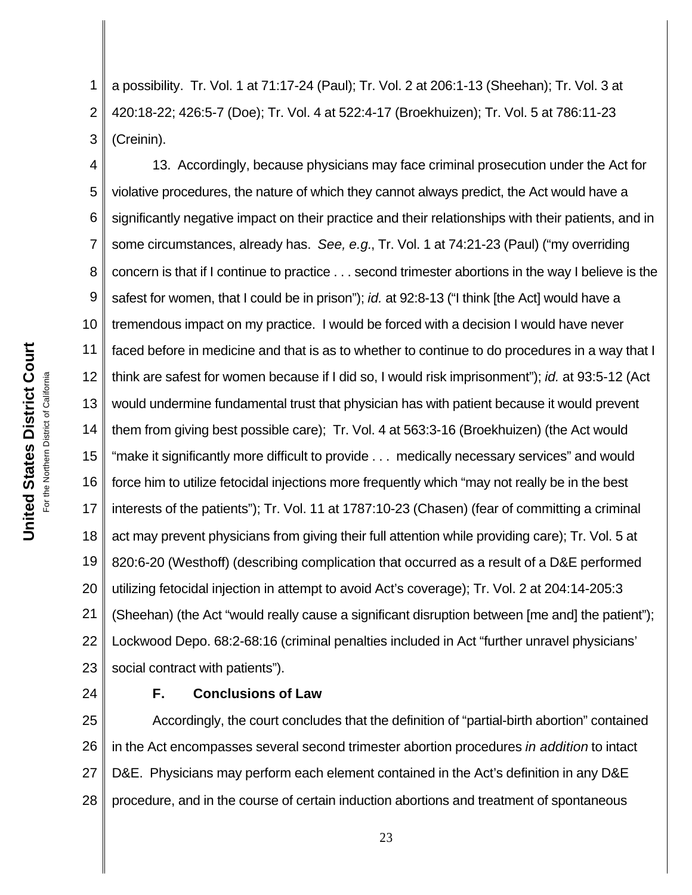1 2 3 a possibility. Tr. Vol. 1 at 71:17-24 (Paul); Tr. Vol. 2 at 206:1-13 (Sheehan); Tr. Vol. 3 at 420:18-22; 426:5-7 (Doe); Tr. Vol. 4 at 522:4-17 (Broekhuizen); Tr. Vol. 5 at 786:11-23 (Creinin).

4 5 6 7 8 9 10 11 12 13 14 15 16 17 18 19 20 21 22 23 13. Accordingly, because physicians may face criminal prosecution under the Act for violative procedures, the nature of which they cannot always predict, the Act would have a significantly negative impact on their practice and their relationships with their patients, and in some circumstances, already has. *See, e.g.*, Tr. Vol. 1 at 74:21-23 (Paul) ("my overriding concern is that if I continue to practice . . . second trimester abortions in the way I believe is the safest for women, that I could be in prison"); *id.* at 92:8-13 ("I think [the Act] would have a tremendous impact on my practice. I would be forced with a decision I would have never faced before in medicine and that is as to whether to continue to do procedures in a way that I think are safest for women because if I did so, I would risk imprisonment"); *id.* at 93:5-12 (Act would undermine fundamental trust that physician has with patient because it would prevent them from giving best possible care); Tr. Vol. 4 at 563:3-16 (Broekhuizen) (the Act would "make it significantly more difficult to provide . . . medically necessary services" and would force him to utilize fetocidal injections more frequently which "may not really be in the best interests of the patients"); Tr. Vol. 11 at 1787:10-23 (Chasen) (fear of committing a criminal act may prevent physicians from giving their full attention while providing care); Tr. Vol. 5 at 820:6-20 (Westhoff) (describing complication that occurred as a result of a D&E performed utilizing fetocidal injection in attempt to avoid Act's coverage); Tr. Vol. 2 at 204:14-205:3 (Sheehan) (the Act "would really cause a significant disruption between [me and] the patient"); Lockwood Depo. 68:2-68:16 (criminal penalties included in Act "further unravel physicians' social contract with patients").

24

# **F. Conclusions of Law**

25 26 27 28 Accordingly, the court concludes that the definition of "partial-birth abortion" contained in the Act encompasses several second trimester abortion procedures *in addition* to intact D&E. Physicians may perform each element contained in the Act's definition in any D&E procedure, and in the course of certain induction abortions and treatment of spontaneous

**United States District Court United States District Court** For the Northern District of California For the Northern District of California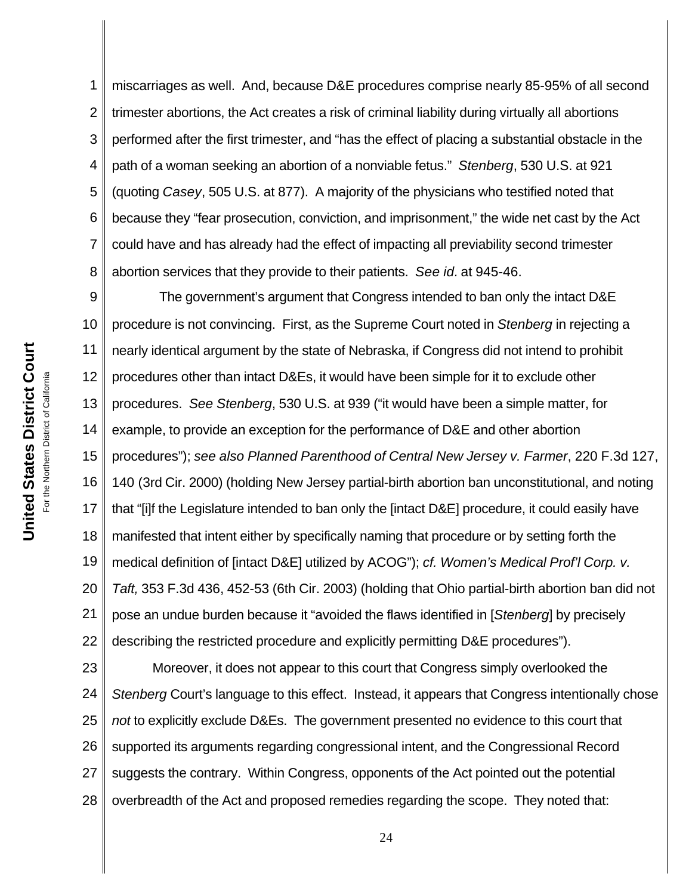1 2 3 4 5 6 7 8 miscarriages as well. And, because D&E procedures comprise nearly 85-95% of all second trimester abortions, the Act creates a risk of criminal liability during virtually all abortions performed after the first trimester, and "has the effect of placing a substantial obstacle in the path of a woman seeking an abortion of a nonviable fetus." *Stenberg*, 530 U.S. at 921 (quoting *Casey*, 505 U.S. at 877).A majority of the physicians who testified noted that because they "fear prosecution, conviction, and imprisonment," the wide net cast by the Act could have and has already had the effect of impacting all previability second trimester abortion services that they provide to their patients. *See id.* at 945-46.

9 10 11 12 13 14 15 16 17 18 19 20 21 22 The government's argument that Congress intended to ban only the intact D&E procedure is not convincing. First, as the Supreme Court noted in *Stenberg* in rejecting a nearly identical argument by the state of Nebraska, if Congress did not intend to prohibit procedures other than intact D&Es, it would have been simple for it to exclude other procedures. *See Stenberg*, 530 U.S. at 939 ("it would have been a simple matter, for example, to provide an exception for the performance of D&E and other abortion procedures"); *see also Planned Parenthood of Central New Jersey v. Farmer*, 220 F.3d 127, 140 (3rd Cir. 2000) (holding New Jersey partial-birth abortion ban unconstitutional, and noting that "[i]f the Legislature intended to ban only the [intact D&E] procedure, it could easily have manifested that intent either by specifically naming that procedure or by setting forth the medical definition of [intact D&E] utilized by ACOG"); *cf. Women's Medical Prof'l Corp. v. Taft,* 353 F.3d 436, 452-53 (6th Cir. 2003) (holding that Ohio partial-birth abortion ban did not pose an undue burden because it "avoided the flaws identified in [*Stenberg*] by precisely describing the restricted procedure and explicitly permitting D&E procedures").

23 24 25 26 27 28 Moreover, it does not appear to this court that Congress simply overlooked the *Stenberg* Court's language to this effect. Instead, it appears that Congress intentionally chose *not* to explicitly exclude D&Es. The government presented no evidence to this court that supported its arguments regarding congressional intent, and the Congressional Record suggests the contrary. Within Congress, opponents of the Act pointed out the potential overbreadth of the Act and proposed remedies regarding the scope. They noted that: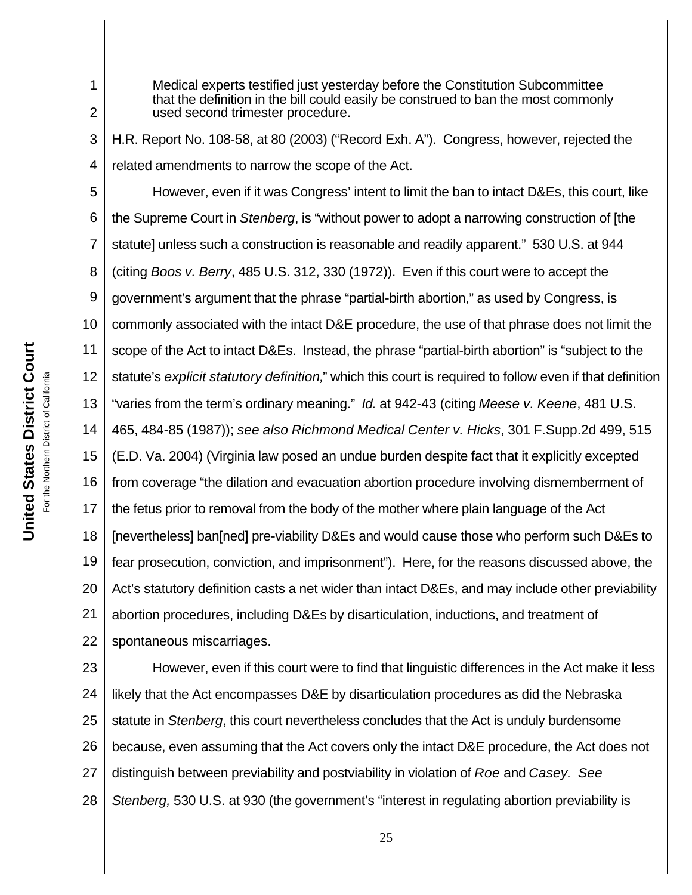Medical experts testified just yesterday before the Constitution Subcommittee that the definition in the bill could easily be construed to ban the most commonly used second trimester procedure.

H.R. Report No. 108-58, at 80 (2003) ("Record Exh. A"). Congress, however, rejected the related amendments to narrow the scope of the Act.

5 6 7 8 9 10 11 12 13 14 15 16 17 18 19 20 21 22 However, even if it was Congress' intent to limit the ban to intact D&Es, this court, like the Supreme Court in *Stenberg*, is "without power to adopt a narrowing construction of [the statute] unless such a construction is reasonable and readily apparent." 530 U.S. at 944 (citing *Boos v. Berry*, 485 U.S. 312, 330 (1972)). Even if this court were to accept the government's argument that the phrase "partial-birth abortion," as used by Congress, is commonly associated with the intact D&E procedure, the use of that phrase does not limit the scope of the Act to intact D&Es. Instead, the phrase "partial-birth abortion" is "subject to the statute's *explicit statutory definition,*" which this court is required to follow even if that definition "varies from the term's ordinary meaning." *Id.* at 942-43 (citing *Meese v. Keene*, 481 U.S. 465, 484-85 (1987)); *see also Richmond Medical Center v. Hicks*, 301 F.Supp.2d 499, 515 (E.D. Va. 2004) (Virginia law posed an undue burden despite fact that it explicitly excepted from coverage "the dilation and evacuation abortion procedure involving dismemberment of the fetus prior to removal from the body of the mother where plain language of the Act [nevertheless] ban[ned] pre-viability D&Es and would cause those who perform such D&Es to fear prosecution, conviction, and imprisonment"). Here, for the reasons discussed above, the Act's statutory definition casts a net wider than intact D&Es, and may include other previability abortion procedures, including D&Es by disarticulation, inductions, and treatment of spontaneous miscarriages.

23 24 25 26 27 28 However, even if this court were to find that linguistic differences in the Act make it less likely that the Act encompasses D&E by disarticulation procedures as did the Nebraska statute in *Stenberg*, this court nevertheless concludes that the Act is unduly burdensome because, even assuming that the Act covers only the intact D&E procedure, the Act does not distinguish between previability and postviability in violation of *Roe* and *Casey. See Stenberg,* 530 U.S*.* at 930 (the government's "interest in regulating abortion previability is

1

2

3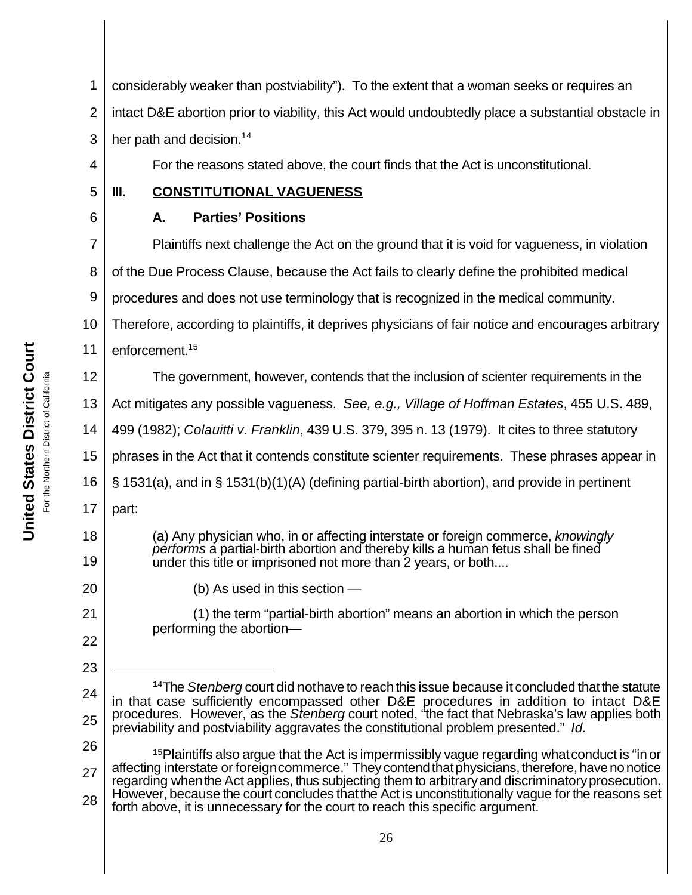2 3 4 5 6 7 8 9 10 11 12 13 14 15 16 17 18 19 20 21 22 23 24 25 26 27 28 <sup>14</sup>The *Stenberg* court did nothave to reach this issue because it concluded that the statute in that case sufficiently encompassed other D&E procedures in addition to intact D&E procedures. However, as the *Stenberg* court noted, "the fact that Nebraska's law applies both previability and postviability aggravates the constitutional problem presented." *Id.* <sup>15</sup>Plaintiffs also argue that the Act is impermissibly vague regarding what conduct is "in or affecting interstate or foreigncommerce." They contend that physicians, therefore, have no notice regarding when the Act applies, thus subjecting them to arbitrary and discriminatory prosecution. However, because the court concludes thatthe Act is unconstitutionally vague for the reasons set forth above, it is unnecessary for the court to reach this specific argument. 26 intact D&E abortion prior to viability, this Act would undoubtedly place a substantial obstacle in her path and decision.<sup>14</sup> For the reasons stated above, the court finds that the Act is unconstitutional. **III. CONSTITUTIONAL VAGUENESS A. Parties' Positions** Plaintiffs next challenge the Act on the ground that it is void for vagueness, in violation of the Due Process Clause, because the Act fails to clearly define the prohibited medical procedures and does not use terminology that is recognized in the medical community. Therefore, according to plaintiffs, it deprives physicians of fair notice and encourages arbitrary enforcement.<sup>15</sup> The government, however, contends that the inclusion of scienter requirements in the Act mitigates any possible vagueness. *See, e.g., Village of Hoffman Estates*, 455 U.S. 489, 499 (1982); *Colauitti v. Franklin*, 439 U.S. 379, 395 n. 13 (1979). It cites to three statutory phrases in the Act that it contends constitute scienter requirements. These phrases appear in § 1531(a), and in § 1531(b)(1)(A) (defining partial-birth abortion), and provide in pertinent part: (a) Any physician who, in or affecting interstate or foreign commerce, *knowingly performs* a partial-birth abortion and thereby kills a human fetus shall be fined under this title or imprisoned not more than 2 years, or both.... (b) As used in this section — (1) the term "partial-birth abortion" means an abortion in which the person performing the abortion—

considerably weaker than postviability"). To the extent that a woman seeks or requires an

United States District Court **United States District Court** California For the Northern District of California For the Northern District of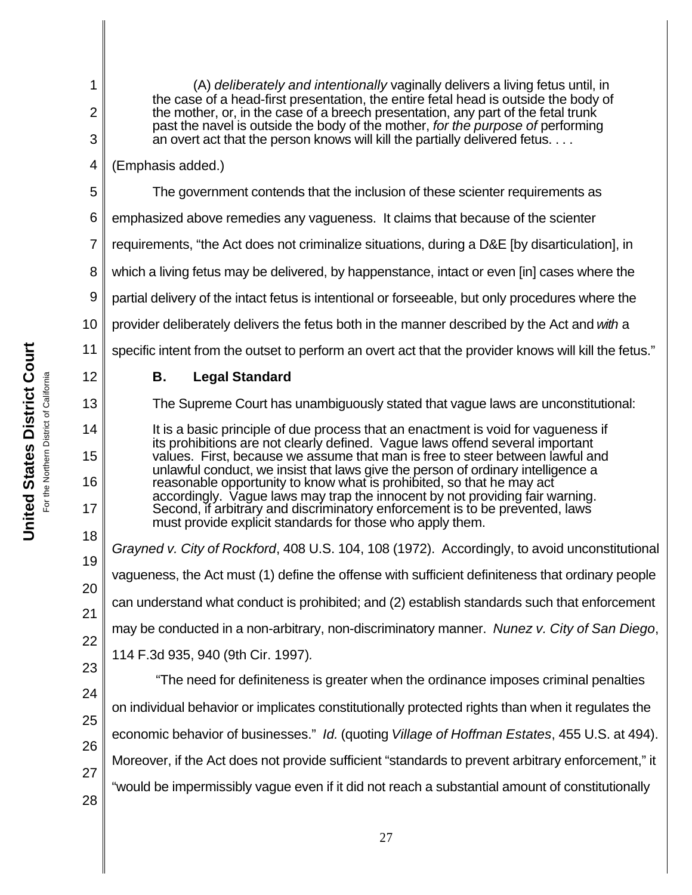(A) *deliberately and intentionally* vaginally delivers a living fetus until, in the case of a head-first presentation, the entire fetal head is outside the body of the mother, or, in the case of a breech presentation, any part of the fetal trunk past the navel is outside the body of the mother, *for the purpose of* performing an overt act that the person knows will kill the partially delivered fetus. . . .

4 (Emphasis added.)

1

2

3

5

12

13

14

15

16

17

The government contends that the inclusion of these scienter requirements as

6 emphasized above remedies any vagueness. It claims that because of the scienter

7 requirements, "the Act does not criminalize situations, during a D&E [by disarticulation], in

8 which a living fetus may be delivered, by happenstance, intact or even [in] cases where the

9 partial delivery of the intact fetus is intentional or forseeable, but only procedures where the

10 provider deliberately delivers the fetus both in the manner described by the Act and *with* a

11 specific intent from the outset to perform an overt act that the provider knows will kill the fetus."

# **B. Legal Standard**

The Supreme Court has unambiguously stated that vague laws are unconstitutional:

It is a basic principle of due process that an enactment is void for vagueness if its prohibitions are not clearly defined. Vague laws offend several important values. First, because we assume that man is free to steer between lawful and unlawful conduct, we insist that laws give the person of ordinary intelligence a reasonable opportunity to know what is prohibited, so that he may act accordingly. Vague laws may trap the innocent by not providing fair warning. Second, if arbitrary and discriminatory enforcement is to be prevented, laws must provide explicit standards for those who apply them.

18 19 20 21 22 23 *Grayned v. City of Rockford*, 408 U.S. 104, 108 (1972). Accordingly, to avoid unconstitutional vagueness, the Act must (1) define the offense with sufficient definiteness that ordinary people can understand what conduct is prohibited; and (2) establish standards such that enforcement may be conducted in a non-arbitrary, non-discriminatory manner. *Nunez v. City of San Diego*, 114 F.3d 935, 940 (9th Cir. 1997)*.* 

24 25 26 27 28 "The need for definiteness is greater when the ordinance imposes criminal penalties on individual behavior or implicates constitutionally protected rights than when it regulates the economic behavior of businesses." *Id.* (quoting *Village of Hoffman Estates*, 455 U.S. at 494). Moreover, if the Act does not provide sufficient "standards to prevent arbitrary enforcement," it "would be impermissibly vague even if it did not reach a substantial amount of constitutionally

**United States District Court United States District Court** For the Northern District of California California For the Northern District of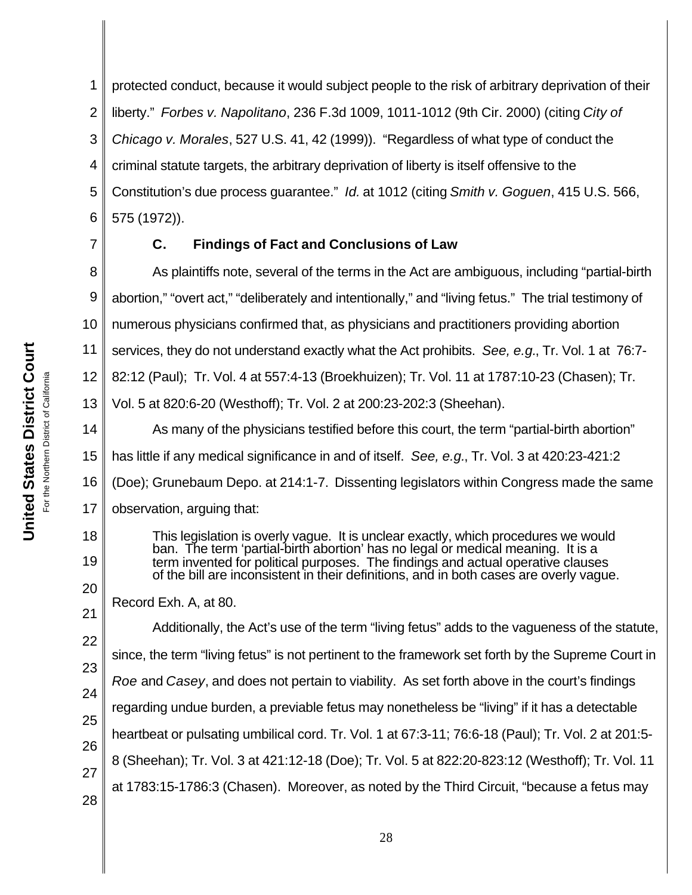1 2 3 4 5 6 protected conduct, because it would subject people to the risk of arbitrary deprivation of their liberty." *Forbes v. Napolitano*, 236 F.3d 1009, 1011-1012 (9th Cir. 2000) (citing *City of Chicago v. Morales*, 527 U.S. 41, 42 (1999)). "Regardless of what type of conduct the criminal statute targets, the arbitrary deprivation of liberty is itself offensive to the Constitution's due process guarantee." *Id.* at 1012 (citing *Smith v. Goguen*, 415 U.S. 566, 575 (1972)).

7

18

19

20

21

# **C. Findings of Fact and Conclusions of Law**

8 9 10 11 12 13 14 15 16 17 As plaintiffs note, several of the terms in the Act are ambiguous, including "partial-birth abortion," "overt act," "deliberately and intentionally," and "living fetus." The trial testimony of numerous physicians confirmed that, as physicians and practitioners providing abortion services, they do not understand exactly what the Act prohibits. *See, e.g.*, Tr. Vol. 1 at 76:7- 82:12 (Paul); Tr. Vol. 4 at 557:4-13 (Broekhuizen); Tr. Vol. 11 at 1787:10-23 (Chasen); Tr. Vol. 5 at 820:6-20 (Westhoff); Tr. Vol. 2 at 200:23-202:3 (Sheehan). As many of the physicians testified before this court, the term "partial-birth abortion" has little if any medical significance in and of itself. *See, e.g.*, Tr. Vol. 3 at 420:23-421:2 (Doe); Grunebaum Depo. at 214:1-7.Dissenting legislators within Congress made the same observation, arguing that:

This legislation is overly vague. It is unclear exactly, which procedures we would ban. The term 'partial-birth abortion' has no legal or medical meaning. It is a term invented for political purposes. The findings and actual operative clauses of the bill are inconsistent in their definitions, and in both cases are overly vague.

Record Exh. A, at 80.

22 23 24 25 26 27 28 Additionally, the Act's use of the term "living fetus" adds to the vagueness of the statute, since, the term "living fetus" is not pertinent to the framework set forth by the Supreme Court in *Roe* and *Casey*, and does not pertain to viability. As set forth above in the court's findings regarding undue burden, a previable fetus may nonetheless be "living" if it has a detectable heartbeat or pulsating umbilical cord. Tr. Vol. 1 at 67:3-11; 76:6-18 (Paul); Tr. Vol. 2 at 201:5- 8 (Sheehan); Tr. Vol. 3 at 421:12-18 (Doe); Tr. Vol. 5 at 822:20-823:12 (Westhoff); Tr. Vol. 11 at 1783:15-1786:3 (Chasen). Moreover, as noted by the Third Circuit, "because a fetus may

United States District Court **United States District Court** For the Northern District of California California For the Northern District of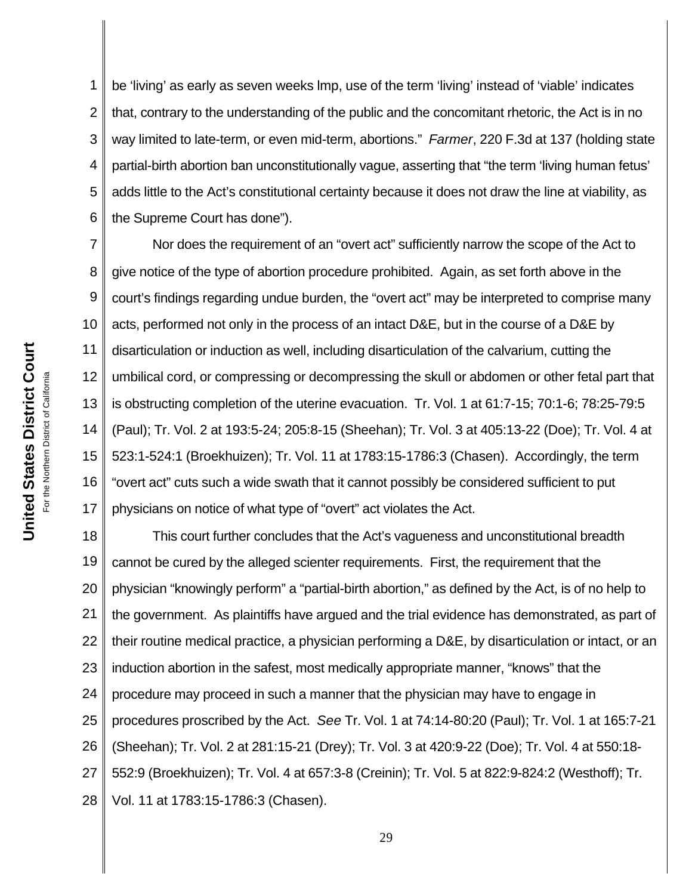1 2 3 4 5 6 be 'living' as early as seven weeks lmp, use of the term 'living' instead of 'viable' indicates that, contrary to the understanding of the public and the concomitant rhetoric, the Act is in no way limited to late-term, or even mid-term, abortions." *Farmer*, 220 F.3d at 137 (holding state partial-birth abortion ban unconstitutionally vague, asserting that "the term 'living human fetus' adds little to the Act's constitutional certainty because it does not draw the line at viability, as the Supreme Court has done").

7 8 9 10 11 12 13 14 15 16 17 Nor does the requirement of an "overt act" sufficiently narrow the scope of the Act to give notice of the type of abortion procedure prohibited. Again, as set forth above in the court's findings regarding undue burden, the "overt act" may be interpreted to comprise many acts, performed not only in the process of an intact D&E, but in the course of a D&E by disarticulation or induction as well, including disarticulation of the calvarium, cutting the umbilical cord, or compressing or decompressing the skull or abdomen or other fetal part that is obstructing completion of the uterine evacuation. Tr. Vol. 1 at 61:7-15; 70:1-6; 78:25-79:5 (Paul); Tr. Vol. 2 at 193:5-24; 205:8-15 (Sheehan); Tr. Vol. 3 at 405:13-22 (Doe); Tr. Vol. 4 at 523:1-524:1 (Broekhuizen); Tr. Vol. 11 at 1783:15-1786:3 (Chasen). Accordingly, the term "overt act" cuts such a wide swath that it cannot possibly be considered sufficient to put physicians on notice of what type of "overt" act violates the Act.

18 19 20 21 22 23 24 25 26 27 28 This court further concludes that the Act's vagueness and unconstitutional breadth cannot be cured by the alleged scienter requirements. First, the requirement that the physician "knowingly perform" a "partial-birth abortion," as defined by the Act, is of no help to the government. As plaintiffs have argued and the trial evidence has demonstrated, as part of their routine medical practice, a physician performing a D&E, by disarticulation or intact, or an induction abortion in the safest, most medically appropriate manner, "knows" that the procedure may proceed in such a manner that the physician may have to engage in procedures proscribed by the Act. *See* Tr. Vol. 1 at 74:14-80:20 (Paul); Tr. Vol. 1 at 165:7-21 (Sheehan); Tr. Vol. 2 at 281:15-21 (Drey); Tr. Vol. 3 at 420:9-22 (Doe); Tr. Vol. 4 at 550:18- 552:9 (Broekhuizen); Tr. Vol. 4 at 657:3-8 (Creinin); Tr. Vol. 5 at 822:9-824:2 (Westhoff); Tr. Vol. 11 at 1783:15-1786:3 (Chasen).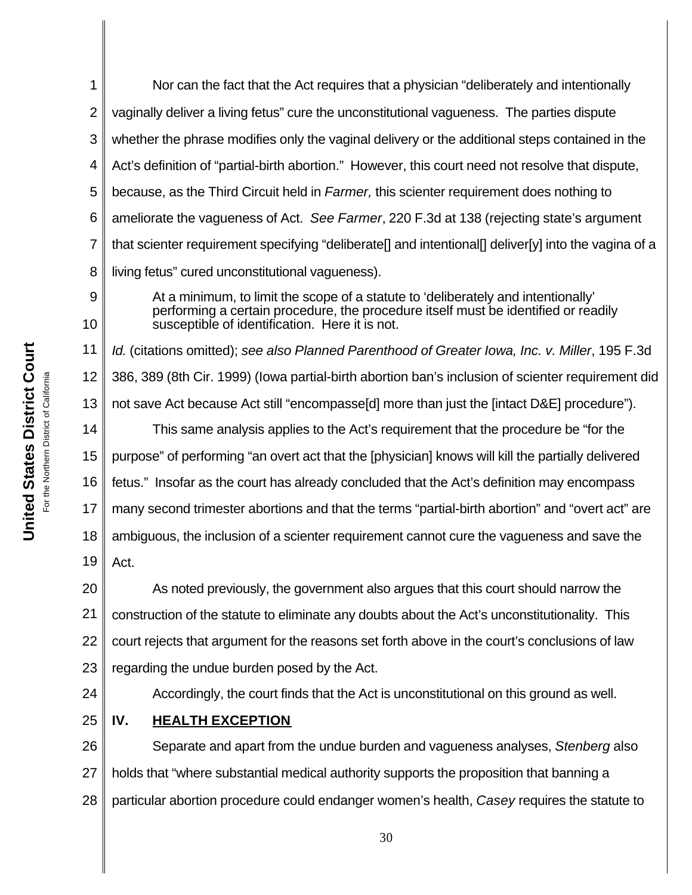1 2 3 4 5 6 7 8 Nor can the fact that the Act requires that a physician "deliberately and intentionally vaginally deliver a living fetus" cure the unconstitutional vagueness. The parties dispute whether the phrase modifies only the vaginal delivery or the additional steps contained in the Act's definition of "partial-birth abortion." However, this court need not resolve that dispute, because, as the Third Circuit held in *Farmer,* this scienter requirement does nothing to ameliorate the vagueness of Act. *See Farmer*, 220 F.3d at 138 (rejecting state's argument that scienter requirement specifying "deliberate[] and intentional[] deliver[y] into the vagina of a living fetus" cured unconstitutional vagueness).

10

9

At a minimum, to limit the scope of a statute to 'deliberately and intentionally' performing a certain procedure, the procedure itself must be identified or readily susceptible of identification. Here it is not.

11 12 13 14 15 16 17 18 19 *Id.* (citations omitted); *see also Planned Parenthood of Greater Iowa, Inc. v. Miller*, 195 F.3d 386, 389 (8th Cir. 1999) (Iowa partial-birth abortion ban's inclusion of scienter requirement did not save Act because Act still "encompasse[d] more than just the [intact D&E] procedure"). This same analysis applies to the Act's requirement that the procedure be "for the purpose" of performing "an overt act that the [physician] knows will kill the partially delivered fetus." Insofar as the court has already concluded that the Act's definition may encompass many second trimester abortions and that the terms "partial-birth abortion" and "overt act" are ambiguous, the inclusion of a scienter requirement cannot cure the vagueness and save the Act.

20 21 22 23 As noted previously, the government also argues that this court should narrow the construction of the statute to eliminate any doubts about the Act's unconstitutionality. This court rejects that argument for the reasons set forth above in the court's conclusions of law regarding the undue burden posed by the Act.

24

# Accordingly, the court finds that the Act is unconstitutional on this ground as well.

25 **IV. HEALTH EXCEPTION**

26 27 28 Separate and apart from the undue burden and vagueness analyses, *Stenberg* also holds that "where substantial medical authority supports the proposition that banning a particular abortion procedure could endanger women's health, *Casey* requires the statute to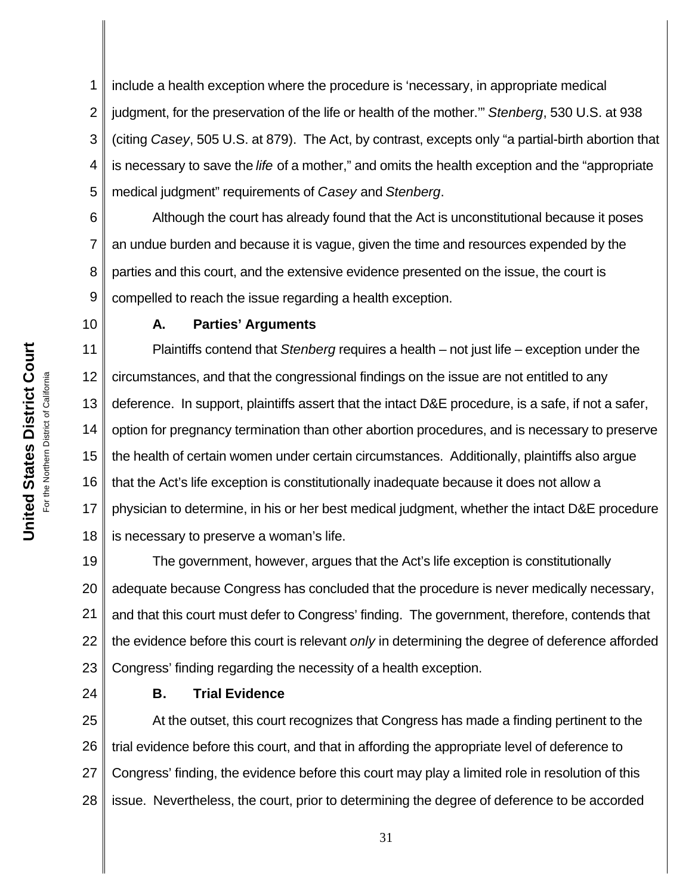1 2 3 4 5 include a health exception where the procedure is 'necessary, in appropriate medical judgment, for the preservation of the life or health of the mother.'" *Stenberg*, 530 U.S. at 938 (citing *Casey*, 505 U.S. at 879). The Act, by contrast, excepts only "a partial-birth abortion that is necessary to save the *life* of a mother," and omits the health exception and the "appropriate medical judgment" requirements of *Casey* and *Stenberg*.

6 7 8 9 Although the court has already found that the Act is unconstitutional because it poses an undue burden and because it is vague, given the time and resources expended by the parties and this court, and the extensive evidence presented on the issue, the court is compelled to reach the issue regarding a health exception.

## 10

# **A. Parties' Arguments**

11 12 13 14 15 16 17 18 Plaintiffs contend that *Stenberg* requires a health – not just life – exception under the circumstances, and that the congressional findings on the issue are not entitled to any deference. In support, plaintiffs assert that the intact D&E procedure, is a safe, if not a safer, option for pregnancy termination than other abortion procedures, and is necessary to preserve the health of certain women under certain circumstances. Additionally, plaintiffs also argue that the Act's life exception is constitutionally inadequate because it does not allow a physician to determine, in his or her best medical judgment, whether the intact D&E procedure is necessary to preserve a woman's life.

19 20 21 22 23 The government, however, argues that the Act's life exception is constitutionally adequate because Congress has concluded that the procedure is never medically necessary, and that this court must defer to Congress' finding. The government, therefore, contends that the evidence before this court is relevant *only* in determining the degree of deference afforded Congress' finding regarding the necessity of a health exception.

24

# **B. Trial Evidence**

25 26 27 28 At the outset, this court recognizes that Congress has made a finding pertinent to the trial evidence before this court, and that in affording the appropriate level of deference to Congress' finding, the evidence before this court may play a limited role in resolution of this issue. Nevertheless, the court, prior to determining the degree of deference to be accorded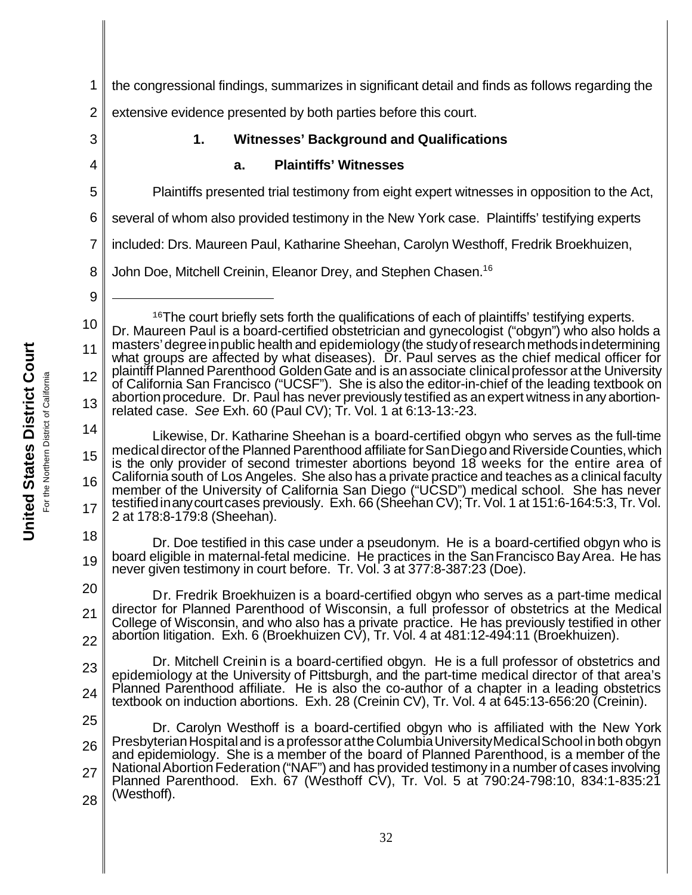1 the congressional findings, summarizes in significant detail and finds as follows regarding the

2 extensive evidence presented by both parties before this court.

# **1. Witnesses' Background and Qualifications**

# **a. Plaintiffs' Witnesses**

Plaintiffs presented trial testimony from eight expert witnesses in opposition to the Act,

6 several of whom also provided testimony in the New York case. Plaintiffs' testifying experts

7 included: Drs. Maureen Paul, Katharine Sheehan, Carolyn Westhoff, Fredrik Broekhuizen,

8 John Doe, Mitchell Creinin, Eleanor Drey, and Stephen Chasen.16

9

3

4

5

10 11 12 13 <sup>16</sup>The court briefly sets forth the qualifications of each of plaintiffs' testifying experts. Dr. Maureen Paul is a board-certified obstetrician and gynecologist ("obgyn") who also holds a masters'degreeinpublic health and epidemiology (the studyofresearchmethodsindetermining what groups are affected by what diseases). Dr. Paul serves as the chief medical officer for plaintiff Planned Parenthood Golden Gate and is an associate clinical professor at the University of California San Francisco ("UCSF"). She is also the editor-in-chief of the leading textbook on abortion procedure. Dr. Paul has never previously testified as an expert witness in any abortionrelated case. *See* Exh. 60 (Paul CV); Tr. Vol. 1 at 6:13-13:-23.

14 15 16 17 Likewise, Dr. Katharine Sheehan is a board-certified obgyn who serves as the full-time medicaldirector of the Planned Parenthood affiliate forSanDiego and RiversideCounties,which is the only provider of second trimester abortions beyond 18 weeks for the entire area of California south of Los Angeles. She also has a private practice and teaches as a clinical faculty member of the University of California San Diego ("UCSD") medical school. She has never testifiedinanycourtcases previously. Exh. 66 (Sheehan CV); Tr. Vol. 1 at 151:6-164:5:3, Tr. Vol. 2 at 178:8-179:8 (Sheehan).

18 19 Dr. Doe testified in this case under a pseudonym. He is a board-certified obgyn who is board eligible in maternal-fetal medicine. He practices in the San Francisco Bay Area. He has never given testimony in court before. Tr. Vol. 3 at 377:8-387:23 (Doe).

20 21 22 Dr. Fredrik Broekhuizen is a board-certified obgyn who serves as a part-time medical director for Planned Parenthood of Wisconsin, a full professor of obstetrics at the Medical College of Wisconsin, and who also has a private practice. He has previously testified in other abortion litigation. Exh. 6 (Broekhuizen CV), Tr. Vol. 4 at 481:12-494:11 (Broekhuizen).

23 24 Dr. Mitchell Creinin is a board-certified obgyn. He is a full professor of obstetrics and epidemiology at the University of Pittsburgh, and the part-time medical director of that area's Planned Parenthood affiliate. He is also the co-author of a chapter in a leading obstetrics textbook on induction abortions. Exh. 28 (Creinin CV), Tr. Vol. 4 at 645:13-656:20 (Creinin).

25 26 27 28 Dr. Carolyn Westhoff is a board-certified obgyn who is affiliated with the New York Presbyterian Hospital and is a professor at the Columbia University Medical School in both obgyn and epidemiology. She is a member of the board of Planned Parenthood, is a member of the National Abortion Federation ("NAF") and has provided testimony in a number of cases involving Planned Parenthood. Exh. 67 (Westhoff CV), Tr. Vol. 5 at 790:24-798:10, 834:1-835:21 (Westhoff).

**United States District Court United States District Court** California For the Northern District of California For the Northern District of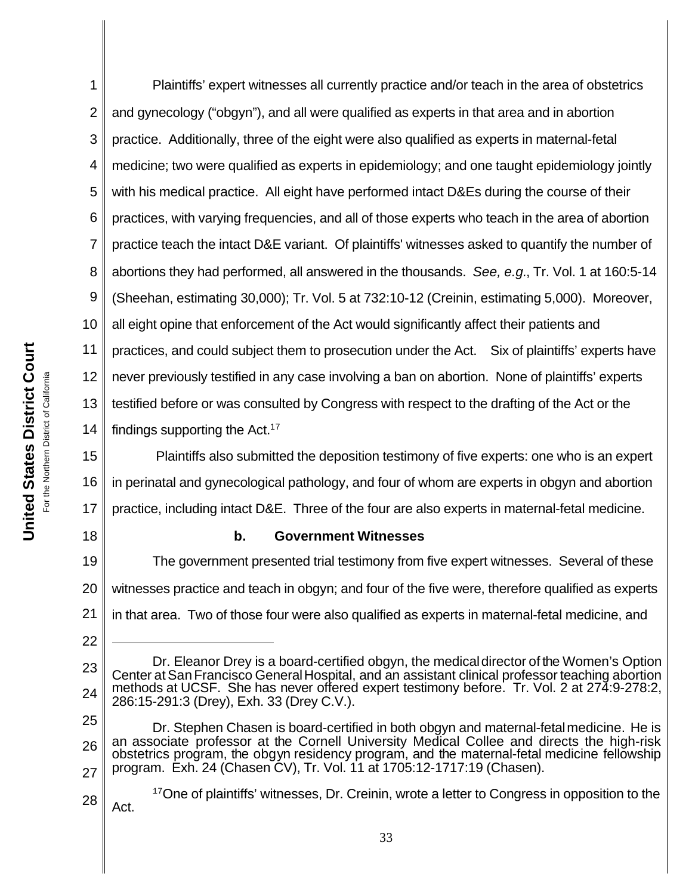1 2 3 4 5 6 7 8 9 10 11 12 13 14 Plaintiffs' expert witnesses all currently practice and/or teach in the area of obstetrics and gynecology ("obgyn"), and all were qualified as experts in that area and in abortion practice. Additionally, three of the eight were also qualified as experts in maternal-fetal medicine; two were qualified as experts in epidemiology; and one taught epidemiology jointly with his medical practice. All eight have performed intact D&Es during the course of their practices, with varying frequencies, and all of those experts who teach in the area of abortion practice teach the intact D&E variant. Of plaintiffs' witnesses asked to quantify the number of abortions they had performed, all answered in the thousands. *See, e.g.*, Tr. Vol. 1 at 160:5-14 (Sheehan, estimating 30,000); Tr. Vol. 5 at 732:10-12 (Creinin, estimating 5,000). Moreover, all eight opine that enforcement of the Act would significantly affect their patients and practices, and could subject them to prosecution under the Act. Six of plaintiffs' experts have never previously testified in any case involving a ban on abortion. None of plaintiffs' experts testified before or was consulted by Congress with respect to the drafting of the Act or the findings supporting the Act. $17$ 

15 16 17 Plaintiffs also submitted the deposition testimony of five experts: one who is an expert in perinatal and gynecological pathology, and four of whom are experts in obgyn and abortion practice, including intact D&E. Three of the four are also experts in maternal-fetal medicine.

18

22

# **b. Government Witnesses**

19 20 21 The government presented trial testimony from five expert witnesses. Several of these witnesses practice and teach in obgyn; and four of the five were, therefore qualified as experts in that area. Two of those four were also qualified as experts in maternal-fetal medicine, and

<sup>23</sup> 24 Dr. Eleanor Drey is a board-certified obgyn, the medicaldirector of the Women's Option Center at San Francisco General Hospital, and an assistant clinical professor teaching abortion methods at UCSF. She has never offered expert testimony before. Tr. Vol. 2 at 274:9-278:2, 286:15-291:3 (Drey), Exh. 33 (Drey C.V.).

<sup>25</sup> 26 27 Dr. Stephen Chasen is board-certified in both obgyn and maternal-fetalmedicine. He is an associate professor at the Cornell University Medical Collee and directs the high-risk obstetrics program, the obgyn residency program, and the maternal-fetal medicine fellowship program. Exh. 24 (Chasen CV), Tr. Vol. 11 at 1705:12-1717:19 (Chasen).

<sup>28</sup> <sup>17</sup>One of plaintiffs' witnesses, Dr. Creinin, wrote a letter to Congress in opposition to the Act.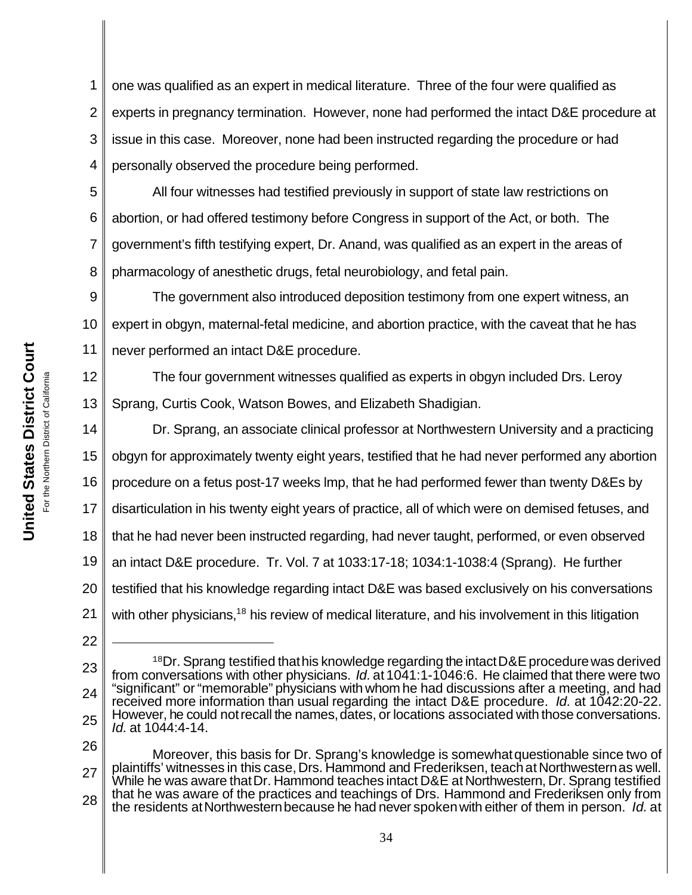1 2 3 4 one was qualified as an expert in medical literature. Three of the four were qualified as experts in pregnancy termination. However, none had performed the intact D&E procedure at issue in this case. Moreover, none had been instructed regarding the procedure or had personally observed the procedure being performed.

5 6 7 8 All four witnesses had testified previously in support of state law restrictions on abortion, or had offered testimony before Congress in support of the Act, or both. The government's fifth testifying expert, Dr. Anand, was qualified as an expert in the areas of pharmacology of anesthetic drugs, fetal neurobiology, and fetal pain.

9 10 11 The government also introduced deposition testimony from one expert witness, an expert in obgyn, maternal-fetal medicine, and abortion practice, with the caveat that he has never performed an intact D&E procedure.

12 13 The four government witnesses qualified as experts in obgyn included Drs. Leroy Sprang, Curtis Cook, Watson Bowes, and Elizabeth Shadigian.

14 15 16 17 18 19 20 21 Dr. Sprang, an associate clinical professor at Northwestern University and a practicing obgyn for approximately twenty eight years, testified that he had never performed any abortion procedure on a fetus post-17 weeks lmp, that he had performed fewer than twenty D&Es by disarticulation in his twenty eight years of practice, all of which were on demised fetuses, and that he had never been instructed regarding, had never taught, performed, or even observed an intact D&E procedure. Tr. Vol. 7 at 1033:17-18; 1034:1-1038:4 (Sprang). He further testified that his knowledge regarding intact D&E was based exclusively on his conversations with other physicians.<sup>18</sup> his review of medical literature, and his involvement in this litigation

<sup>23</sup> 24 25  $18$ Dr. Sprang testified that his knowledge regarding the intact D&E procedure was derived from conversations with other physicians. *Id.* at 1041:1-1046:6. He claimed that there were two "significant" or "memorable" physicians with whom he had discussions after a meeting, and had received more information than usual regarding the intact D&E procedure. *Id.* at 1042:20-22. However, he could not recall the names, dates, or locations associated with those conversations. *Id.* at 1044:4-14.

<sup>26</sup> 27 28 Moreover, this basis for Dr. Sprang's knowledge is somewhatquestionable since two of plaintiffs' witnesses in this case, Drs. Hammond and Frederiksen, teach at Northwestern as well. While he was aware thatDr. Hammond teaches intact D&E at Northwestern, Dr. Sprang testified that he was aware of the practices and teachings of Drs. Hammond and Frederiksen only from the residents atNorthwesternbecause he had never spokenwith either of them in person. *Id.* at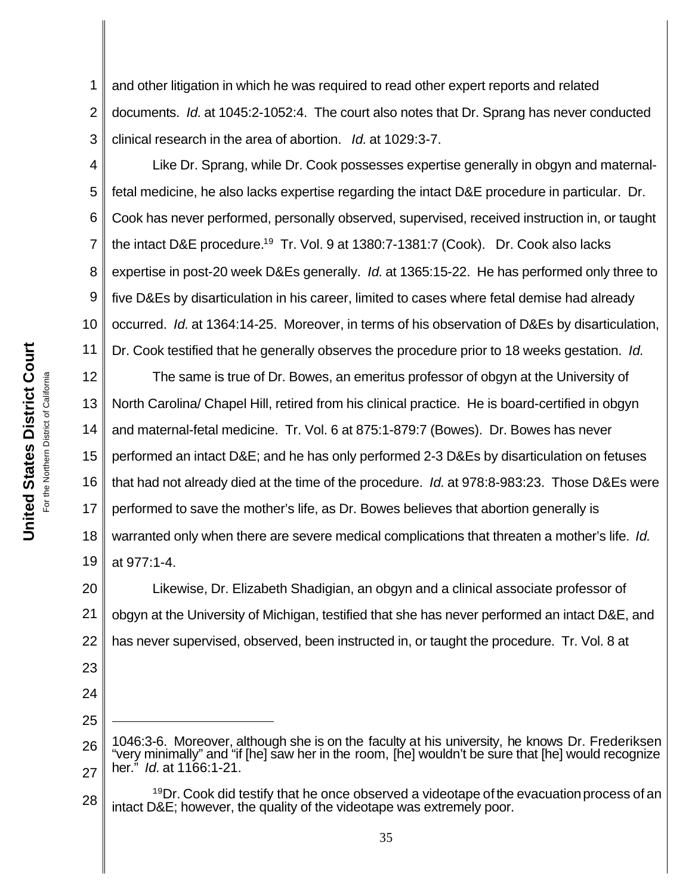1 2 3 and other litigation in which he was required to read other expert reports and related documents. *Id.* at 1045:2-1052:4. The court also notes that Dr. Sprang has never conducted clinical research in the area of abortion. *Id.* at 1029:3-7.

4 5 6 7 8 9 10 11 Like Dr. Sprang, while Dr. Cook possesses expertise generally in obgyn and maternalfetal medicine, he also lacks expertise regarding the intact D&E procedure in particular. Dr. Cook has never performed, personally observed, supervised, received instruction in, or taught the intact D&E procedure.<sup>19</sup> Tr. Vol. 9 at 1380:7-1381:7 (Cook). Dr. Cook also lacks expertise in post-20 week D&Es generally. *Id.* at 1365:15-22. He has performed only three to five D&Es by disarticulation in his career, limited to cases where fetal demise had already occurred. *Id.* at 1364:14-25. Moreover, in terms of his observation of D&Es by disarticulation, Dr. Cook testified that he generally observes the procedure prior to 18 weeks gestation. *Id.*

12 13 14 15 16 17 18 19 The same is true of Dr. Bowes, an emeritus professor of obgyn at the University of North Carolina/ Chapel Hill, retired from his clinical practice. He is board-certified in obgyn and maternal-fetal medicine. Tr. Vol. 6 at 875:1-879:7 (Bowes). Dr. Bowes has never performed an intact D&E; and he has only performed 2-3 D&Es by disarticulation on fetuses that had not already died at the time of the procedure. *Id.* at 978:8-983:23. Those D&Es were performed to save the mother's life, as Dr. Bowes believes that abortion generally is warranted only when there are severe medical complications that threaten a mother's life.*Id.* at 977:1-4.

20 21 22 Likewise, Dr. Elizabeth Shadigian, an obgyn and a clinical associate professor of obgyn at the University of Michigan, testified that she has never performed an intact D&E, and has never supervised, observed, been instructed in, or taught the procedure. Tr. Vol. 8 at

26 27 1046:3-6. Moreover, although she is on the faculty at his university, he knows Dr. Frederiksen "very minimally" and "if [he] saw her in the room, [he] wouldn't be sure that [he] would recognize her." *Id.* at 1166:1-21.

28  $19$ Dr. Cook did testify that he once observed a videotape of the evacuation process of an intact D&E; however, the quality of the videotape was extremely poor.

23

24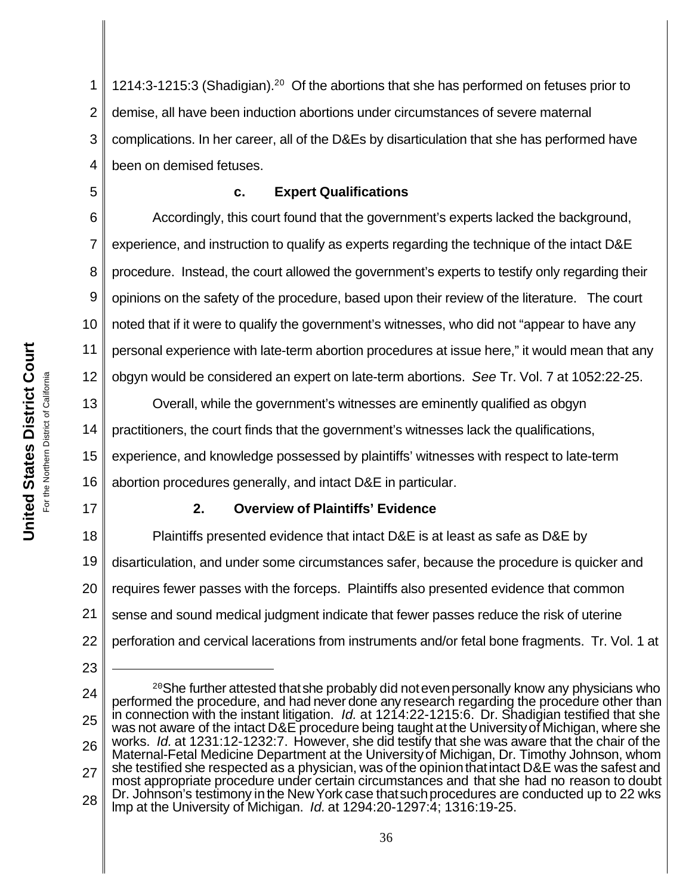1 2 3 4 1214:3-1215:3 (Shadigian).<sup>20</sup> Of the abortions that she has performed on fetuses prior to demise, all have been induction abortions under circumstances of severe maternal complications. In her career, all of the D&Es by disarticulation that she has performed have been on demised fetuses.

# **c. Expert Qualifications**

6 7 8 9 10 12 Accordingly, this court found that the government's experts lacked the background, experience, and instruction to qualify as experts regarding the technique of the intact D&E procedure. Instead, the court allowed the government's experts to testify only regarding their opinions on the safety of the procedure, based upon their review of the literature. The court noted that if it were to qualify the government's witnesses, who did not "appear to have any personal experience with late-term abortion procedures at issue here," it would mean that any obgyn would be considered an expert on late-term abortions. *See* Tr. Vol. 7 at 1052:22-25.

13 14 15 16 Overall, while the government's witnesses are eminently qualified as obgyn practitioners, the court finds that the government's witnesses lack the qualifications, experience, and knowledge possessed by plaintiffs' witnesses with respect to late-term abortion procedures generally, and intact D&E in particular.

# **2. Overview of Plaintiffs' Evidence**

18 19 20 21 22 Plaintiffs presented evidence that intact D&E is at least as safe as D&E by disarticulation, and under some circumstances safer, because the procedure is quicker and requires fewer passes with the forceps. Plaintiffs also presented evidence that common sense and sound medical judgment indicate that fewer passes reduce the risk of uterine perforation and cervical lacerations from instruments and/or fetal bone fragments. Tr. Vol. 1 at

5

11

17

<sup>24</sup> 25 26 27 28 <sup>20</sup>She further attested that she probably did not even personally know any physicians who performed the procedure, and had never done any research regarding the procedure other than in connection with the instant litigation. *Id.* at 1214:22-1215:6.Dr. Shadigian testified that she was not aware of the intact D&E procedure being taught at the University of Michigan, where she works. *Id.* at 1231:12-1232:7. However, she did testify that she was aware that the chair of the Maternal-Fetal Medicine Department at the Universityof Michigan, Dr. Timothy Johnson, whom she testified she respected as a physician, was of the opinionthatintact D&E was the safest and most appropriate procedure under certain circumstances and that she had no reason to doubt Dr. Johnson's testimony in the New York case that such procedures are conducted up to 22 wks lmp at the University of Michigan. *Id.* at 1294:20-1297:4; 1316:19-25.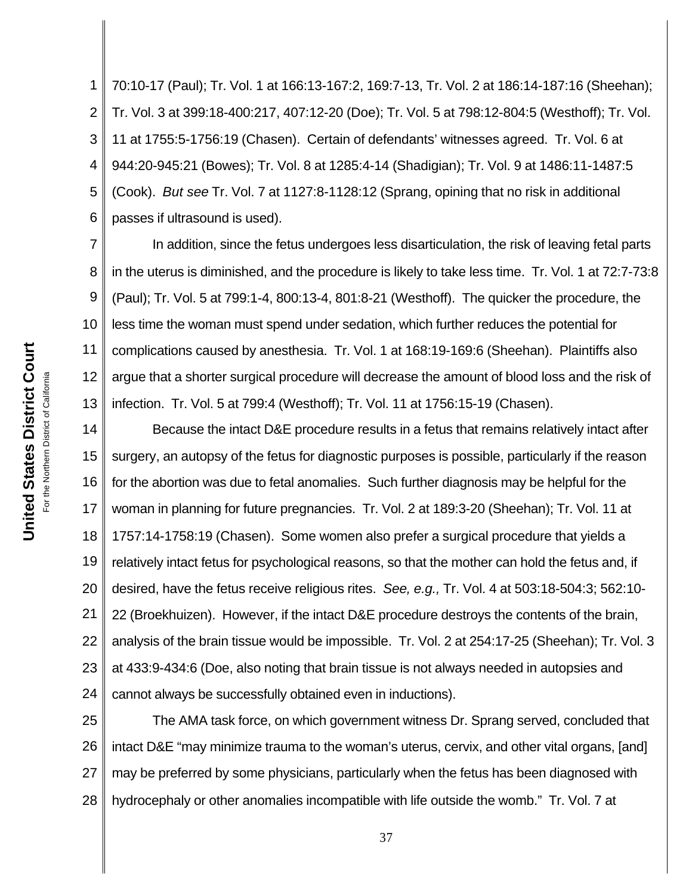1 2 3 4 5 6 70:10-17 (Paul); Tr. Vol. 1 at 166:13-167:2, 169:7-13, Tr. Vol. 2 at 186:14-187:16 (Sheehan); Tr. Vol. 3 at 399:18-400:217, 407:12-20 (Doe); Tr. Vol. 5 at 798:12-804:5 (Westhoff); Tr. Vol. 11 at 1755:5-1756:19 (Chasen). Certain of defendants' witnesses agreed. Tr. Vol. 6 at 944:20-945:21 (Bowes); Tr. Vol. 8 at 1285:4-14 (Shadigian); Tr. Vol. 9 at 1486:11-1487:5 (Cook). *But see* Tr. Vol. 7 at 1127:8-1128:12 (Sprang, opining that no risk in additional passes if ultrasound is used).

7 8 9 10 11 12 13 In addition, since the fetus undergoes less disarticulation, the risk of leaving fetal parts in the uterus is diminished, and the procedure is likely to take less time. Tr. Vol. 1 at 72:7-73:8 (Paul); Tr. Vol. 5 at 799:1-4, 800:13-4, 801:8-21 (Westhoff). The quicker the procedure, the less time the woman must spend under sedation, which further reduces the potential for complications caused by anesthesia. Tr. Vol. 1 at 168:19-169:6 (Sheehan). Plaintiffs also argue that a shorter surgical procedure will decrease the amount of blood loss and the risk of infection. Tr. Vol. 5 at 799:4 (Westhoff); Tr. Vol. 11 at 1756:15-19 (Chasen).

14 15 16 17 18 19 20 21 22 23 24 Because the intact D&E procedure results in a fetus that remains relatively intact after surgery, an autopsy of the fetus for diagnostic purposes is possible, particularly if the reason for the abortion was due to fetal anomalies. Such further diagnosis may be helpful for the woman in planning for future pregnancies. Tr. Vol. 2 at 189:3-20 (Sheehan); Tr. Vol. 11 at 1757:14-1758:19 (Chasen). Some women also prefer a surgical procedure that yields a relatively intact fetus for psychological reasons, so that the mother can hold the fetus and, if desired, have the fetus receive religious rites. *See, e.g.,* Tr. Vol. 4 at 503:18-504:3; 562:10- 22 (Broekhuizen). However, if the intact D&E procedure destroys the contents of the brain, analysis of the brain tissue would be impossible. Tr. Vol. 2 at 254:17-25 (Sheehan); Tr. Vol. 3 at 433:9-434:6 (Doe, also noting that brain tissue is not always needed in autopsies and cannot always be successfully obtained even in inductions).

25 26 27 28 The AMA task force, on which government witness Dr. Sprang served, concluded that intact D&E "may minimize trauma to the woman's uterus, cervix, and other vital organs, [and] may be preferred by some physicians, particularly when the fetus has been diagnosed with hydrocephaly or other anomalies incompatible with life outside the womb." Tr. Vol. 7 at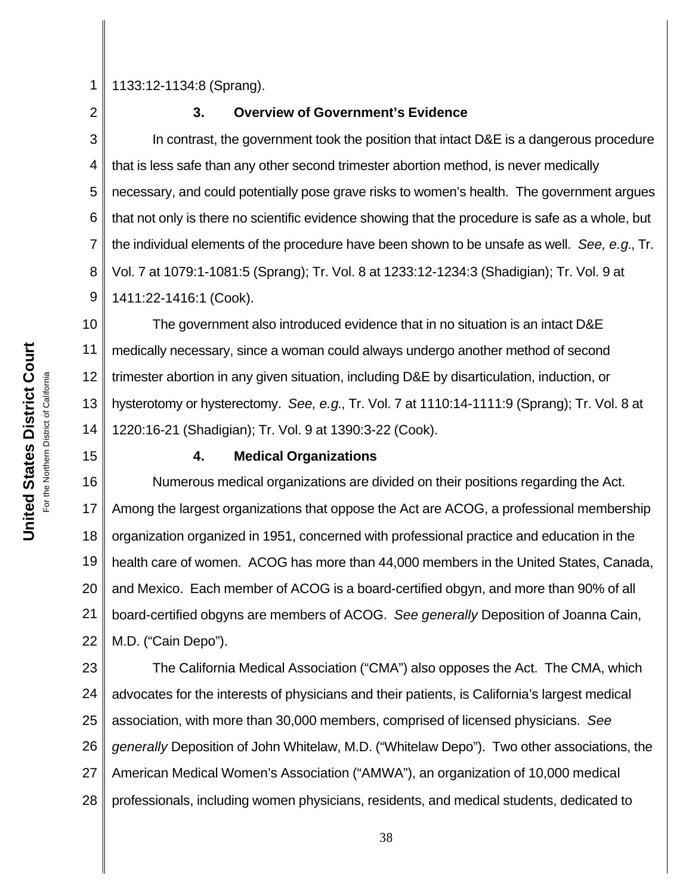1

1133:12-1134:8 (Sprang).

2

### **3. Overview of Government's Evidence**

3 4 5 6 7 8 9 In contrast, the government took the position that intact D&E is a dangerous procedure that is less safe than any other second trimester abortion method, is never medically necessary, and could potentially pose grave risks to women's health. The government argues that not only is there no scientific evidence showing that the procedure is safe as a whole, but the individual elements of the procedure have been shown to be unsafe as well. *See, e.g.*, Tr. Vol. 7 at 1079:1-1081:5 (Sprang); Tr. Vol. 8 at 1233:12-1234:3 (Shadigian); Tr. Vol. 9 at 1411:22-1416:1 (Cook).

10 11 12 13 14 The government also introduced evidence that in no situation is an intact D&E medically necessary, since a woman could always undergo another method of second trimester abortion in any given situation, including D&E by disarticulation, induction, or hysterotomy or hysterectomy. *See, e.g.*, Tr. Vol. 7 at 1110:14-1111:9 (Sprang); Tr. Vol. 8 at 1220:16-21 (Shadigian); Tr. Vol. 9 at 1390:3-22 (Cook).

## **4. Medical Organizations**

16 17 18 19 20 21 22 Numerous medical organizations are divided on their positions regarding the Act. Among the largest organizations that oppose the Act are ACOG, a professional membership organization organized in 1951, concerned with professional practice and education in the health care of women. ACOG has more than 44,000 members in the United States, Canada, and Mexico. Each member of ACOG is a board-certified obgyn, and more than 90% of all board-certified obgyns are members of ACOG. *See generally* Deposition of Joanna Cain, M.D. ("Cain Depo").

23 24 25 26 27 28 The California Medical Association ("CMA") also opposes the Act. The CMA, which advocates for the interests of physicians and their patients, is California's largest medical association, with more than 30,000 members, comprised of licensed physicians. *See generally* Deposition of John Whitelaw, M.D. ("Whitelaw Depo"). Two other associations, the American Medical Women's Association ("AMWA"), an organization of 10,000 medical professionals, including women physicians, residents, and medical students, dedicated to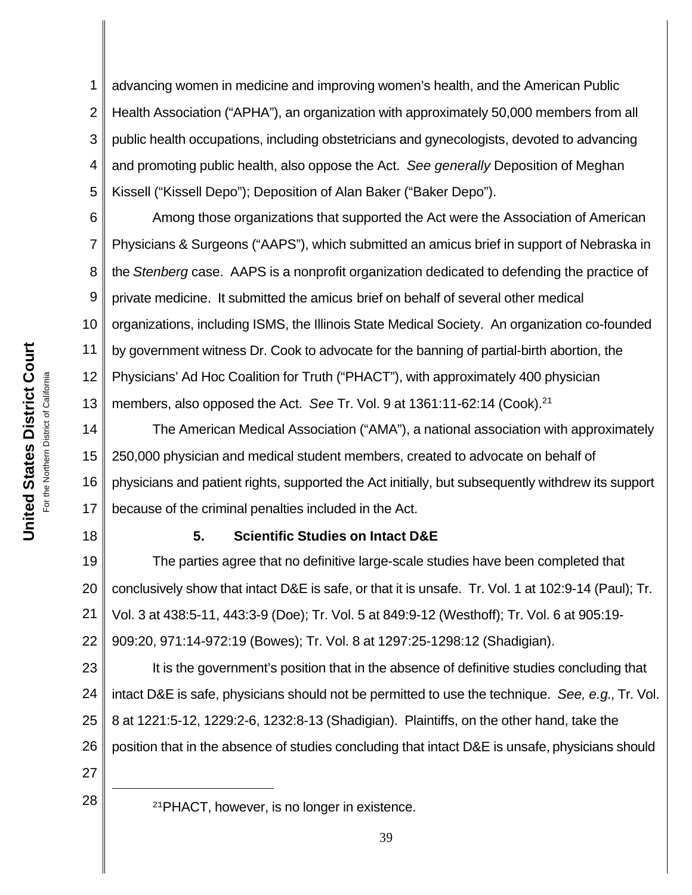1 2 3 4 5 advancing women in medicine and improving women's health, and the American Public Health Association ("APHA"), an organization with approximately 50,000 members from all public health occupations, including obstetricians and gynecologists, devoted to advancing and promoting public health, also oppose the Act. *See generally* Deposition of Meghan Kissell ("Kissell Depo"); Deposition of Alan Baker ("Baker Depo").

6 7 8 9 10 11 12 13 Among those organizations that supported the Act were the Association of American Physicians & Surgeons ("AAPS"), which submitted an amicus brief in support of Nebraska in the *Stenberg* case. AAPS is a nonprofit organization dedicated to defending the practice of private medicine. It submitted the amicus brief on behalf of several other medical organizations, including ISMS, the Illinois State Medical Society. An organization co-founded by government witness Dr. Cook to advocate for the banning of partial-birth abortion, the Physicians' Ad Hoc Coalition for Truth ("PHACT"), with approximately 400 physician members, also opposed the Act. *See* Tr. Vol. 9 at 1361:11-62:14 (Cook).<sup>21</sup>

14 15 16 17 The American Medical Association ("AMA"), a national association with approximately 250,000 physician and medical student members, created to advocate on behalf of physicians and patient rights, supported the Act initially, but subsequently withdrew its support because of the criminal penalties included in the Act.

## **5. Scientific Studies on Intact D&E**

19 20 21 22 The parties agree that no definitive large-scale studies have been completed that conclusively show that intact D&E is safe, or that it is unsafe. Tr. Vol. 1 at 102:9-14 (Paul); Tr. Vol. 3 at 438:5-11, 443:3-9 (Doe); Tr. Vol. 5 at 849:9-12 (Westhoff); Tr. Vol. 6 at 905:19- 909:20, 971:14-972:19 (Bowes); Tr. Vol. 8 at 1297:25-1298:12 (Shadigian).

23 24 25 26 It is the government's position that in the absence of definitive studies concluding that intact D&E is safe, physicians should not be permitted to use the technique. *See, e.g.*, Tr. Vol. 8 at 1221:5-12, 1229:2-6, 1232:8-13 (Shadigian). Plaintiffs, on the other hand, take the position that in the absence of studies concluding that intact D&E is unsafe, physicians should

27

18

 $28 \parallel 21$ PHACT, however, is no longer in existence.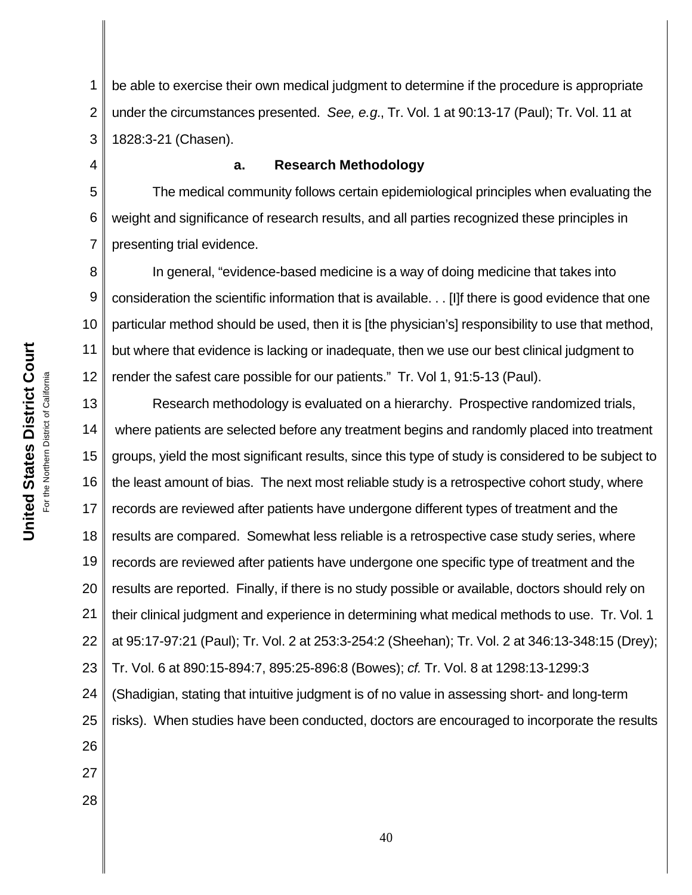1 2 3 be able to exercise their own medical judgment to determine if the procedure is appropriate under the circumstances presented. *See, e.g.*, Tr. Vol. 1 at 90:13-17 (Paul); Tr. Vol. 11 at 1828:3-21 (Chasen).

#### **a. Research Methodology**

5 6 7 The medical community follows certain epidemiological principles when evaluating the weight and significance of research results, and all parties recognized these principles in presenting trial evidence.

8 9 10 11 12 In general, "evidence-based medicine is a way of doing medicine that takes into consideration the scientific information that is available. . . [I]f there is good evidence that one particular method should be used, then it is [the physician's] responsibility to use that method, but where that evidence is lacking or inadequate, then we use our best clinical judgment to render the safest care possible for our patients." Tr. Vol 1, 91:5-13 (Paul).

13 14 15 16 17 18 19 20 21 22 23 24 25 26 27 Research methodology is evaluated on a hierarchy. Prospective randomized trials, where patients are selected before any treatment begins and randomly placed into treatment groups, yield the most significant results, since this type of study is considered to be subject to the least amount of bias. The next most reliable study is a retrospective cohort study, where records are reviewed after patients have undergone different types of treatment and the results are compared. Somewhat less reliable is a retrospective case study series, where records are reviewed after patients have undergone one specific type of treatment and the results are reported. Finally, if there is no study possible or available, doctors should rely on their clinical judgment and experience in determining what medical methods to use. Tr. Vol. 1 at 95:17-97:21 (Paul); Tr. Vol. 2 at 253:3-254:2 (Sheehan); Tr. Vol. 2 at 346:13-348:15 (Drey); Tr. Vol. 6 at 890:15-894:7, 895:25-896:8 (Bowes); *cf.* Tr. Vol. 8 at 1298:13-1299:3 (Shadigian, stating that intuitive judgment is of no value in assessing short- and long-term risks). When studies have been conducted, doctors are encouraged to incorporate the results

28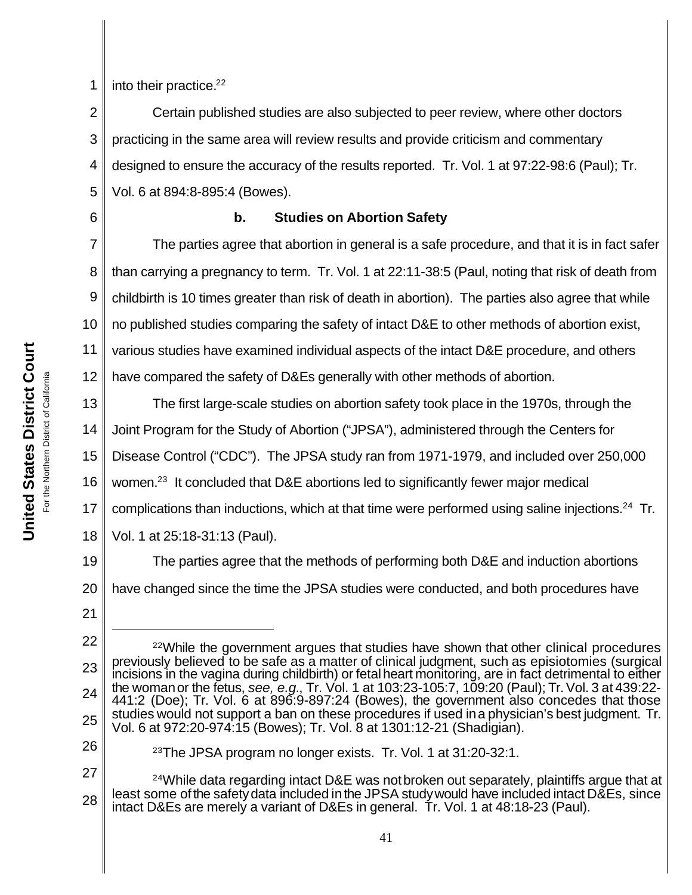**United States District Court United States District Court** California For the Northern District of California For the Northern District of

1 into their practice.<sup>22</sup>

2 3 4 5 Certain published studies are also subjected to peer review, where other doctors practicing in the same area will review results and provide criticism and commentary designed to ensure the accuracy of the results reported. Tr. Vol. 1 at 97:22-98:6 (Paul); Tr. Vol. 6 at 894:8-895:4 (Bowes).

## **b. Studies on Abortion Safety**

7 8 9 10 11 12 The parties agree that abortion in general is a safe procedure, and that it is in fact safer than carrying a pregnancy to term. Tr. Vol. 1 at 22:11-38:5 (Paul, noting that risk of death from childbirth is 10 times greater than risk of death in abortion). The parties also agree that while no published studies comparing the safety of intact D&E to other methods of abortion exist, various studies have examined individual aspects of the intact D&E procedure, and others have compared the safety of D&Es generally with other methods of abortion.

13 14 15 16 17 18 The first large-scale studies on abortion safety took place in the 1970s, through the Joint Program for the Study of Abortion ("JPSA"), administered through the Centers for Disease Control ("CDC"). The JPSA study ran from 1971-1979, and included over 250,000 women.<sup>23</sup> It concluded that D&E abortions led to significantly fewer major medical complications than inductions, which at that time were performed using saline injections.<sup>24</sup> Tr. Vol. 1 at 25:18-31:13 (Paul).

19 20 The parties agree that the methods of performing both D&E and induction abortions have changed since the time the JPSA studies were conducted, and both procedures have

<sup>21</sup>

<sup>22</sup> 23 24 25  $22$ While the government argues that studies have shown that other clinical procedures previously believed to be safe as a matter of clinical judgment, such as episiotomies (surgical incisions in the vagina during childbirth) or fetalheart monitoring, are in fact detrimental to either the womanor the fetus, *see, e.g.*, Tr. Vol. 1 at 103:23-105:7, 109:20 (Paul); Tr.Vol. 3 at 439:22- 441:2 (Doe); Tr. Vol. 6 at 896:9-897:24 (Bowes), the government also concedes that those studies would not support a ban on these procedures if used ina physician's best judgment. Tr. Vol. 6 at 972:20-974:15 (Bowes); Tr. Vol. 8 at 1301:12-21 (Shadigian).

<sup>26</sup>

<sup>23</sup>The JPSA program no longer exists. Tr. Vol. 1 at 31:20-32:1.

<sup>27</sup> 28  $24$ While data regarding intact D&E was not broken out separately, plaintiffs argue that at least some of the safety data included in the JPSA study would have included intact D&Es, since intact D&Es are merely a variant of D&Es in general. Tr. Vol. 1 at 48:18-23 (Paul).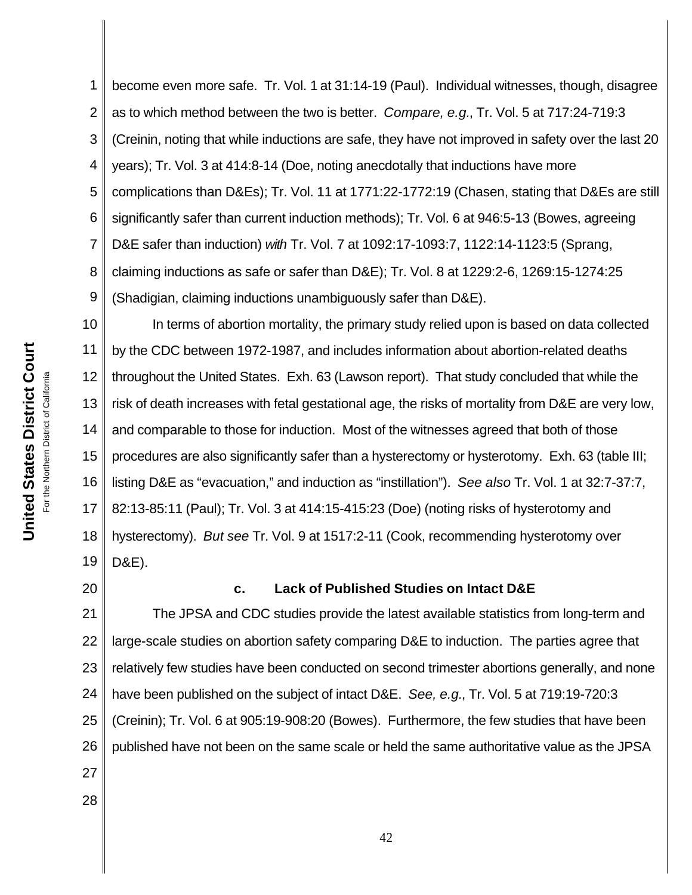1 2 3 4 5 6 7 8 9 become even more safe. Tr. Vol. 1 at 31:14-19 (Paul). Individual witnesses, though, disagree as to which method between the two is better. *Compare, e.g.*, Tr. Vol. 5 at 717:24-719:3 (Creinin, noting that while inductions are safe, they have not improved in safety over the last 20 years); Tr. Vol. 3 at 414:8-14 (Doe, noting anecdotally that inductions have more complications than D&Es); Tr. Vol. 11 at 1771:22-1772:19 (Chasen, stating that D&Es are still significantly safer than current induction methods); Tr. Vol. 6 at 946:5-13 (Bowes, agreeing D&E safer than induction) *with* Tr. Vol. 7 at 1092:17-1093:7, 1122:14-1123:5 (Sprang, claiming inductions as safe or safer than D&E); Tr. Vol. 8 at 1229:2-6, 1269:15-1274:25 (Shadigian, claiming inductions unambiguously safer than D&E).

10 11 12 13 14 15 16 17 18 19 In terms of abortion mortality, the primary study relied upon is based on data collected by the CDC between 1972-1987, and includes information about abortion-related deaths throughout the United States. Exh. 63 (Lawson report). That study concluded that while the risk of death increases with fetal gestational age, the risks of mortality from D&E are very low, and comparable to those for induction. Most of the witnesses agreed that both of those procedures are also significantly safer than a hysterectomy or hysterotomy. Exh. 63 (table III; listing D&E as "evacuation," and induction as "instillation"). *See also* Tr. Vol. 1 at 32:7-37:7, 82:13-85:11 (Paul); Tr. Vol. 3 at 414:15-415:23 (Doe) (noting risks of hysterotomy and hysterectomy). *But see* Tr. Vol. 9 at 1517:2-11 (Cook, recommending hysterotomy over D&E).

20

28

## **c. Lack of Published Studies on Intact D&E**

21 22 23 24 25 26 27 The JPSA and CDC studies provide the latest available statistics from long-term and large-scale studies on abortion safety comparing D&E to induction. The parties agree that relatively few studies have been conducted on second trimester abortions generally, and none have been published on the subject of intact D&E. *See, e.g.*, Tr. Vol. 5 at 719:19-720:3 (Creinin); Tr. Vol. 6 at 905:19-908:20 (Bowes). Furthermore, the few studies that have been published have not been on the same scale or held the same authoritative value as the JPSA

**United States District Court United States District Court** For the Northern District of California For the Northern District of California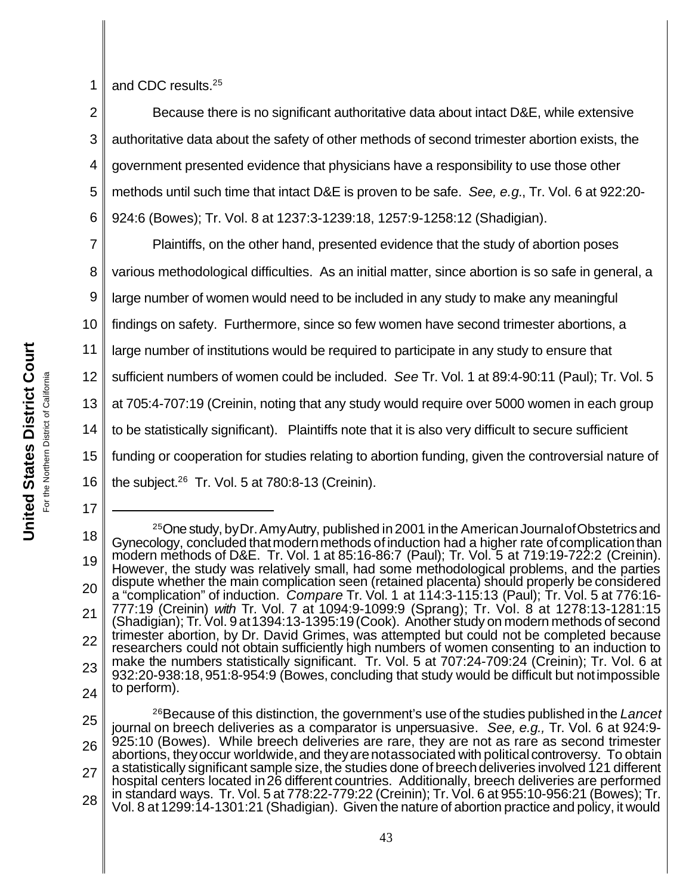1 and CDC results.<sup>25</sup>

2 3 4 5 6 Because there is no significant authoritative data about intact D&E, while extensive authoritative data about the safety of other methods of second trimester abortion exists, the government presented evidence that physicians have a responsibility to use those other methods until such time that intact D&E is proven to be safe. *See, e.g.*, Tr. Vol. 6 at 922:20- 924:6 (Bowes); Tr. Vol. 8 at 1237:3-1239:18, 1257:9-1258:12 (Shadigian).

7 8 9 10 11 12 Plaintiffs, on the other hand, presented evidence that the study of abortion poses various methodological difficulties. As an initial matter, since abortion is so safe in general, a large number of women would need to be included in any study to make any meaningful findings on safety. Furthermore, since so few women have second trimester abortions, a large number of institutions would be required to participate in any study to ensure that sufficient numbers of women could be included. *See* Tr. Vol. 1 at 89:4-90:11 (Paul); Tr. Vol. 5

13 at 705:4-707:19 (Creinin, noting that any study would require over 5000 women in each group

14 to be statistically significant). Plaintiffs note that it is also very difficult to secure sufficient

funding or cooperation for studies relating to abortion funding, given the controversial nature of

16 the subject. $26$  Tr. Vol. 5 at 780:8-13 (Creinin).

15

<sup>18</sup> 19 20 21 22 23 24 <sup>25</sup>One study, byDr.AmyAutry, published in 2001 in the AmericanJournalofObstetricsand Gynecology, concluded thatmodernmethods of induction had a higher rate ofcomplicationthan modern methods of D&E. Tr. Vol. 1 at 85:16-86:7 (Paul); Tr. Vol. 5 at 719:19-722:2 (Creinin). However, the study was relatively small, had some methodological problems, and the parties dispute whether the main complication seen (retained placenta) should properly be considered a "complication" of induction. *Compare* Tr. Vol. 1 at 114:3-115:13 (Paul); Tr. Vol. 5 at 776:16- 777:19 (Creinin) *with* Tr. Vol. 7 at 1094:9-1099:9 (Sprang); Tr. Vol. 8 at 1278:13-1281:15 (Shadigian); Tr.Vol. 9at1394:13-1395:19(Cook). Another study on modern methods of second trimester abortion, by Dr. David Grimes, was attempted but could not be completed because researchers could not obtain sufficiently high numbers of women consenting to an induction to make the numbers statistically significant. Tr. Vol. 5 at 707:24-709:24 (Creinin); Tr. Vol. 6 at 932:20-938:18,951:8-954:9 (Bowes, concluding that study would be difficult but notimpossible to perform).

<sup>25</sup> 26 27 28 <sup>26</sup>Because of this distinction, the government's use of the studies published in the *Lancet* journal on breech deliveries as a comparator is unpersuasive. *See, e.g.,* Tr. Vol. 6 at 924:9- 925:10 (Bowes). While breech deliveries are rare, they are not as rare as second trimester abortions, theyoccur worldwide,and theyarenotassociated with political controversy. To obtain a statistically significant sample size, the studies done of breech deliveries involved 121 different hospital centers located in26 different countries. Additionally, breech deliveries are performed in standard ways. Tr. Vol. 5 at 778:22-779:22 (Creinin); Tr. Vol. 6 at 955:10-956:21 (Bowes); Tr. Vol. 8 at 1299:14-1301:21 (Shadigian). Given the nature of abortion practice and policy, it would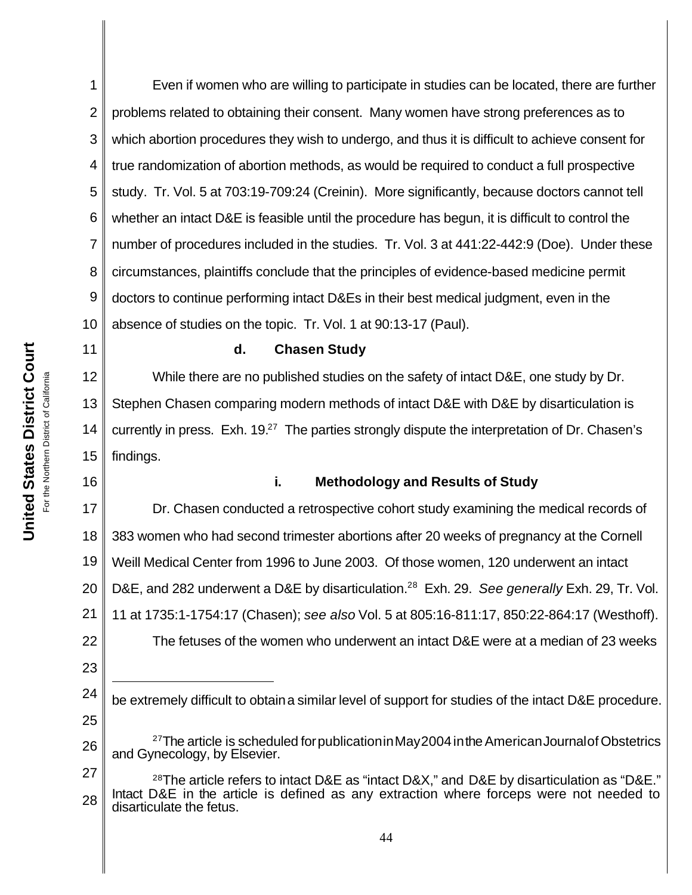11

16

1 2 3 4 5 6 7 8 9 10 Even if women who are willing to participate in studies can be located, there are further problems related to obtaining their consent. Many women have strong preferences as to which abortion procedures they wish to undergo, and thus it is difficult to achieve consent for true randomization of abortion methods, as would be required to conduct a full prospective study. Tr. Vol. 5 at 703:19-709:24 (Creinin). More significantly, because doctors cannot tell whether an intact D&E is feasible until the procedure has begun, it is difficult to control the number of procedures included in the studies. Tr. Vol. 3 at 441:22-442:9 (Doe). Under these circumstances, plaintiffs conclude that the principles of evidence-based medicine permit doctors to continue performing intact D&Es in their best medical judgment, even in the absence of studies on the topic. Tr. Vol. 1 at 90:13-17 (Paul).

**d. Chasen Study**

12 13 14 15 While there are no published studies on the safety of intact D&E, one study by Dr. Stephen Chasen comparing modern methods of intact D&E with D&E by disarticulation is currently in press. Exh.  $19<sup>27</sup>$  The parties strongly dispute the interpretation of Dr. Chasen's findings.

**i. Methodology and Results of Study**

17 18 19 20 21 22 23 Dr. Chasen conducted a retrospective cohort study examining the medical records of 383 women who had second trimester abortions after 20 weeks of pregnancy at the Cornell Weill Medical Center from 1996 to June 2003. Of those women, 120 underwent an intact D&E, and 282 underwent a D&E by disarticulation.<sup>28</sup> Exh. 29. *See generally* Exh. 29, Tr. Vol. 11 at 1735:1-1754:17 (Chasen); *see also* Vol. 5 at 805:16-811:17, 850:22-864:17 (Westhoff). The fetuses of the women who underwent an intact D&E were at a median of 23 weeks

- 24 25 be extremely difficult to obtaina similar level of support for studies of the intact D&E procedure.
- 26  $27$ The article is scheduled for publication in May 2004 in the American Journal of Obstetrics and Gynecology, by Elsevier.
- 27 28 <sup>28</sup>The article refers to intact D&E as "intact D&X," and D&E by disarticulation as "D&E." Intact D&E in the article is defined as any extraction where forceps were not needed to disarticulate the fetus.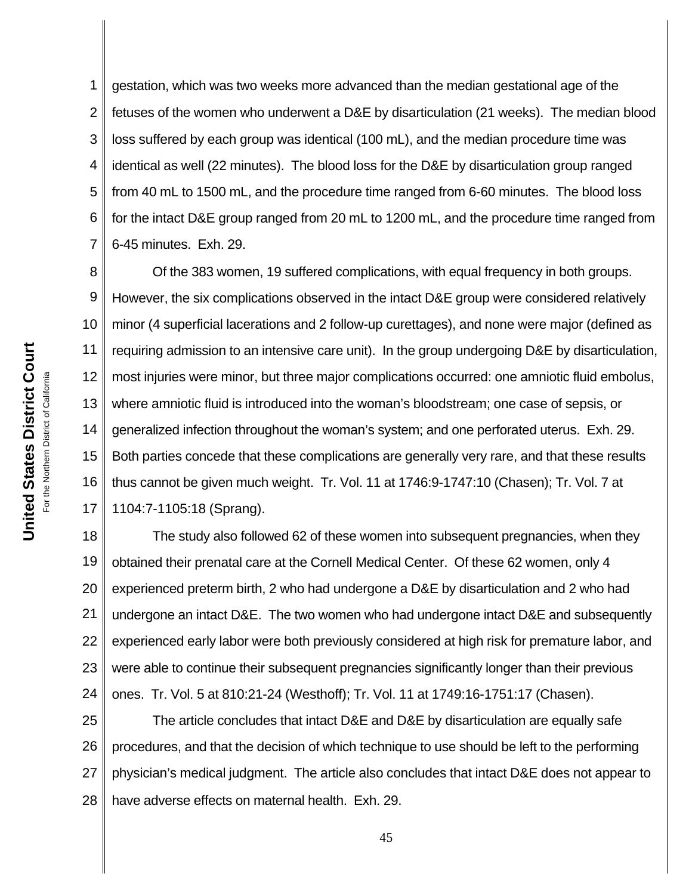1 2 3 4 5 6 7 gestation, which was two weeks more advanced than the median gestational age of the fetuses of the women who underwent a D&E by disarticulation (21 weeks). The median blood loss suffered by each group was identical (100 mL), and the median procedure time was identical as well (22 minutes). The blood loss for the D&E by disarticulation group ranged from 40 mL to 1500 mL, and the procedure time ranged from 6-60 minutes. The blood loss for the intact D&E group ranged from 20 mL to 1200 mL, and the procedure time ranged from 6-45 minutes. Exh. 29.

8 9 10 11 12 13 14 15 16 17 Of the 383 women, 19 suffered complications, with equal frequency in both groups. However, the six complications observed in the intact D&E group were considered relatively minor (4 superficial lacerations and 2 follow-up curettages), and none were major (defined as requiring admission to an intensive care unit). In the group undergoing D&E by disarticulation, most injuries were minor, but three major complications occurred: one amniotic fluid embolus, where amniotic fluid is introduced into the woman's bloodstream; one case of sepsis, or generalized infection throughout the woman's system; and one perforated uterus. Exh. 29. Both parties concede that these complications are generally very rare, and that these results thus cannot be given much weight. Tr. Vol. 11 at 1746:9-1747:10 (Chasen); Tr. Vol. 7 at 1104:7-1105:18 (Sprang).

18 19 20 21 22 23 24 The study also followed 62 of these women into subsequent pregnancies, when they obtained their prenatal care at the Cornell Medical Center. Of these 62 women, only 4 experienced preterm birth, 2 who had undergone a D&E by disarticulation and 2 who had undergone an intact D&E. The two women who had undergone intact D&E and subsequently experienced early labor were both previously considered at high risk for premature labor, and were able to continue their subsequent pregnancies significantly longer than their previous ones. Tr. Vol. 5 at 810:21-24 (Westhoff); Tr. Vol. 11 at 1749:16-1751:17 (Chasen).

25 26 27 28 The article concludes that intact D&E and D&E by disarticulation are equally safe procedures, and that the decision of which technique to use should be left to the performing physician's medical judgment. The article also concludes that intact D&E does not appear to have adverse effects on maternal health. Exh. 29.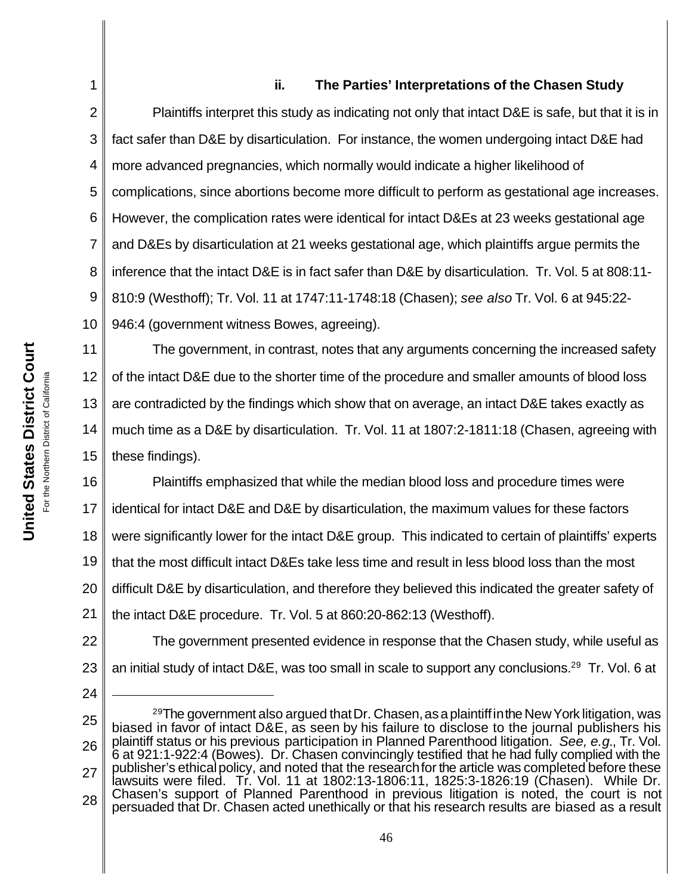## **ii. The Parties' Interpretations of the Chasen Study**

2 3 4 5 6 7 8 9 10 Plaintiffs interpret this study as indicating not only that intact D&E is safe, but that it is in fact safer than D&E by disarticulation. For instance, the women undergoing intact D&E had more advanced pregnancies, which normally would indicate a higher likelihood of complications, since abortions become more difficult to perform as gestational age increases. However, the complication rates were identical for intact D&Es at 23 weeks gestational age and D&Es by disarticulation at 21 weeks gestational age, which plaintiffs argue permits the inference that the intact D&E is in fact safer than D&E by disarticulation. Tr. Vol. 5 at 808:11- 810:9 (Westhoff); Tr. Vol. 11 at 1747:11-1748:18 (Chasen); *see also* Tr. Vol. 6 at 945:22- 946:4 (government witness Bowes, agreeing).

11 12 13 14 15 The government, in contrast, notes that any arguments concerning the increased safety of the intact D&E due to the shorter time of the procedure and smaller amounts of blood loss are contradicted by the findings which show that on average, an intact D&E takes exactly as much time as a D&E by disarticulation. Tr. Vol. 11 at 1807:2-1811:18 (Chasen, agreeing with these findings).

16 17 18 19 20 21 Plaintiffs emphasized that while the median blood loss and procedure times were identical for intact D&E and D&E by disarticulation, the maximum values for these factors were significantly lower for the intact D&E group. This indicated to certain of plaintiffs' experts that the most difficult intact D&Es take less time and result in less blood loss than the most difficult D&E by disarticulation, and therefore they believed this indicated the greater safety of the intact D&E procedure. Tr. Vol. 5 at 860:20-862:13 (Westhoff).

22 23 The government presented evidence in response that the Chasen study, while useful as an initial study of intact D&E, was too small in scale to support any conclusions.29 Tr. Vol. 6 at

24

1

25 26 27 28  $29$ The government also argued that Dr. Chasen, as a plaintiff in the New York litigation, was biased in favor of intact D&E, as seen by his failure to disclose to the journal publishers his plaintiff status or his previous participation in Planned Parenthood litigation. *See, e.g.*, Tr. Vol. 6 at 921:1-922:4 (Bowes). Dr. Chasen convincingly testified that he had fully complied with the publisher's ethical policy, and noted that the research for the article was completed before these lawsuits were filed. Tr. Vol. 11 at 1802:13-1806:11, 1825:3-1826:19 (Chasen). While Dr. Chasen's support of Planned Parenthood in previous litigation is noted, the court is not persuaded that Dr. Chasen acted unethically or that his research results are biased as a result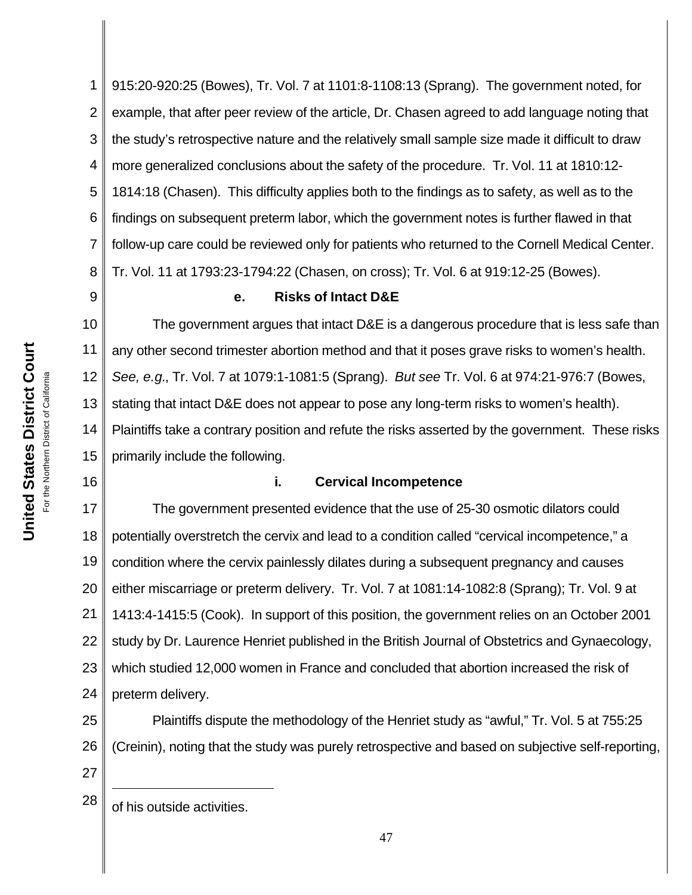1 2 3 4 5 6 7 8 915:20-920:25 (Bowes), Tr. Vol. 7 at 1101:8-1108:13 (Sprang). The government noted, for example, that after peer review of the article, Dr. Chasen agreed to add language noting that the study's retrospective nature and the relatively small sample size made it difficult to draw more generalized conclusions about the safety of the procedure. Tr. Vol. 11 at 1810:12- 1814:18 (Chasen). This difficulty applies both to the findings as to safety, as well as to the findings on subsequent preterm labor, which the government notes is further flawed in that follow-up care could be reviewed only for patients who returned to the Cornell Medical Center. Tr. Vol. 11 at 1793:23-1794:22 (Chasen, on cross); Tr. Vol. 6 at 919:12-25 (Bowes).

## 9

### **e. Risks of Intact D&E**

10 11 12 13 14 15 The government argues that intact D&E is a dangerous procedure that is less safe than any other second trimester abortion method and that it poses grave risks to women's health. *See, e.g.*, Tr. Vol. 7 at 1079:1-1081:5 (Sprang). *But see* Tr. Vol. 6 at 974:21-976:7 (Bowes, stating that intact D&E does not appear to pose any long-term risks to women's health). Plaintiffs take a contrary position and refute the risks asserted by the government. These risks primarily include the following.

16

**United States District Court** For the Northern District of California

**United States District Court** For the Northern District of California

## **i. Cervical Incompetence**

17 18 19 20 21 22 23 24 The government presented evidence that the use of 25-30 osmotic dilators could potentially overstretch the cervix and lead to a condition called "cervical incompetence," a condition where the cervix painlessly dilates during a subsequent pregnancy and causes either miscarriage or preterm delivery. Tr. Vol. 7 at 1081:14-1082:8 (Sprang); Tr. Vol. 9 at 1413:4-1415:5 (Cook). In support of this position, the government relies on an October 2001 study by Dr. Laurence Henriet published in the British Journal of Obstetrics and Gynaecology, which studied 12,000 women in France and concluded that abortion increased the risk of preterm delivery.

25 26 27 Plaintiffs dispute the methodology of the Henriet study as "awful," Tr. Vol. 5 at 755:25 (Creinin), noting that the study was purely retrospective and based on subjective self-reporting,

 $28 \parallel$  of his outside activities.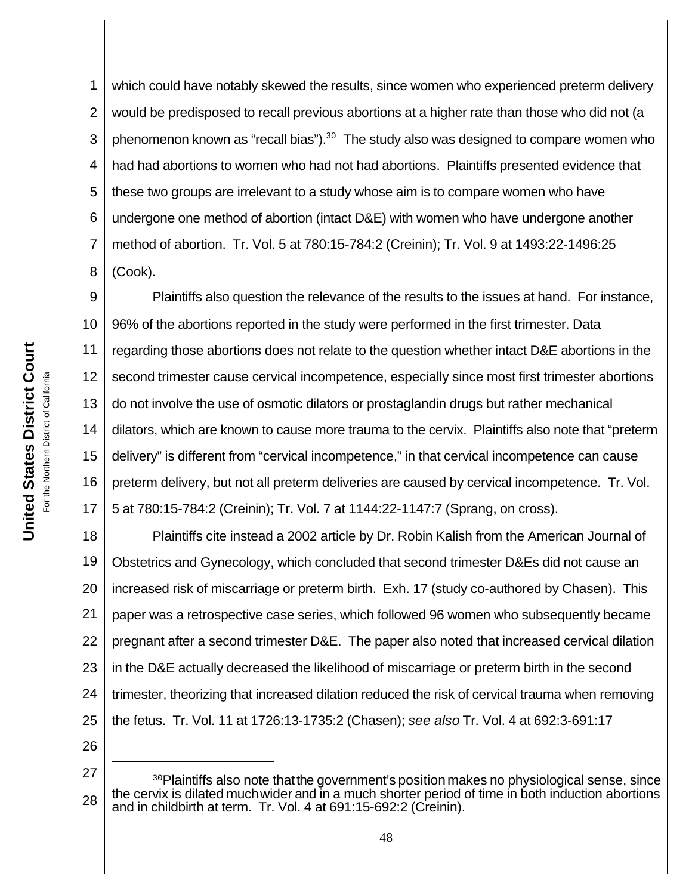1 2 3 4 5 6 7 8 which could have notably skewed the results, since women who experienced preterm delivery would be predisposed to recall previous abortions at a higher rate than those who did not (a phenomenon known as "recall bias"). $30$  The study also was designed to compare women who had had abortions to women who had not had abortions. Plaintiffs presented evidence that these two groups are irrelevant to a study whose aim is to compare women who have undergone one method of abortion (intact D&E) with women who have undergone another method of abortion. Tr. Vol. 5 at 780:15-784:2 (Creinin); Tr. Vol. 9 at 1493:22-1496:25 (Cook).

9 10 11 12 13 14 15 16 17 Plaintiffs also question the relevance of the results to the issues at hand. For instance, 96% of the abortions reported in the study were performed in the first trimester. Data regarding those abortions does not relate to the question whether intact D&E abortions in the second trimester cause cervical incompetence, especially since most first trimester abortions do not involve the use of osmotic dilators or prostaglandin drugs but rather mechanical dilators, which are known to cause more trauma to the cervix. Plaintiffs also note that "preterm delivery" is different from "cervical incompetence," in that cervical incompetence can cause preterm delivery, but not all preterm deliveries are caused by cervical incompetence. Tr. Vol. 5 at 780:15-784:2 (Creinin); Tr. Vol. 7 at 1144:22-1147:7 (Sprang, on cross).

18 19 20 21 22 23 24 25 26 Plaintiffs cite instead a 2002 article by Dr. Robin Kalish from the American Journal of Obstetrics and Gynecology, which concluded that second trimester D&Es did not cause an increased risk of miscarriage or preterm birth. Exh. 17 (study co-authored by Chasen). This paper was a retrospective case series, which followed 96 women who subsequently became pregnant after a second trimester D&E. The paper also noted that increased cervical dilation in the D&E actually decreased the likelihood of miscarriage or preterm birth in the second trimester, theorizing that increased dilation reduced the risk of cervical trauma when removing the fetus. Tr. Vol. 11 at 1726:13-1735:2 (Chasen); *see also* Tr. Vol. 4 at 692:3-691:17

<sup>28</sup> <sup>30</sup>Plaintiffs also note that the government's position makes no physiological sense, since the cervix is dilated muchwider and in a much shorter period of time in both induction abortions and in childbirth at term. Tr. Vol. 4 at 691:15-692:2 (Creinin).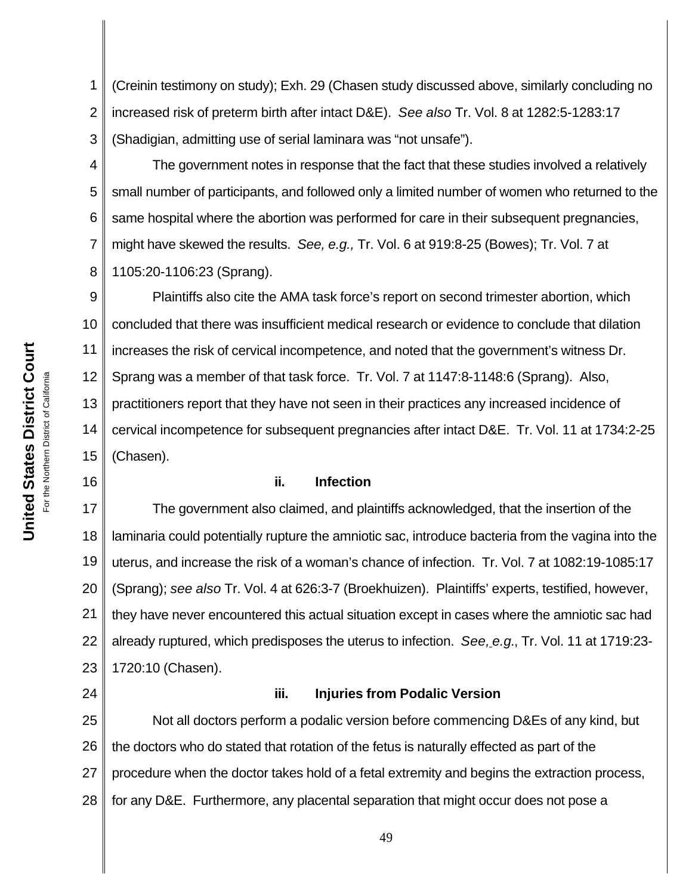1 2 3 (Creinin testimony on study); Exh. 29 (Chasen study discussed above, similarly concluding no increased risk of preterm birth after intact D&E). *See also* Tr. Vol. 8 at 1282:5-1283:17 (Shadigian, admitting use of serial laminara was "not unsafe").

4 5 6 7 8 The government notes in response that the fact that these studies involved a relatively small number of participants, and followed only a limited number of women who returned to the same hospital where the abortion was performed for care in their subsequent pregnancies, might have skewed the results. *See, e.g.,* Tr. Vol. 6 at 919:8-25 (Bowes); Tr. Vol. 7 at 1105:20-1106:23 (Sprang).

9 10 11 12 13 14 15 Plaintiffs also cite the AMA task force's report on second trimester abortion, which concluded that there was insufficient medical research or evidence to conclude that dilation increases the risk of cervical incompetence, and noted that the government's witness Dr. Sprang was a member of that task force. Tr. Vol. 7 at 1147:8-1148:6 (Sprang). Also, practitioners report that they have not seen in their practices any increased incidence of cervical incompetence for subsequent pregnancies after intact D&E. Tr. Vol. 11 at 1734:2-25 (Chasen).

### **ii. Infection**

17 18 19 20 21 22 23 The government also claimed, and plaintiffs acknowledged, that the insertion of the laminaria could potentially rupture the amniotic sac, introduce bacteria from the vagina into the uterus, and increase the risk of a woman's chance of infection. Tr. Vol. 7 at 1082:19-1085:17 (Sprang); *see also* Tr. Vol. 4 at 626:3-7 (Broekhuizen). Plaintiffs' experts, testified, however, they have never encountered this actual situation except in cases where the amniotic sac had already ruptured, which predisposes the uterus to infection. *See, e.g.*, Tr. Vol. 11 at 1719:23- 1720:10 (Chasen).

### **iii. Injuries from Podalic Version**

25 26 27 28 Not all doctors perform a podalic version before commencing D&Es of any kind, but the doctors who do stated that rotation of the fetus is naturally effected as part of the procedure when the doctor takes hold of a fetal extremity and begins the extraction process, for any D&E. Furthermore, any placental separation that might occur does not pose a

16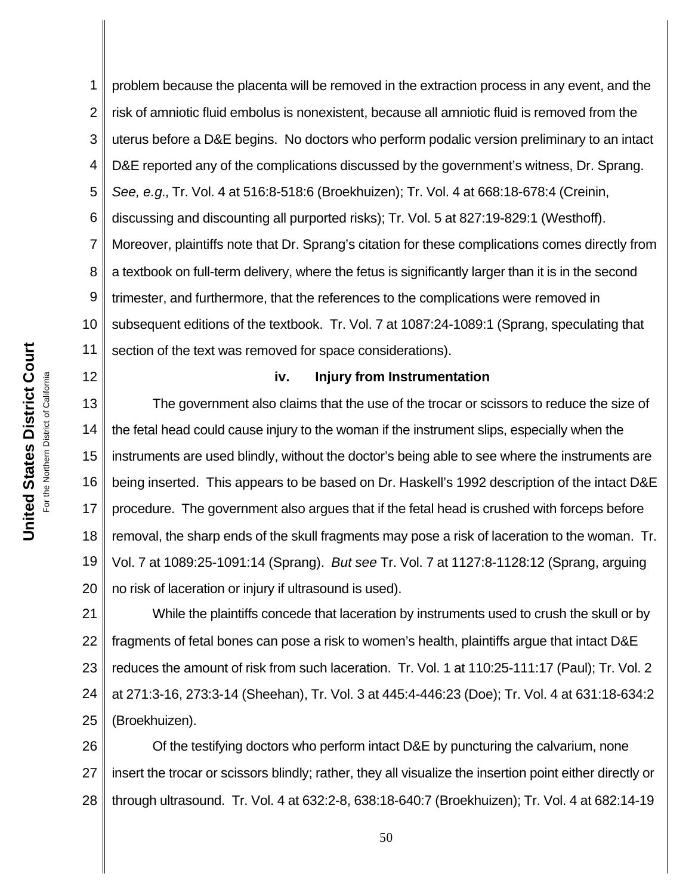1 2 3 4 5 6 7 8 9 10 11 problem because the placenta will be removed in the extraction process in any event, and the risk of amniotic fluid embolus is nonexistent, because all amniotic fluid is removed from the uterus before a D&E begins. No doctors who perform podalic version preliminary to an intact D&E reported any of the complications discussed by the government's witness, Dr. Sprang. *See, e.g.*, Tr. Vol. 4 at 516:8-518:6 (Broekhuizen); Tr. Vol. 4 at 668:18-678:4 (Creinin, discussing and discounting all purported risks); Tr. Vol. 5 at 827:19-829:1 (Westhoff). Moreover, plaintiffs note that Dr. Sprang's citation for these complications comes directly from a textbook on full-term delivery, where the fetus is significantly larger than it is in the second trimester, and furthermore, that the references to the complications were removed in subsequent editions of the textbook. Tr. Vol. 7 at 1087:24-1089:1 (Sprang, speculating that section of the text was removed for space considerations).

#### 12

#### **iv. Injury from Instrumentation**

13 14 15 16 17 18 19 20 The government also claims that the use of the trocar or scissors to reduce the size of the fetal head could cause injury to the woman if the instrument slips, especially when the instruments are used blindly, without the doctor's being able to see where the instruments are being inserted. This appears to be based on Dr. Haskell's 1992 description of the intact D&E procedure. The government also argues that if the fetal head is crushed with forceps before removal, the sharp ends of the skull fragments may pose a risk of laceration to the woman. Tr. Vol. 7 at 1089:25-1091:14 (Sprang). *But see* Tr. Vol. 7 at 1127:8-1128:12 (Sprang, arguing no risk of laceration or injury if ultrasound is used).

21 22 23 24 25 While the plaintiffs concede that laceration by instruments used to crush the skull or by fragments of fetal bones can pose a risk to women's health, plaintiffs argue that intact D&E reduces the amount of risk from such laceration. Tr. Vol. 1 at 110:25-111:17 (Paul); Tr. Vol. 2 at 271:3-16, 273:3-14 (Sheehan), Tr. Vol. 3 at 445:4-446:23 (Doe); Tr. Vol. 4 at 631:18-634:2 (Broekhuizen).

26 27 28 Of the testifying doctors who perform intact D&E by puncturing the calvarium, none insert the trocar or scissors blindly; rather, they all visualize the insertion point either directly or through ultrasound. Tr. Vol. 4 at 632:2-8, 638:18-640:7 (Broekhuizen); Tr. Vol. 4 at 682:14-19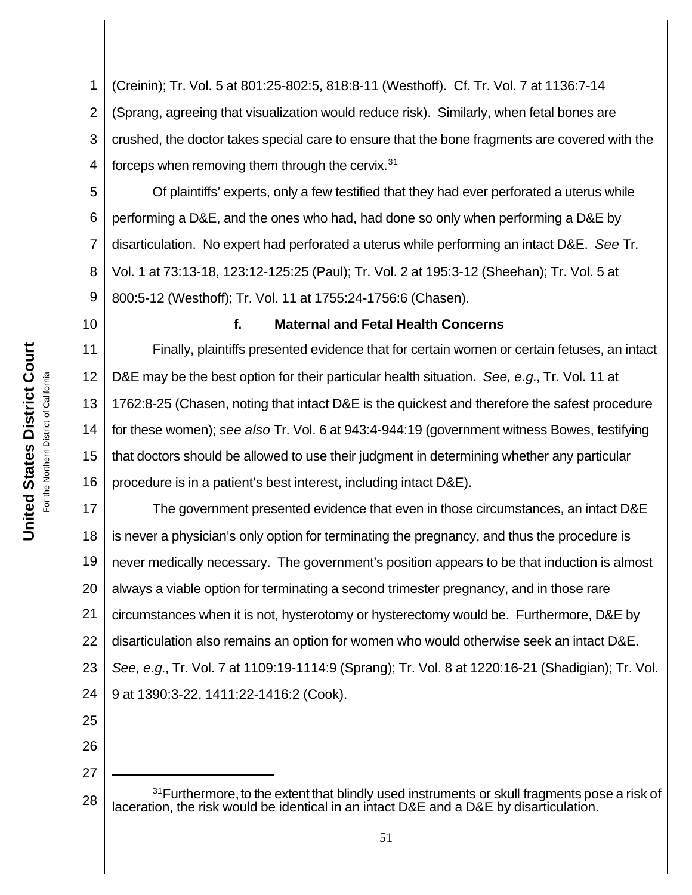1 2 3 4 (Creinin); Tr. Vol. 5 at 801:25-802:5, 818:8-11 (Westhoff). Cf. Tr. Vol. 7 at 1136:7-14 (Sprang, agreeing that visualization would reduce risk). Similarly, when fetal bones are crushed, the doctor takes special care to ensure that the bone fragments are covered with the forceps when removing them through the cervix. $31$ 

5 6 7 8 9 Of plaintiffs' experts, only a few testified that they had ever perforated a uterus while performing a D&E, and the ones who had, had done so only when performing a D&E by disarticulation. No expert had perforated a uterus while performing an intact D&E. *See* Tr. Vol. 1 at 73:13-18, 123:12-125:25 (Paul); Tr. Vol. 2 at 195:3-12 (Sheehan); Tr. Vol. 5 at 800:5-12 (Westhoff); Tr. Vol. 11 at 1755:24-1756:6 (Chasen).

10

## **f. Maternal and Fetal Health Concerns**

11 12 13 14 15 16 Finally, plaintiffs presented evidence that for certain women or certain fetuses, an intact D&E may be the best option for their particular health situation. *See, e.g.*, Tr. Vol. 11 at 1762:8-25 (Chasen, noting that intact D&E is the quickest and therefore the safest procedure for these women); *see also* Tr. Vol. 6 at 943:4-944:19 (government witness Bowes, testifying that doctors should be allowed to use their judgment in determining whether any particular procedure is in a patient's best interest, including intact D&E).

17 18 19 20 21 22 23 24 The government presented evidence that even in those circumstances, an intact D&E is never a physician's only option for terminating the pregnancy, and thus the procedure is never medically necessary. The government's position appears to be that induction is almost always a viable option for terminating a second trimester pregnancy, and in those rare circumstances when it is not, hysterotomy or hysterectomy would be. Furthermore, D&E by disarticulation also remains an option for women who would otherwise seek an intact D&E. *See, e.g.*, Tr. Vol. 7 at 1109:19-1114:9 (Sprang); Tr. Vol. 8 at 1220:16-21 (Shadigian); Tr. Vol. 9 at 1390:3-22, 1411:22-1416:2 (Cook).

25 26

<sup>28</sup> <sup>31</sup> Furthermore, to the extent that blindly used instruments or skull fragments pose a risk of laceration, the risk would be identical in an intact D&E and a D&E by disarticulation.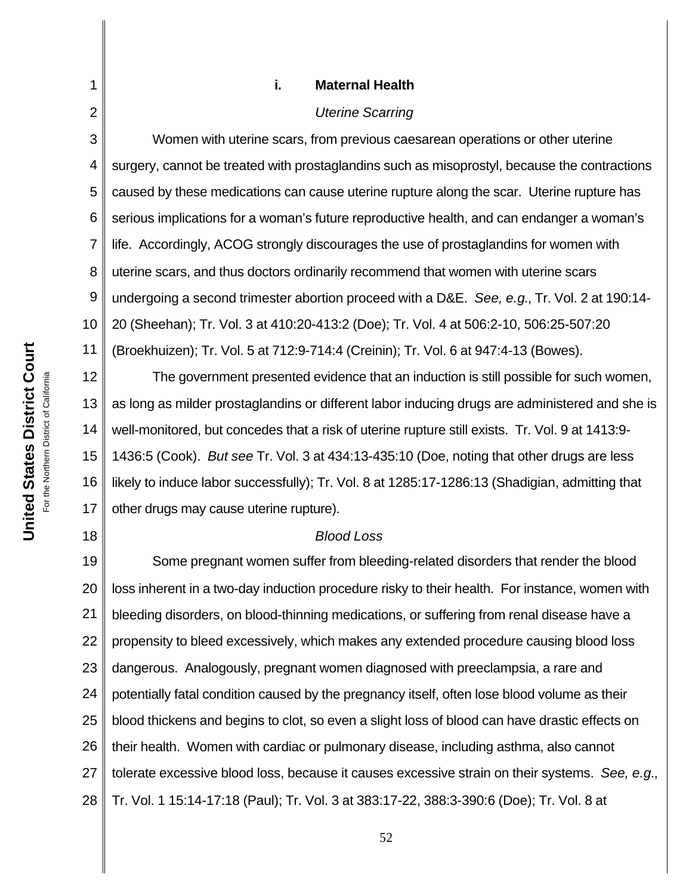**i. Maternal Health**

#### *Uterine Scarring*

3 4 5 6 7 8 9 10 11 Women with uterine scars, from previous caesarean operations or other uterine surgery, cannot be treated with prostaglandins such as misoprostyl, because the contractions caused by these medications can cause uterine rupture along the scar. Uterine rupture has serious implications for a woman's future reproductive health, and can endanger a woman's life. Accordingly, ACOG strongly discourages the use of prostaglandins for women with uterine scars, and thus doctors ordinarily recommend that women with uterine scars undergoing a second trimester abortion proceed with a D&E. *See, e.g.*, Tr. Vol. 2 at 190:14- 20 (Sheehan); Tr. Vol. 3 at 410:20-413:2 (Doe); Tr. Vol. 4 at 506:2-10, 506:25-507:20 (Broekhuizen); Tr. Vol. 5 at 712:9-714:4 (Creinin); Tr. Vol. 6 at 947:4-13 (Bowes).

12 13 14 15 16 17 The government presented evidence that an induction is still possible for such women, as long as milder prostaglandins or different labor inducing drugs are administered and she is well-monitored, but concedes that a risk of uterine rupture still exists. Tr. Vol. 9 at 1413:9- 1436:5 (Cook). *But see* Tr. Vol. 3 at 434:13-435:10 (Doe, noting that other drugs are less likely to induce labor successfully); Tr. Vol. 8 at 1285:17-1286:13 (Shadigian, admitting that other drugs may cause uterine rupture).

#### *Blood Loss*

19 20 21 22 23 24 25 26 27 28 Some pregnant women suffer from bleeding-related disorders that render the blood loss inherent in a two-day induction procedure risky to their health. For instance, women with bleeding disorders, on blood-thinning medications, or suffering from renal disease have a propensity to bleed excessively, which makes any extended procedure causing blood loss dangerous. Analogously, pregnant women diagnosed with preeclampsia, a rare and potentially fatal condition caused by the pregnancy itself, often lose blood volume as their blood thickens and begins to clot, so even a slight loss of blood can have drastic effects on their health. Women with cardiac or pulmonary disease, including asthma, also cannot tolerate excessive blood loss, because it causes excessive strain on their systems. *See, e.g.*, Tr. Vol. 1 15:14-17:18 (Paul); Tr. Vol. 3 at 383:17-22, 388:3-390:6 (Doe); Tr. Vol. 8 at

18

1

2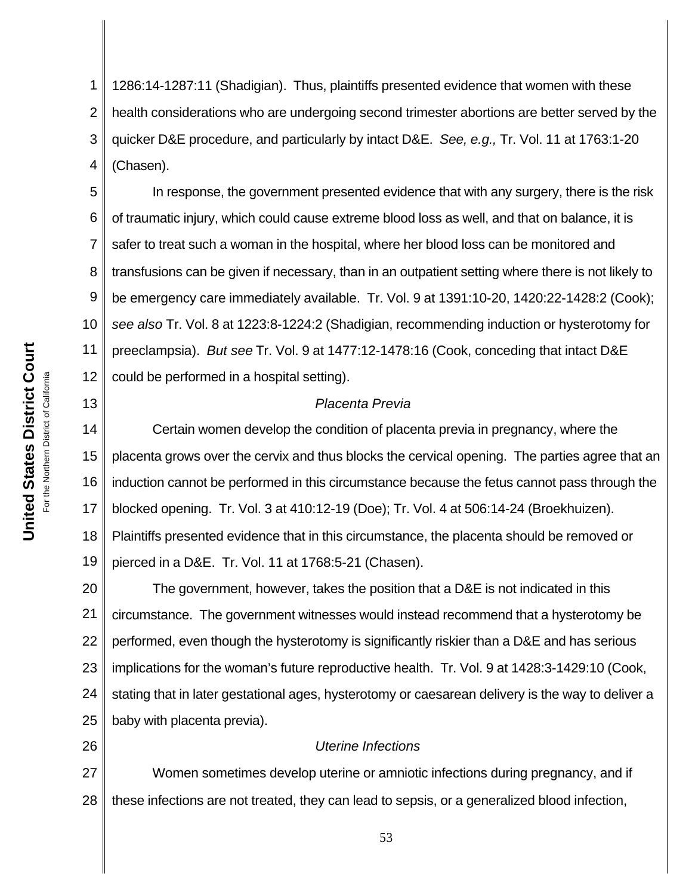**United States District Court** For the Northern District of California For the Northern District of California

**United States District Court** 

13

26

1 2 3 4 1286:14-1287:11 (Shadigian). Thus, plaintiffs presented evidence that women with these health considerations who are undergoing second trimester abortions are better served by the quicker D&E procedure, and particularly by intact D&E. *See, e.g.,* Tr. Vol. 11 at 1763:1-20 (Chasen).

5 6 7 8 9 10 11 12 In response, the government presented evidence that with any surgery, there is the risk of traumatic injury, which could cause extreme blood loss as well, and that on balance, it is safer to treat such a woman in the hospital, where her blood loss can be monitored and transfusions can be given if necessary, than in an outpatient setting where there is not likely to be emergency care immediately available. Tr. Vol. 9 at 1391:10-20, 1420:22-1428:2 (Cook); *see also* Tr. Vol. 8 at 1223:8-1224:2 (Shadigian, recommending induction or hysterotomy for preeclampsia). *But see* Tr. Vol. 9 at 1477:12-1478:16 (Cook, conceding that intact D&E could be performed in a hospital setting).

## *Placenta Previa*

14 15 16 17 18 19 Certain women develop the condition of placenta previa in pregnancy, where the placenta grows over the cervix and thus blocks the cervical opening. The parties agree that an induction cannot be performed in this circumstance because the fetus cannot pass through the blocked opening. Tr. Vol. 3 at 410:12-19 (Doe); Tr. Vol. 4 at 506:14-24 (Broekhuizen). Plaintiffs presented evidence that in this circumstance, the placenta should be removed or pierced in a D&E. Tr. Vol. 11 at 1768:5-21 (Chasen).

20 21 22 23 24 25 The government, however, takes the position that a D&E is not indicated in this circumstance. The government witnesses would instead recommend that a hysterotomy be performed, even though the hysterotomy is significantly riskier than a D&E and has serious implications for the woman's future reproductive health. Tr. Vol. 9 at 1428:3-1429:10 (Cook, stating that in later gestational ages, hysterotomy or caesarean delivery is the way to deliver a baby with placenta previa).

## *Uterine Infections*

27 28 Women sometimes develop uterine or amniotic infections during pregnancy, and if these infections are not treated, they can lead to sepsis, or a generalized blood infection,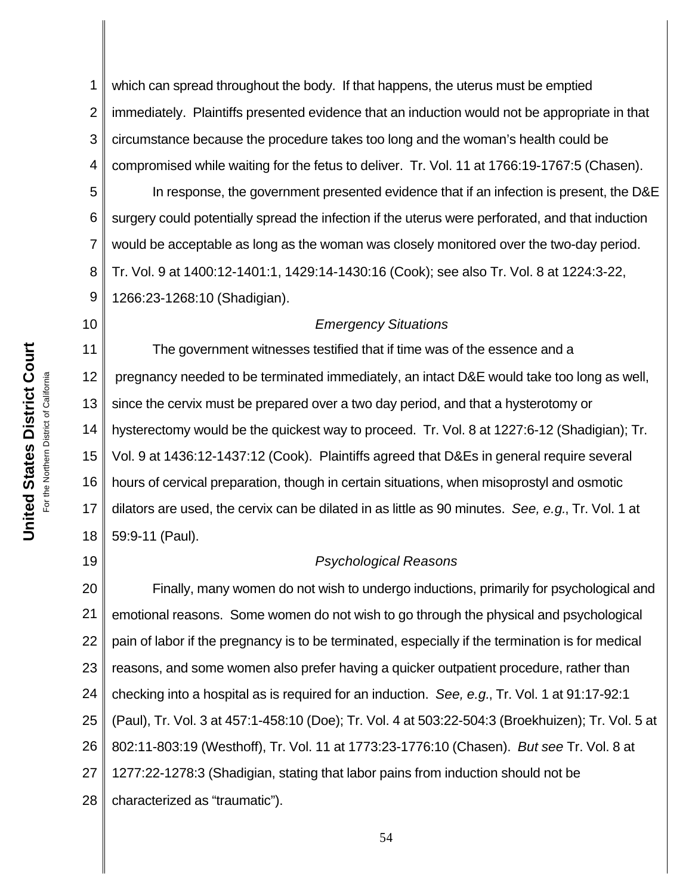1 2 3 4 which can spread throughout the body. If that happens, the uterus must be emptied immediately. Plaintiffs presented evidence that an induction would not be appropriate in that circumstance because the procedure takes too long and the woman's health could be compromised while waiting for the fetus to deliver. Tr. Vol. 11 at 1766:19-1767:5 (Chasen).

5 6 7 8 9 In response, the government presented evidence that if an infection is present, the D&E surgery could potentially spread the infection if the uterus were perforated, and that induction would be acceptable as long as the woman was closely monitored over the two-day period. Tr. Vol. 9 at 1400:12-1401:1, 1429:14-1430:16 (Cook); see also Tr. Vol. 8 at 1224:3-22, 1266:23-1268:10 (Shadigian).

#### 10

#### *Emergency Situations*

11 12 13 14 15 16 17 18 The government witnesses testified that if time was of the essence and a pregnancy needed to be terminated immediately, an intact D&E would take too long as well, since the cervix must be prepared over a two day period, and that a hysterotomy or hysterectomy would be the quickest way to proceed. Tr. Vol. 8 at 1227:6-12 (Shadigian); Tr. Vol. 9 at 1436:12-1437:12 (Cook). Plaintiffs agreed that D&Es in general require several hours of cervical preparation, though in certain situations, when misoprostyl and osmotic dilators are used, the cervix can be dilated in as little as 90 minutes. *See, e.g.*, Tr. Vol. 1 at 59:9-11 (Paul).

19

## *Psychological Reasons*

20 21 22 23 24 25 26 27 28 Finally, many women do not wish to undergo inductions, primarily for psychological and emotional reasons. Some women do not wish to go through the physical and psychological pain of labor if the pregnancy is to be terminated, especially if the termination is for medical reasons, and some women also prefer having a quicker outpatient procedure, rather than checking into a hospital as is required for an induction. *See, e.g.*, Tr. Vol. 1 at 91:17-92:1 (Paul), Tr. Vol. 3 at 457:1-458:10 (Doe); Tr. Vol. 4 at 503:22-504:3 (Broekhuizen); Tr. Vol. 5 at 802:11-803:19 (Westhoff), Tr. Vol. 11 at 1773:23-1776:10 (Chasen). *But see* Tr. Vol. 8 at 1277:22-1278:3 (Shadigian, stating that labor pains from induction should not be characterized as "traumatic").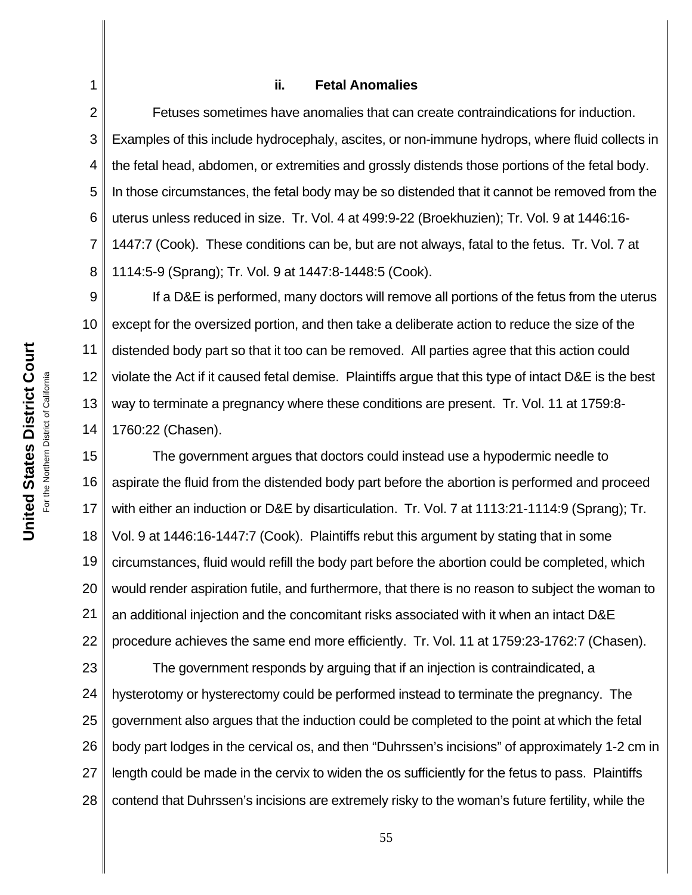#### **ii. Fetal Anomalies**

1

2

3

4

5

6

7

Fetuses sometimes have anomalies that can create contraindications for induction. Examples of this include hydrocephaly, ascites, or non-immune hydrops, where fluid collects in the fetal head, abdomen, or extremities and grossly distends those portions of the fetal body. In those circumstances, the fetal body may be so distended that it cannot be removed from the uterus unless reduced in size. Tr. Vol. 4 at 499:9-22 (Broekhuzien); Tr. Vol. 9 at 1446:16- 1447:7 (Cook). These conditions can be, but are not always, fatal to the fetus. Tr. Vol. 7 at 1114:5-9 (Sprang); Tr. Vol. 9 at 1447:8-1448:5 (Cook).

If a D&E is performed, many doctors will remove all portions of the fetus from the uterus except for the oversized portion, and then take a deliberate action to reduce the size of the distended body part so that it too can be removed. All parties agree that this action could violate the Act if it caused fetal demise. Plaintiffs argue that this type of intact D&E is the best way to terminate a pregnancy where these conditions are present. Tr. Vol. 11 at 1759:8- 1760:22 (Chasen).

18 19 20 21 22 The government argues that doctors could instead use a hypodermic needle to aspirate the fluid from the distended body part before the abortion is performed and proceed with either an induction or D&E by disarticulation. Tr. Vol. 7 at 1113:21-1114:9 (Sprang); Tr. Vol. 9 at 1446:16-1447:7 (Cook). Plaintiffs rebut this argument by stating that in some circumstances, fluid would refill the body part before the abortion could be completed, which would render aspiration futile, and furthermore, that there is no reason to subject the woman to an additional injection and the concomitant risks associated with it when an intact D&E procedure achieves the same end more efficiently. Tr. Vol. 11 at 1759:23-1762:7 (Chasen).

23 24 25 26 27 28 The government responds by arguing that if an injection is contraindicated, a hysterotomy or hysterectomy could be performed instead to terminate the pregnancy. The government also argues that the induction could be completed to the point at which the fetal body part lodges in the cervical os, and then "Duhrssen's incisions" of approximately 1-2 cm in length could be made in the cervix to widen the os sufficiently for the fetus to pass. Plaintiffs contend that Duhrssen's incisions are extremely risky to the woman's future fertility, while the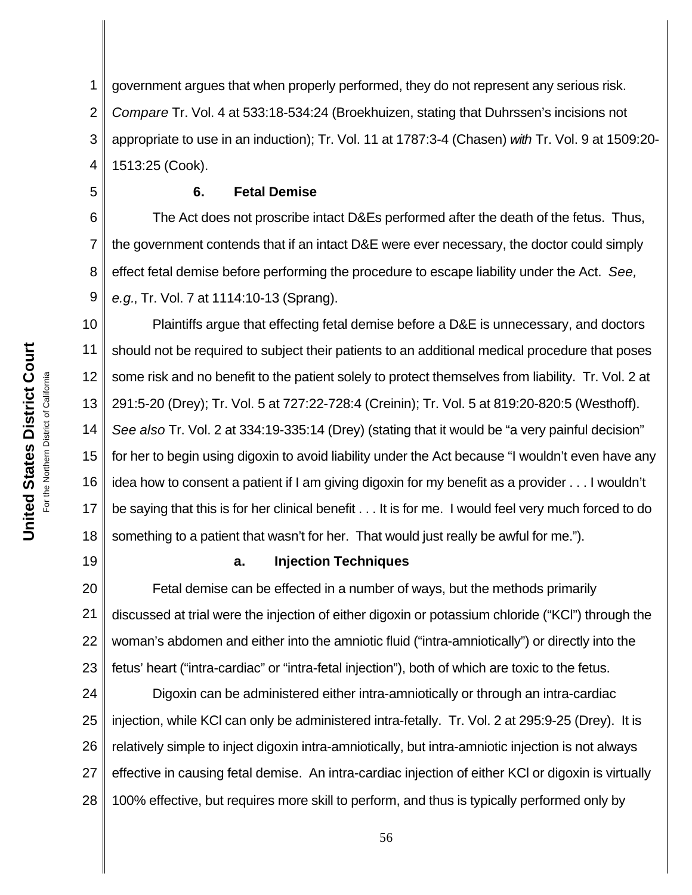1 2 3 4 government argues that when properly performed, they do not represent any serious risk. *Compare* Tr. Vol. 4 at 533:18-534:24 (Broekhuizen, stating that Duhrssen's incisions not appropriate to use in an induction); Tr. Vol. 11 at 1787:3-4 (Chasen) *with* Tr. Vol. 9 at 1509:20- 1513:25 (Cook).

### **6. Fetal Demise**

6 7 8 9 The Act does not proscribe intact D&Es performed after the death of the fetus. Thus, the government contends that if an intact D&E were ever necessary, the doctor could simply effect fetal demise before performing the procedure to escape liability under the Act. *See, e.g.*, Tr. Vol. 7 at 1114:10-13 (Sprang).

10 11 12 13 14 15 16 17 18 Plaintiffs argue that effecting fetal demise before a D&E is unnecessary, and doctors should not be required to subject their patients to an additional medical procedure that poses some risk and no benefit to the patient solely to protect themselves from liability. Tr. Vol. 2 at 291:5-20 (Drey); Tr. Vol. 5 at 727:22-728:4 (Creinin); Tr. Vol. 5 at 819:20-820:5 (Westhoff). *See also* Tr. Vol. 2 at 334:19-335:14 (Drey) (stating that it would be "a very painful decision" for her to begin using digoxin to avoid liability under the Act because "I wouldn't even have any idea how to consent a patient if I am giving digoxin for my benefit as a provider . . . I wouldn't be saying that this is for her clinical benefit . . . It is for me. I would feel very much forced to do something to a patient that wasn't for her. That would just really be awful for me.").

19

5

## **a. Injection Techniques**

20 21 22 23 Fetal demise can be effected in a number of ways, but the methods primarily discussed at trial were the injection of either digoxin or potassium chloride ("KCl") through the woman's abdomen and either into the amniotic fluid ("intra-amniotically") or directly into the fetus' heart ("intra-cardiac" or "intra-fetal injection"), both of which are toxic to the fetus.

24 25 26 27 28 Digoxin can be administered either intra-amniotically or through an intra-cardiac injection, while KCl can only be administered intra-fetally. Tr. Vol. 2 at 295:9-25 (Drey). It is relatively simple to inject digoxin intra-amniotically, but intra-amniotic injection is not always effective in causing fetal demise. An intra-cardiac injection of either KCl or digoxin is virtually 100% effective, but requires more skill to perform, and thus is typically performed only by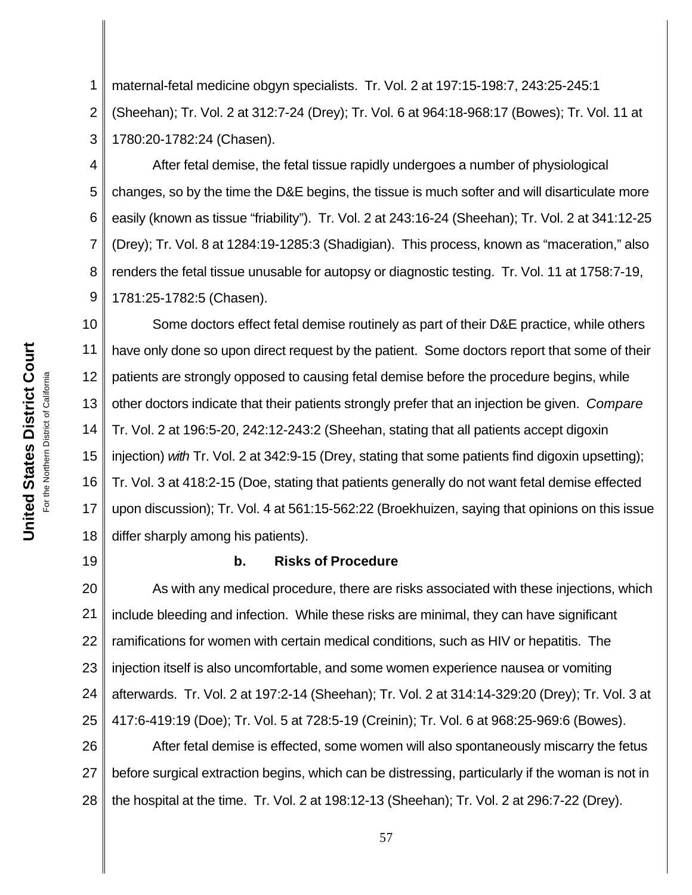1 2 3 maternal-fetal medicine obgyn specialists. Tr. Vol. 2 at 197:15-198:7, 243:25-245:1 (Sheehan); Tr. Vol. 2 at 312:7-24 (Drey); Tr. Vol. 6 at 964:18-968:17 (Bowes); Tr. Vol. 11 at 1780:20-1782:24 (Chasen).

4 5 6 7 8 9 After fetal demise, the fetal tissue rapidly undergoes a number of physiological changes, so by the time the D&E begins, the tissue is much softer and will disarticulate more easily (known as tissue "friability"). Tr. Vol. 2 at 243:16-24 (Sheehan); Tr. Vol. 2 at 341:12-25 (Drey); Tr. Vol. 8 at 1284:19-1285:3 (Shadigian). This process, known as "maceration," also renders the fetal tissue unusable for autopsy or diagnostic testing. Tr. Vol. 11 at 1758:7-19, 1781:25-1782:5 (Chasen).

10 11 12 13 14 15 16 17 18 Some doctors effect fetal demise routinely as part of their D&E practice, while others have only done so upon direct request by the patient. Some doctors report that some of their patients are strongly opposed to causing fetal demise before the procedure begins, while other doctors indicate that their patients strongly prefer that an injection be given. *Compare* Tr. Vol. 2 at 196:5-20, 242:12-243:2 (Sheehan, stating that all patients accept digoxin injection) *with* Tr. Vol. 2 at 342:9-15 (Drey, stating that some patients find digoxin upsetting); Tr. Vol. 3 at 418:2-15 (Doe, stating that patients generally do not want fetal demise effected upon discussion); Tr. Vol. 4 at 561:15-562:22 (Broekhuizen, saying that opinions on this issue differ sharply among his patients).

19

### **b. Risks of Procedure**

20 21 22 23 24 25 As with any medical procedure, there are risks associated with these injections, which include bleeding and infection. While these risks are minimal, they can have significant ramifications for women with certain medical conditions, such as HIV or hepatitis. The injection itself is also uncomfortable, and some women experience nausea or vomiting afterwards. Tr. Vol. 2 at 197:2-14 (Sheehan); Tr. Vol. 2 at 314:14-329:20 (Drey); Tr. Vol. 3 at 417:6-419:19 (Doe); Tr. Vol. 5 at 728:5-19 (Creinin); Tr. Vol. 6 at 968:25-969:6 (Bowes).

26 27 28 After fetal demise is effected, some women will also spontaneously miscarry the fetus before surgical extraction begins, which can be distressing, particularly if the woman is not in the hospital at the time. Tr. Vol. 2 at 198:12-13 (Sheehan); Tr. Vol. 2 at 296:7-22 (Drey).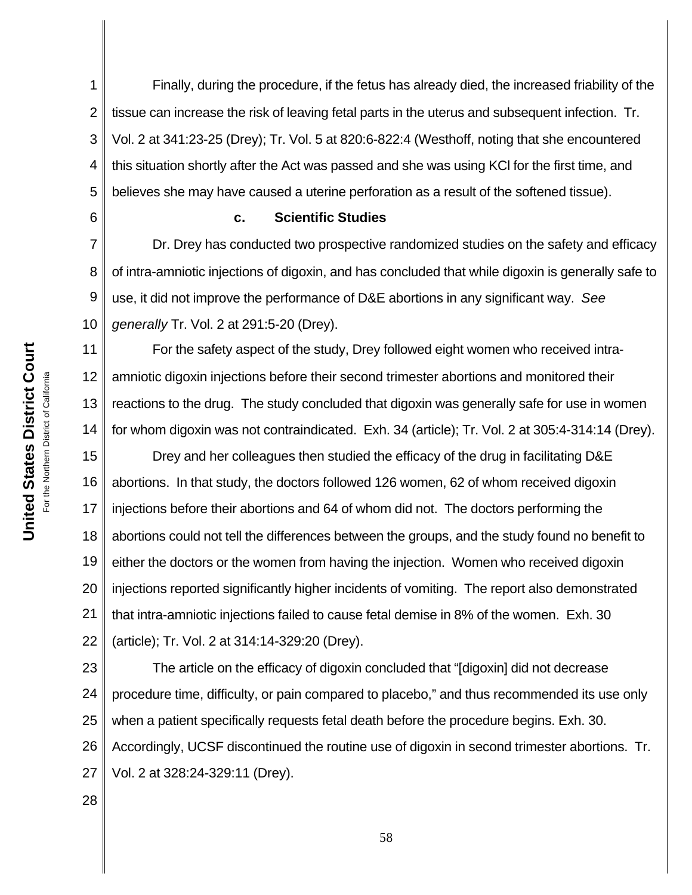**United States District Court** For the Northern District of California For the Northern District of California

**United States District Court** 

6

11

1 2 3 4 5 Finally, during the procedure, if the fetus has already died, the increased friability of the tissue can increase the risk of leaving fetal parts in the uterus and subsequent infection. Tr. Vol. 2 at 341:23-25 (Drey); Tr. Vol. 5 at 820:6-822:4 (Westhoff, noting that she encountered this situation shortly after the Act was passed and she was using KCl for the first time, and believes she may have caused a uterine perforation as a result of the softened tissue).

#### **c. Scientific Studies**

7 8 9 10 Dr. Drey has conducted two prospective randomized studies on the safety and efficacy of intra-amniotic injections of digoxin, and has concluded that while digoxin is generally safe to use, it did not improve the performance of D&E abortions in any significant way. *See generally* Tr. Vol. 2 at 291:5-20 (Drey).

12 13 14 For the safety aspect of the study, Drey followed eight women who received intraamniotic digoxin injections before their second trimester abortions and monitored their reactions to the drug. The study concluded that digoxin was generally safe for use in women for whom digoxin was not contraindicated. Exh. 34 (article); Tr. Vol. 2 at 305:4-314:14 (Drey).

15 16 17 18 19 20 21 22 Drey and her colleagues then studied the efficacy of the drug in facilitating D&E abortions. In that study, the doctors followed 126 women, 62 of whom received digoxin injections before their abortions and 64 of whom did not. The doctors performing the abortions could not tell the differences between the groups, and the study found no benefit to either the doctors or the women from having the injection. Women who received digoxin injections reported significantly higher incidents of vomiting. The report also demonstrated that intra-amniotic injections failed to cause fetal demise in 8% of the women. Exh. 30 (article); Tr. Vol. 2 at 314:14-329:20 (Drey).

23 24 25 26 27 The article on the efficacy of digoxin concluded that "[digoxin] did not decrease procedure time, difficulty, or pain compared to placebo," and thus recommended its use only when a patient specifically requests fetal death before the procedure begins. Exh. 30. Accordingly, UCSF discontinued the routine use of digoxin in second trimester abortions. Tr. Vol. 2 at 328:24-329:11 (Drey).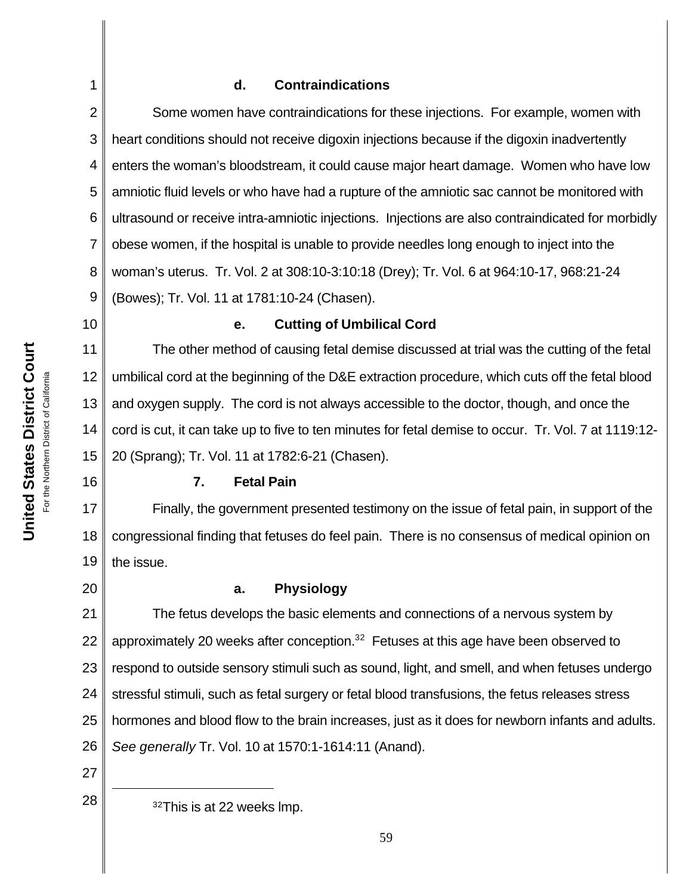## **d. Contraindications**

2 3 4 5 6 7 8 9 Some women have contraindications for these injections. For example, women with heart conditions should not receive digoxin injections because if the digoxin inadvertently enters the woman's bloodstream, it could cause major heart damage. Women who have low amniotic fluid levels or who have had a rupture of the amniotic sac cannot be monitored with ultrasound or receive intra-amniotic injections. Injections are also contraindicated for morbidly obese women, if the hospital is unable to provide needles long enough to inject into the woman's uterus. Tr. Vol. 2 at 308:10-3:10:18 (Drey); Tr. Vol. 6 at 964:10-17, 968:21-24 (Bowes); Tr. Vol. 11 at 1781:10-24 (Chasen).

10

1

## **e. Cutting of Umbilical Cord**

11 12 13 14 15 The other method of causing fetal demise discussed at trial was the cutting of the fetal umbilical cord at the beginning of the D&E extraction procedure, which cuts off the fetal blood and oxygen supply. The cord is not always accessible to the doctor, though, and once the cord is cut, it can take up to five to ten minutes for fetal demise to occur. Tr. Vol. 7 at 1119:12- 20 (Sprang); Tr. Vol. 11 at 1782:6-21 (Chasen).

## **7. Fetal Pain**

17 18 19 Finally, the government presented testimony on the issue of fetal pain, in support of the congressional finding that fetuses do feel pain. There is no consensus of medical opinion on the issue.

20

16

## **a. Physiology**

21 22 23 24 25 26 The fetus develops the basic elements and connections of a nervous system by approximately 20 weeks after conception. $32$  Fetuses at this age have been observed to respond to outside sensory stimuli such as sound, light, and smell, and when fetuses undergo stressful stimuli, such as fetal surgery or fetal blood transfusions, the fetus releases stress hormones and blood flow to the brain increases, just as it does for newborn infants and adults. *See generally* Tr. Vol. 10 at 1570:1-1614:11 (Anand).

27

 $28 \parallel 32$  <sup>32</sup>This is at 22 weeks lmp.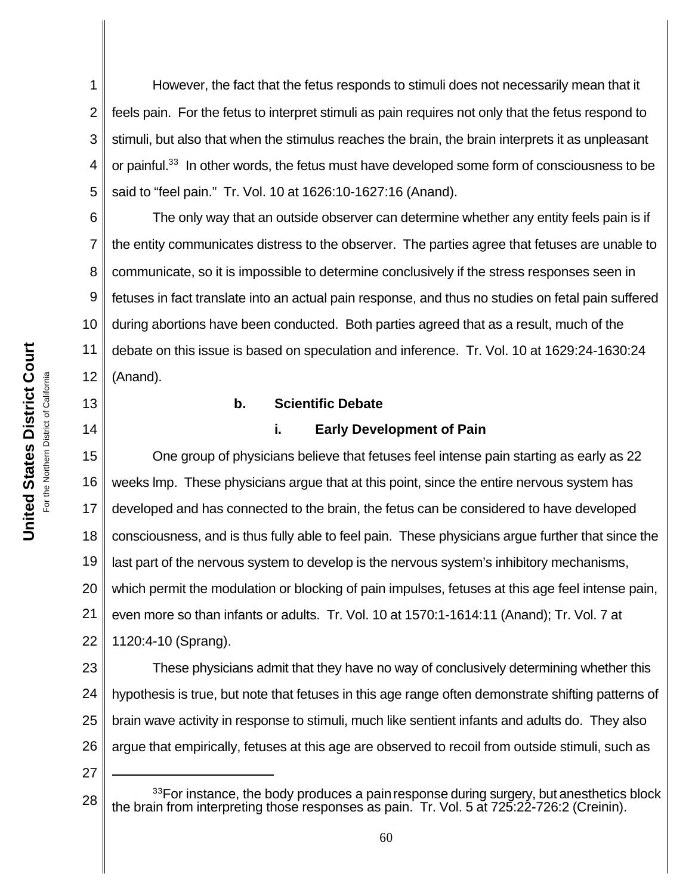1 2 3 4 5 However, the fact that the fetus responds to stimuli does not necessarily mean that it feels pain. For the fetus to interpret stimuli as pain requires not only that the fetus respond to stimuli, but also that when the stimulus reaches the brain, the brain interprets it as unpleasant or painful.<sup>33</sup> In other words, the fetus must have developed some form of consciousness to be said to "feel pain." Tr. Vol. 10 at 1626:10-1627:16 (Anand).

6 7 8 9 10 11 12 The only way that an outside observer can determine whether any entity feels pain is if the entity communicates distress to the observer. The parties agree that fetuses are unable to communicate, so it is impossible to determine conclusively if the stress responses seen in fetuses in fact translate into an actual pain response, and thus no studies on fetal pain suffered during abortions have been conducted. Both parties agreed that as a result, much of the debate on this issue is based on speculation and inference. Tr. Vol. 10 at 1629:24-1630:24 (Anand).

#### **b. Scientific Debate**

14

13

## **i. Early Development of Pain**

15 16 17 18 19 20 21 22 One group of physicians believe that fetuses feel intense pain starting as early as 22 weeks lmp. These physicians argue that at this point, since the entire nervous system has developed and has connected to the brain, the fetus can be considered to have developed consciousness, and is thus fully able to feel pain. These physicians argue further that since the last part of the nervous system to develop is the nervous system's inhibitory mechanisms, which permit the modulation or blocking of pain impulses, fetuses at this age feel intense pain, even more so than infants or adults. Tr. Vol. 10 at 1570:1-1614:11 (Anand); Tr. Vol. 7 at 1120:4-10 (Sprang).

23 24 25 26 These physicians admit that they have no way of conclusively determining whether this hypothesis is true, but note that fetuses in this age range often demonstrate shifting patterns of brain wave activity in response to stimuli, much like sentient infants and adults do. They also argue that empirically, fetuses at this age are observed to recoil from outside stimuli, such as

<sup>28</sup> <sup>33</sup>For instance, the body produces a pain response during surgery, but anesthetics block the brain from interpreting those responses as pain. Tr. Vol. 5 at 725:22-726:2 (Creinin).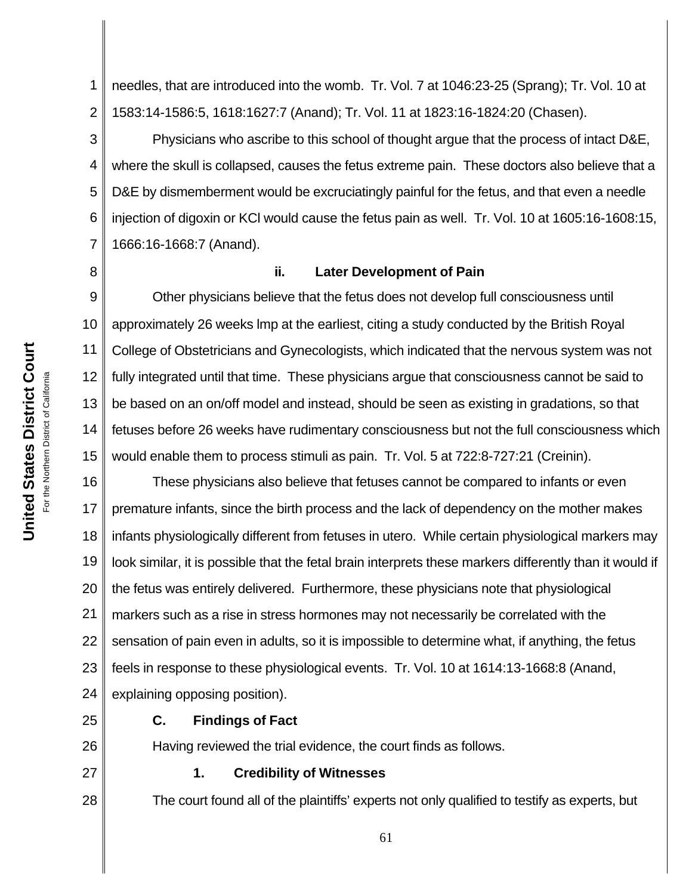1 2 needles, that are introduced into the womb. Tr. Vol. 7 at 1046:23-25 (Sprang); Tr. Vol. 10 at 1583:14-1586:5, 1618:1627:7 (Anand); Tr. Vol. 11 at 1823:16-1824:20 (Chasen).

3 4 5 6 7 Physicians who ascribe to this school of thought argue that the process of intact D&E, where the skull is collapsed, causes the fetus extreme pain. These doctors also believe that a D&E by dismemberment would be excruciatingly painful for the fetus, and that even a needle injection of digoxin or KCl would cause the fetus pain as well. Tr. Vol. 10 at 1605:16-1608:15, 1666:16-1668:7 (Anand).

8

#### **ii. Later Development of Pain**

9 10 11 12 13 14 15 Other physicians believe that the fetus does not develop full consciousness until approximately 26 weeks lmp at the earliest, citing a study conducted by the British Royal College of Obstetricians and Gynecologists, which indicated that the nervous system was not fully integrated until that time. These physicians argue that consciousness cannot be said to be based on an on/off model and instead, should be seen as existing in gradations, so that fetuses before 26 weeks have rudimentary consciousness but not the full consciousness which would enable them to process stimuli as pain. Tr. Vol. 5 at 722:8-727:21 (Creinin).

16 17 18 19 20 21 22 23 24 These physicians also believe that fetuses cannot be compared to infants or even premature infants, since the birth process and the lack of dependency on the mother makes infants physiologically different from fetuses in utero. While certain physiological markers may look similar, it is possible that the fetal brain interprets these markers differently than it would if the fetus was entirely delivered. Furthermore, these physicians note that physiological markers such as a rise in stress hormones may not necessarily be correlated with the sensation of pain even in adults, so it is impossible to determine what, if anything, the fetus feels in response to these physiological events. Tr. Vol. 10 at 1614:13-1668:8 (Anand, explaining opposing position).

25

26

27

28

## **C. Findings of Fact**

Having reviewed the trial evidence, the court finds as follows.

#### **1. Credibility of Witnesses**

The court found all of the plaintiffs' experts not only qualified to testify as experts, but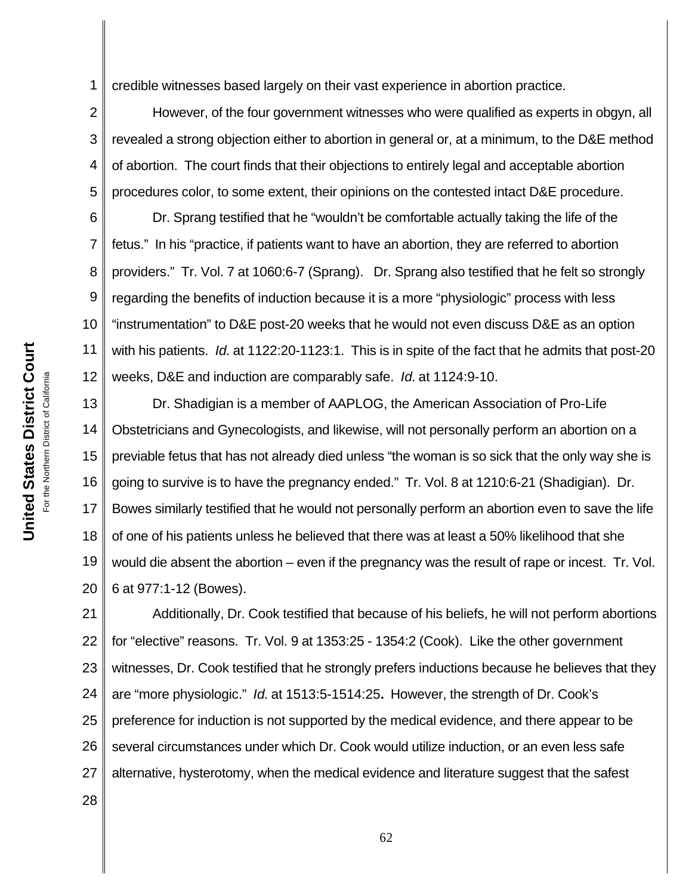1 credible witnesses based largely on their vast experience in abortion practice.

2 3 4 5 However, of the four government witnesses who were qualified as experts in obgyn, all revealed a strong objection either to abortion in general or, at a minimum, to the D&E method of abortion. The court finds that their objections to entirely legal and acceptable abortion procedures color, to some extent, their opinions on the contested intact D&E procedure.

6 7 8 9 10 11 12 Dr. Sprang testified that he "wouldn't be comfortable actually taking the life of the fetus." In his "practice, if patients want to have an abortion, they are referred to abortion providers." Tr. Vol. 7 at 1060:6-7 (Sprang).Dr. Sprang also testified that he felt so strongly regarding the benefits of induction because it is a more "physiologic" process with less "instrumentation" to D&E post-20 weeks that he would not even discuss D&E as an option with his patients. *Id.* at 1122:20-1123:1. This is in spite of the fact that he admits that post-20 weeks, D&E and induction are comparably safe. *Id.* at 1124:9-10.

13 14 15 16 17 18 19 20 Dr. Shadigian is a member of AAPLOG, the American Association of Pro-Life Obstetricians and Gynecologists, and likewise, will not personally perform an abortion on a previable fetus that has not already died unless "the woman is so sick that the only way she is going to survive is to have the pregnancy ended." Tr. Vol. 8 at 1210:6-21 (Shadigian). Dr. Bowes similarly testified that he would not personally perform an abortion even to save the life of one of his patients unless he believed that there was at least a 50% likelihood that she would die absent the abortion – even if the pregnancy was the result of rape or incest. Tr. Vol. 6 at 977:1-12 (Bowes).

21 22 23 24 25 26 27 Additionally, Dr. Cook testified that because of his beliefs, he will not perform abortions for "elective" reasons. Tr. Vol. 9 at 1353:25 - 1354:2 (Cook). Like the other government witnesses, Dr. Cook testified that he strongly prefers inductions because he believes that they are "more physiologic." *Id.* at 1513:5-1514:25**.** However, the strength of Dr. Cook's preference for induction is not supported by the medical evidence, and there appear to be several circumstances under which Dr. Cook would utilize induction, or an even less safe alternative, hysterotomy, when the medical evidence and literature suggest that the safest

**United States District Court United States District Court** or the Northern District of California For the Northern District of California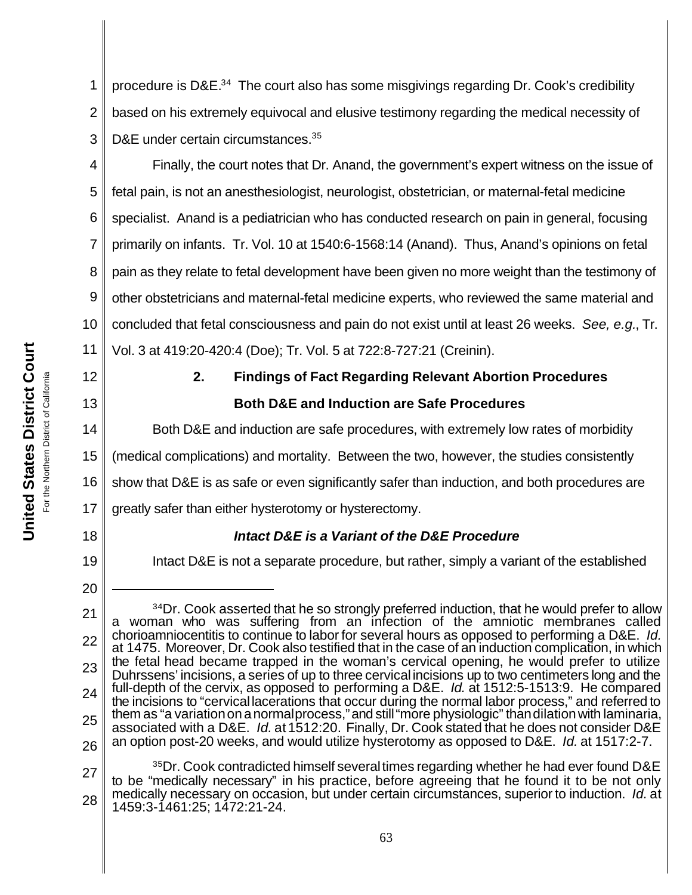1 2 3 procedure is D&E.<sup>34</sup> The court also has some misgivings regarding Dr. Cook's credibility based on his extremely equivocal and elusive testimony regarding the medical necessity of D&E under certain circumstances.<sup>35</sup>

4 5 6 7 8 9 10 11 Finally, the court notes that Dr. Anand, the government's expert witness on the issue of fetal pain, is not an anesthesiologist, neurologist, obstetrician, or maternal-fetal medicine specialist. Anand is a pediatrician who has conducted research on pain in general, focusing primarily on infants. Tr. Vol. 10 at 1540:6-1568:14 (Anand). Thus, Anand's opinions on fetal pain as they relate to fetal development have been given no more weight than the testimony of other obstetricians and maternal-fetal medicine experts, who reviewed the same material and concluded that fetal consciousness and pain do not exist until at least 26 weeks. *See, e.g.*, Tr. Vol. 3 at 419:20-420:4 (Doe); Tr. Vol. 5 at 722:8-727:21 (Creinin).

12

13

14

**United States District Court** For the Northern District of California

California

For the Northern District of

**United States District Court** 

## **2. Findings of Fact Regarding Relevant Abortion Procedures Both D&E and Induction are Safe Procedures**

Both D&E and induction are safe procedures, with extremely low rates of morbidity

15 (medical complications) and mortality. Between the two, however, the studies consistently

16 show that D&E is as safe or even significantly safer than induction, and both procedures are

17 greatly safer than either hysterotomy or hysterectomy.

18

19

20

## *Intact D&E is a Variant of the D&E Procedure*

Intact D&E is not a separate procedure, but rather, simply a variant of the established

<sup>21</sup> 22 23 24 25 26 <sup>34</sup>Dr. Cook asserted that he so strongly preferred induction, that he would prefer to allow a woman who was suffering from an infection of the amniotic membranes called chorioamniocentitis to continue to labor for several hours as opposed to performing a D&E. *Id.* at 1475. Moreover, Dr. Cook also testified that in the case of an induction complication, in which the fetal head became trapped in the woman's cervical opening, he would prefer to utilize Duhrssens' incisions, a series of up to three cervical incisions up to two centimeters long and the full-depth of the cervix, as opposed to performing a D&E. *Id.* at 1512:5-1513:9. He compared the incisions to "cervical lacerations that occur during the normal labor process," and referred to them as "a variation on a normal process," and still "more physiologic" than dilation with laminaria, associated with a D&E. *Id.* at 1512:20. Finally, Dr. Cook stated that he does not consider D&E an option post-20 weeks, and would utilize hysterotomy as opposed to D&E. *Id.* at 1517:2-7.

<sup>27</sup> 28 <sup>35</sup>Dr. Cook contradicted himself several times regarding whether he had ever found D&E to be "medically necessary" in his practice, before agreeing that he found it to be not only medically necessary on occasion, but under certain circumstances, superior to induction. *Id.* at 1459:3-1461:25; 1472:21-24.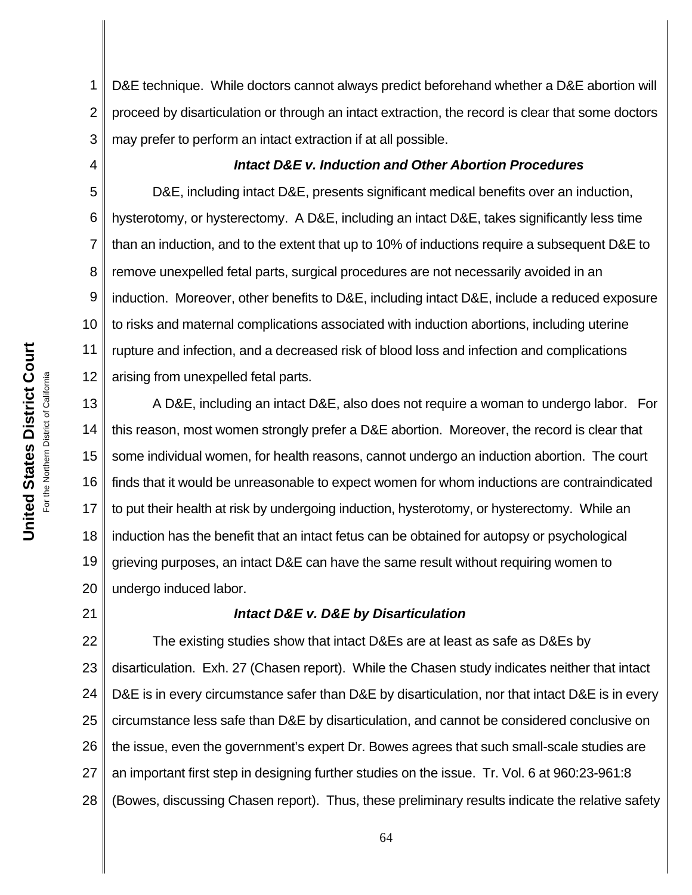1 2 3 D&E technique. While doctors cannot always predict beforehand whether a D&E abortion will proceed by disarticulation or through an intact extraction, the record is clear that some doctors may prefer to perform an intact extraction if at all possible.

## *Intact D&E v. Induction and Other Abortion Procedures*

5 6 7 8 10 12 D&E, including intact D&E, presents significant medical benefits over an induction, hysterotomy, or hysterectomy. A D&E, including an intact D&E, takes significantly less time than an induction, and to the extent that up to 10% of inductions require a subsequent D&E to remove unexpelled fetal parts, surgical procedures are not necessarily avoided in an induction. Moreover, other benefits to D&E, including intact D&E, include a reduced exposure to risks and maternal complications associated with induction abortions, including uterine rupture and infection, and a decreased risk of blood loss and infection and complications arising from unexpelled fetal parts.

13 14 15 16 17 18 19 20 A D&E, including an intact D&E, also does not require a woman to undergo labor. For this reason, most women strongly prefer a D&E abortion. Moreover, the record is clear that some individual women, for health reasons, cannot undergo an induction abortion. The court finds that it would be unreasonable to expect women for whom inductions are contraindicated to put their health at risk by undergoing induction, hysterotomy, or hysterectomy. While an induction has the benefit that an intact fetus can be obtained for autopsy or psychological grieving purposes, an intact D&E can have the same result without requiring women to undergo induced labor.

## *Intact D&E v. D&E by Disarticulation*

22 23 24 25 26 27 28 The existing studies show that intact D&Es are at least as safe as D&Es by disarticulation. Exh. 27 (Chasen report). While the Chasen study indicates neither that intact D&E is in every circumstance safer than D&E by disarticulation, nor that intact D&E is in every circumstance less safe than D&E by disarticulation, and cannot be considered conclusive on the issue, even the government's expert Dr. Bowes agrees that such small-scale studies are an important first step in designing further studies on the issue. Tr. Vol. 6 at 960:23-961:8 (Bowes, discussing Chasen report). Thus, these preliminary results indicate the relative safety

4

9

11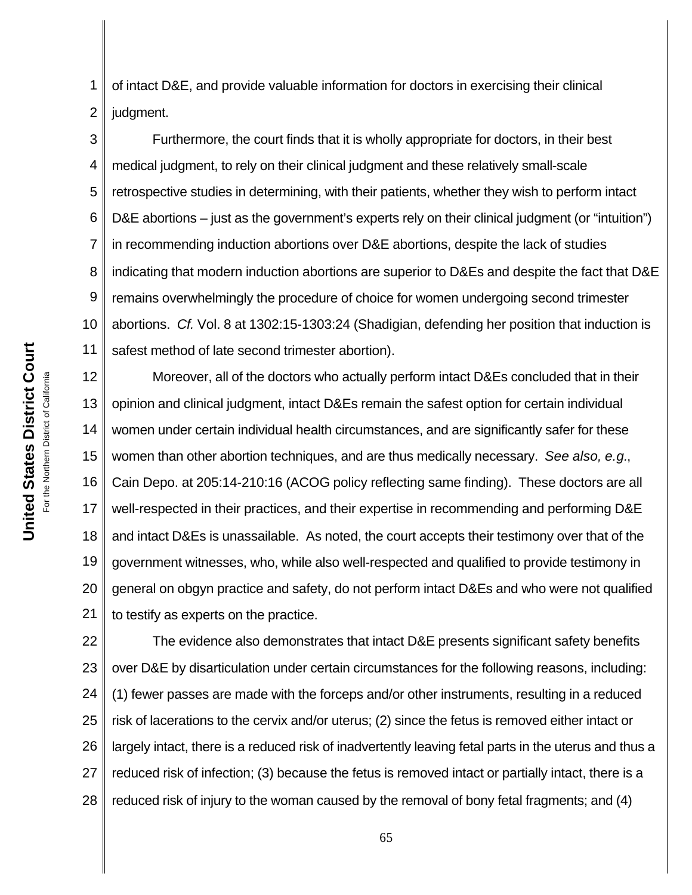1 2 of intact D&E, and provide valuable information for doctors in exercising their clinical judgment.

3 4 5 6 7 8 9 10 11 Furthermore, the court finds that it is wholly appropriate for doctors, in their best medical judgment, to rely on their clinical judgment and these relatively small-scale retrospective studies in determining, with their patients, whether they wish to perform intact D&E abortions – just as the government's experts rely on their clinical judgment (or "intuition") in recommending induction abortions over D&E abortions, despite the lack of studies indicating that modern induction abortions are superior to D&Es and despite the fact that D&E remains overwhelmingly the procedure of choice for women undergoing second trimester abortions. *Cf.* Vol. 8 at 1302:15-1303:24 (Shadigian, defending her position that induction is safest method of late second trimester abortion).

12 13 14 15 16 17 18 19 20 21 Moreover, all of the doctors who actually perform intact D&Es concluded that in their opinion and clinical judgment, intact D&Es remain the safest option for certain individual women under certain individual health circumstances, and are significantly safer for these women than other abortion techniques, and are thus medically necessary. *See also, e.g.*, Cain Depo. at 205:14-210:16 (ACOG policy reflecting same finding). These doctors are all well-respected in their practices, and their expertise in recommending and performing D&E and intact D&Es is unassailable. As noted, the court accepts their testimony over that of the government witnesses, who, while also well-respected and qualified to provide testimony in general on obgyn practice and safety, do not perform intact D&Es and who were not qualified to testify as experts on the practice.

22 23 24 25 26 27 28 The evidence also demonstrates that intact D&E presents significant safety benefits over D&E by disarticulation under certain circumstances for the following reasons, including: (1) fewer passes are made with the forceps and/or other instruments, resulting in a reduced risk of lacerations to the cervix and/or uterus; (2) since the fetus is removed either intact or largely intact, there is a reduced risk of inadvertently leaving fetal parts in the uterus and thus a reduced risk of infection; (3) because the fetus is removed intact or partially intact, there is a reduced risk of injury to the woman caused by the removal of bony fetal fragments; and (4)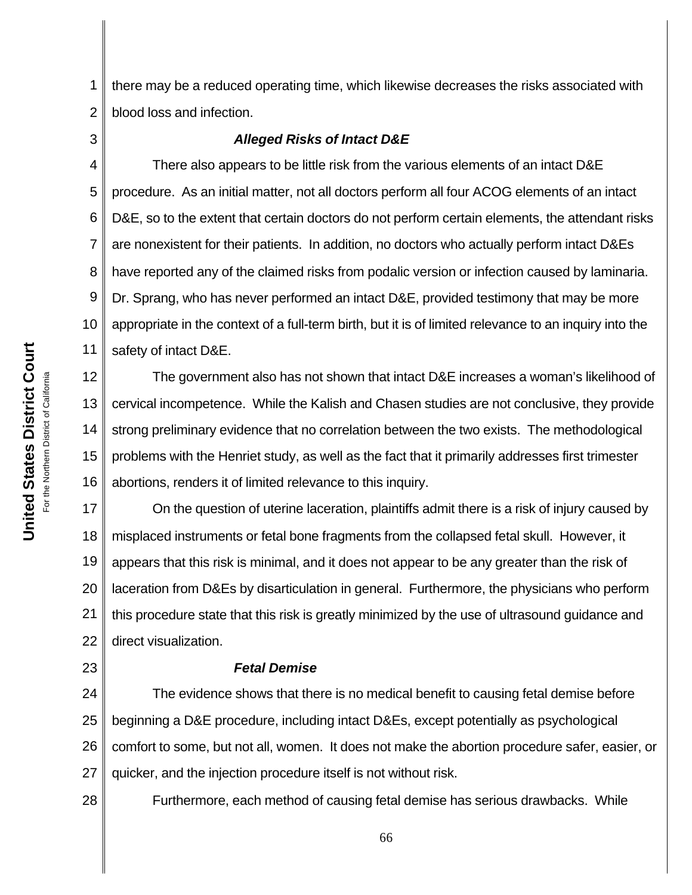1 2 there may be a reduced operating time, which likewise decreases the risks associated with blood loss and infection.

3

## *Alleged Risks of Intact D&E*

4 5 6 7 8 9 10 11 There also appears to be little risk from the various elements of an intact D&E procedure. As an initial matter, not all doctors perform all four ACOG elements of an intact D&E, so to the extent that certain doctors do not perform certain elements, the attendant risks are nonexistent for their patients. In addition, no doctors who actually perform intact D&Es have reported any of the claimed risks from podalic version or infection caused by laminaria. Dr. Sprang, who has never performed an intact D&E, provided testimony that may be more appropriate in the context of a full-term birth, but it is of limited relevance to an inquiry into the safety of intact D&E.

12 13 14 15 16 The government also has not shown that intact D&E increases a woman's likelihood of cervical incompetence. While the Kalish and Chasen studies are not conclusive, they provide strong preliminary evidence that no correlation between the two exists. The methodological problems with the Henriet study, as well as the fact that it primarily addresses first trimester abortions, renders it of limited relevance to this inquiry.

17 18 19 20 21 22 On the question of uterine laceration, plaintiffs admit there is a risk of injury caused by misplaced instruments or fetal bone fragments from the collapsed fetal skull. However, it appears that this risk is minimal, and it does not appear to be any greater than the risk of laceration from D&Es by disarticulation in general. Furthermore, the physicians who perform this procedure state that this risk is greatly minimized by the use of ultrasound guidance and direct visualization.

#### *Fetal Demise*

24 25 26 27 The evidence shows that there is no medical benefit to causing fetal demise before beginning a D&E procedure, including intact D&Es, except potentially as psychological comfort to some, but not all, women. It does not make the abortion procedure safer, easier, or quicker, and the injection procedure itself is not without risk.

Furthermore, each method of causing fetal demise has serious drawbacks. While

23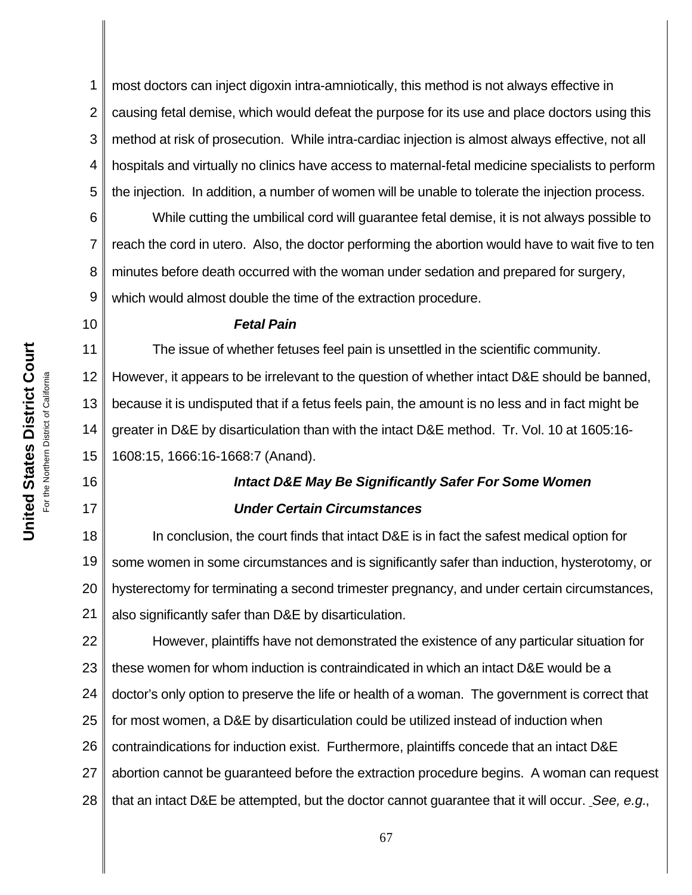1 2 3 4 5 most doctors can inject digoxin intra-amniotically, this method is not always effective in causing fetal demise, which would defeat the purpose for its use and place doctors using this method at risk of prosecution. While intra-cardiac injection is almost always effective, not all hospitals and virtually no clinics have access to maternal-fetal medicine specialists to perform the injection. In addition, a number of women will be unable to tolerate the injection process.

6 7 8 9 While cutting the umbilical cord will guarantee fetal demise, it is not always possible to reach the cord in utero. Also, the doctor performing the abortion would have to wait five to ten minutes before death occurred with the woman under sedation and prepared for surgery, which would almost double the time of the extraction procedure.

10

16

17

### *Fetal Pain*

11 12 13 14 The issue of whether fetuses feel pain is unsettled in the scientific community. However, it appears to be irrelevant to the question of whether intact D&E should be banned, because it is undisputed that if a fetus feels pain, the amount is no less and in fact might be greater in D&E by disarticulation than with the intact D&E method. Tr. Vol. 10 at 1605:16-

15 1608:15, 1666:16-1668:7 (Anand).

## *Intact D&E May Be Significantly Safer For Some Women Under Certain Circumstances*

18 19 20 21 In conclusion, the court finds that intact D&E is in fact the safest medical option for some women in some circumstances and is significantly safer than induction, hysterotomy, or hysterectomy for terminating a second trimester pregnancy, and under certain circumstances, also significantly safer than D&E by disarticulation.

22 23 24 25 26 27 28 However, plaintiffs have not demonstrated the existence of any particular situation for these women for whom induction is contraindicated in which an intact D&E would be a doctor's only option to preserve the life or health of a woman. The government is correct that for most women, a D&E by disarticulation could be utilized instead of induction when contraindications for induction exist. Furthermore, plaintiffs concede that an intact D&E abortion cannot be guaranteed before the extraction procedure begins. A woman can request that an intact D&E be attempted, but the doctor cannot guarantee that it will occur. *See, e.g.*,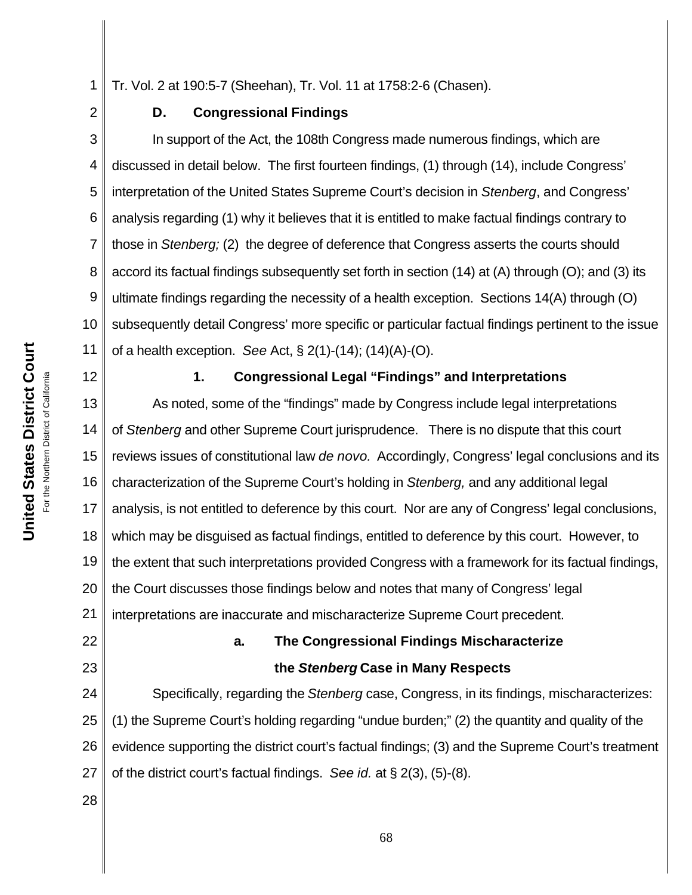1 Tr. Vol. 2 at 190:5-7 (Sheehan), Tr. Vol. 11 at 1758:2-6 (Chasen).

2

## **D. Congressional Findings**

3 4 5 6 7 8 9 10 11 In support of the Act, the 108th Congress made numerous findings, which are discussed in detail below. The first fourteen findings, (1) through (14), include Congress' interpretation of the United States Supreme Court's decision in *Stenberg*, and Congress' analysis regarding (1) why it believes that it is entitled to make factual findings contrary to those in *Stenberg;* (2) the degree of deference that Congress asserts the courts should accord its factual findings subsequently set forth in section (14) at (A) through (O); and (3) its ultimate findings regarding the necessity of a health exception. Sections 14(A) through (O) subsequently detail Congress' more specific or particular factual findings pertinent to the issue of a health exception. *See* Act, § 2(1)-(14); (14)(A)-(O).

12

## **1. Congressional Legal "Findings" and Interpretations**

13 14 15 16 17 18 19 20 21 22 As noted, some of the "findings" made by Congress include legal interpretations of *Stenberg* and other Supreme Court jurisprudence. There is no dispute that this court reviews issues of constitutional law *de novo.* Accordingly, Congress' legal conclusions and its characterization of the Supreme Court's holding in *Stenberg,* and any additional legal analysis, is not entitled to deference by this court. Nor are any of Congress' legal conclusions, which may be disguised as factual findings, entitled to deference by this court. However, to the extent that such interpretations provided Congress with a framework for its factual findings, the Court discusses those findings below and notes that many of Congress' legal interpretations are inaccurate and mischaracterize Supreme Court precedent.

# **a. The Congressional Findings Mischaracterize**

## **the** *Stenberg* **Case in Many Respects**

24 25 26 27 Specifically, regarding the *Stenberg* case, Congress, in its findings, mischaracterizes: (1) the Supreme Court's holding regarding "undue burden;" (2) the quantity and quality of the evidence supporting the district court's factual findings; (3) and the Supreme Court's treatment of the district court's factual findings. *See id.* at § 2(3), (5)-(8).

28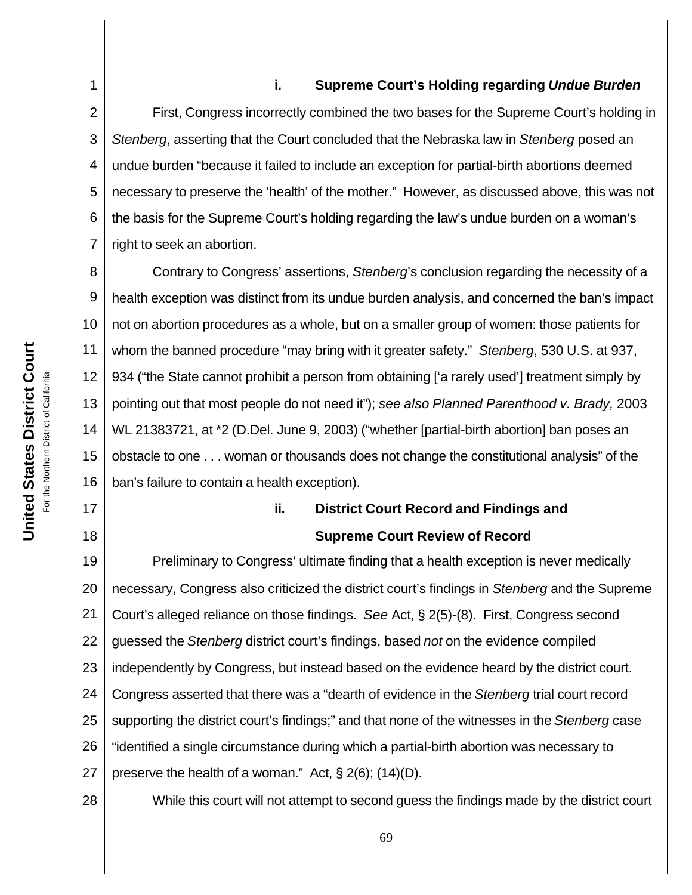#### **i. Supreme Court's Holding regarding** *Undue Burden*

2 3 4 5 6 7 8 9 10 First, Congress incorrectly combined the two bases for the Supreme Court's holding in *Stenberg*, asserting that the Court concluded that the Nebraska law in *Stenberg* posed an undue burden "because it failed to include an exception for partial-birth abortions deemed necessary to preserve the 'health' of the mother." However, as discussed above, this was not the basis for the Supreme Court's holding regarding the law's undue burden on a woman's right to seek an abortion. Contrary to Congress' assertions, *Stenberg*'s conclusion regarding the necessity of a

11 12 13 14 15 16 health exception was distinct from its undue burden analysis, and concerned the ban's impact not on abortion procedures as a whole, but on a smaller group of women: those patients for whom the banned procedure "may bring with it greater safety." *Stenberg*, 530 U.S. at 937, 934 ("the State cannot prohibit a person from obtaining ['a rarely used'] treatment simply by pointing out that most people do not need it"); *see also Planned Parenthood v. Brady,* 2003 WL 21383721, at \*2 (D.Del. June 9, 2003) ("whether [partial-birth abortion] ban poses an obstacle to one . . . woman or thousands does not change the constitutional analysis" of the ban's failure to contain a health exception).

## **ii.****District Court Record and Findings and Supreme Court Review of Record**

19 20 21 22 23 24 25 26 27 Preliminary to Congress' ultimate finding that a health exception is never medically necessary, Congress also criticized the district court's findings in *Stenberg* and the Supreme Court's alleged reliance on those findings. *See* Act, § 2(5)-(8). First, Congress second guessed the *Stenberg* district court's findings, based *not* on the evidence compiled independently by Congress, but instead based on the evidence heard by the district court. Congress asserted that there was a "dearth of evidence in the *Stenberg* trial court record supporting the district court's findings;" and that none of the witnesses in the *Stenberg* case "identified a single circumstance during which a partial-birth abortion was necessary to preserve the health of a woman." Act,  $\S 2(6)$ ; (14)(D).

28

17

18

While this court will not attempt to second guess the findings made by the district court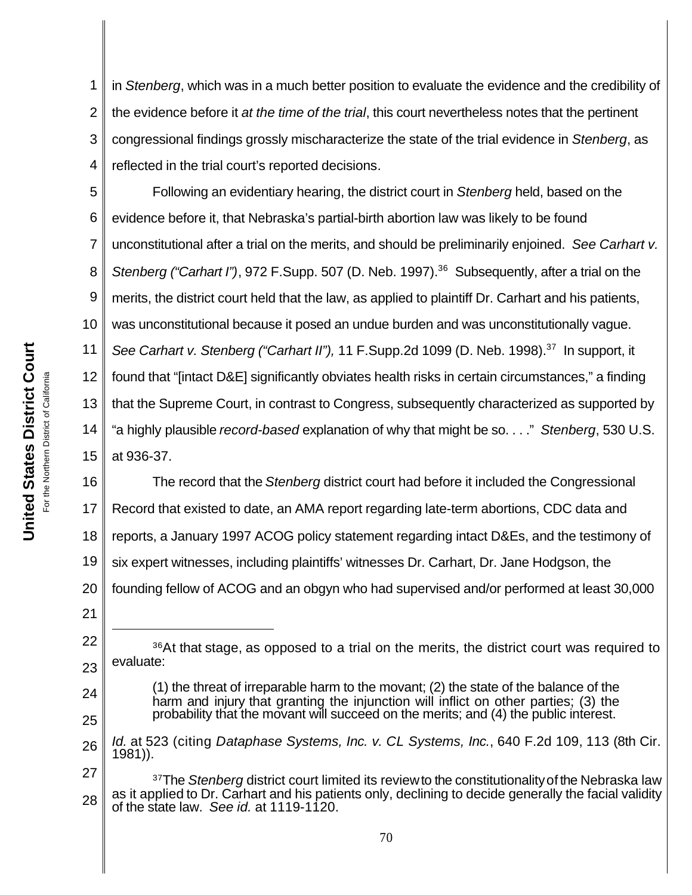1 2 3 4 in *Stenberg*, which was in a much better position to evaluate the evidence and the credibility of the evidence before it *at the time of the trial*, this court nevertheless notes that the pertinent congressional findings grossly mischaracterize the state of the trial evidence in *Stenberg*, as reflected in the trial court's reported decisions*.*

5 6 7 8 9 10 11 12 13 14 15 Following an evidentiary hearing, the district court in *Stenberg* held, based on the evidence before it, that Nebraska's partial-birth abortion law was likely to be found unconstitutional after a trial on the merits, and should be preliminarily enjoined. *See Carhart v. Stenberg ("Carhart I")*, 972 F.Supp. 507 (D. Neb. 1997).<sup>36</sup> Subsequently, after a trial on the merits, the district court held that the law, as applied to plaintiff Dr. Carhart and his patients, was unconstitutional because it posed an undue burden and was unconstitutionally vague. *See Carhart v. Stenberg ("Carhart II"),* 11 F.Supp.2d 1099 (D. Neb. 1998).<sup>37</sup> In support, it found that "[intact D&E] significantly obviates health risks in certain circumstances," a finding that the Supreme Court, in contrast to Congress, subsequently characterized as supported by "a highly plausible *record-based* explanation of why that might be so. . . ." *Stenberg*, 530 U.S. at 936-37.

16 17 18 19 20 21 The record that the *Stenberg* district court had before it included the Congressional Record that existed to date, an AMA report regarding late-term abortions, CDC data and reports, a January 1997 ACOG policy statement regarding intact D&Es, and the testimony of six expert witnesses, including plaintiffs' witnesses Dr. Carhart, Dr. Jane Hodgson, the founding fellow of ACOG and an obgyn who had supervised and/or performed at least 30,000

- 24 25 (1) the threat of irreparable harm to the movant; (2) the state of the balance of the harm and injury that granting the injunction will inflict on other parties; (3) the probability that the movant will succeed on the merits; and (4) the public interest.
- 26 *Id.* at 523 (citing *Dataphase Systems, Inc. v. CL Systems, Inc.*, 640 F.2d 109, 113 (8th Cir. 1981)).
- 27 28 <sup>37</sup>The *Stenberg* district court limited its review to the constitutionality of the Nebraska law as it applied to Dr. Carhart and his patients only, declining to decide generally the facial validity of the state law. *See id.* at 1119-1120.

<sup>23</sup> <sup>36</sup>At that stage, as opposed to a trial on the merits, the district court was required to evaluate: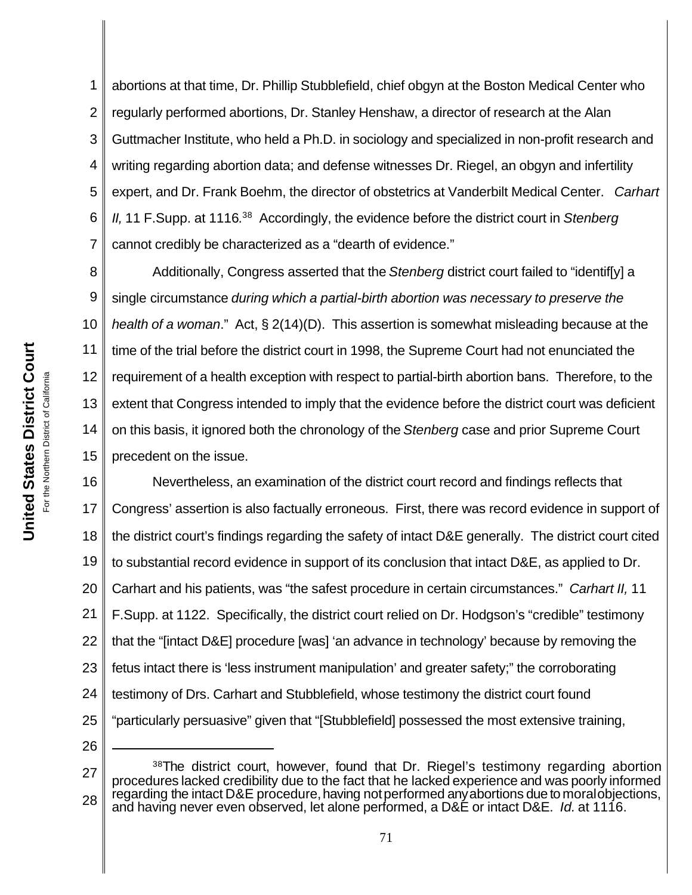1 2 3 4 5 6 7 abortions at that time, Dr. Phillip Stubblefield, chief obgyn at the Boston Medical Center who regularly performed abortions, Dr. Stanley Henshaw, a director of research at the Alan Guttmacher Institute, who held a Ph.D. in sociology and specialized in non-profit research and writing regarding abortion data; and defense witnesses Dr. Riegel, an obgyn and infertility expert, and Dr. Frank Boehm, the director of obstetrics at Vanderbilt Medical Center. *Carhart* II, 11 F. Supp. at 1116.<sup>38</sup> Accordingly, the evidence before the district court in *Stenberg* cannot credibly be characterized as a "dearth of evidence."

8 9 10 11 12 13 14 15 Additionally, Congress asserted that the *Stenberg* district court failed to "identif[y] a single circumstance *during which a partial-birth abortion was necessary to preserve the health of a woman*." Act, § 2(14)(D). This assertion is somewhat misleading because at the time of the trial before the district court in 1998, the Supreme Court had not enunciated the requirement of a health exception with respect to partial-birth abortion bans. Therefore, to the extent that Congress intended to imply that the evidence before the district court was deficient on this basis, it ignored both the chronology of the *Stenberg* case and prior Supreme Court precedent on the issue.

16 17 18 19 20 21 22 23 24 25 26 Nevertheless, an examination of the district court record and findings reflects that Congress' assertion is also factually erroneous. First, there was record evidence in support of the district court's findings regarding the safety of intact D&E generally. The district court cited to substantial record evidence in support of its conclusion that intact D&E, as applied to Dr. Carhart and his patients, was "the safest procedure in certain circumstances." *Carhart II,* 11 F.Supp. at 1122. Specifically, the district court relied on Dr. Hodgson's "credible" testimony that the "[intact D&E] procedure [was] 'an advance in technology' because by removing the fetus intact there is 'less instrument manipulation' and greater safety;" the corroborating testimony of Drs. Carhart and Stubblefield, whose testimony the district court found "particularly persuasive" given that "[Stubblefield] possessed the most extensive training,

27 28 <sup>38</sup>The district court, however, found that Dr. Riegel's testimony regarding abortion procedures lacked credibility due to the fact that he lacked experience and was poorly informed regarding the intact D&E procedure, having not performed any abortions due to moral objections, and having never even observed, let alone performed, a D&E or intact D&E. *Id.* at 1116.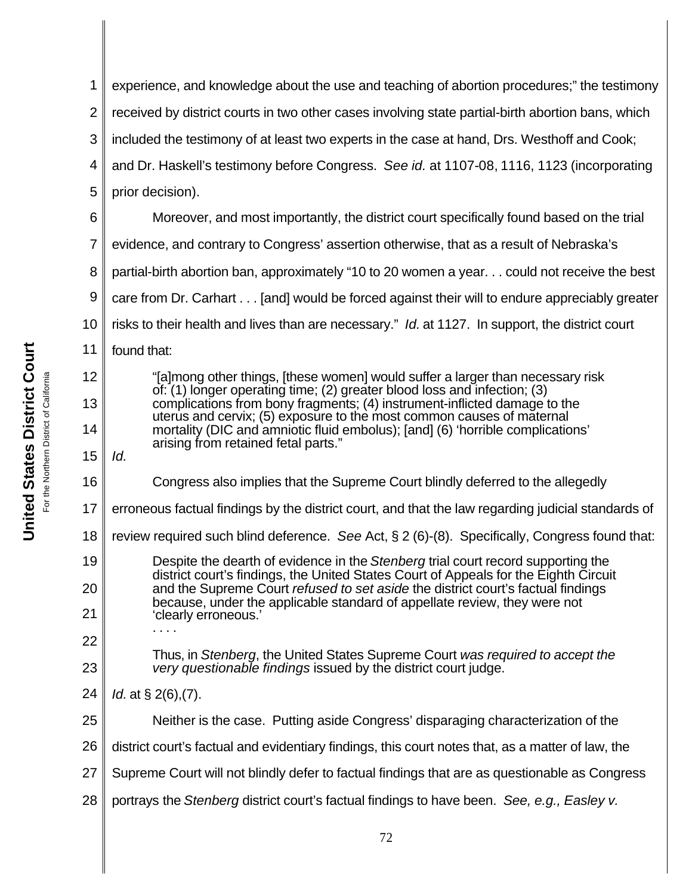2 3 4 5 6 7 8 9 10 11 12 13 14 15 16 17 18 19 20 21 22 23 24 25 26 27 28 experience, and knowledge about the use and teaching of abortion procedures;" the testimony received by district courts in two other cases involving state partial-birth abortion bans, which included the testimony of at least two experts in the case at hand, Drs. Westhoff and Cook; and Dr. Haskell's testimony before Congress. *See id.* at 1107*-*08, 1116, 1123 (incorporating prior decision). Moreover, and most importantly, the district court specifically found based on the trial evidence, and contrary to Congress' assertion otherwise, that as a result of Nebraska's partial-birth abortion ban, approximately "10 to 20 women a year. . . could not receive the best care from Dr. Carhart . . . [and] would be forced against their will to endure appreciably greater risks to their health and lives than are necessary." *Id.* at 1127. In support, the district court found that: "[a]mong other things, [these women] would suffer a larger than necessary risk of: (1) longer operating time; (2) greater blood loss and infection; (3) complications from bony fragments; (4) instrument-inflicted damage to the uterus and cervix; (5) exposure to the most common causes of maternal mortality (DIC and amniotic fluid embolus); [and] (6) 'horrible complications' arising from retained fetal parts." *Id.* Congress also implies that the Supreme Court blindly deferred to the allegedly erroneous factual findings by the district court, and that the law regarding judicial standards of review required such blind deference. *See* Act, § 2 (6)-(8). Specifically, Congress found that: Despite the dearth of evidence in the *Stenberg* trial court record supporting the district court's findings, the United States Court of Appeals for the Eighth Circuit and the Supreme Court *refused to set aside* the district court's factual findings because, under the applicable standard of appellate review, they were not 'clearly erroneous.' . . . . Thus, in *Stenberg*, the United States Supreme Court *was required to accept the very questionable findings* issued by the district court judge. *Id.* at § 2(6),(7). Neither is the case. Putting aside Congress' disparaging characterization of the district court's factual and evidentiary findings, this court notes that, as a matter of law, the Supreme Court will not blindly defer to factual findings that are as questionable as Congress portrays the *Stenberg* district court's factual findings to have been. *See, e.g., Easley v.*

**United States District Court United States District Court** California For the Northern District of California For the Northern District of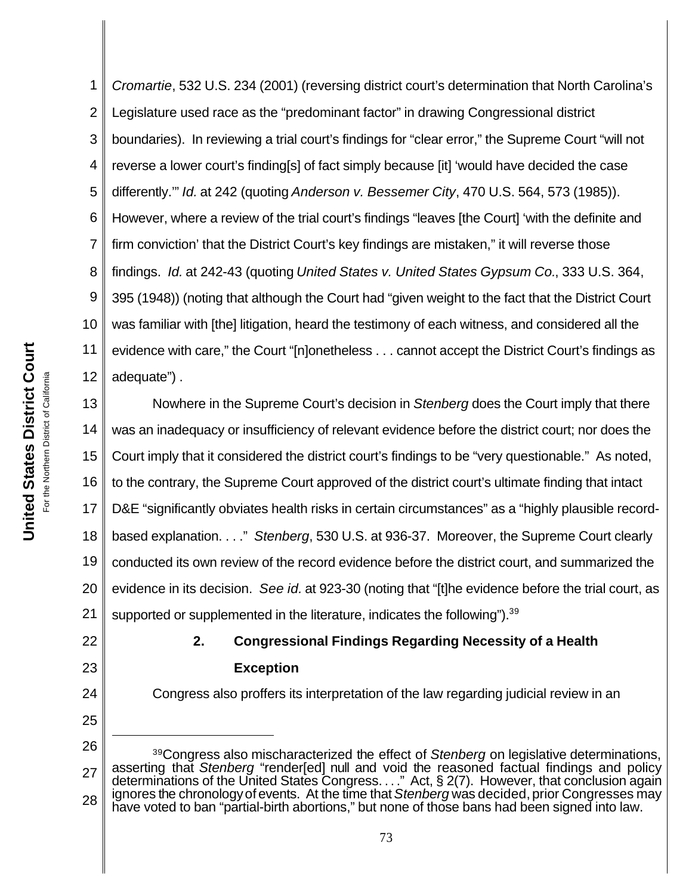1 2 3 4 5 6 7 8 9 10 11 12 *Cromartie*, 532 U.S. 234 (2001) (reversing district court's determination that North Carolina's Legislature used race as the "predominant factor" in drawing Congressional district boundaries). In reviewing a trial court's findings for "clear error," the Supreme Court "will not reverse a lower court's finding[s] of fact simply because [it] 'would have decided the case differently.'" *Id.* at 242 (quoting *Anderson v. Bessemer City*, 470 U.S. 564, 573 (1985)). However, where a review of the trial court's findings "leaves [the Court] 'with the definite and firm conviction' that the District Court's key findings are mistaken," it will reverse those findings. *Id.* at 242-43 (quoting *United States v. United States Gypsum Co.*, 333 U.S. 364, 395 (1948)) (noting that although the Court had "given weight to the fact that the District Court was familiar with [the] litigation, heard the testimony of each witness, and considered all the evidence with care," the Court "[n]onetheless . . . cannot accept the District Court's findings as adequate") .

13 14 15 16 17 18 19 20 21 Nowhere in the Supreme Court's decision in *Stenberg* does the Court imply that there was an inadequacy or insufficiency of relevant evidence before the district court; nor does the Court imply that it considered the district court's findings to be "very questionable." As noted, to the contrary, the Supreme Court approved of the district court's ultimate finding that intact D&E "significantly obviates health risks in certain circumstances" as a "highly plausible recordbased explanation. . . ." *Stenberg*, 530 U.S. at 936-37. Moreover, the Supreme Court clearly conducted its own review of the record evidence before the district court, and summarized the evidence in its decision. *See id.* at 923-30 (noting that "[t]he evidence before the trial court, as supported or supplemented in the literature, indicates the following").<sup>39</sup>

22

23

24

25

### **2. Congressional Findings Regarding Necessity of a Health Exception**

Congress also proffers its interpretation of the law regarding judicial review in an

<sup>26</sup> 27 28 <sup>39</sup>Congress also mischaracterized the effect of *Stenberg* on legislative determinations, asserting that *Stenberg* "render[ed] null and void the reasoned factual findings and policy determinations of the United States Congress. . . ." Act, § 2(7). However, that conclusion again ignores the chronology of events. At the time that *Stenberg* was decided, prior Congresses may have voted to ban "partial-birth abortions," but none of those bans had been signed into law.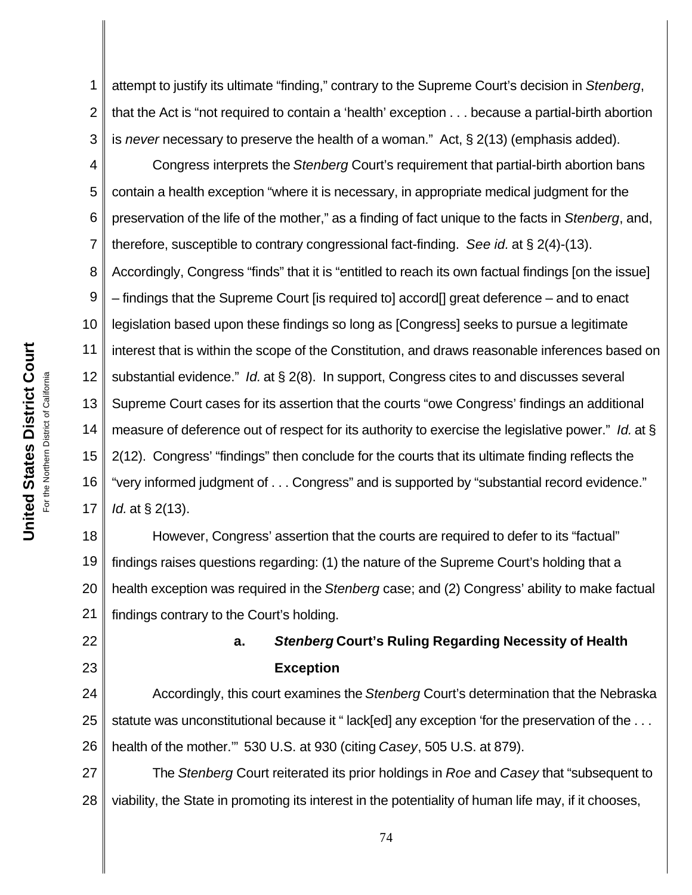1 2 3 attempt to justify its ultimate "finding," contrary to the Supreme Court's decision in *Stenberg*, that the Act is "not required to contain a 'health' exception . . . because a partial-birth abortion is *never* necessary to preserve the health of a woman." Act, § 2(13) (emphasis added).

4 5 6 7 8 9 10 11 12 13 14 15 16 17 Congress interprets the *Stenberg* Court's requirement that partial-birth abortion bans contain a health exception "where it is necessary, in appropriate medical judgment for the preservation of the life of the mother," as a finding of fact unique to the facts in *Stenberg*, and, therefore, susceptible to contrary congressional fact-finding. *See id.* at § 2(4)-(13). Accordingly, Congress "finds" that it is "entitled to reach its own factual findings [on the issue] – findings that the Supreme Court [is required to] accord[] great deference – and to enact legislation based upon these findings so long as [Congress] seeks to pursue a legitimate interest that is within the scope of the Constitution, and draws reasonable inferences based on substantial evidence." *Id.* at § 2(8). In support, Congress cites to and discusses several Supreme Court cases for its assertion that the courts "owe Congress' findings an additional measure of deference out of respect for its authority to exercise the legislative power." *Id.* at § 2(12). Congress' "findings" then conclude for the courts that its ultimate finding reflects the "very informed judgment of . . . Congress" and is supported by "substantial record evidence." *Id.* at § 2(13).

18 19 20 21 However, Congress' assertion that the courts are required to defer to its "factual" findings raises questions regarding: (1) the nature of the Supreme Court's holding that a health exception was required in the *Stenberg* case; and (2) Congress' ability to make factual findings contrary to the Court's holding.

> **a.** *Stenberg* **Court's Ruling Regarding Necessity of Health Exception**

24 25 26 Accordingly, this court examines the *Stenberg* Court's determination that the Nebraska statute was unconstitutional because it "lack[ed] any exception 'for the preservation of the . . . health of the mother.'"530 U.S. at 930 (citing *Casey*, 505 U.S. at 879).

27 28 The *Stenberg* Court reiterated its prior holdings in *Roe* and *Casey* that "subsequent to viability, the State in promoting its interest in the potentiality of human life may, if it chooses,

22

23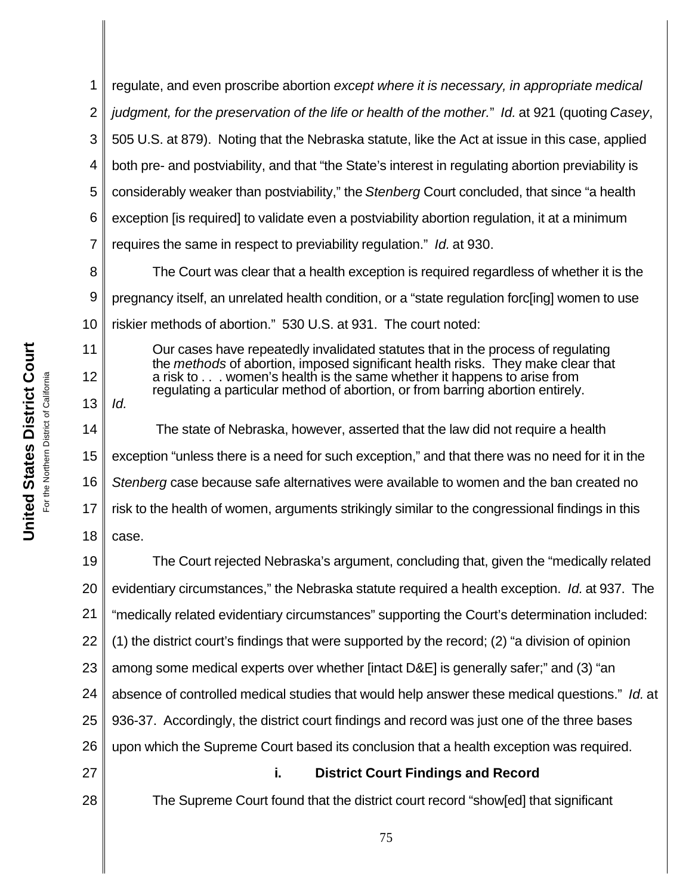1 2 3 4 5 6 7 8 9 10 11 12 13 14 15 16 17 18 19 20 21 22 23 24 25 26 27 28 75 regulate, and even proscribe abortion *except where it is necessary, in appropriate medical judgment, for the preservation of the life or health of the mother.*" *Id.* at 921 (quoting *Casey*, 505 U.S. at 879). Noting that the Nebraska statute, like the Act at issue in this case, applied both pre- and postviability, and that "the State's interest in regulating abortion previability is considerably weaker than postviability," the *Stenberg* Court concluded, that since "a health exception [is required] to validate even a postviability abortion regulation, it at a minimum requires the same in respect to previability regulation." *Id.* at 930. The Court was clear that a health exception is required regardless of whether it is the pregnancy itself, an unrelated health condition, or a "state regulation forc[ing] women to use riskier methods of abortion." 530 U.S. at 931. The court noted: Our cases have repeatedly invalidated statutes that in the process of regulating the *methods* of abortion, imposed significant health risks. They make clear that a risk to . . . women's health is the same whether it happens to arise from regulating a particular method of abortion, or from barring abortion entirely. *Id.* The state of Nebraska, however, asserted that the law did not require a health exception "unless there is a need for such exception," and that there was no need for it in the *Stenberg* case because safe alternatives were available to women and the ban created no risk to the health of women, arguments strikingly similar to the congressional findings in this case. The Court rejected Nebraska's argument, concluding that, given the "medically related evidentiary circumstances," the Nebraska statute required a health exception. *Id.* at 937. The "medically related evidentiary circumstances" supporting the Court's determination included: (1) the district court's findings that were supported by the record; (2) "a division of opinion among some medical experts over whether [intact D&E] is generally safer;" and (3) "an absence of controlled medical studies that would help answer these medical questions." *Id.* at 936-37. Accordingly, the district court findings and record was just one of the three bases upon which the Supreme Court based its conclusion that a health exception was required. **i. District Court Findings and Record** The Supreme Court found that the district court record "show[ed] that significant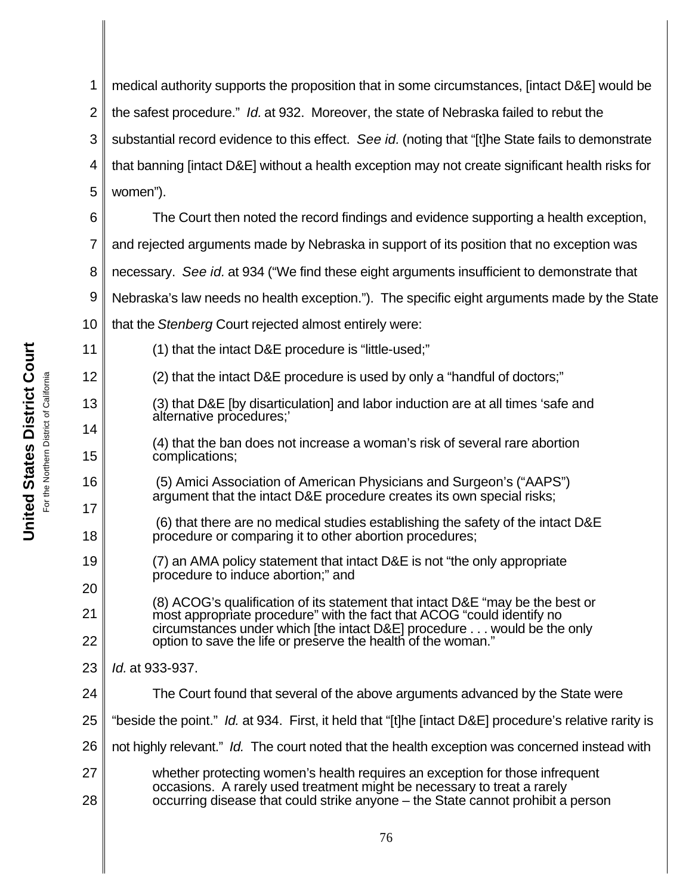1 2 3 4 5 6 medical authority supports the proposition that in some circumstances, [intact D&E] would be the safest procedure." *Id.* at 932. Moreover, the state of Nebraska failed to rebut the substantial record evidence to this effect. *See id.* (noting that "[t]he State fails to demonstrate that banning [intact D&E] without a health exception may not create significant health risks for women"). The Court then noted the record findings and evidence supporting a health exception,

7 and rejected arguments made by Nebraska in support of its position that no exception was

8 necessary. *See id.* at 934 ("We find these eight arguments insufficient to demonstrate that

9 Nebraska's law needs no health exception."). The specific eight arguments made by the State

10 that the *Stenberg* Court rejected almost entirely were:

- (1) that the intact D&E procedure is "little-used;"
- (2) that the intact D&E procedure is used by only a "handful of doctors;"
- (3) that D&E [by disarticulation] and labor induction are at all times 'safe and alternative procedures;'
	- (4) that the ban does not increase a woman's risk of several rare abortion complications;
	- (5) Amici Association of American Physicians and Surgeon's ("AAPS") argument that the intact D&E procedure creates its own special risks;
- (6) that there are no medical studies establishing the safety of the intact D&E procedure or comparing it to other abortion procedures;
- 19 (7) an AMA policy statement that intact D&E is not "the only appropriate procedure to induce abortion;" and
- 20 21 22 (8) ACOG's qualification of its statement that intact D&E "may be the best or most appropriate procedure" with the fact that ACOG "could identify no circumstances under which [the intact D&E] procedure . . . would be the only option to save the life or preserve the health of the woman."
- 23 *Id.* at 933-937.
- 24 The Court found that several of the above arguments advanced by the State were
- 25 "beside the point." *Id.* at 934. First, it held that "[t]he [intact D&E] procedure's relative rarity is
- 26 not highly relevant." *Id.* The court noted that the health exception was concerned instead with
- 27 28 whether protecting women's health requires an exception for those infrequent occasions. A rarely used treatment might be necessary to treat a rarely occurring disease that could strike anyone – the State cannot prohibit a person

11

12

13

14

15

16

17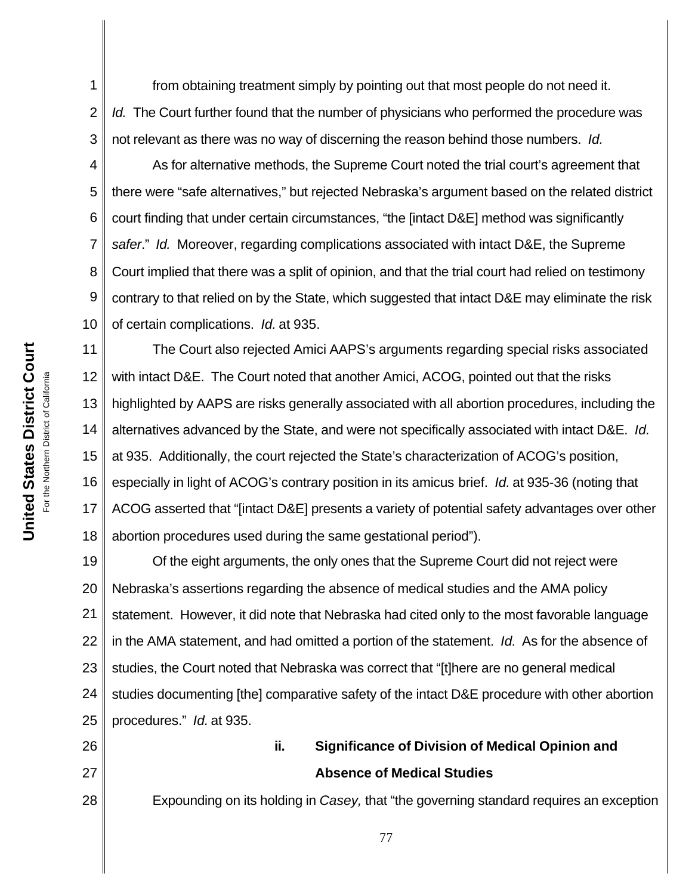1 2 3 from obtaining treatment simply by pointing out that most people do not need it. *Id.* The Court further found that the number of physicians who performed the procedure was not relevant as there was no way of discerning the reason behind those numbers. *Id.*

4 5 6 7 8 9 10 As for alternative methods, the Supreme Court noted the trial court's agreement that there were "safe alternatives," but rejected Nebraska's argument based on the related district court finding that under certain circumstances, "the [intact D&E] method was significantly *safer*." *Id.* Moreover, regarding complications associated with intact D&E, the Supreme Court implied that there was a split of opinion, and that the trial court had relied on testimony contrary to that relied on by the State, which suggested that intact D&E may eliminate the risk of certain complications. *Id.* at 935.

11 12 13 14 15 16 17 18 The Court also rejected Amici AAPS's arguments regarding special risks associated with intact D&E. The Court noted that another Amici, ACOG, pointed out that the risks highlighted by AAPS are risks generally associated with all abortion procedures, including the alternatives advanced by the State, and were not specifically associated with intact D&E. *Id.* at 935. Additionally, the court rejected the State's characterization of ACOG's position, especially in light of ACOG's contrary position in its amicus brief. *Id.* at 935-36 (noting that ACOG asserted that "[intact D&E] presents a variety of potential safety advantages over other abortion procedures used during the same gestational period").

19 20 21 22 23 24 25 Of the eight arguments, the only ones that the Supreme Court did not reject were Nebraska's assertions regarding the absence of medical studies and the AMA policy statement. However, it did note that Nebraska had cited only to the most favorable language in the AMA statement, and had omitted a portion of the statement. *Id.* As for the absence of studies, the Court noted that Nebraska was correct that "[t]here are no general medical studies documenting [the] comparative safety of the intact D&E procedure with other abortion procedures." *Id.* at 935.

## **ii. Significance of Division of Medical Opinion and Absence of Medical Studies**

Expounding on its holding in *Casey,* that "the governing standard requires an exception

26

27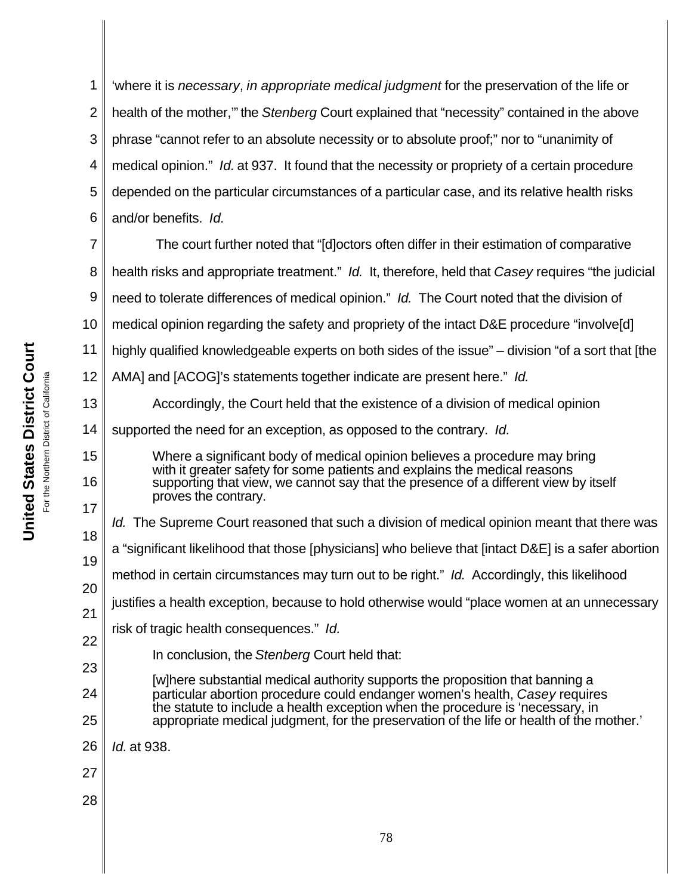1 2 3 4 5 6 'where it is *necessary*, *in appropriate medical judgment* for the preservation of the life or health of the mother,'" the *Stenberg* Court explained that "necessity" contained in the above phrase "cannot refer to an absolute necessity or to absolute proof;" nor to "unanimity of medical opinion." *Id.* at 937. It found that the necessity or propriety of a certain procedure depended on the particular circumstances of a particular case, and its relative health risks and/or benefits.*Id.*

7 8 9 10 11 12 The court further noted that "[d]octors often differ in their estimation of comparative health risks and appropriate treatment." *Id.* It, therefore, held that *Casey* requires "the judicial need to tolerate differences of medical opinion." *Id.* The Court noted that the division of medical opinion regarding the safety and propriety of the intact D&E procedure "involve[d] highly qualified knowledgeable experts on both sides of the issue" – division "of a sort that [the AMA] and [ACOG]'s statements together indicate are present here." *Id.* 

Accordingly, the Court held that the existence of a division of medical opinion

14 supported the need for an exception, as opposed to the contrary. *Id.*

Where a significant body of medical opinion believes a procedure may bring with it greater safety for some patients and explains the medical reasons supporting that view, we cannot say that the presence of a different view by itself proves the contrary.

18 *Id.* The Supreme Court reasoned that such a division of medical opinion meant that there was

19 a "significant likelihood that those [physicians] who believe that [intact D&E] is a safer abortion

20 method in certain circumstances may turn out to be right." *Id.* Accordingly, this likelihood

21 justifies a health exception, because to hold otherwise would "place women at an unnecessary

risk of tragic health consequences." *Id.*

In conclusion, the *Stenberg* Court held that:

24 [w]here substantial medical authority supports the proposition that banning a particular abortion procedure could endanger women's health, *Casey* requires the statute to include a health exception when the procedure is 'necessary, in appropriate medical judgment, for the preservation of the life or health of the mother.'

26 *Id.* at 938.

- 27
- 28

13

15

16

17

22

23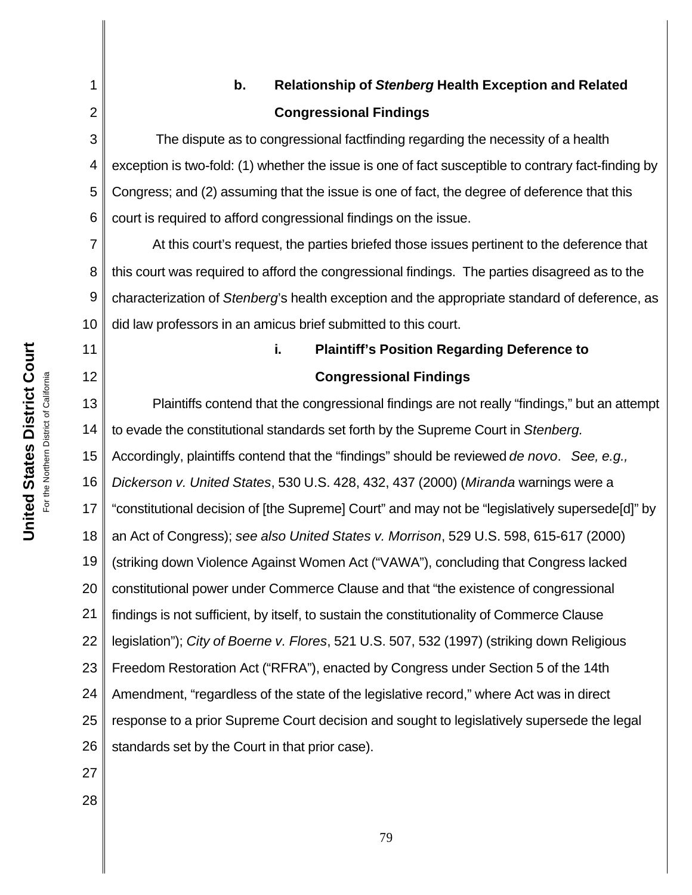1

2

11

12

# **b. Relationship of** *Stenberg* **Health Exception and Related Congressional Findings**

3 4 5 6 The dispute as to congressional factfinding regarding the necessity of a health exception is two-fold: (1) whether the issue is one of fact susceptible to contrary fact-finding by Congress; and (2) assuming that the issue is one of fact, the degree of deference that this court is required to afford congressional findings on the issue.

7 8 9 10 At this court's request, the parties briefed those issues pertinent to the deference that this court was required to afford the congressional findings. The parties disagreed as to the characterization of *Stenberg*'s health exception and the appropriate standard of deference, as did law professors in an amicus brief submitted to this court.

## **Congressional Findings**

**i. Plaintiff's Position Regarding Deference to** 

13 14 15 16 17 18 19 20 21 22 23 24 25 26 Plaintiffs contend that the congressional findings are not really "findings," but an attempt to evade the constitutional standards set forth by the Supreme Court in *Stenberg.* Accordingly, plaintiffs contend that the "findings" should be reviewed *de novo*. *See, e.g., Dickerson v. United States*, 530 U.S. 428, 432, 437 (2000) (*Miranda* warnings were a "constitutional decision of [the Supreme] Court" and may not be "legislatively supersede[d]" by an Act of Congress); *see also United States v. Morrison*, 529 U.S. 598, 615-617 (2000) (striking down Violence Against Women Act ("VAWA"), concluding that Congress lacked constitutional power under Commerce Clause and that "the existence of congressional findings is not sufficient, by itself, to sustain the constitutionality of Commerce Clause legislation"); *City of Boerne v. Flores*, 521 U.S. 507, 532 (1997) (striking down Religious Freedom Restoration Act ("RFRA"), enacted by Congress under Section 5 of the 14th Amendment, "regardless of the state of the legislative record," where Act was in direct response to a prior Supreme Court decision and sought to legislatively supersede the legal standards set by the Court in that prior case).

- 27
- 28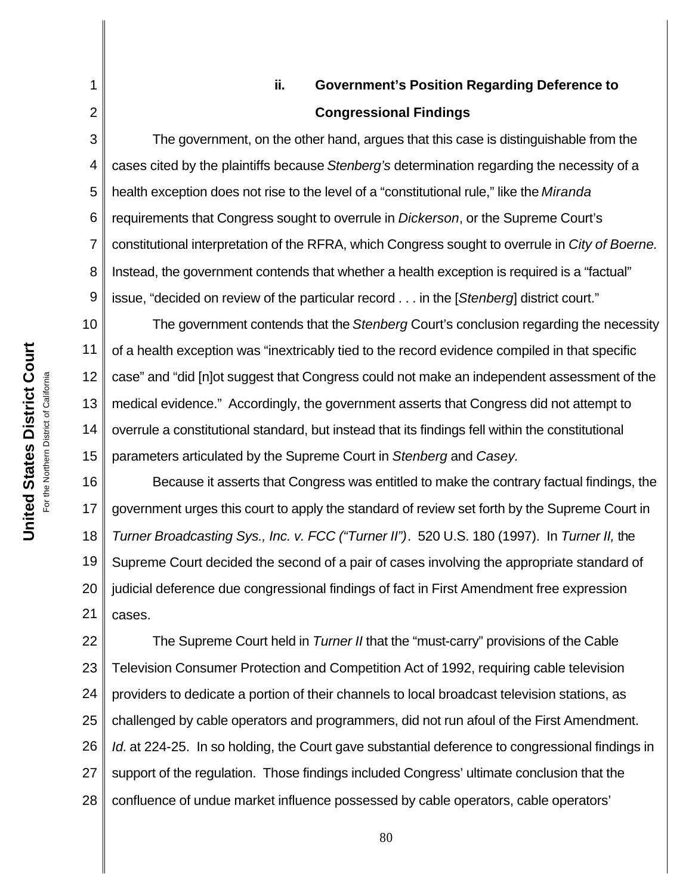## **ii. Government's Position Regarding Deference to Congressional Findings**

The government, on the other hand, argues that this case is distinguishable from the cases cited by the plaintiffs because *Stenberg's* determination regarding the necessity of a health exception does not rise to the level of a "constitutional rule," like the *Miranda* requirements that Congress sought to overrule in *Dickerson*, or the Supreme Court's constitutional interpretation of the RFRA, which Congress sought to overrule in *City of Boerne.*  Instead, the government contends that whether a health exception is required is a "factual" issue, "decided on review of the particular record . . . in the [*Stenberg*] district court."

10 11 12 13 14 15 The government contends that the *Stenberg* Court's conclusion regarding the necessity of a health exception was "inextricably tied to the record evidence compiled in that specific case" and "did [n]ot suggest that Congress could not make an independent assessment of the medical evidence." Accordingly, the government asserts that Congress did not attempt to overrule a constitutional standard, but instead that its findings fell within the constitutional parameters articulated by the Supreme Court in *Stenberg* and *Casey.*

16 17 18 19 20 21 Because it asserts that Congress was entitled to make the contrary factual findings, the government urges this court to apply the standard of review set forth by the Supreme Court in *Turner Broadcasting Sys., Inc. v. FCC ("Turner II")*. 520 U.S. 180 (1997). In *Turner II,* the Supreme Court decided the second of a pair of cases involving the appropriate standard of judicial deference due congressional findings of fact in First Amendment free expression cases.

22 23 24 25 26 27 28 The Supreme Court held in *Turner II* that the "must-carry" provisions of the Cable Television Consumer Protection and Competition Act of 1992, requiring cable television providers to dedicate a portion of their channels to local broadcast television stations, as challenged by cable operators and programmers, did not run afoul of the First Amendment. *Id.* at 224-25. In so holding, the Court gave substantial deference to congressional findings in support of the regulation. Those findings included Congress' ultimate conclusion that the confluence of undue market influence possessed by cable operators, cable operators'

1

2

3

4

5

6

7

8

9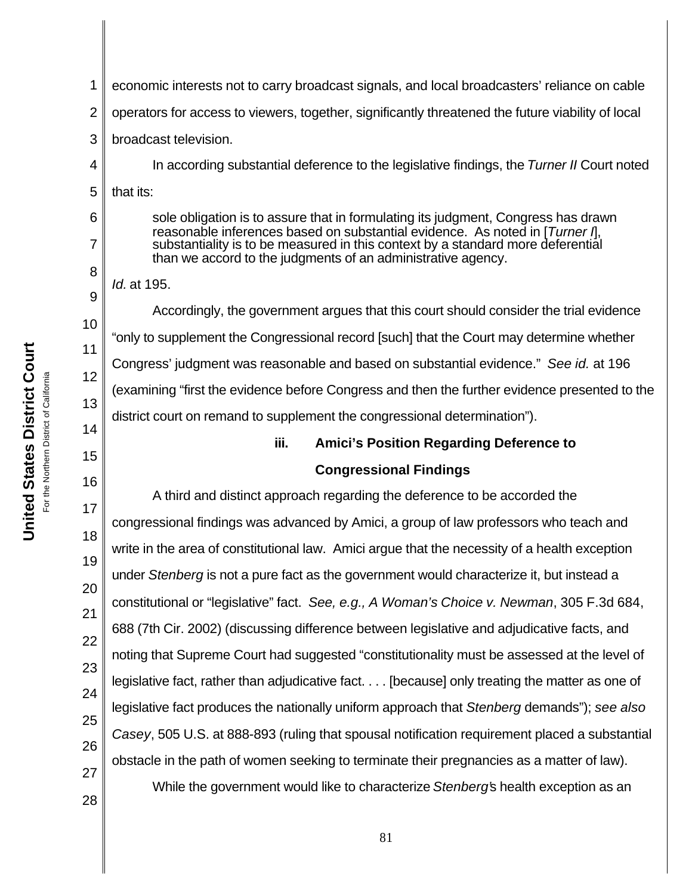| 1                                                                                                                        | economic interests not to carry broadcast signals, and local broadcasters' reliance on cable                                                                                                                                                                                                                                                                                                                                                                                                                                                                                                                                                                                                                                                                                                                                                                                                                                                                                                                                      |
|--------------------------------------------------------------------------------------------------------------------------|-----------------------------------------------------------------------------------------------------------------------------------------------------------------------------------------------------------------------------------------------------------------------------------------------------------------------------------------------------------------------------------------------------------------------------------------------------------------------------------------------------------------------------------------------------------------------------------------------------------------------------------------------------------------------------------------------------------------------------------------------------------------------------------------------------------------------------------------------------------------------------------------------------------------------------------------------------------------------------------------------------------------------------------|
| $\overline{2}$                                                                                                           | operators for access to viewers, together, significantly threatened the future viability of local                                                                                                                                                                                                                                                                                                                                                                                                                                                                                                                                                                                                                                                                                                                                                                                                                                                                                                                                 |
| 3                                                                                                                        | broadcast television.                                                                                                                                                                                                                                                                                                                                                                                                                                                                                                                                                                                                                                                                                                                                                                                                                                                                                                                                                                                                             |
| 4                                                                                                                        | In according substantial deference to the legislative findings, the Turner II Court noted                                                                                                                                                                                                                                                                                                                                                                                                                                                                                                                                                                                                                                                                                                                                                                                                                                                                                                                                         |
| 5                                                                                                                        | that its:                                                                                                                                                                                                                                                                                                                                                                                                                                                                                                                                                                                                                                                                                                                                                                                                                                                                                                                                                                                                                         |
| 6<br>7                                                                                                                   | sole obligation is to assure that in formulating its judgment, Congress has drawn<br>reasonable inferences based on substantial evidence. As noted in [Turner I],<br>substantiality is to be measured in this context by a standard more deferential<br>than we accord to the judgments of an administrative agency.                                                                                                                                                                                                                                                                                                                                                                                                                                                                                                                                                                                                                                                                                                              |
| 8<br>9<br>10<br>11<br>12<br>13<br>14<br>15<br>16<br>17<br>18<br>19<br>20<br>21<br>22<br>23<br>24<br>25<br>26<br>27<br>28 | Id. at 195.<br>Accordingly, the government argues that this court should consider the trial evidence<br>"only to supplement the Congressional record [such] that the Court may determine whether<br>Congress' judgment was reasonable and based on substantial evidence." See id. at 196<br>(examining "first the evidence before Congress and then the further evidence presented to the<br>district court on remand to supplement the congressional determination").<br>iii.<br><b>Amici's Position Regarding Deference to</b><br><b>Congressional Findings</b><br>A third and distinct approach regarding the deference to be accorded the<br>congressional findings was advanced by Amici, a group of law professors who teach and<br>write in the area of constitutional law. Amici argue that the necessity of a health exception<br>under Stenberg is not a pure fact as the government would characterize it, but instead a<br>constitutional or "legislative" fact. See, e.g., A Woman's Choice v. Newman, 305 F.3d 684, |
|                                                                                                                          | 688 (7th Cir. 2002) (discussing difference between legislative and adjudicative facts, and<br>noting that Supreme Court had suggested "constitutionality must be assessed at the level of<br>legislative fact, rather than adjudicative fact. [because] only treating the matter as one of<br>legislative fact produces the nationally uniform approach that Stenberg demands"); see also<br>Casey, 505 U.S. at 888-893 (ruling that spousal notification requirement placed a substantial<br>obstacle in the path of women seeking to terminate their pregnancies as a matter of law).<br>While the government would like to characterize Stenberg's health exception as an<br>81                                                                                                                                                                                                                                                                                                                                                |

**United States District Court United States District Court** For the Northern District of California  $\mathbf l$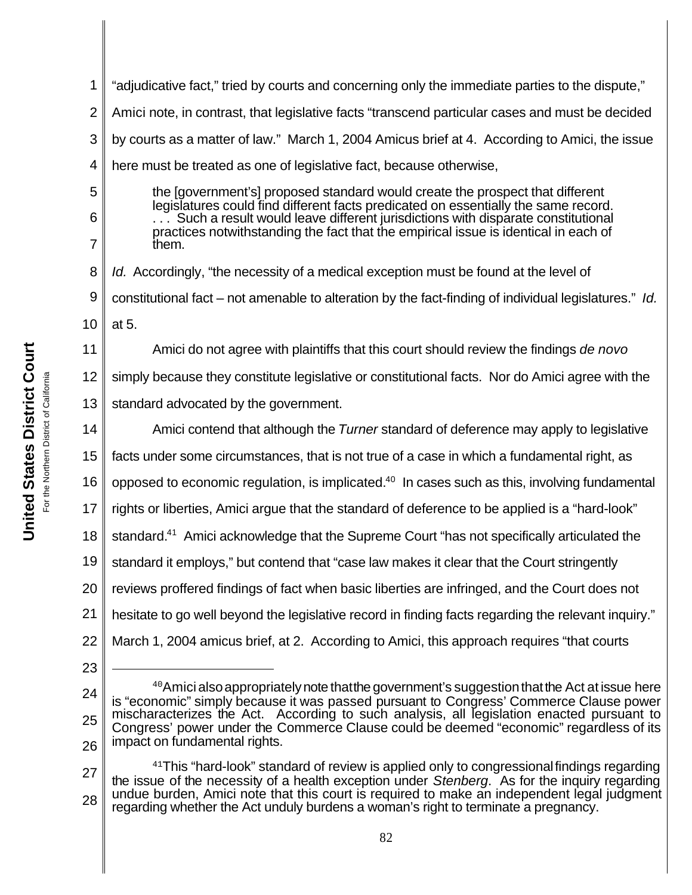1 2 3 4 5 6 7 8 9 10 11 12 13 14 15 16 17 18 19 20 21 22 23 24 25 26 27 28 <sup>40</sup>Amici also appropriately note that the government's suggestion that the Act at issue here is "economic" simply because it was passed pursuant to Congress' Commerce Clause power mischaracterizes the Act. According to such analysis, all legislation enacted pursuant to Congress' power under the Commerce Clause could be deemed "economic" regardless of its impact on fundamental rights.  $41$ This "hard-look" standard of review is applied only to congressional findings regarding the issue of the necessity of a health exception under *Stenberg*. As for the inquiry regarding undue burden, Amici note that this court is required to make an independent legal judgment regarding whether the Act unduly burdens a woman's right to terminate a pregnancy. 82 "adjudicative fact," tried by courts and concerning only the immediate parties to the dispute," Amici note, in contrast, that legislative facts "transcend particular cases and must be decided by courts as a matter of law." March 1, 2004 Amicus brief at 4. According to Amici, the issue here must be treated as one of legislative fact, because otherwise, the [government's] proposed standard would create the prospect that different legislatures could find different facts predicated on essentially the same record. ... Such a result would leave different jurisdictions with disparate constitutional practices notwithstanding the fact that the empirical issue is identical in each of them. *Id.* Accordingly, "the necessity of a medical exception must be found at the level of constitutional fact – not amenable to alteration by the fact-finding of individual legislatures." *Id.* at 5. Amici do not agree with plaintiffs that this court should review the findings *de novo* simply because they constitute legislative or constitutional facts. Nor do Amici agree with the standard advocated by the government. Amici contend that although the *Turner* standard of deference may apply to legislative facts under some circumstances, that is not true of a case in which a fundamental right, as opposed to economic regulation, is implicated. $40$  In cases such as this, involving fundamental rights or liberties, Amici argue that the standard of deference to be applied is a "hard-look" standard.<sup>41</sup> Amici acknowledge that the Supreme Court "has not specifically articulated the standard it employs," but contend that "case law makes it clear that the Court stringently reviews proffered findings of fact when basic liberties are infringed, and the Court does not hesitate to go well beyond the legislative record in finding facts regarding the relevant inquiry." March 1, 2004 amicus brief, at 2. According to Amici, this approach requires "that courts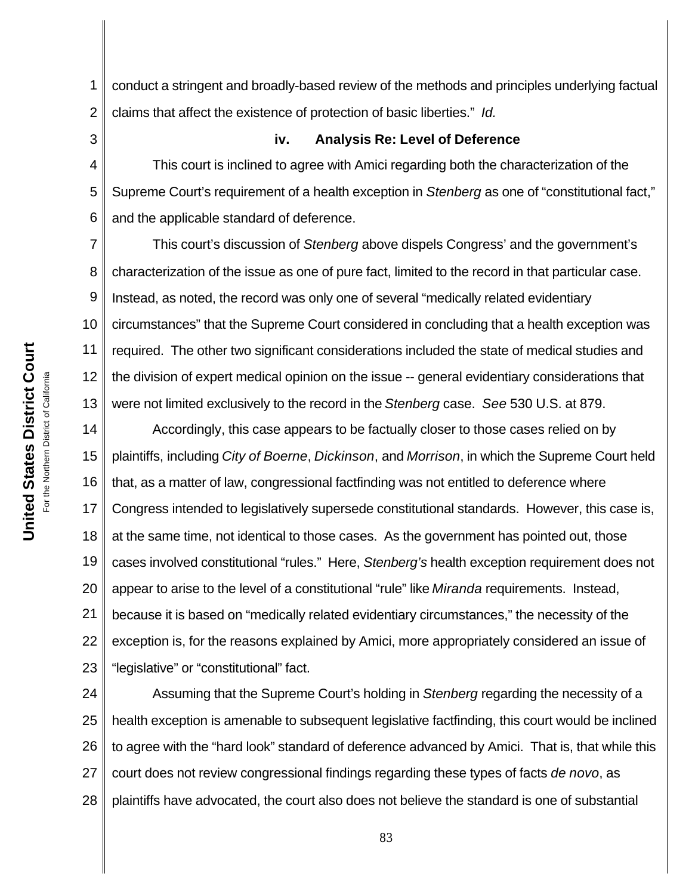1 2 conduct a stringent and broadly-based review of the methods and principles underlying factual claims that affect the existence of protection of basic liberties." *Id.*

3

#### **iv. Analysis Re: Level of Deference**

4 5 6 This court is inclined to agree with Amici regarding both the characterization of the Supreme Court's requirement of a health exception in *Stenberg* as one of "constitutional fact," and the applicable standard of deference.

7 8 9 10 11 12 13 This court's discussion of *Stenberg* above dispels Congress' and the government's characterization of the issue as one of pure fact, limited to the record in that particular case. Instead, as noted, the record was only one of several "medically related evidentiary circumstances" that the Supreme Court considered in concluding that a health exception was required. The other two significant considerations included the state of medical studies and the division of expert medical opinion on the issue -- general evidentiary considerations that were not limited exclusively to the record in the *Stenberg* case. *See* 530 U.S. at 879.

14 15 16 17 18 19 20 21 22 23 Accordingly, this case appears to be factually closer to those cases relied on by plaintiffs, including *City of Boerne*, *Dickinson*, and *Morrison*, in which the Supreme Court held that, as a matter of law, congressional factfinding was not entitled to deference where Congress intended to legislatively supersede constitutional standards. However, this case is, at the same time, not identical to those cases. As the government has pointed out, those cases involved constitutional "rules." Here, *Stenberg's* health exception requirement does not appear to arise to the level of a constitutional "rule" like *Miranda* requirements. Instead, because it is based on "medically related evidentiary circumstances," the necessity of the exception is, for the reasons explained by Amici, more appropriately considered an issue of "legislative" or "constitutional" fact.

24 25 26 27 28 Assuming that the Supreme Court's holding in *Stenberg* regarding the necessity of a health exception is amenable to subsequent legislative factfinding, this court would be inclined to agree with the "hard look" standard of deference advanced by Amici. That is, that while this court does not review congressional findings regarding these types of facts *de novo*, as plaintiffs have advocated, the court also does not believe the standard is one of substantial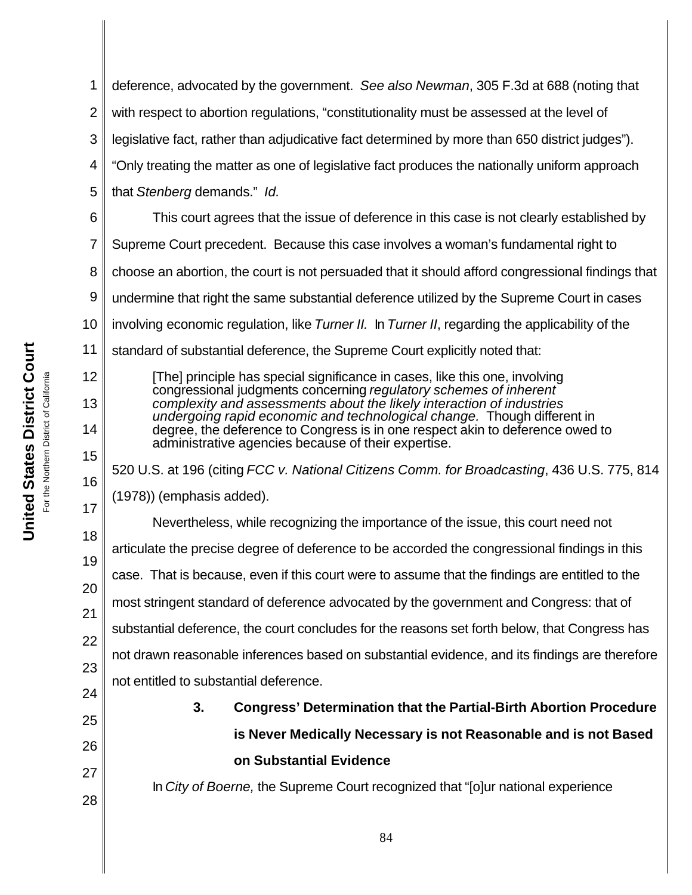1 2 3 4 5 6 7 8 9 10 11 12 deference, advocated by the government. *See also Newman*, 305 F.3d at 688 (noting that with respect to abortion regulations, "constitutionality must be assessed at the level of legislative fact, rather than adjudicative fact determined by more than 650 district judges"). "Only treating the matter as one of legislative fact produces the nationally uniform approach that *Stenberg* demands." *Id.* This court agrees that the issue of deference in this case is not clearly established by Supreme Court precedent. Because this case involves a woman's fundamental right to choose an abortion, the court is not persuaded that it should afford congressional findings that undermine that right the same substantial deference utilized by the Supreme Court in cases involving economic regulation, like *Turner II.* In *Turner II*, regarding the applicability of the standard of substantial deference, the Supreme Court explicitly noted that: [The] principle has special significance in cases, like this one, involving

congressional judgments concerning *regulatory schemes of inherent complexity and assessments about the likely interaction of industries undergoing rapid economic and technological change.* Though different in degree, the deference to Congress is in one respect akin to deference owed to administrative agencies because of their expertise.

520 U.S. at 196 (citing *FCC v. National Citizens Comm. for Broadcasting*, 436 U.S. 775, 814 (1978)) (emphasis added).

18 19 20 21 22 23 Nevertheless, while recognizing the importance of the issue, this court need not articulate the precise degree of deference to be accorded the congressional findings in this case. That is because, even if this court were to assume that the findings are entitled to the most stringent standard of deference advocated by the government and Congress: that of substantial deference, the court concludes for the reasons set forth below, that Congress has not drawn reasonable inferences based on substantial evidence, and its findings are therefore not entitled to substantial deference.

# **3. Congress' Determination that the Partial-Birth Abortion Procedure is Never Medically Necessary is not Reasonable and is not Based on Substantial Evidence**

In *City of Boerne,* the Supreme Court recognized that "[o]ur national experience

13

14

15

16

17

24

25

26

27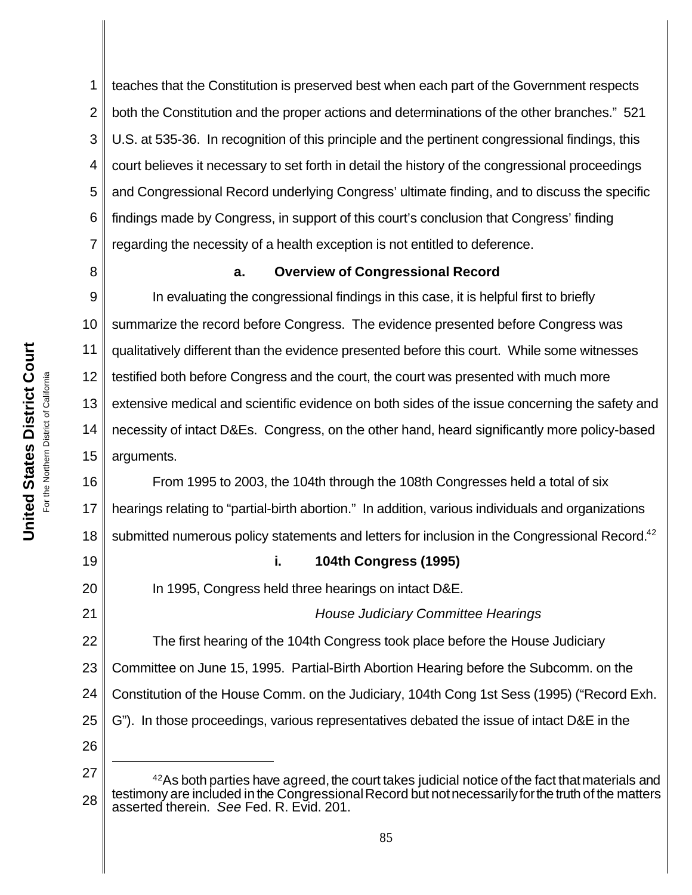1 2 3 4 5 6 7 teaches that the Constitution is preserved best when each part of the Government respects both the Constitution and the proper actions and determinations of the other branches." 521 U.S. at 535-36. In recognition of this principle and the pertinent congressional findings, this court believes it necessary to set forth in detail the history of the congressional proceedings and Congressional Record underlying Congress' ultimate finding, and to discuss the specific findings made by Congress, in support of this court's conclusion that Congress' finding regarding the necessity of a health exception is not entitled to deference.

8

19

20

21

#### **a. Overview of Congressional Record**

9 10 11 12 13 14 15 In evaluating the congressional findings in this case, it is helpful first to briefly summarize the record before Congress. The evidence presented before Congress was qualitatively different than the evidence presented before this court. While some witnesses testified both before Congress and the court, the court was presented with much more extensive medical and scientific evidence on both sides of the issue concerning the safety and necessity of intact D&Es. Congress, on the other hand, heard significantly more policy-based arguments.

16 17 18 From 1995 to 2003, the 104th through the 108th Congresses held a total of six hearings relating to "partial-birth abortion." In addition, various individuals and organizations submitted numerous policy statements and letters for inclusion in the Congressional Record.<sup>42</sup>

#### **i. 104th Congress (1995)**

In 1995, Congress held three hearings on intact D&E.

#### *House Judiciary Committee Hearings*

22 23 24 25 26 The first hearing of the 104th Congress took place before the House Judiciary Committee on June 15, 1995. Partial-Birth Abortion Hearing before the Subcomm. on the Constitution of the House Comm. on the Judiciary, 104th Cong 1st Sess (1995) ("Record Exh. G"). In those proceedings, various representatives debated the issue of intact D&E in the

27 28  $42$ As both parties have agreed, the court takes judicial notice of the fact that materials and testimony are included in the Congressional Record but not necessarily for the truth of the matters asserted therein. *See* Fed. R. Evid. 201.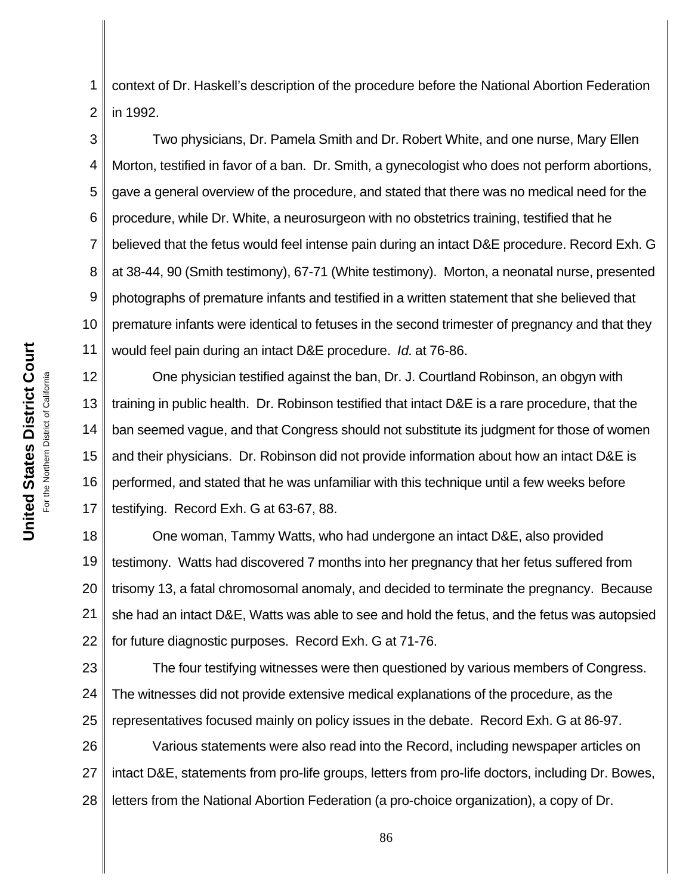1 2 context of Dr. Haskell's description of the procedure before the National Abortion Federation in 1992.

3 4 5 6 7 8 9 10 11 Two physicians, Dr. Pamela Smith and Dr. Robert White, and one nurse, Mary Ellen Morton, testified in favor of a ban. Dr. Smith, a gynecologist who does not perform abortions, gave a general overview of the procedure, and stated that there was no medical need for the procedure, while Dr. White, a neurosurgeon with no obstetrics training, testified that he believed that the fetus would feel intense pain during an intact D&E procedure. Record Exh. G at 38-44, 90 (Smith testimony), 67-71 (White testimony). Morton, a neonatal nurse, presented photographs of premature infants and testified in a written statement that she believed that premature infants were identical to fetuses in the second trimester of pregnancy and that they would feel pain during an intact D&E procedure. *Id.* at 76-86.

12 13 14 15 16 17 One physician testified against the ban, Dr. J. Courtland Robinson, an obgyn with training in public health. Dr. Robinson testified that intact D&E is a rare procedure, that the ban seemed vague, and that Congress should not substitute its judgment for those of women and their physicians. Dr. Robinson did not provide information about how an intact D&E is performed, and stated that he was unfamiliar with this technique until a few weeks before testifying. Record Exh. G at 63-67, 88.

18 19 20 21 22 One woman, Tammy Watts, who had undergone an intact D&E, also provided testimony. Watts had discovered 7 months into her pregnancy that her fetus suffered from trisomy 13, a fatal chromosomal anomaly, and decided to terminate the pregnancy. Because she had an intact D&E, Watts was able to see and hold the fetus, and the fetus was autopsied for future diagnostic purposes. Record Exh. G at 71-76.

23 24 25 The four testifying witnesses were then questioned by various members of Congress. The witnesses did not provide extensive medical explanations of the procedure, as the representatives focused mainly on policy issues in the debate. Record Exh. G at 86-97.

26 27 28 Various statements were also read into the Record, including newspaper articles on intact D&E, statements from pro-life groups, letters from pro-life doctors, including Dr. Bowes, letters from the National Abortion Federation (a pro-choice organization), a copy of Dr.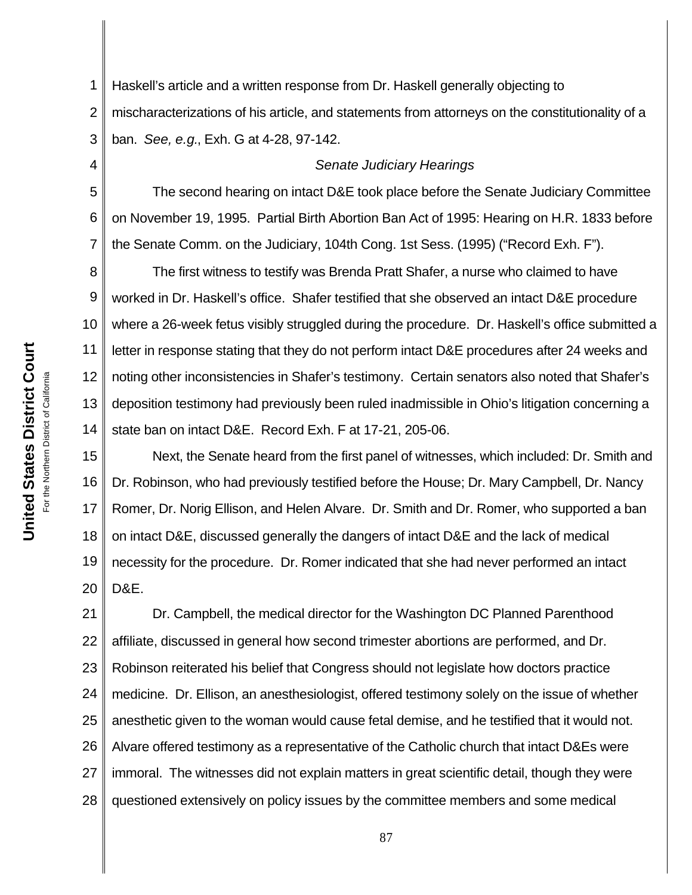1 2 3 Haskell's article and a written response from Dr. Haskell generally objecting to mischaracterizations of his article, and statements from attorneys on the constitutionality of a ban. *See, e.g.*, Exh. G at 4-28, 97-142.

#### *Senate Judiciary Hearings*

5 6 7 The second hearing on intact D&E took place before the Senate Judiciary Committee on November 19, 1995. Partial Birth Abortion Ban Act of 1995: Hearing on H.R. 1833 before the Senate Comm. on the Judiciary, 104th Cong. 1st Sess. (1995) ("Record Exh. F").

8 9 10 11 12 13 14 The first witness to testify was Brenda Pratt Shafer, a nurse who claimed to have worked in Dr. Haskell's office. Shafer testified that she observed an intact D&E procedure where a 26-week fetus visibly struggled during the procedure. Dr. Haskell's office submitted a letter in response stating that they do not perform intact D&E procedures after 24 weeks and noting other inconsistencies in Shafer's testimony. Certain senators also noted that Shafer's deposition testimony had previously been ruled inadmissible in Ohio's litigation concerning a state ban on intact D&E. Record Exh. F at 17-21, 205-06.

15 16 17 18 19 20 Next, the Senate heard from the first panel of witnesses, which included: Dr. Smith and Dr. Robinson, who had previously testified before the House; Dr. Mary Campbell, Dr. Nancy Romer, Dr. Norig Ellison, and Helen Alvare. Dr. Smith and Dr. Romer, who supported a ban on intact D&E, discussed generally the dangers of intact D&E and the lack of medical necessity for the procedure. Dr. Romer indicated that she had never performed an intact D&E.

21 22 23 24 25 26 27 28 Dr. Campbell, the medical director for the Washington DC Planned Parenthood affiliate, discussed in general how second trimester abortions are performed, and Dr. Robinson reiterated his belief that Congress should not legislate how doctors practice medicine. Dr. Ellison, an anesthesiologist, offered testimony solely on the issue of whether anesthetic given to the woman would cause fetal demise, and he testified that it would not. Alvare offered testimony as a representative of the Catholic church that intact D&Es were immoral. The witnesses did not explain matters in great scientific detail, though they were questioned extensively on policy issues by the committee members and some medical

4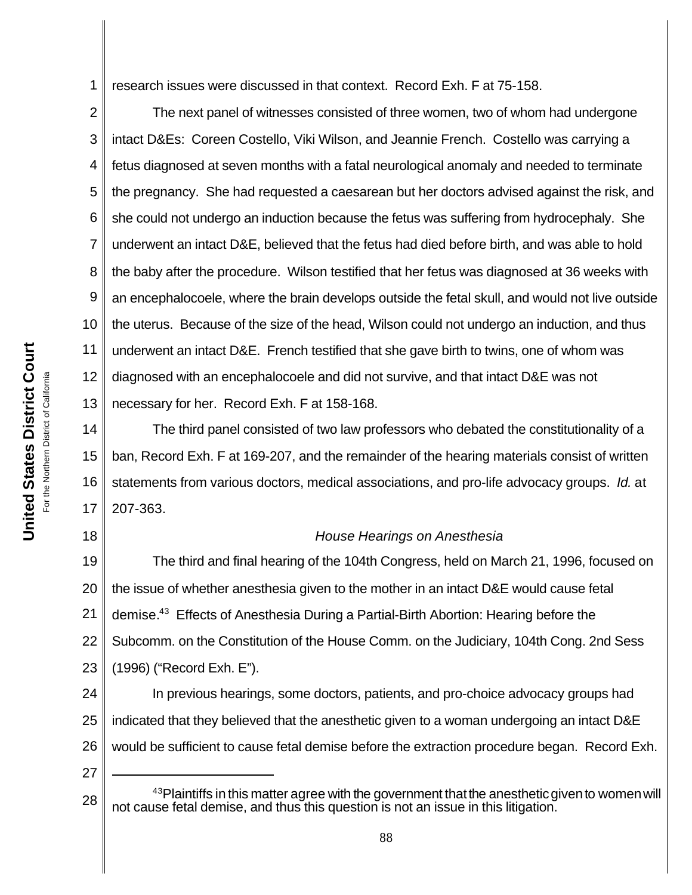1 research issues were discussed in that context. Record Exh. F at 75-158.

2 3 4 5 6 7 8 9 10 11 12 13 The next panel of witnesses consisted of three women, two of whom had undergone intact D&Es: Coreen Costello, Viki Wilson, and Jeannie French. Costello was carrying a fetus diagnosed at seven months with a fatal neurological anomaly and needed to terminate the pregnancy. She had requested a caesarean but her doctors advised against the risk, and she could not undergo an induction because the fetus was suffering from hydrocephaly. She underwent an intact D&E, believed that the fetus had died before birth, and was able to hold the baby after the procedure. Wilson testified that her fetus was diagnosed at 36 weeks with an encephalocoele, where the brain develops outside the fetal skull, and would not live outside the uterus. Because of the size of the head, Wilson could not undergo an induction, and thus underwent an intact D&E. French testified that she gave birth to twins, one of whom was diagnosed with an encephalocoele and did not survive, and that intact D&E was not necessary for her. Record Exh. F at 158-168.

14 15 16 17 The third panel consisted of two law professors who debated the constitutionality of a ban, Record Exh. F at 169-207, and the remainder of the hearing materials consist of written statements from various doctors, medical associations, and pro-life advocacy groups. *Id.* at 207-363.

#### *House Hearings on Anesthesia*

19 20 21 22 23 The third and final hearing of the 104th Congress, held on March 21, 1996, focused on the issue of whether anesthesia given to the mother in an intact D&E would cause fetal demise.<sup>43</sup> Effects of Anesthesia During a Partial-Birth Abortion: Hearing before the Subcomm. on the Constitution of the House Comm. on the Judiciary, 104th Cong. 2nd Sess (1996) ("Record Exh. E").

24 25 26 In previous hearings, some doctors, patients, and pro-choice advocacy groups had indicated that they believed that the anesthetic given to a woman undergoing an intact D&E would be sufficient to cause fetal demise before the extraction procedure began. Record Exh.

27

<sup>28</sup> <sup>43</sup>Plaintiffs in this matter agree with the government that the anesthetic given to women will not cause fetal demise, and thus this question is not an issue in this litigation.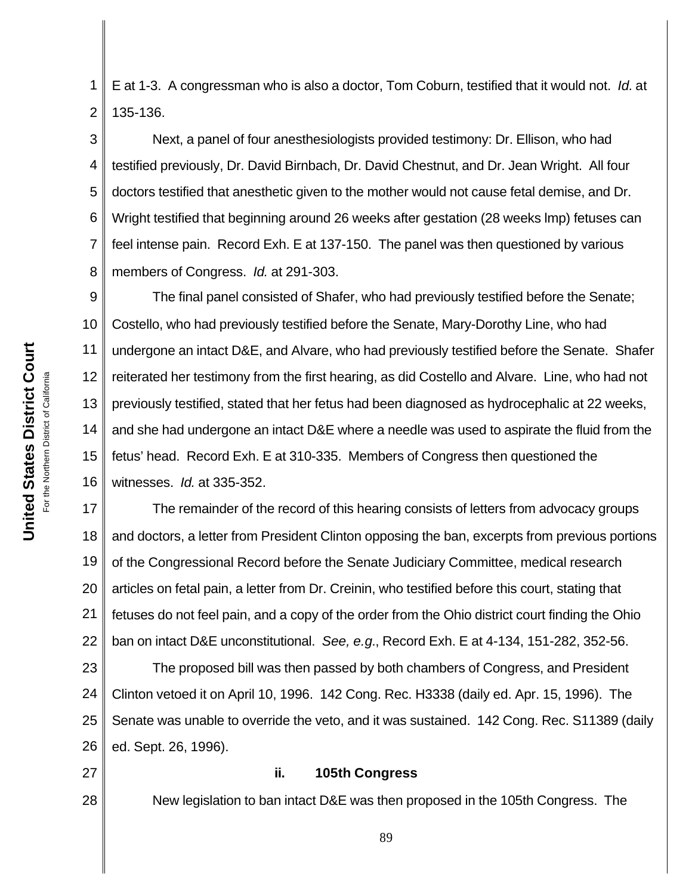**United States District Court United States District Court** For the Northern District of California For the Northern District of California 1 2 E at 1-3. A congressman who is also a doctor, Tom Coburn, testified that it would not. *Id.* at 135-136.

3 4 5 6 7 8 Next, a panel of four anesthesiologists provided testimony: Dr. Ellison, who had testified previously, Dr. David Birnbach, Dr. David Chestnut, and Dr. Jean Wright. All four doctors testified that anesthetic given to the mother would not cause fetal demise, and Dr. Wright testified that beginning around 26 weeks after gestation (28 weeks lmp) fetuses can feel intense pain. Record Exh. E at 137-150. The panel was then questioned by various members of Congress. *Id.* at 291-303.

9 10 11 12 13 14 15 16 The final panel consisted of Shafer, who had previously testified before the Senate; Costello, who had previously testified before the Senate, Mary-Dorothy Line, who had undergone an intact D&E, and Alvare, who had previously testified before the Senate. Shafer reiterated her testimony from the first hearing, as did Costello and Alvare. Line, who had not previously testified, stated that her fetus had been diagnosed as hydrocephalic at 22 weeks, and she had undergone an intact D&E where a needle was used to aspirate the fluid from the fetus' head. Record Exh. E at 310-335. Members of Congress then questioned the witnesses. *Id.* at 335-352.

17 18 19 20 21 22 The remainder of the record of this hearing consists of letters from advocacy groups and doctors, a letter from President Clinton opposing the ban, excerpts from previous portions of the Congressional Record before the Senate Judiciary Committee, medical research articles on fetal pain, a letter from Dr. Creinin, who testified before this court, stating that fetuses do not feel pain, and a copy of the order from the Ohio district court finding the Ohio ban on intact D&E unconstitutional. *See, e.g.*, Record Exh. E at 4-134, 151-282, 352-56.

23 24 25 26 The proposed bill was then passed by both chambers of Congress, and President Clinton vetoed it on April 10, 1996. 142 Cong. Rec. H3338 (daily ed. Apr. 15, 1996). The Senate was unable to override the veto, and it was sustained. 142 Cong. Rec. S11389 (daily ed. Sept. 26, 1996).

27

28

#### **ii. 105th Congress**

New legislation to ban intact D&E was then proposed in the 105th Congress. The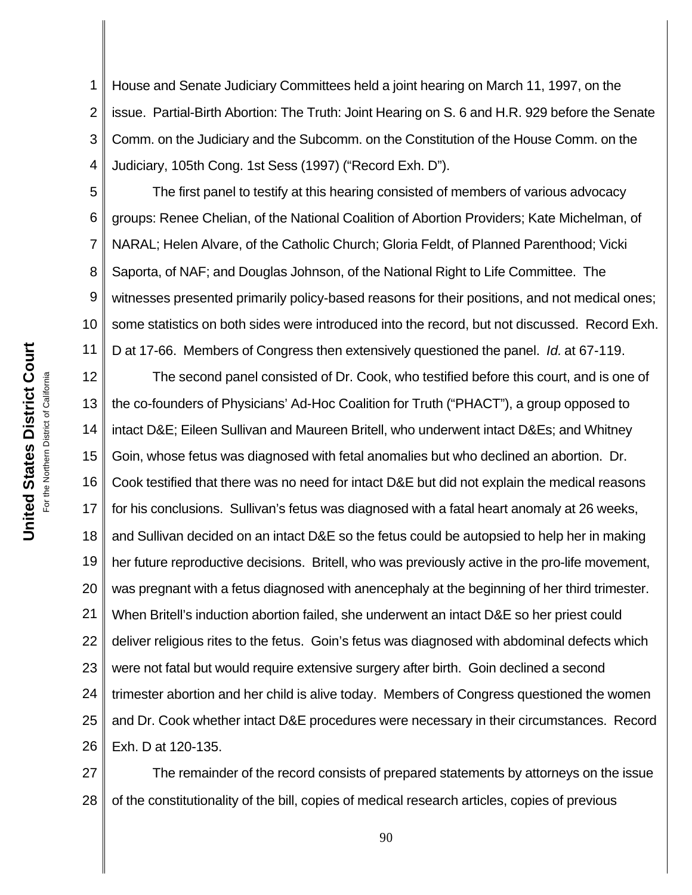1 2 3 4 House and Senate Judiciary Committees held a joint hearing on March 11, 1997, on the issue. Partial-Birth Abortion: The Truth: Joint Hearing on S. 6 and H.R. 929 before the Senate Comm. on the Judiciary and the Subcomm. on the Constitution of the House Comm. on the Judiciary, 105th Cong. 1st Sess (1997) ("Record Exh. D").

5 6 7 8 9 10 11 The first panel to testify at this hearing consisted of members of various advocacy groups: Renee Chelian, of the National Coalition of Abortion Providers; Kate Michelman, of NARAL; Helen Alvare, of the Catholic Church; Gloria Feldt, of Planned Parenthood; Vicki Saporta, of NAF; and Douglas Johnson, of the National Right to Life Committee. The witnesses presented primarily policy-based reasons for their positions, and not medical ones; some statistics on both sides were introduced into the record, but not discussed. Record Exh. D at 17-66. Members of Congress then extensively questioned the panel. *Id.* at 67-119.

12 13 14 15 16 17 18 19 20 21 22 23 24 25 26 The second panel consisted of Dr. Cook, who testified before this court, and is one of the co-founders of Physicians' Ad-Hoc Coalition for Truth ("PHACT"), a group opposed to intact D&E; Eileen Sullivan and Maureen Britell, who underwent intact D&Es; and Whitney Goin, whose fetus was diagnosed with fetal anomalies but who declined an abortion. Dr. Cook testified that there was no need for intact D&E but did not explain the medical reasons for his conclusions. Sullivan's fetus was diagnosed with a fatal heart anomaly at 26 weeks, and Sullivan decided on an intact D&E so the fetus could be autopsied to help her in making her future reproductive decisions. Britell, who was previously active in the pro-life movement, was pregnant with a fetus diagnosed with anencephaly at the beginning of her third trimester. When Britell's induction abortion failed, she underwent an intact D&E so her priest could deliver religious rites to the fetus. Goin's fetus was diagnosed with abdominal defects which were not fatal but would require extensive surgery after birth. Goin declined a second trimester abortion and her child is alive today. Members of Congress questioned the women and Dr. Cook whether intact D&E procedures were necessary in their circumstances. Record Exh. D at 120-135.

27 28 The remainder of the record consists of prepared statements by attorneys on the issue of the constitutionality of the bill, copies of medical research articles, copies of previous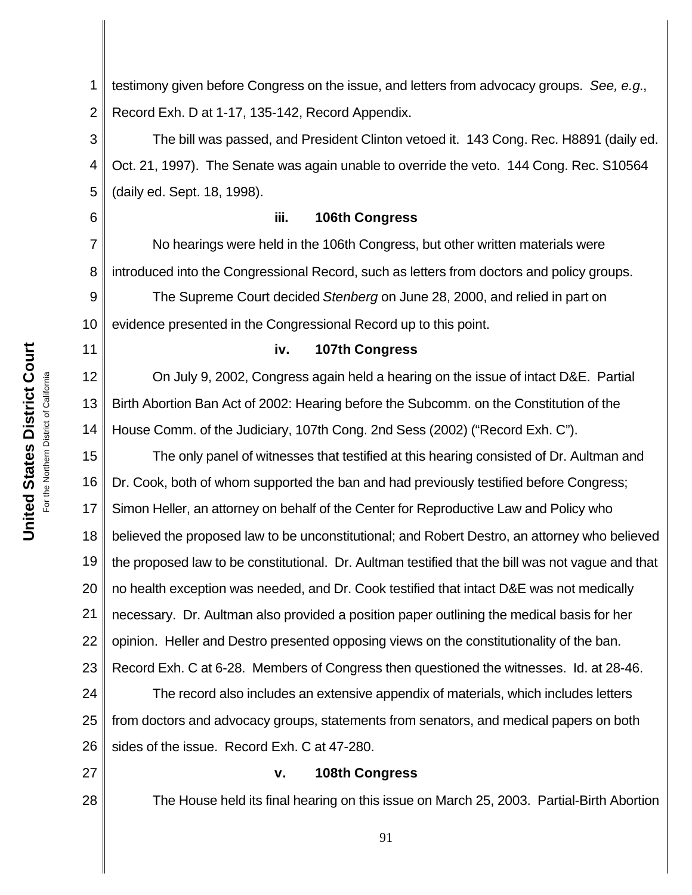**United States District Court United States District Court** For the Northern District of California For the Northern District of California 6

11

1 2 testimony given before Congress on the issue, and letters from advocacy groups. *See, e.g.*, Record Exh. D at 1-17, 135-142, Record Appendix.

3 4 5 The bill was passed, and President Clinton vetoed it. 143 Cong. Rec. H8891 (daily ed. Oct. 21, 1997). The Senate was again unable to override the veto. 144 Cong. Rec. S10564 (daily ed. Sept. 18, 1998).

#### **iii. 106th Congress**

7 8 9 10 No hearings were held in the 106th Congress, but other written materials were introduced into the Congressional Record, such as letters from doctors and policy groups. The Supreme Court decided *Stenberg* on June 28, 2000, and relied in part on evidence presented in the Congressional Record up to this point.

#### **iv. 107th Congress**

12 13 14 On July 9, 2002, Congress again held a hearing on the issue of intact D&E. Partial Birth Abortion Ban Act of 2002: Hearing before the Subcomm. on the Constitution of the House Comm. of the Judiciary, 107th Cong. 2nd Sess (2002) ("Record Exh. C").

15 16 17 18 19 20 21 22 23 24 The only panel of witnesses that testified at this hearing consisted of Dr. Aultman and Dr. Cook, both of whom supported the ban and had previously testified before Congress; Simon Heller, an attorney on behalf of the Center for Reproductive Law and Policy who believed the proposed law to be unconstitutional; and Robert Destro, an attorney who believed the proposed law to be constitutional. Dr. Aultman testified that the bill was not vague and that no health exception was needed, and Dr. Cook testified that intact D&E was not medically necessary. Dr. Aultman also provided a position paper outlining the medical basis for her opinion. Heller and Destro presented opposing views on the constitutionality of the ban. Record Exh. C at 6-28. Members of Congress then questioned the witnesses. Id. at 28-46. The record also includes an extensive appendix of materials, which includes letters

25 26 from doctors and advocacy groups, statements from senators, and medical papers on both sides of the issue. Record Exh. C at 47-280.

27

28

#### **v. 108th Congress**

The House held its final hearing on this issue on March 25, 2003. Partial-Birth Abortion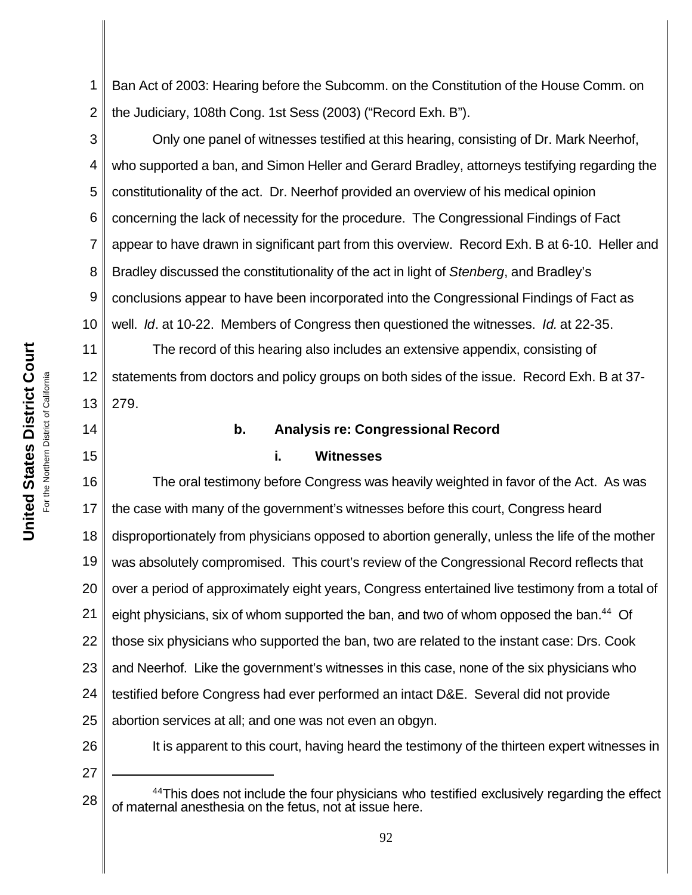1 2 Ban Act of 2003: Hearing before the Subcomm. on the Constitution of the House Comm. on the Judiciary, 108th Cong. 1st Sess (2003) ("Record Exh. B").

3 4 5 6 7 8 9 10 Only one panel of witnesses testified at this hearing, consisting of Dr. Mark Neerhof, who supported a ban, and Simon Heller and Gerard Bradley, attorneys testifying regarding the constitutionality of the act. Dr. Neerhof provided an overview of his medical opinion concerning the lack of necessity for the procedure. The Congressional Findings of Fact appear to have drawn in significant part from this overview. Record Exh. B at 6-10. Heller and Bradley discussed the constitutionality of the act in light of *Stenberg*, and Bradley's conclusions appear to have been incorporated into the Congressional Findings of Fact as well. *Id*. at 10-22. Members of Congress then questioned the witnesses. *Id.* at 22-35.

11 12 13 The record of this hearing also includes an extensive appendix, consisting of statements from doctors and policy groups on both sides of the issue. Record Exh. B at 37- 279.

- 14
- 15

#### **b. Analysis re: Congressional Record**

#### **i. Witnesses**

16 17 18 19 20 21 22 23 24 25 26 The oral testimony before Congress was heavily weighted in favor of the Act. As was the case with many of the government's witnesses before this court, Congress heard disproportionately from physicians opposed to abortion generally, unless the life of the mother was absolutely compromised. This court's review of the Congressional Record reflects that over a period of approximately eight years, Congress entertained live testimony from a total of eight physicians, six of whom supported the ban, and two of whom opposed the ban.<sup>44</sup> Of those six physicians who supported the ban, two are related to the instant case: Drs. Cook and Neerhof.Like the government's witnesses in this case, none of the six physicians who testified before Congress had ever performed an intact D&E. Several did not provide abortion services at all; and one was not even an obgyn. It is apparent to this court, having heard the testimony of the thirteen expert witnesses in

<sup>28</sup> <sup>44</sup>This does not include the four physicians who testified exclusively regarding the effect of maternal anesthesia on the fetus, not at issue here.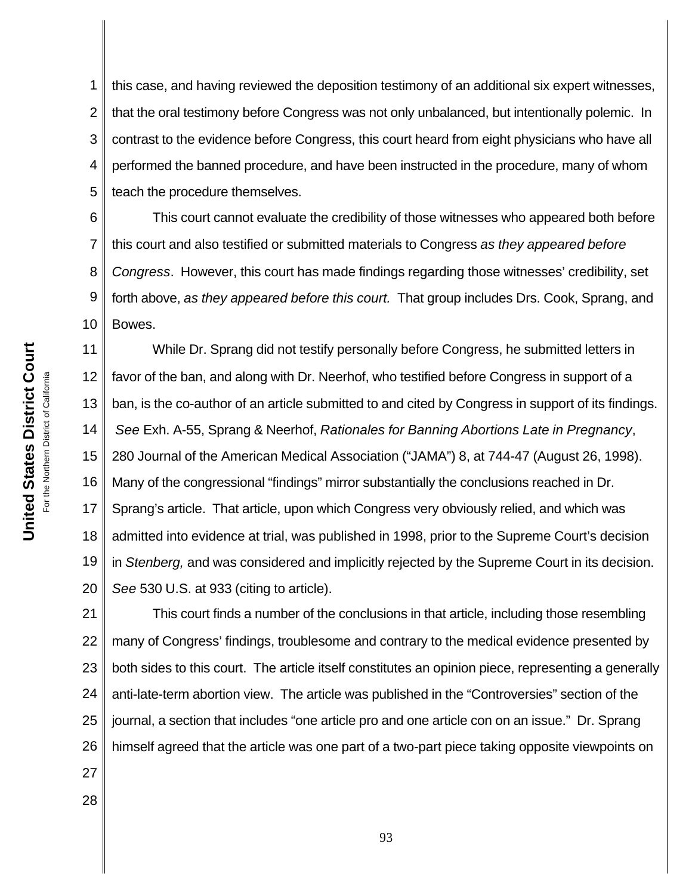1 2 3 4 5 this case, and having reviewed the deposition testimony of an additional six expert witnesses, that the oral testimony before Congress was not only unbalanced, but intentionally polemic. In contrast to the evidence before Congress, this court heard from eight physicians who have all performed the banned procedure, and have been instructed in the procedure, many of whom teach the procedure themselves.

6 7 8 9 10 This court cannot evaluate the credibility of those witnesses who appeared both before this court and also testified or submitted materials to Congress *as they appeared before Congress*. However, this court has made findings regarding those witnesses' credibility, set forth above, *as they appeared before this court.* That group includes Drs. Cook, Sprang, and Bowes.

11 12 13 14 15 16 17 18 19 20 While Dr. Sprang did not testify personally before Congress, he submitted letters in favor of the ban, and along with Dr. Neerhof, who testified before Congress in support of a ban, is the co-author of an article submitted to and cited by Congress in support of its findings. *See* Exh. A-55, Sprang & Neerhof, *Rationales for Banning Abortions Late in Pregnancy*, 280 Journal of the American Medical Association ("JAMA") 8, at 744-47 (August 26, 1998). Many of the congressional "findings" mirror substantially the conclusions reached in Dr. Sprang's article. That article, upon which Congress very obviously relied, and which was admitted into evidence at trial, was published in 1998, prior to the Supreme Court's decision in *Stenberg,* and was considered and implicitly rejected by the Supreme Court in its decision. *See* 530 U.S. at 933 (citing to article).

21 22 23 24 25 26 This court finds a number of the conclusions in that article, including those resembling many of Congress' findings, troublesome and contrary to the medical evidence presented by both sides to this court. The article itself constitutes an opinion piece, representing a generally anti-late-term abortion view. The article was published in the "Controversies" section of the journal, a section that includes "one article pro and one article con on an issue." Dr. Sprang himself agreed that the article was one part of a two-part piece taking opposite viewpoints on

**United States District Court United States District Court** or the Northern District of California For the Northern District of California

27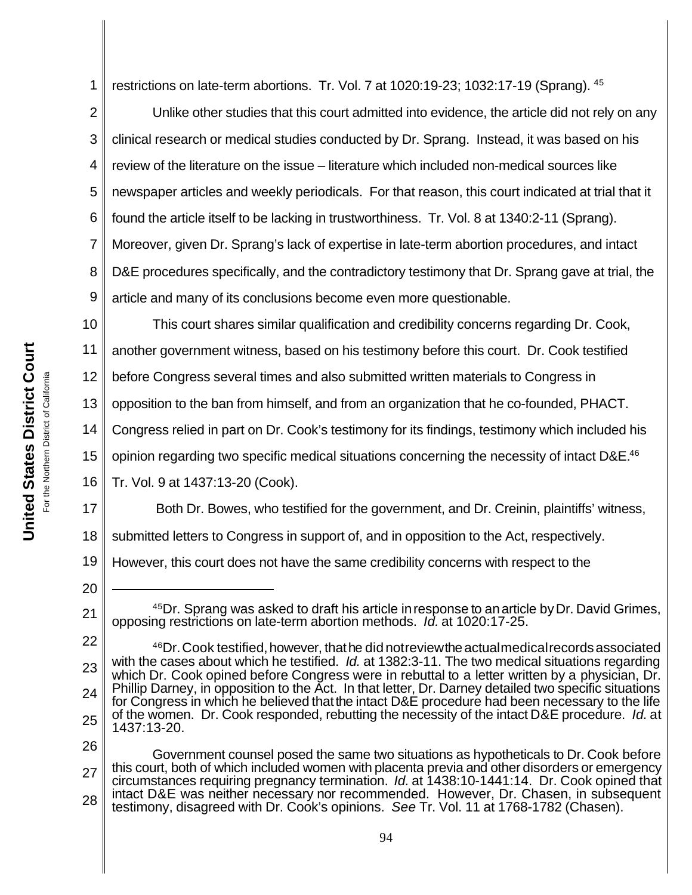1 restrictions on late-term abortions. Tr. Vol. 7 at 1020:19-23; 1032:17-19 (Sprang). <sup>45</sup>

2 3 4 5 6 7 8 9 Unlike other studies that this court admitted into evidence, the article did not rely on any clinical research or medical studies conducted by Dr. Sprang. Instead, it was based on his review of the literature on the issue – literature which included non-medical sources like newspaper articles and weekly periodicals. For that reason, this court indicated at trial that it found the article itself to be lacking in trustworthiness. Tr. Vol. 8 at 1340:2-11 (Sprang). Moreover, given Dr. Sprang's lack of expertise in late-term abortion procedures, and intact D&E procedures specifically, and the contradictory testimony that Dr. Sprang gave at trial, the article and many of its conclusions become even more questionable.

10 11 This court shares similar qualification and credibility concerns regarding Dr. Cook, another government witness, based on his testimony before this court. Dr. Cook testified

12 before Congress several times and also submitted written materials to Congress in

13 opposition to the ban from himself, and from an organization that he co-founded, PHACT.

14 Congress relied in part on Dr. Cook's testimony for its findings, testimony which included his

15 opinion regarding two specific medical situations concerning the necessity of intact D&E.<sup>46</sup>

16 Tr. Vol. 9 at 1437:13-20 (Cook).

17 18 Both Dr. Bowes, who testified for the government, and Dr. Creinin, plaintiffs' witness, submitted letters to Congress in support of, and in opposition to the Act, respectively.

19 However, this court does not have the same credibility concerns with respect to the

20

<sup>&</sup>lt;sup>45</sup>Dr. Sprang was asked to draft his article in response to an article by Dr. David Grimes, opposing restrictions on late-term abortion methods. *Id.* at 1020:17-25.

<sup>22</sup> 23 24 25 <sup>46</sup>Dr. Cook testified, however, that he did not review the actual medical records associated with the cases about which he testified. *Id.* at 1382:3-11. The two medical situations regarding which Dr. Cook opined before Congress were in rebuttal to a letter written by a physician, Dr. Phillip Darney, in opposition to the Act. In that letter, Dr. Darney detailed two specific situations for Congress in which he believed thatthe intact D&E procedure had been necessary to the life of the women. Dr. Cook responded, rebutting the necessity of the intact D&E procedure. *Id.* at 1437:13-20.

<sup>26</sup> 27 28 Government counsel posed the same two situations as hypotheticals to Dr. Cook before this court, both of which included women with placenta previa and other disorders or emergency circumstances requiring pregnancy termination. *Id.* at 1438:10-1441:14. Dr. Cook opined that intact D&E was neither necessary nor recommended. However, Dr. Chasen, in subsequent testimony, disagreed with Dr. Cook's opinions. *See* Tr. Vol. 11 at 1768-1782 (Chasen).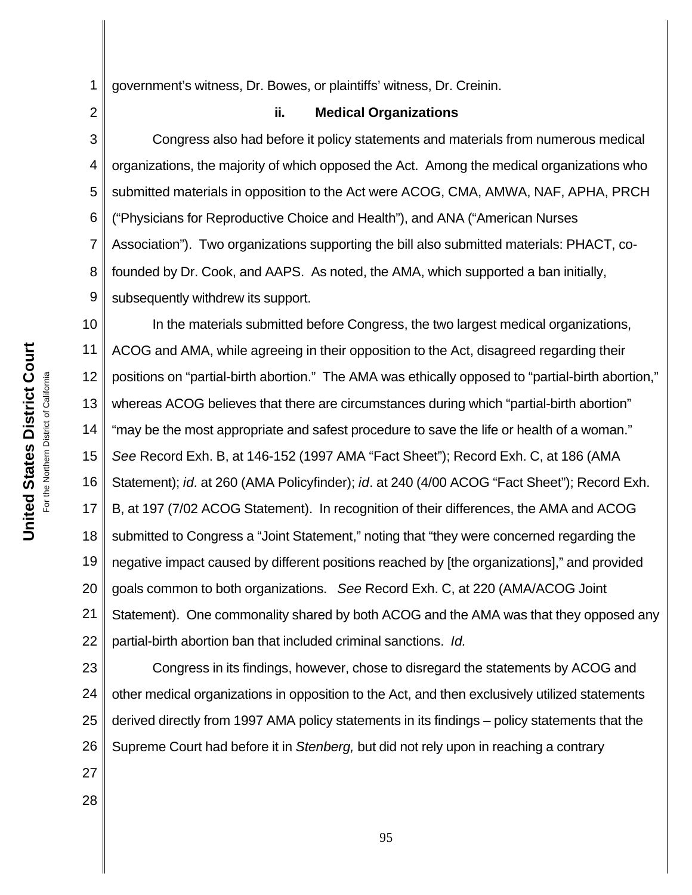**United States District Court United States District Court** For the Northern District of California For the Northern District of California 2

1 government's witness, Dr. Bowes, or plaintiffs' witness, Dr. Creinin.

**ii. Medical Organizations**

3 4 5 6 7 8 9 Congress also had before it policy statements and materials from numerous medical organizations, the majority of which opposed the Act. Among the medical organizations who submitted materials in opposition to the Act were ACOG, CMA, AMWA, NAF, APHA, PRCH ("Physicians for Reproductive Choice and Health"), and ANA ("American Nurses Association"). Two organizations supporting the bill also submitted materials: PHACT, cofounded by Dr. Cook, and AAPS. As noted, the AMA, which supported a ban initially, subsequently withdrew its support.

10 11 12 13 14 15 16 17 18 19 20 21 22 In the materials submitted before Congress, the two largest medical organizations, ACOG and AMA, while agreeing in their opposition to the Act, disagreed regarding their positions on "partial-birth abortion." The AMA was ethically opposed to "partial-birth abortion," whereas ACOG believes that there are circumstances during which "partial-birth abortion" "may be the most appropriate and safest procedure to save the life or health of a woman." *See* Record Exh. B, at 146-152 (1997 AMA "Fact Sheet"); Record Exh. C, at 186 (AMA Statement); *id.* at 260 (AMA Policyfinder); *id*. at 240 (4/00 ACOG "Fact Sheet"); Record Exh. B, at 197 (7/02 ACOG Statement). In recognition of their differences, the AMA and ACOG submitted to Congress a "Joint Statement," noting that "they were concerned regarding the negative impact caused by different positions reached by [the organizations]," and provided goals common to both organizations. *See* Record Exh. C, at 220 (AMA/ACOG Joint Statement). One commonality shared by both ACOG and the AMA was that they opposed any partial-birth abortion ban that included criminal sanctions. *Id.*

23 24 25 26 Congress in its findings, however, chose to disregard the statements by ACOG and other medical organizations in opposition to the Act, and then exclusively utilized statements derived directly from 1997 AMA policy statements in its findings – policy statements that the Supreme Court had before it in *Stenberg,* but did not rely upon in reaching a contrary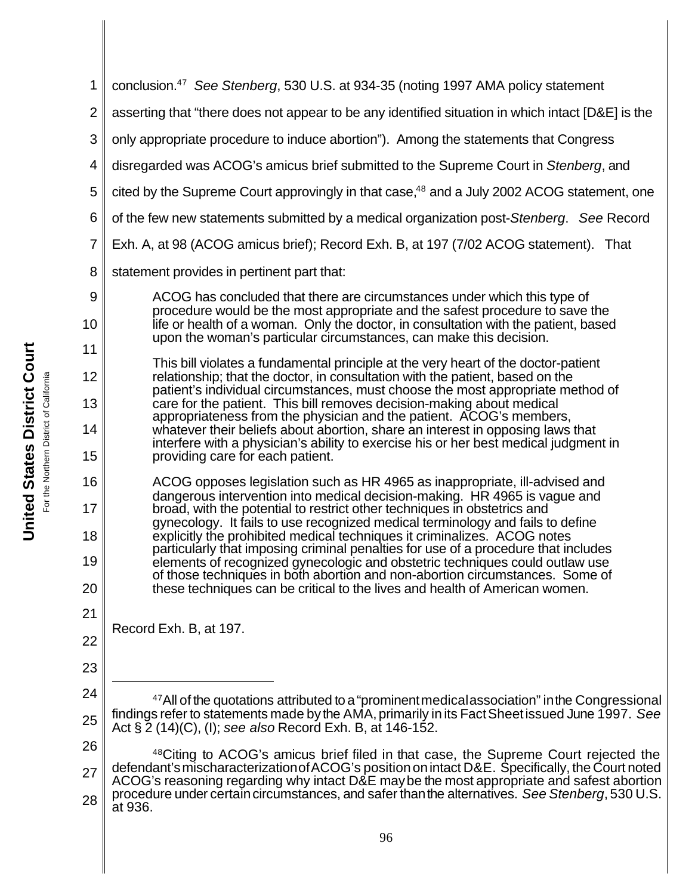| 1  | conclusion. <sup>47</sup> See Stenberg, 530 U.S. at 934-35 (noting 1997 AMA policy statement                                                                                                                                                       |
|----|----------------------------------------------------------------------------------------------------------------------------------------------------------------------------------------------------------------------------------------------------|
| 2  | asserting that "there does not appear to be any identified situation in which intact [D&E] is the                                                                                                                                                  |
| 3  | only appropriate procedure to induce abortion"). Among the statements that Congress                                                                                                                                                                |
| 4  | disregarded was ACOG's amicus brief submitted to the Supreme Court in Stenberg, and                                                                                                                                                                |
| 5  | cited by the Supreme Court approvingly in that case, <sup>48</sup> and a July 2002 ACOG statement, one                                                                                                                                             |
| 6  | of the few new statements submitted by a medical organization post-Stenberg. See Record                                                                                                                                                            |
| 7  | Exh. A, at 98 (ACOG amicus brief); Record Exh. B, at 197 (7/02 ACOG statement). That                                                                                                                                                               |
| 8  | statement provides in pertinent part that:                                                                                                                                                                                                         |
| 9  | ACOG has concluded that there are circumstances under which this type of                                                                                                                                                                           |
| 10 | procedure would be the most appropriate and the safest procedure to save the<br>life or health of a woman. Only the doctor, in consultation with the patient, based                                                                                |
| 11 | upon the woman's particular circumstances, can make this decision.<br>This bill violates a fundamental principle at the very heart of the doctor-patient                                                                                           |
| 12 | relationship; that the doctor, in consultation with the patient, based on the                                                                                                                                                                      |
| 13 | patient's individual circumstances, must choose the most appropriate method of<br>care for the patient. This bill removes decision-making about medical<br>appropriateness from the physician and the patient. ACOG's members,                     |
| 14 | whatever their beliefs about abortion, share an interest in opposing laws that<br>interfere with a physician's ability to exercise his or her best medical judgment in                                                                             |
| 15 | providing care for each patient.                                                                                                                                                                                                                   |
| 16 | ACOG opposes legislation such as HR 4965 as inappropriate, ill-advised and<br>dangerous intervention into medical decision-making. HR 4965 is vague and                                                                                            |
| 17 | broad, with the potential to restrict other techniques in obstetrics and                                                                                                                                                                           |
| 18 | gynecology. It fails to use recognized medical terminology and fails to define<br>explicitly the prohibited medical techniques it criminalizes. ACOG notes                                                                                         |
| 19 | particularly that imposing criminal penalties for use of a procedure that includes<br>elements of recognized gynecologic and obstetric techniques could outlaw use<br>of those techniques in both abortion and non-abortion circumstances. Some of |
| 20 | these techniques can be critical to the lives and health of American women.                                                                                                                                                                        |
| 21 |                                                                                                                                                                                                                                                    |
| 22 | Record Exh. B, at 197.                                                                                                                                                                                                                             |
| 23 |                                                                                                                                                                                                                                                    |
| 24 | $47$ All of the quotations attributed to a "prominent medical association" in the Congressional                                                                                                                                                    |
| 25 | findings refer to statements made by the AMA, primarily in its Fact Sheet issued June 1997. See<br>Act $\S 2$ (14)(C), (I); see also Record Exh. B, at 146-152.                                                                                    |
| 26 | <sup>48</sup> Citing to ACOG's amicus brief filed in that case, the Supreme Court rejected the                                                                                                                                                     |
| 27 | defendant's mischaracterization of ACOG's position on intact D&E. Specifically, the Court noted<br>ACOG's reasoning regarding why intact D&E may be the most appropriate and safest abortion                                                       |
| 28 | procedure under certain circumstances, and safer than the alternatives. See Stenberg, 530 U.S.<br>at 936.                                                                                                                                          |
|    | 96                                                                                                                                                                                                                                                 |
|    |                                                                                                                                                                                                                                                    |

**United States District Court United States District Court** For the Northern District of California For the Northern District of California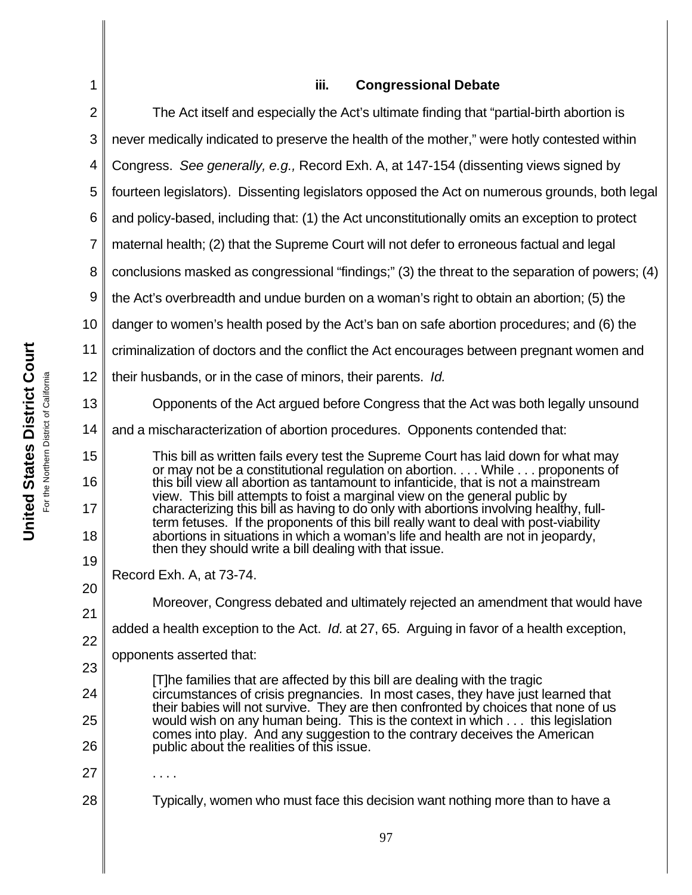| 1              | iii.<br><b>Congressional Debate</b>                                                                                                                                     |
|----------------|-------------------------------------------------------------------------------------------------------------------------------------------------------------------------|
| $\overline{2}$ | The Act itself and especially the Act's ultimate finding that "partial-birth abortion is                                                                                |
| 3              | never medically indicated to preserve the health of the mother," were hotly contested within                                                                            |
| 4              | Congress. See generally, e.g., Record Exh. A, at 147-154 (dissenting views signed by                                                                                    |
| 5              | fourteen legislators). Dissenting legislators opposed the Act on numerous grounds, both legal                                                                           |
| 6              | and policy-based, including that: (1) the Act unconstitutionally omits an exception to protect                                                                          |
| $\overline{7}$ | maternal health; (2) that the Supreme Court will not defer to erroneous factual and legal                                                                               |
| 8              | conclusions masked as congressional "findings;" (3) the threat to the separation of powers; (4)                                                                         |
| 9              | the Act's overbreadth and undue burden on a woman's right to obtain an abortion; (5) the                                                                                |
| 10             | danger to women's health posed by the Act's ban on safe abortion procedures; and (6) the                                                                                |
| 11             | criminalization of doctors and the conflict the Act encourages between pregnant women and                                                                               |
| 12             | their husbands, or in the case of minors, their parents. Id.                                                                                                            |
| 13             | Opponents of the Act argued before Congress that the Act was both legally unsound                                                                                       |
| 14             | and a mischaracterization of abortion procedures. Opponents contended that:                                                                                             |
| 15             | This bill as written fails every test the Supreme Court has laid down for what may                                                                                      |
| 16             | or may not be a constitutional regulation on abortion. While proponents of<br>this bill view all abortion as tantamount to infanticide, that is not a mainstream        |
| 17             | view. This bill attempts to foist a marginal view on the general public by<br>characterizing this bill as having to do only with abortions involving healthy, full-     |
| 18             | term fetuses. If the proponents of this bill really want to deal with post-viability<br>abortions in situations in which a woman's life and health are not in jeopardy, |
| 19             | then they should write a bill dealing with that issue.                                                                                                                  |
| 20             | Record Exh. A, at 73-74.                                                                                                                                                |
| 21             | Moreover, Congress debated and ultimately rejected an amendment that would have                                                                                         |
| 22             | added a health exception to the Act. <i>Id.</i> at 27, 65. Arguing in favor of a health exception,                                                                      |
| 23             | opponents asserted that:                                                                                                                                                |
| 24             | [T]he families that are affected by this bill are dealing with the tragic<br>circumstances of crisis pregnancies. In most cases, they have just learned that            |
| 25             | their babies will not survive. They are then confronted by choices that none of us<br>would wish on any human being. This is the context in which this legislation      |
| 26             | comes into play. And any suggestion to the contrary deceives the American<br>public about the realities of this issue.                                                  |
| 27             |                                                                                                                                                                         |
| 28             | Typically, women who must face this decision want nothing more than to have a                                                                                           |
|                | 97                                                                                                                                                                      |
|                |                                                                                                                                                                         |
|                |                                                                                                                                                                         |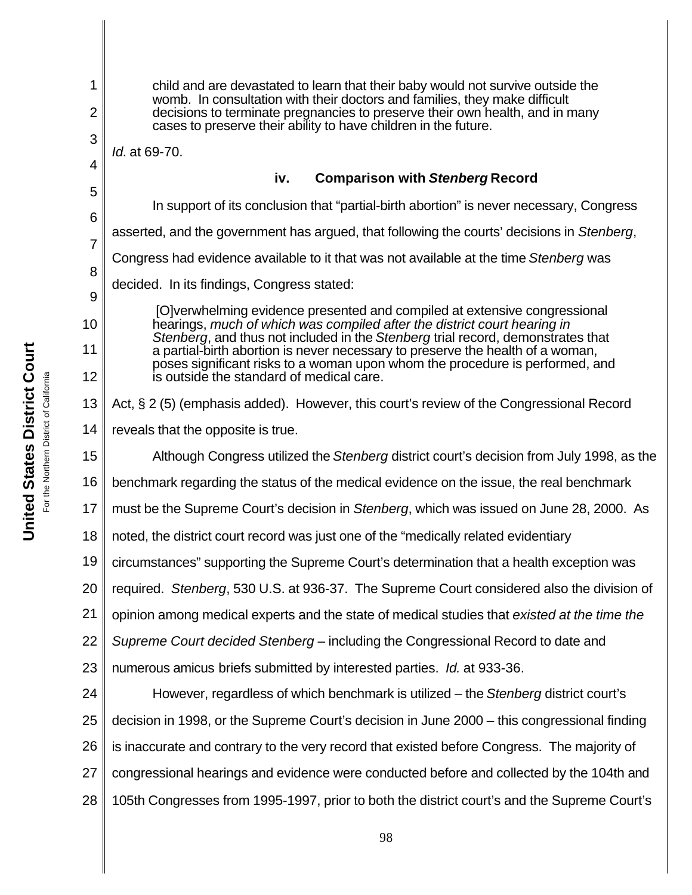1 2 3 4 5 6 7 8 9 10 11 12 13 14 15 16 17 18 19 20 21 22 23 24 25 26 27 28 child and are devastated to learn that their baby would not survive outside the womb. In consultation with their doctors and families, they make difficult decisions to terminate pregnancies to preserve their own health, and in many cases to preserve their ability to have children in the future. *Id.* at 69-70. **iv. Comparison with** *Stenberg* **Record** In support of its conclusion that "partial-birth abortion" is never necessary, Congress asserted, and the government has argued, that following the courts' decisions in *Stenberg*, Congress had evidence available to it that was not available at the time *Stenberg* was decided. In its findings, Congress stated: [O]verwhelming evidence presented and compiled at extensive congressional hearings, *much of which was compiled after the district court hearing in Stenberg*, and thus not included in the *Stenberg* trial record, demonstrates that a partial-birth abortion is never necessary to preserve the health of a woman, poses significant risks to a woman upon whom the procedure is performed, and is outside the standard of medical care. Act, § 2 (5) (emphasis added). However, this court's review of the Congressional Record reveals that the opposite is true. Although Congress utilized the *Stenberg* district court's decision from July 1998, as the benchmark regarding the status of the medical evidence on the issue, the real benchmark must be the Supreme Court's decision in *Stenberg*, which was issued on June 28, 2000. As noted, the district court record was just one of the "medically related evidentiary circumstances" supporting the Supreme Court's determination that a health exception was required. *Stenberg*, 530 U.S. at 936-37. The Supreme Court considered also the division of opinion among medical experts and the state of medical studies that *existed at the time the Supreme Court decided Stenberg* – including the Congressional Record to date and numerous amicus briefs submitted by interested parties. *Id.* at 933-36. However, regardless of which benchmark is utilized – the *Stenberg* district court's decision in 1998, or the Supreme Court's decision in June 2000 – this congressional finding is inaccurate and contrary to the very record that existed before Congress. The majority of congressional hearings and evidence were conducted before and collected by the 104th and 105th Congresses from 1995-1997, prior to both the district court's and the Supreme Court's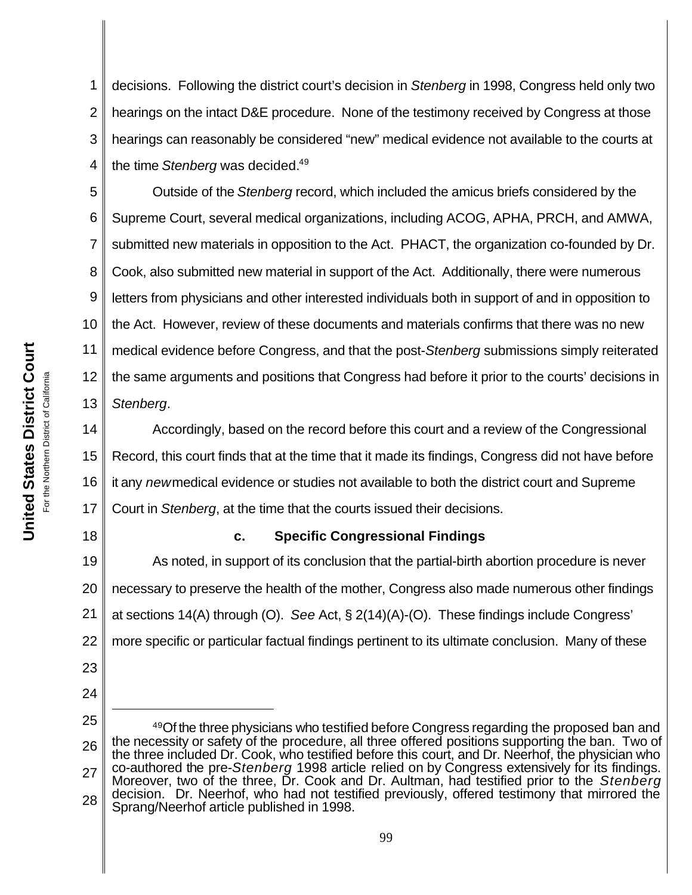1 2 3 4 decisions. Following the district court's decision in *Stenberg* in 1998, Congress held only two hearings on the intact D&E procedure. None of the testimony received by Congress at those hearings can reasonably be considered "new" medical evidence not available to the courts at the time *Stenberg* was decided.<sup>49</sup>

5 6 7 8 9 10 11 12 13 Outside of the *Stenberg* record, which included the amicus briefs considered by the Supreme Court, several medical organizations, including ACOG, APHA, PRCH, and AMWA, submitted new materials in opposition to the Act. PHACT, the organization co-founded by Dr. Cook, also submitted new material in support of the Act. Additionally, there were numerous letters from physicians and other interested individuals both in support of and in opposition to the Act. However, review of these documents and materials confirms that there was no new medical evidence before Congress, and that the post-*Stenberg* submissions simply reiterated the same arguments and positions that Congress had before it prior to the courts' decisions in *Stenberg*.

14 15 16 17 Accordingly, based on the record before this court and a review of the Congressional Record, this court finds that at the time that it made its findings, Congress did not have before it any *new* medical evidence or studies not available to both the district court and Supreme Court in *Stenberg*, at the time that the courts issued their decisions.

#### 18

#### **c. Specific Congressional Findings**

19 20 21 22 As noted, in support of its conclusion that the partial-birth abortion procedure is never necessary to preserve the health of the mother, Congress also made numerous other findings at sections 14(A) through (O). *See* Act, § 2(14)(A)-(O). These findings include Congress' more specific or particular factual findings pertinent to its ultimate conclusion.Many of these

24 25

<sup>26</sup> 27 28 <sup>49</sup>Of the three physicians who testified before Congress regarding the proposed ban and the necessity or safety of the procedure, all three offered positions supporting the ban. Two of the three included Dr. Cook, who testified before this court, and Dr. Neerhof, the physician who co-authored the pre-*Stenberg* 1998 article relied on by Congress extensively for its findings. Moreover, two of the three, Dr. Cook and Dr. Aultman, had testified prior to the *Stenberg* decision. Dr. Neerhof, who had not testified previously, offered testimony that mirrored the Sprang/Neerhof article published in 1998.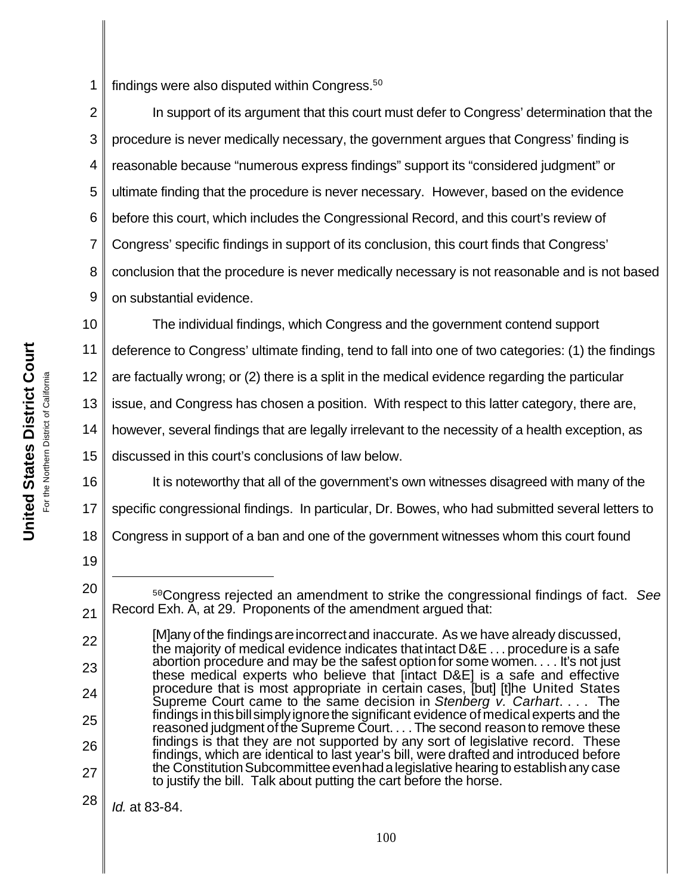1 findings were also disputed within Congress.<sup>50</sup>

2 3 4 5 6 7 8 9 In support of its argument that this court must defer to Congress' determination that the procedure is never medically necessary, the government argues that Congress' finding is reasonable because "numerous express findings" support its "considered judgment" or ultimate finding that the procedure is never necessary.However, based on the evidence before this court, which includes the Congressional Record, and this court's review of Congress' specific findings in support of its conclusion, this court finds that Congress' conclusion that the procedure is never medically necessary is not reasonable and is not based on substantial evidence.

10 11 12 13 14 15 The individual findings, which Congress and the government contend support deference to Congress' ultimate finding, tend to fall into one of two categories: (1) the findings are factually wrong; or (2) there is a split in the medical evidence regarding the particular issue, and Congress has chosen a position. With respect to this latter category, there are, however, several findings that are legally irrelevant to the necessity of a health exception, as discussed in this court's conclusions of law below.

16 17 18 It is noteworthy that all of the government's own witnesses disagreed with many of the specific congressional findings. In particular, Dr. Bowes, who had submitted several letters to Congress in support of a ban and one of the government witnesses whom this court found

<sup>20</sup> 21 <sup>50</sup>Congress rejected an amendment to strike the congressional findings of fact. *See* Record Exh. A, at 29. Proponents of the amendment argued that:

<sup>22</sup> 23 24 25 26 27 [M]any of the findingsareincorrectand inaccurate. As we have already discussed, the majority of medical evidence indicates thatintact D&E . . . procedure is a safe abortion procedure and may be the safest optionfor some women. . . . It's not just these medical experts who believe that [intact D&E] is a safe and effective procedure that is most appropriate in certain cases, [but] [t]he United States Supreme Court came to the same decision in *Stenberg v. Carhart*. . . . The findings in this bill simply ignore the significant evidence of medical experts and the reasoned judgment of the Supreme Court. . . . The second reason to remove these findings is that they are not supported by any sort of legislative record. These findings, which are identical to last year's bill, were drafted and introduced before the Constitution Subcommittee even had a legislative hearing to establish any case to justify the bill. Talk about putting the cart before the horse.

<sup>28</sup> *Id.* at 83-84.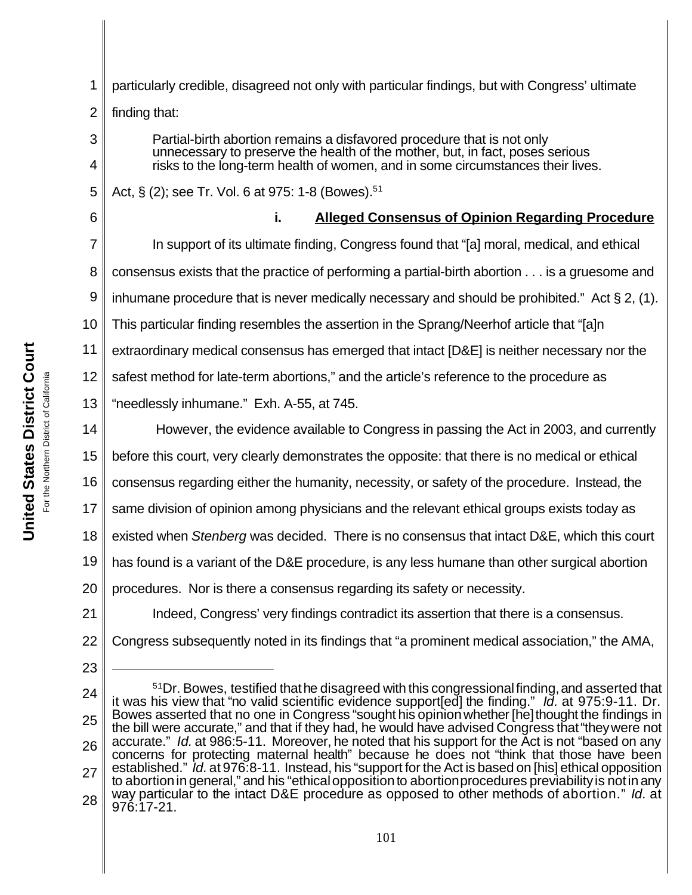**United States District Court United States District Court** For the Northern District of California For the Northern District of California

| 1              | particularly credible, disagreed not only with particular findings, but with Congress' ultimate                                                                                                                                           |
|----------------|-------------------------------------------------------------------------------------------------------------------------------------------------------------------------------------------------------------------------------------------|
| $\overline{2}$ | finding that:                                                                                                                                                                                                                             |
| 3<br>4         | Partial-birth abortion remains a disfavored procedure that is not only<br>unnecessary to preserve the health of the mother, but, in fact, poses serious<br>risks to the long-term health of women, and in some circumstances their lives. |
| 5              | Act, § (2); see Tr. Vol. 6 at 975: 1-8 (Bowes). <sup>51</sup>                                                                                                                                                                             |
| 6              | <b>Alleged Consensus of Opinion Regarding Procedure</b><br>i.                                                                                                                                                                             |
| 7              | In support of its ultimate finding, Congress found that "[a] moral, medical, and ethical                                                                                                                                                  |
| 8              | consensus exists that the practice of performing a partial-birth abortion is a gruesome and                                                                                                                                               |
| 9              | inhumane procedure that is never medically necessary and should be prohibited." Act $\S 2$ , (1).                                                                                                                                         |
| 10             | This particular finding resembles the assertion in the Sprang/Neerhof article that "[a]n                                                                                                                                                  |
| 11             | extraordinary medical consensus has emerged that intact [D&E] is neither necessary nor the                                                                                                                                                |
| 12             | safest method for late-term abortions," and the article's reference to the procedure as                                                                                                                                                   |
| 13             | "needlessly inhumane." Exh. A-55, at 745.                                                                                                                                                                                                 |
| 14             | However, the evidence available to Congress in passing the Act in 2003, and currently                                                                                                                                                     |
| 15             | before this court, very clearly demonstrates the opposite: that there is no medical or ethical                                                                                                                                            |
| 16             | consensus regarding either the humanity, necessity, or safety of the procedure. Instead, the                                                                                                                                              |
| 17             | same division of opinion among physicians and the relevant ethical groups exists today as                                                                                                                                                 |
| 18             | existed when Stenberg was decided. There is no consensus that intact D&E, which this court                                                                                                                                                |
| 19             | has found is a variant of the D&E procedure, is any less humane than other surgical abortion                                                                                                                                              |
| 20             | procedures. Nor is there a consensus regarding its safety or necessity.                                                                                                                                                                   |
| 21             | Indeed, Congress' very findings contradict its assertion that there is a consensus.                                                                                                                                                       |
| 22             | Congress subsequently noted in its findings that "a prominent medical association," the AMA,                                                                                                                                              |
| 23             |                                                                                                                                                                                                                                           |
| 24             | <sup>51</sup> Dr. Bowes, testified that he disagreed with this congressional finding, and asserted that<br>it was his view that "no valid scientific evidence support[ed] the finding." Id. at 975:9-11. Dr.                              |
| 25             | Bowes asserted that no one in Congress "sought his opinion whether [he] thought the findings in<br>the bill were accurate," and that if they had, he would have advised Congress that "they were not                                      |
| 26             | accurate." Id. at 986:5-11. Moreover, he noted that his support for the Act is not "based on any<br>concerns for protecting maternal health" because he does not "think that those have been                                              |
| 27             | established." Id. at 976:8-11. Instead, his "support for the Act is based on [his] ethical opposition<br>to abortion in general," and his "ethical opposition to abortion procedures previability is not in any                           |
| 28             | way particular to the intact D&E procedure as opposed to other methods of abortion." Id. at<br>976:17-21.                                                                                                                                 |
|                | 1 <sub>01</sub>                                                                                                                                                                                                                           |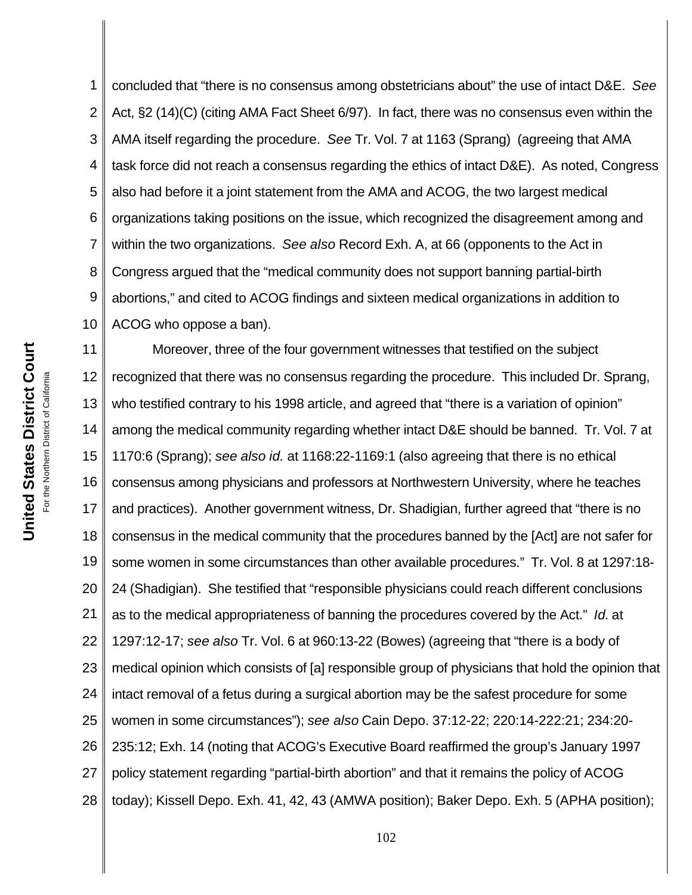1 2 3 4 5 6 7 8 9 10 concluded that "there is no consensus among obstetricians about" the use of intact D&E. *See* Act, §2 (14)(C) (citing AMA Fact Sheet 6/97). In fact, there was no consensus even within the AMA itself regarding the procedure. *See* Tr. Vol. 7 at 1163 (Sprang) (agreeing that AMA task force did not reach a consensus regarding the ethics of intact D&E). As noted, Congress also had before it a joint statement from the AMA and ACOG, the two largest medical organizations taking positions on the issue, which recognized the disagreement among and within the two organizations. *See also* Record Exh. A, at 66 (opponents to the Act in Congress argued that the "medical community does not support banning partial-birth abortions," and cited to ACOG findings and sixteen medical organizations in addition to ACOG who oppose a ban).

11 12 13 14 15 16 17 18 19 20 21 22 23 24 25 26 27 28 Moreover, three of the four government witnesses that testified on the subject recognized that there was no consensus regarding the procedure. This included Dr. Sprang, who testified contrary to his 1998 article, and agreed that "there is a variation of opinion" among the medical community regarding whether intact D&E should be banned. Tr. Vol. 7 at 1170:6 (Sprang); *see also id.* at 1168:22-1169:1 (also agreeing that there is no ethical consensus among physicians and professors at Northwestern University, where he teaches and practices). Another government witness, Dr. Shadigian, further agreed that "there is no consensus in the medical community that the procedures banned by the [Act] are not safer for some women in some circumstances than other available procedures." Tr. Vol. 8 at 1297:18- 24 (Shadigian). She testified that "responsible physicians could reach different conclusions as to the medical appropriateness of banning the procedures covered by the Act." *Id.* at 1297:12-17; *see also* Tr. Vol. 6 at 960:13-22 (Bowes) (agreeing that "there is a body of medical opinion which consists of [a] responsible group of physicians that hold the opinion that intact removal of a fetus during a surgical abortion may be the safest procedure for some women in some circumstances"); *see also* Cain Depo. 37:12-22; 220:14-222:21; 234:20- 235:12; Exh. 14 (noting that ACOG's Executive Board reaffirmed the group's January 1997 policy statement regarding "partial-birth abortion" and that it remains the policy of ACOG today); Kissell Depo. Exh. 41, 42, 43 (AMWA position); Baker Depo. Exh. 5 (APHA position);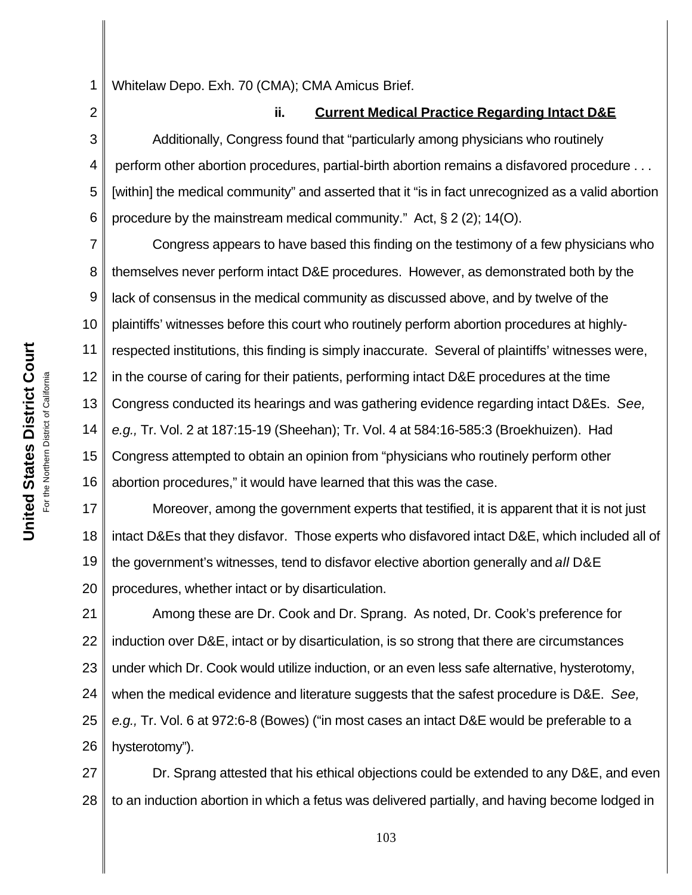1 Whitelaw Depo. Exh. 70 (CMA); CMA Amicus Brief.

2 3 4 5 6 **ii. Current Medical Practice Regarding Intact D&E** Additionally, Congress found that "particularly among physicians who routinely perform other abortion procedures, partial-birth abortion remains a disfavored procedure . . . [within] the medical community" and asserted that it "is in fact unrecognized as a valid abortion procedure by the mainstream medical community." Act, § 2 (2); 14(O).

7 8 9 10 11 12 13 14 15 16 Congress appears to have based this finding on the testimony of a few physicians who themselves never perform intact D&E procedures. However, as demonstrated both by the lack of consensus in the medical community as discussed above, and by twelve of the plaintiffs' witnesses before this court who routinely perform abortion procedures at highlyrespected institutions, this finding is simply inaccurate. Several of plaintiffs' witnesses were, in the course of caring for their patients, performing intact D&E procedures at the time Congress conducted its hearings and was gathering evidence regarding intact D&Es. *See, e.g.,* Tr. Vol. 2 at 187:15-19 (Sheehan); Tr. Vol. 4 at 584:16-585:3 (Broekhuizen). Had Congress attempted to obtain an opinion from "physicians who routinely perform other abortion procedures," it would have learned that this was the case.

17 18 19 20 Moreover, among the government experts that testified, it is apparent that it is not just intact D&Es that they disfavor. Those experts who disfavored intact D&E, which included all of the government's witnesses, tend to disfavor elective abortion generally and *all* D&E procedures, whether intact or by disarticulation.

21 22 23 24 25 26 Among these are Dr. Cook and Dr. Sprang. As noted, Dr. Cook's preference for induction over D&E, intact or by disarticulation, is so strong that there are circumstances under which Dr. Cook would utilize induction, or an even less safe alternative, hysterotomy, when the medical evidence and literature suggests that the safest procedure is D&E. *See, e.g.,* Tr. Vol. 6 at 972:6-8 (Bowes) ("in most cases an intact D&E would be preferable to a hysterotomy").

27 28 Dr. Sprang attested that his ethical objections could be extended to any D&E, and even to an induction abortion in which a fetus was delivered partially, and having become lodged in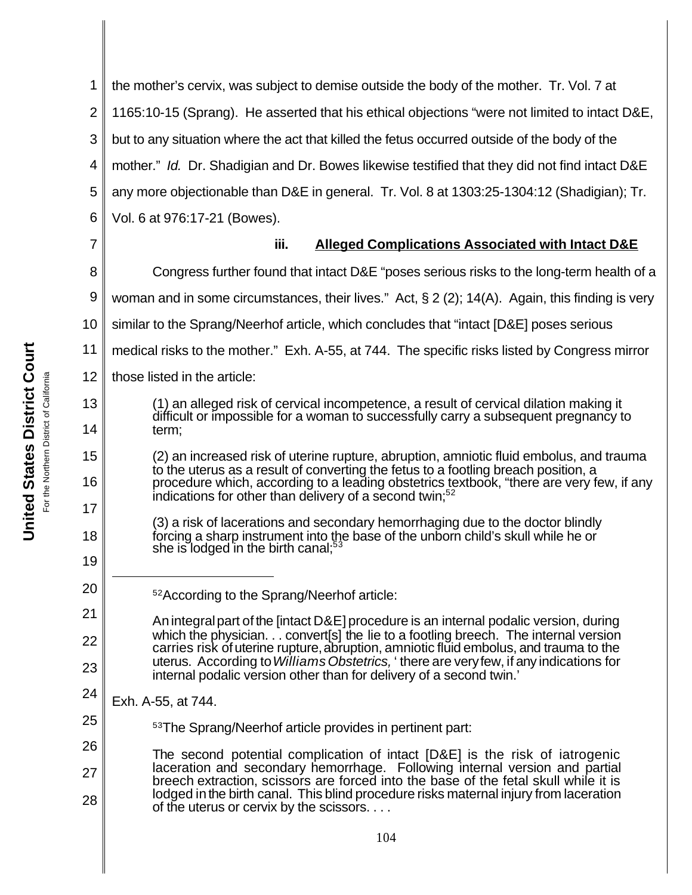1 2 3 4 5 6 the mother's cervix, was subject to demise outside the body of the mother. Tr. Vol. 7 at 1165:10-15 (Sprang). He asserted that his ethical objections "were not limited to intact D&E, but to any situation where the act that killed the fetus occurred outside of the body of the mother." *Id.* Dr. Shadigian and Dr. Bowes likewise testified that they did not find intact D&E any more objectionable than D&E in general. Tr. Vol. 8 at 1303:25-1304:12 (Shadigian); Tr. Vol. 6 at 976:17-21 (Bowes).

7

8

13

14

15

16

17

18

19

20

25

#### **iii. Alleged Complications Associated with Intact D&E**

Congress further found that intact D&E "poses serious risks to the long-term health of a

9 woman and in some circumstances, their lives." Act, § 2 (2); 14(A). Again, this finding is very

10 similar to the Sprang/Neerhof article, which concludes that "intact [D&E] poses serious

11 medical risks to the mother." Exh. A-55, at 744. The specific risks listed by Congress mirror

12 those listed in the article:

> (1) an alleged risk of cervical incompetence, a result of cervical dilation making it difficult or impossible for a woman to successfully carry a subsequent pregnancy to term;

(2) an increased risk of uterine rupture, abruption, amniotic fluid embolus, and trauma to the uterus as a result of converting the fetus to a footling breach position, a procedure which, according to a leading obstetrics textbook, "there are very few, if any indications for other than delivery of a second twin; $52$ 

(3) a risk of lacerations and secondary hemorrhaging due to the doctor blindly forcing a sharp instrument into the base of the unborn child's skull while he or she is lodged in the birth canal:<sup>53</sup>

- <sup>52</sup>According to the Sprang/Neerhof article:
- 21 22 23 Anintegralpart of the [intact D&E] procedure is an internal podalic version, during which the physician. . . convert [s] the lie to a footling breech. The internal version carries risk of uterine rupture, abruption, amniotic fluid embolus, and trauma to the uterus. According to *Williams Obstetrics,* ' there are veryfew, if any indications for internal podalic version other than for delivery of a second twin.'
- 24 Exh. A-55, at 744.
	- <sup>53</sup>The Sprang/Neerhof article provides in pertinent part:
- 26 27 28 The second potential complication of intact [D&E] is the risk of iatrogenic laceration and secondary hemorrhage. Following internal version and partial breech extraction, scissors are forced into the base of the fetal skull while it is lodged in the birth canal. This blind procedure risks maternal injury from laceration of the uterus or cervix by the scissors. . . .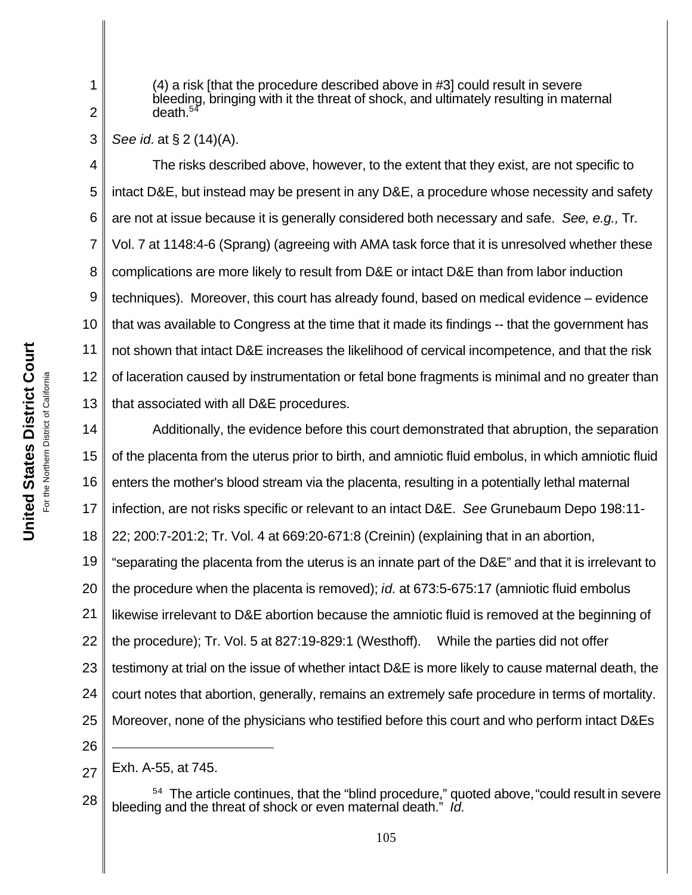For the Northern District of California For the Northern District of California

**United States District Court**

United States District Court

(4) a risk [that the procedure described above in #3] could result in severe bleeding, bringing with it the threat of shock, and ultimately resulting in maternal death. $54$ 

3 *See id.* at § 2 (14)(A).

1

2

4 5 6 7 8 9 10 11 12 13 The risks described above, however, to the extent that they exist, are not specific to intact D&E, but instead may be present in any D&E, a procedure whose necessity and safety are not at issue because it is generally considered both necessary and safe. *See, e.g.,* Tr. Vol. 7 at 1148:4-6 (Sprang) (agreeing with AMA task force that it is unresolved whether these complications are more likely to result from D&E or intact D&E than from labor induction techniques). Moreover, this court has already found, based on medical evidence – evidence that was available to Congress at the time that it made its findings -- that the government has not shown that intact D&E increases the likelihood of cervical incompetence, and that the risk of laceration caused by instrumentation or fetal bone fragments is minimal and no greater than that associated with all D&E procedures.

14 15 16 17 18 19 20 21 22 23 24 25 26 Additionally, the evidence before this court demonstrated that abruption, the separation of the placenta from the uterus prior to birth, and amniotic fluid embolus, in which amniotic fluid enters the mother's blood stream via the placenta, resulting in a potentially lethal maternal infection, are not risks specific or relevant to an intact D&E. *See* Grunebaum Depo 198:11- 22; 200:7-201:2; Tr. Vol. 4 at 669:20-671:8 (Creinin) (explaining that in an abortion, "separating the placenta from the uterus is an innate part of the D&E" and that it is irrelevant to the procedure when the placenta is removed); *id.* at 673:5-675:17 (amniotic fluid embolus likewise irrelevant to D&E abortion because the amniotic fluid is removed at the beginning of the procedure); Tr. Vol. 5 at 827:19-829:1 (Westhoff). While the parties did not offer testimony at trial on the issue of whether intact D&E is more likely to cause maternal death, the court notes that abortion, generally, remains an extremely safe procedure in terms of mortality. Moreover, none of the physicians who testified before this court and who perform intact D&Es

28 <sup>54</sup> The article continues, that the "blind procedure," quoted above, "could result in severe bleeding and the threat of shock or even maternal death." *Id.*

<sup>27</sup> Exh. A-55, at 745.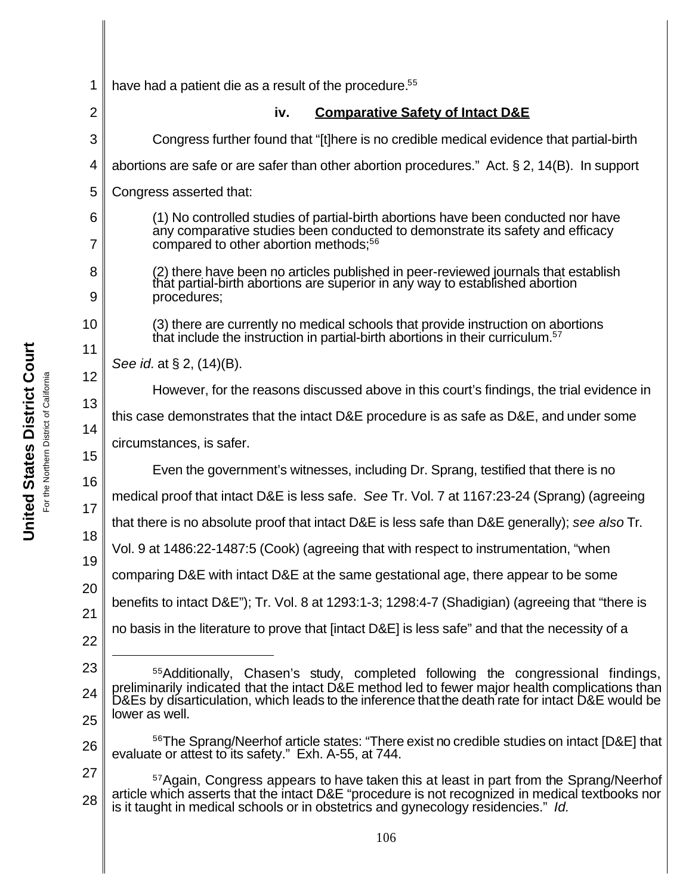| 1              | have had a patient die as a result of the procedure. <sup>55</sup>                                                                                                                                                      |
|----------------|-------------------------------------------------------------------------------------------------------------------------------------------------------------------------------------------------------------------------|
| $\overline{2}$ | iv.<br><b>Comparative Safety of Intact D&amp;E</b>                                                                                                                                                                      |
| 3              | Congress further found that "[t]here is no credible medical evidence that partial-birth                                                                                                                                 |
| 4              | abortions are safe or are safer than other abortion procedures." Act. $\S 2$ , 14(B). In support                                                                                                                        |
| 5              | Congress asserted that:                                                                                                                                                                                                 |
| 6<br>7         | (1) No controlled studies of partial-birth abortions have been conducted nor have<br>any comparative studies been conducted to demonstrate its safety and efficacy<br>compared to other abortion methods; <sup>56</sup> |
| 8<br>9         | (2) there have been no articles published in peer-reviewed journals that establish<br>that partial-birth abortions are superior in any way to established abortion<br>procedures;                                       |
| 10<br>11       | (3) there are currently no medical schools that provide instruction on abortions<br>that include the instruction in partial-birth abortions in their curriculum. <sup>57</sup>                                          |
| 12             | See <i>id.</i> at $\S$ 2, $(14)(B)$ .                                                                                                                                                                                   |
| 13             | However, for the reasons discussed above in this court's findings, the trial evidence in                                                                                                                                |
| 14             | this case demonstrates that the intact D&E procedure is as safe as D&E, and under some                                                                                                                                  |
| 15             | circumstances, is safer.                                                                                                                                                                                                |
| 16             | Even the government's witnesses, including Dr. Sprang, testified that there is no                                                                                                                                       |
| 17             | medical proof that intact D&E is less safe. See Tr. Vol. 7 at 1167:23-24 (Sprang) (agreeing                                                                                                                             |
| 18             | that there is no absolute proof that intact D&E is less safe than D&E generally); see also Tr.                                                                                                                          |
| 19             | Vol. 9 at 1486:22-1487:5 (Cook) (agreeing that with respect to instrumentation, "when                                                                                                                                   |
| 20             | comparing D&E with intact D&E at the same gestational age, there appear to be some                                                                                                                                      |
| 21             | benefits to intact D&E"); Tr. Vol. 8 at 1293:1-3; 1298:4-7 (Shadigian) (agreeing that "there is                                                                                                                         |
| 22             | no basis in the literature to prove that fintact D&E] is less safe" and that the necessity of a                                                                                                                         |
| 23             | <sup>55</sup> Additionally, Chasen's study, completed following the congressional findings,                                                                                                                             |
| 24             | preliminarily indicated that the intact D&E method led to fewer major health complications than<br>D&Es by disarticulation, which leads to the inference that the death rate for intact D&E would be                    |
| 25             | lower as well.                                                                                                                                                                                                          |
| 26             | <sup>56</sup> The Sprang/Neerhof article states: "There exist no credible studies on intact [D&E] that<br>evaluate or attest to its safety." Exh. A-55, at 744.                                                         |
| 27             | <sup>57</sup> Again, Congress appears to have taken this at least in part from the Sprang/Neerhof                                                                                                                       |
| 28             | article which asserts that the intact D&E "procedure is not recognized in medical textbooks nor<br>is it taught in medical schools or in obstetrics and gynecology residencies." Id.                                    |
|                | 106                                                                                                                                                                                                                     |
|                |                                                                                                                                                                                                                         |

# United States District Court **United States District Court** For the Northern District of California For the Northern District of California

 $\parallel$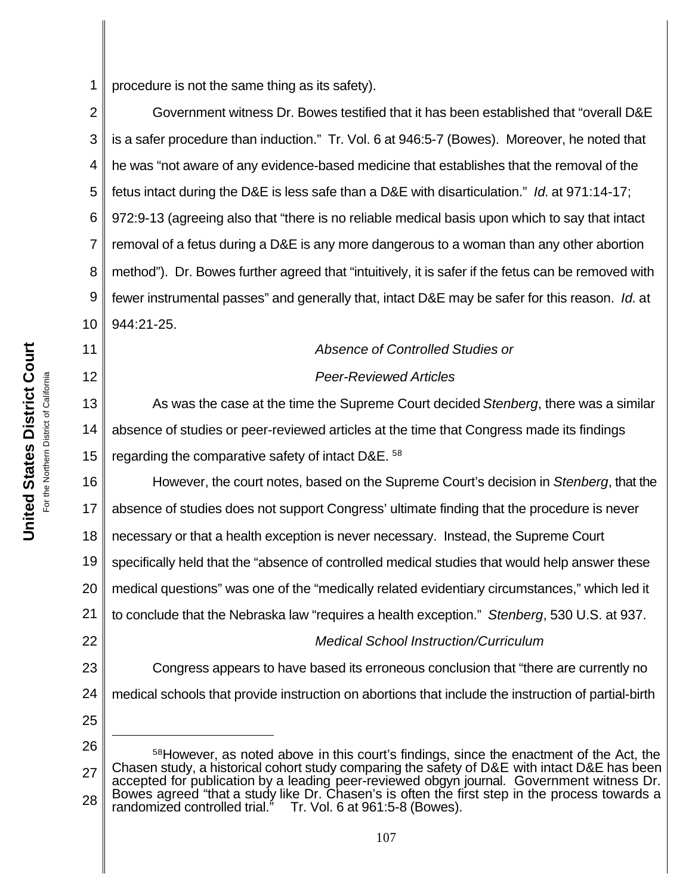1 procedure is not the same thing as its safety).

2 3 4 5 6 7 8 9 10 Government witness Dr. Bowes testified that it has been established that "overall D&E is a safer procedure than induction." Tr. Vol. 6 at 946:5-7 (Bowes). Moreover, he noted that he was "not aware of any evidence-based medicine that establishes that the removal of the fetus intact during the D&E is less safe than a D&E with disarticulation." *Id.* at 971:14-17; 972:9-13 (agreeing also that "there is no reliable medical basis upon which to say that intact removal of a fetus during a D&E is any more dangerous to a woman than any other abortion method"). Dr. Bowes further agreed that "intuitively, it is safer if the fetus can be removed with fewer instrumental passes" and generally that, intact D&E may be safer for this reason. *Id.* at 944:21-25.

#### *Absence of Controlled Studies or*

#### *Peer-Reviewed Articles*

13 14 15 As was the case at the time the Supreme Court decided *Stenberg*, there was a similar absence of studies or peer-reviewed articles at the time that Congress made its findings regarding the comparative safety of intact D&E. <sup>58</sup>

16 17 18 19 20 21 22 23 However, the court notes, based on the Supreme Court's decision in *Stenberg*, that the absence of studies does not support Congress' ultimate finding that the procedure is never necessary or that a health exception is never necessary. Instead, the Supreme Court specifically held that the "absence of controlled medical studies that would help answer these medical questions" was one of the "medically related evidentiary circumstances," which led it to conclude that the Nebraska law "requires a health exception." *Stenberg*, 530 U.S. at 937. *Medical School Instruction/Curriculum* Congress appears to have based its erroneous conclusion that "there are currently no

25

24

medical schools that provide instruction on abortions that include the instruction of partial-birth

11

<sup>26</sup> 27 28 58However, as noted above in this court's findings, since the enactment of the Act, the Chasen study, a historical cohort study comparing the safety of D&E with intact D&E has been accepted for publication by a leading peer-reviewed obgyn journal. Government witness Dr. Bowes agreed "that a study like Dr. Chasen's is often the first step in the process towards a randomized controlled trial." Tr. Vol. 6 at 961:5-8 (Bowes).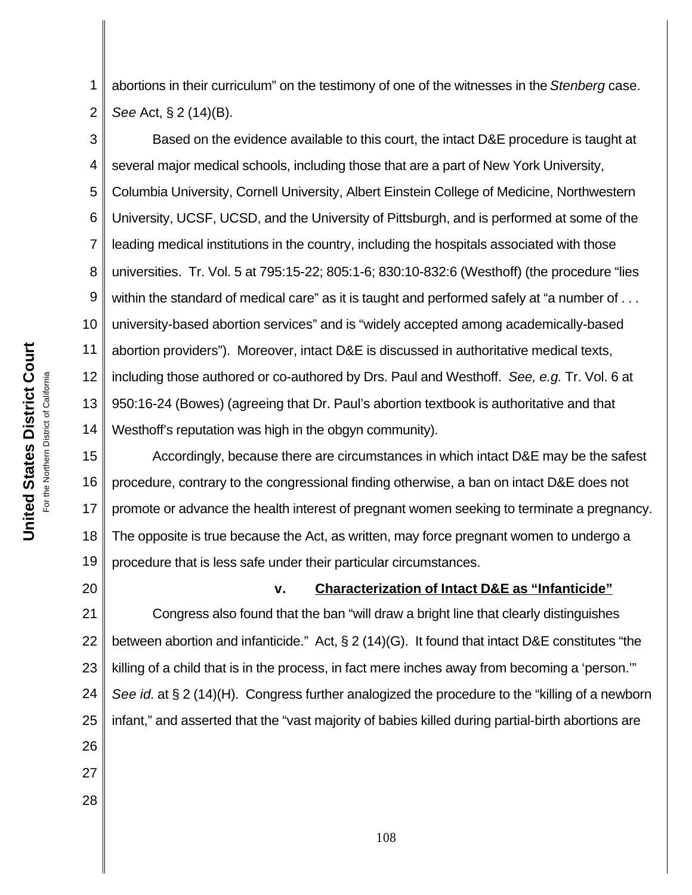1 2 abortions in their curriculum" on the testimony of one of the witnesses in the *Stenberg* case. *See* Act, § 2 (14)(B).

3 4 5 6 7 8 9 10 11 12 13 14 Based on the evidence available to this court, the intact D&E procedure is taught at several major medical schools, including those that are a part of New York University, Columbia University, Cornell University, Albert Einstein College of Medicine, Northwestern University, UCSF, UCSD, and the University of Pittsburgh, and is performed at some of the leading medical institutions in the country, including the hospitals associated with those universities. Tr. Vol. 5 at 795:15-22; 805:1-6; 830:10-832:6 (Westhoff) (the procedure "lies within the standard of medical care" as it is taught and performed safely at "a number of . . . university-based abortion services" and is "widely accepted among academically-based abortion providers"). Moreover, intact D&E is discussed in authoritative medical texts, including those authored or co-authored by Drs. Paul and Westhoff. *See, e.g.* Tr. Vol. 6 at 950:16-24 (Bowes) (agreeing that Dr. Paul's abortion textbook is authoritative and that Westhoff's reputation was high in the obgyn community).

15 16 17 18 19 Accordingly, because there are circumstances in which intact D&E may be the safest procedure, contrary to the congressional finding otherwise, a ban on intact D&E does not promote or advance the health interest of pregnant women seeking to terminate a pregnancy. The opposite is true because the Act, as written, may force pregnant women to undergo a procedure that is less safe under their particular circumstances.

20

**v. Characterization of Intact D&E as "Infanticide"**

21 22 23 24 25 26 27 Congress also found that the ban "will draw a bright line that clearly distinguishes between abortion and infanticide." Act, § 2 (14)(G). It found that intact D&E constitutes "the killing of a child that is in the process, in fact mere inches away from becoming a 'person.'" *See id.* at § 2 (14)(H). Congress further analogized the procedure to the "killing of a newborn infant," and asserted that the "vast majority of babies killed during partial-birth abortions are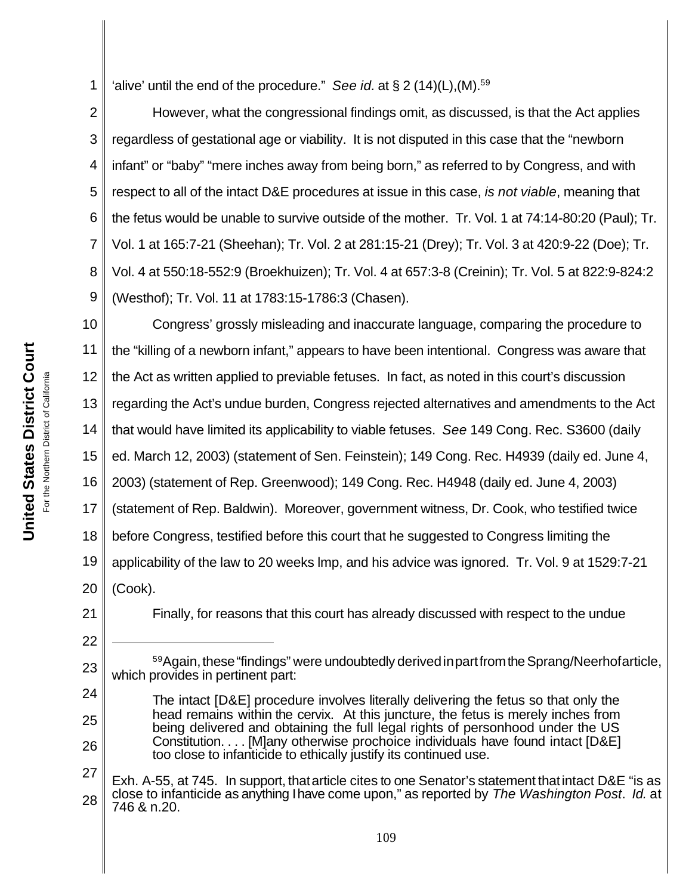1 'alive' until the end of the procedure." *See id.* at  $\S 2 (14)(L)$ ,  $(M)$ .<sup>59</sup>

2 3 4 5 6 7 8 9 However, what the congressional findings omit, as discussed, is that the Act applies regardless of gestational age or viability. It is not disputed in this case that the "newborn infant" or "baby" "mere inches away from being born," as referred to by Congress, and with respect to all of the intact D&E procedures at issue in this case, *is not viable*, meaning that the fetus would be unable to survive outside of the mother. Tr. Vol. 1 at 74:14-80:20 (Paul); Tr. Vol. 1 at 165:7-21 (Sheehan); Tr. Vol. 2 at 281:15-21 (Drey); Tr. Vol. 3 at 420:9-22 (Doe); Tr. Vol. 4 at 550:18-552:9 (Broekhuizen); Tr. Vol. 4 at 657:3-8 (Creinin); Tr. Vol. 5 at 822:9-824:2 (Westhof); Tr. Vol. 11 at 1783:15-1786:3 (Chasen).

10 11 12 13 14 15 16 17 18 19 20 Congress' grossly misleading and inaccurate language, comparing the procedure to the "killing of a newborn infant," appears to have been intentional. Congress was aware that the Act as written applied to previable fetuses. In fact, as noted in this court's discussion regarding the Act's undue burden, Congress rejected alternatives and amendments to the Act that would have limited its applicability to viable fetuses. *See* 149 Cong. Rec. S3600 (daily ed. March 12, 2003) (statement of Sen. Feinstein); 149 Cong. Rec. H4939 (daily ed. June 4, 2003) (statement of Rep. Greenwood); 149 Cong. Rec. H4948 (daily ed. June 4, 2003) (statement of Rep. Baldwin). Moreover, government witness, Dr. Cook, who testified twice before Congress, testified before this court that he suggested to Congress limiting the applicability of the law to 20 weeks lmp, and his advice was ignored. Tr. Vol. 9 at 1529:7-21 (Cook).

21

22

23

24

25

26

Finally, for reasons that this court has already discussed with respect to the undue

59 Again, these "findings" were undoubtedly derived in part from the Sprang/Neerhofarticle, which provides in pertinent part:

The intact [D&E] procedure involves literally delivering the fetus so that only the head remains within the cervix. At this juncture, the fetus is merely inches from being delivered and obtaining the full legal rights of personhood under the US Constitution. . . . [M]any otherwise prochoice individuals have found intact [D&E] too close to infanticide to ethically justify its continued use.

<sup>27</sup> 28 Exh. A-55, at 745. In support, thatarticle cites to one Senator's statement thatintact D&E "is as close to infanticide as anything Ihave come upon," as reported by *The Washington Post*. *Id.* at 746 & n.20.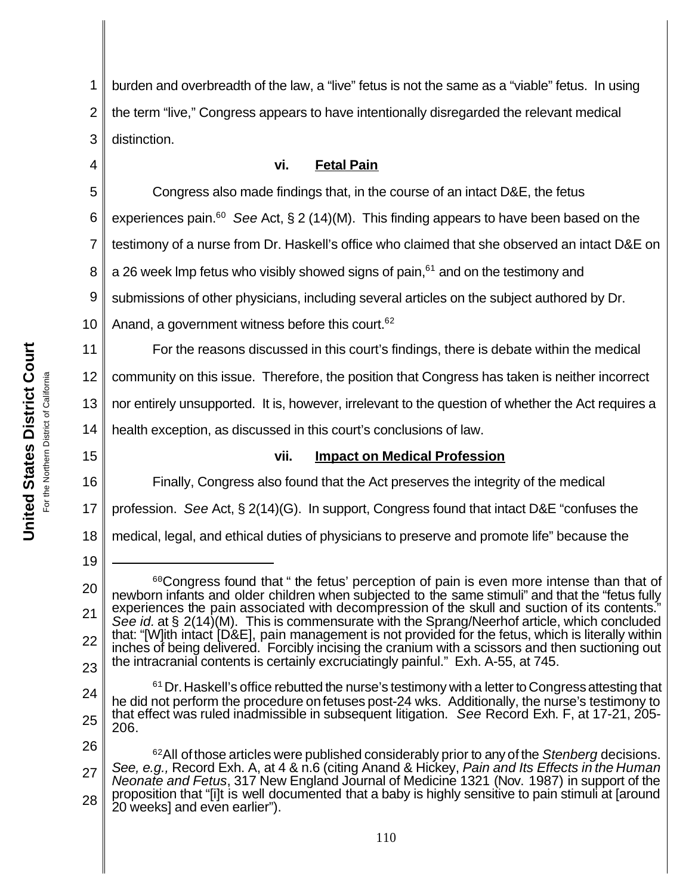1 2 3 burden and overbreadth of the law, a "live" fetus is not the same as a "viable" fetus. In using the term "live," Congress appears to have intentionally disregarded the relevant medical distinction.

4

5

6

11

15

16

19

## **vi. Fetal Pain**

Congress also made findings that, in the course of an intact D&E, the fetus

experiences pain.<sup>60</sup> See Act, § 2 (14)(M). This finding appears to have been based on the

7 testimony of a nurse from Dr. Haskell's office who claimed that she observed an intact D&E on

8 a 26 week Imp fetus who visibly showed signs of pain,  $61$  and on the testimony and

9 submissions of other physicians, including several articles on the subject authored by Dr.

10 Anand, a government witness before this court.  $62$ 

For the reasons discussed in this court's findings, there is debate within the medical

12 community on this issue. Therefore, the position that Congress has taken is neither incorrect

13 nor entirely unsupported. It is, however, irrelevant to the question of whether the Act requires a

14 health exception, as discussed in this court's conclusions of law.

## **vii. Impact on Medical Profession**

Finally, Congress also found that the Act preserves the integrity of the medical

17 profession. *See* Act, § 2(14)(G). In support, Congress found that intact D&E "confuses the

18 medical, legal, and ethical duties of physicians to preserve and promote life" because the

 $61$  Dr. Haskell's office rebutted the nurse's testimony with a letter to Congress attesting that

<sup>20</sup> 21 22 23 <sup>60</sup>Congress found that " the fetus' perception of pain is even more intense than that of newborn infants and older children when subjected to the same stimuli" and that the "fetus fully experiences the pain associated with decompression of the skull and suction of its contents. *See id.* at § 2(14)(M). This is commensurate with the Sprang/Neerhof article, which concluded that: "[W]ith intact [D&E], pain management is not provided for the fetus, which is literally within inches of being delivered. Forcibly incising the cranium with a scissors and then suctioning out the intracranial contents is certainly excruciatingly painful." Exh. A-55, at 745.

<sup>24</sup> 25

<sup>26</sup> he did not perform the procedure onfetuses post-24 wks. Additionally, the nurse's testimony to that effect was ruled inadmissible in subsequent litigation. *See* Record Exh. F, at 17-21, 205- 206.

<sup>27</sup> 28 <sup>62</sup>All ofthose articles were published considerably prior to any of the *Stenberg* decisions. *See, e.g.,* Record Exh. A, at 4 & n.6 (citing Anand & Hickey, *Pain and Its Effects in the Human Neonate and Fetus*, 317 New England Journal of Medicine 1321 (Nov. 1987) in support of the proposition that "[i]t is well documented that a baby is highly sensitive to pain stimuli at [around 20 weeks] and even earlier").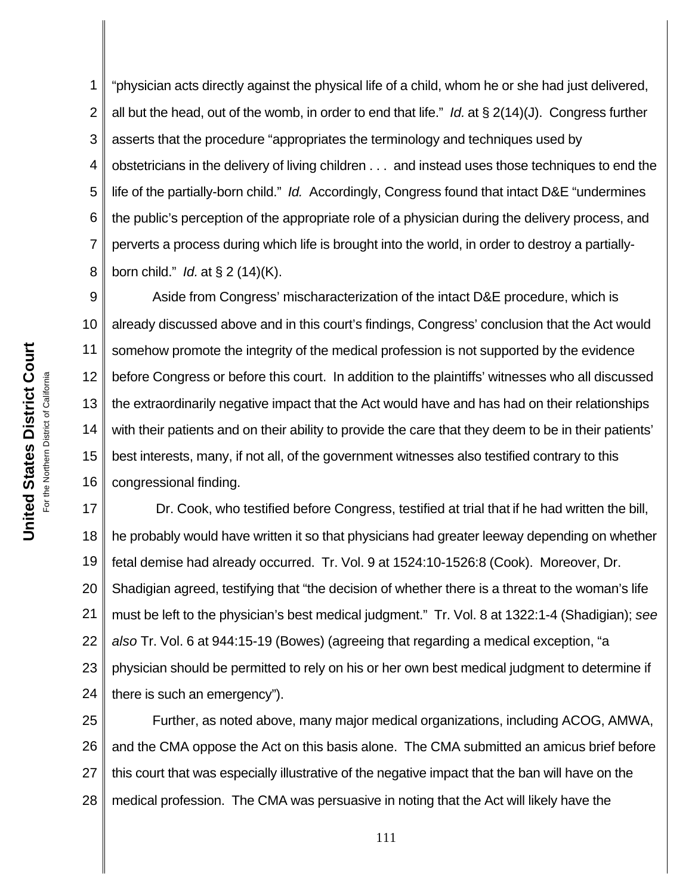1 2 3 4 5 6 7 8 "physician acts directly against the physical life of a child, whom he or she had just delivered, all but the head, out of the womb, in order to end that life." *Id.* at § 2(14)(J). Congress further asserts that the procedure "appropriates the terminology and techniques used by obstetricians in the delivery of living children . . . and instead uses those techniques to end the life of the partially-born child." *Id.* Accordingly, Congress found that intact D&E "undermines the public's perception of the appropriate role of a physician during the delivery process, and perverts a process during which life is brought into the world, in order to destroy a partiallyborn child." *Id.* at § 2 (14)(K).

9 10 11 12 13 14 15 16 Aside from Congress' mischaracterization of the intact D&E procedure, which is already discussed above and in this court's findings, Congress' conclusion that the Act would somehow promote the integrity of the medical profession is not supported by the evidence before Congress or before this court. In addition to the plaintiffs' witnesses who all discussed the extraordinarily negative impact that the Act would have and has had on their relationships with their patients and on their ability to provide the care that they deem to be in their patients' best interests, many, if not all, of the government witnesses also testified contrary to this congressional finding.

17 18 19 20 21 22 23 24 Dr. Cook, who testified before Congress, testified at trial that if he had written the bill, he probably would have written it so that physicians had greater leeway depending on whether fetal demise had already occurred. Tr. Vol. 9 at 1524:10-1526:8 (Cook). Moreover, Dr. Shadigian agreed, testifying that "the decision of whether there is a threat to the woman's life must be left to the physician's best medical judgment." Tr. Vol. 8 at 1322:1-4 (Shadigian); *see also* Tr. Vol. 6 at 944:15-19 (Bowes) (agreeing that regarding a medical exception, "a physician should be permitted to rely on his or her own best medical judgment to determine if there is such an emergency").

25 26 27 28 Further, as noted above, many major medical organizations, including ACOG, AMWA, and the CMA oppose the Act on this basis alone. The CMA submitted an amicus brief before this court that was especially illustrative of the negative impact that the ban will have on the medical profession. The CMA was persuasive in noting that the Act will likely have the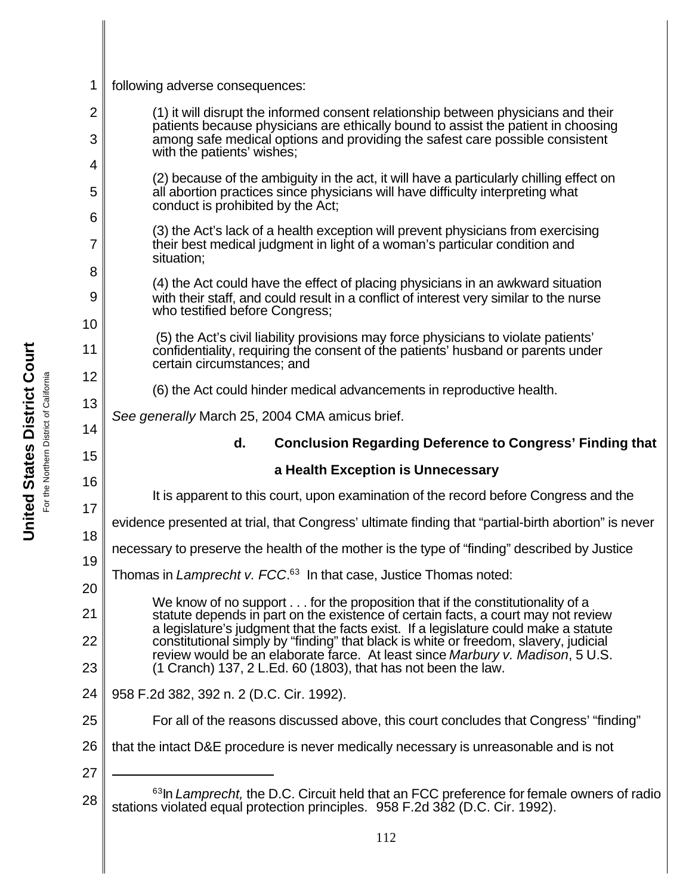1 2 3 4 5 6 7 8 9 10 11 12 13 14 15 16 17 18 19 20 21 22 23 24 25 26 27 28 <sup>63</sup>In *Lamprecht*, the D.C. Circuit held that an FCC preference for female owners of radio stations violated equal protection principles. 958 F.2d 382 (D.C. Cir. 1992). following adverse consequences: (1) it will disrupt the informed consent relationship between physicians and their patients because physicians are ethically bound to assist the patient in choosing among safe medical options and providing the safest care possible consistent with the patients' wishes; (2) because of the ambiguity in the act, it will have a particularly chilling effect on all abortion practices since physicians will have difficulty interpreting what conduct is prohibited by the Act; (3) the Act's lack of a health exception will prevent physicians from exercising their best medical judgment in light of a woman's particular condition and situation; (4) the Act could have the effect of placing physicians in an awkward situation with their staff, and could result in a conflict of interest very similar to the nurse who testified before Congress; (5) the Act's civil liability provisions may force physicians to violate patients' confidentiality, requiring the consent of the patients' husband or parents under certain circumstances; and (6) the Act could hinder medical advancements in reproductive health. *See generally* March 25, 2004 CMA amicus brief. **d. Conclusion Regarding Deference to Congress' Finding that a Health Exception is Unnecessary** It is apparent to this court, upon examination of the record before Congress and the evidence presented at trial, that Congress' ultimate finding that "partial-birth abortion" is never necessary to preserve the health of the mother is the type of "finding" described by Justice Thomas in *Lamprecht v. FCC*. <sup>63</sup> In that case, Justice Thomas noted: We know of no support . . . for the proposition that if the constitutionality of a statute depends in part on the existence of certain facts, a court may not review a legislature's judgment that the facts exist. If a legislature could make a statute constitutional simply by "finding" that black is white or freedom, slavery, judicial review would be an elaborate farce. At least since *Marbury v. Madison*, 5 U.S. (1 Cranch) 137, 2 L.Ed. 60 (1803), that has not been the law. 958 F.2d 382, 392 n. 2 (D.C. Cir. 1992). For all of the reasons discussed above, this court concludes that Congress' "finding" that the intact D&E procedure is never medically necessary is unreasonable and is not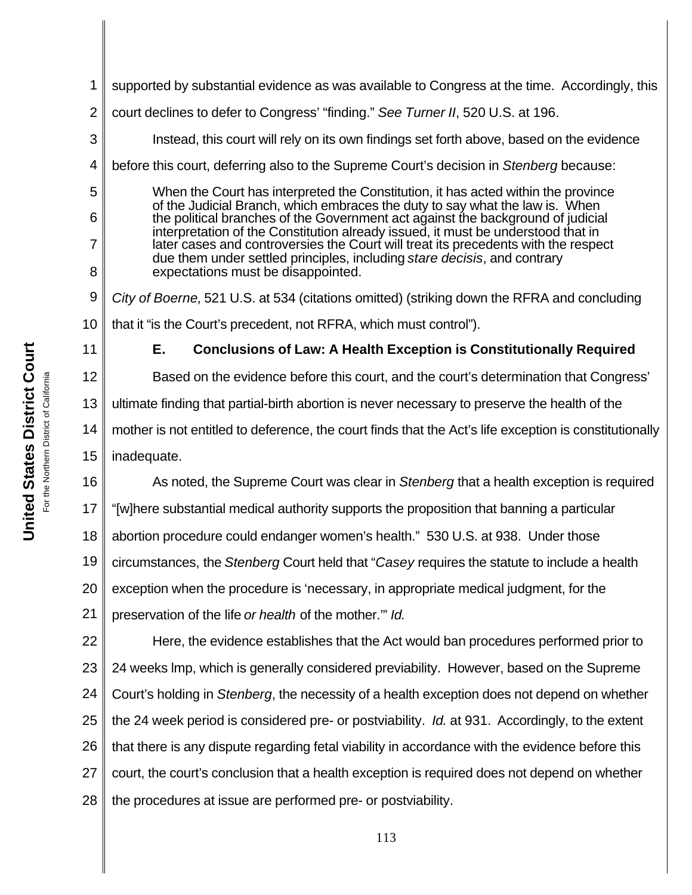**United States District Court United States District Court** California For the Northern District of California For the Northern District of

1 2 3 4 5 6 7 8 9 10 11 12 13 14 15 16 17 18 19 20 21 22 23 24 25 26 27 28 supported by substantial evidence as was available to Congress at the time. Accordingly, this court declines to defer to Congress' "finding." *See Turner II*, 520 U.S. at 196. Instead, this court will rely on its own findings set forth above, based on the evidence before this court, deferring also to the Supreme Court's decision in *Stenberg* because: When the Court has interpreted the Constitution, it has acted within the province of the Judicial Branch, which embraces the duty to say what the law is. When the political branches of the Government act against the background of judicial interpretation of the Constitution already issued, it must be understood that in later cases and controversies the Court will treat its precedents with the respect due them under settled principles, including *stare decisis*, and contrary expectations must be disappointed. *City of Boerne,* 521 U.S. at 534 (citations omitted) (striking down the RFRA and concluding that it "is the Court's precedent, not RFRA, which must control"). **E. Conclusions of Law: A Health Exception is Constitutionally Required** Based on the evidence before this court, and the court's determination that Congress' ultimate finding that partial-birth abortion is never necessary to preserve the health of the mother is not entitled to deference, the court finds that the Act's life exception is constitutionally inadequate. As noted, the Supreme Court was clear in *Stenberg* that a health exception is required "[w]here substantial medical authority supports the proposition that banning a particular abortion procedure could endanger women's health." 530 U.S. at 938. Under those circumstances, the *Stenberg* Court held that "*Casey* requires the statute to include a health exception when the procedure is 'necessary, in appropriate medical judgment, for the preservation of the life *or health* of the mother.'" *Id.*  Here, the evidence establishes that the Act would ban procedures performed prior to 24 weeks lmp, which is generally considered previability. However, based on the Supreme Court's holding in *Stenberg*, the necessity of a health exception does not depend on whether the 24 week period is considered pre- or postviability. *Id.* at 931.Accordingly, to the extent that there is any dispute regarding fetal viability in accordance with the evidence before this court, the court's conclusion that a health exception is required does not depend on whether the procedures at issue are performed pre- or postviability.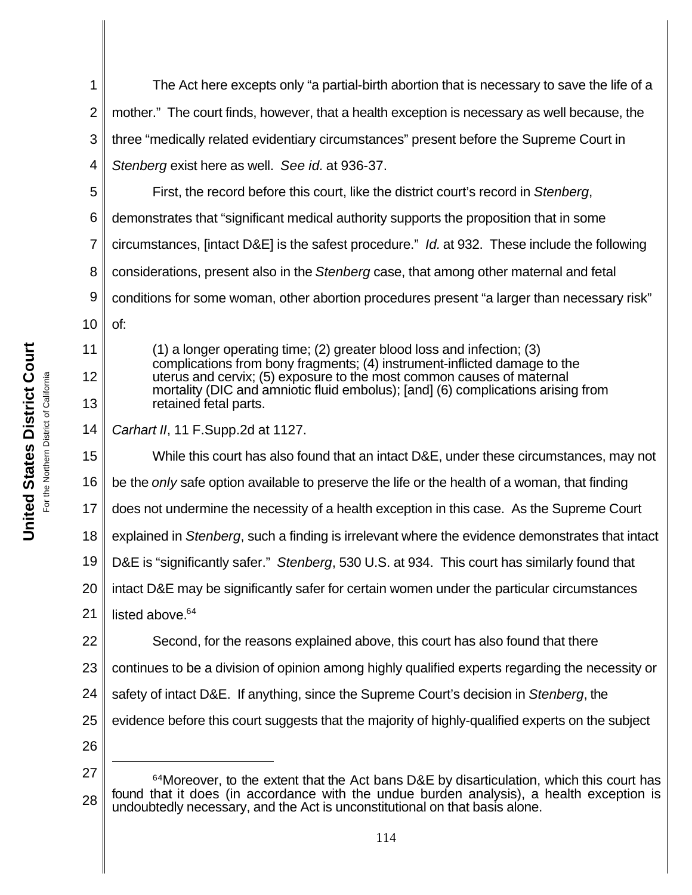| 1  | The Act here excepts only "a partial-birth abortion that is necessary to save the life of a                                                                                                                                                                     |
|----|-----------------------------------------------------------------------------------------------------------------------------------------------------------------------------------------------------------------------------------------------------------------|
| 2  | mother." The court finds, however, that a health exception is necessary as well because, the                                                                                                                                                                    |
| 3  | three "medically related evidentiary circumstances" present before the Supreme Court in                                                                                                                                                                         |
| 4  | Stenberg exist here as well. See id. at 936-37.                                                                                                                                                                                                                 |
| 5  | First, the record before this court, like the district court's record in Stenberg,                                                                                                                                                                              |
| 6  | demonstrates that "significant medical authority supports the proposition that in some                                                                                                                                                                          |
| 7  | circumstances, [intact D&E] is the safest procedure." Id. at 932. These include the following                                                                                                                                                                   |
| 8  | considerations, present also in the Stenberg case, that among other maternal and fetal                                                                                                                                                                          |
| 9  | conditions for some woman, other abortion procedures present "a larger than necessary risk"                                                                                                                                                                     |
| 10 | of:                                                                                                                                                                                                                                                             |
| 11 | $(1)$ a longer operating time; (2) greater blood loss and infection; (3)                                                                                                                                                                                        |
| 12 | complications from bony fragments; (4) instrument-inflicted damage to the<br>uterus and cervix; (5) exposure to the most common causes of maternal<br>mortality (DIC and amniotic fluid embolus); [and] (6) complications arising from<br>retained fetal parts. |
| 13 |                                                                                                                                                                                                                                                                 |
| 14 | Carhart II, 11 F.Supp.2d at 1127.                                                                                                                                                                                                                               |
| 15 | While this court has also found that an intact D&E, under these circumstances, may not                                                                                                                                                                          |
| 16 | be the only safe option available to preserve the life or the health of a woman, that finding                                                                                                                                                                   |
| 17 | does not undermine the necessity of a health exception in this case. As the Supreme Court                                                                                                                                                                       |
| 18 | explained in Stenberg, such a finding is irrelevant where the evidence demonstrates that intact                                                                                                                                                                 |
| 19 | D&E is "significantly safer." Stenberg, 530 U.S. at 934. This court has similarly found that                                                                                                                                                                    |
| 20 | intact D&E may be significantly safer for certain women under the particular circumstances                                                                                                                                                                      |
| 21 | listed above. <sup>64</sup>                                                                                                                                                                                                                                     |
| 22 | Second, for the reasons explained above, this court has also found that there                                                                                                                                                                                   |
| 23 | continues to be a division of opinion among highly qualified experts regarding the necessity or                                                                                                                                                                 |
| 24 | safety of intact D&E. If anything, since the Supreme Court's decision in Stenberg, the                                                                                                                                                                          |
| 25 | evidence before this court suggests that the majority of highly-qualified experts on the subject                                                                                                                                                                |
| 26 |                                                                                                                                                                                                                                                                 |
| 27 | 64Moreover, to the extent that the Act bans D&E by disarticulation, which this court has                                                                                                                                                                        |
| 28 | found that it does (in accordance with the undue burden analysis), a health exception is<br>undoubtedly necessary, and the Act is unconstitutional on that basis alone.                                                                                         |

United States District Court **United States District Court** For the Northern District of California For the Northern District of California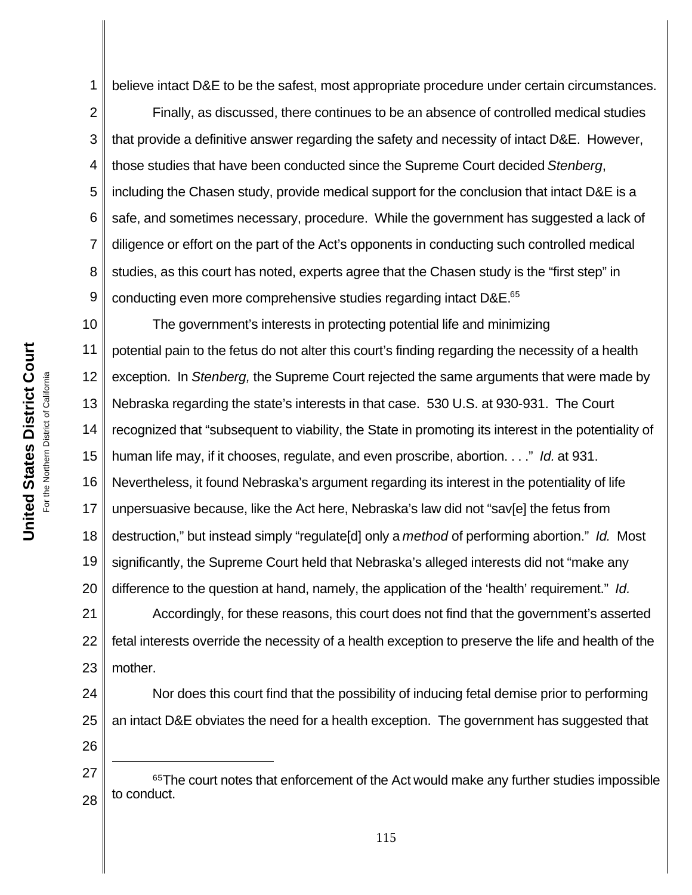1 believe intact D&E to be the safest, most appropriate procedure under certain circumstances.

2 3 4 5 6 7 8 9 Finally, as discussed, there continues to be an absence of controlled medical studies that provide a definitive answer regarding the safety and necessity of intact D&E. However, those studies that have been conducted since the Supreme Court decided *Stenberg*, including the Chasen study, provide medical support for the conclusion that intact D&E is a safe, and sometimes necessary, procedure. While the government has suggested a lack of diligence or effort on the part of the Act's opponents in conducting such controlled medical studies, as this court has noted, experts agree that the Chasen study is the "first step" in conducting even more comprehensive studies regarding intact D&E.<sup>65</sup>

10 11 12 13 14 15 16 17 18 19 20 The government's interests in protecting potential life and minimizing potential pain to the fetus do not alter this court's finding regarding the necessity of a health exception. In *Stenberg,* the Supreme Court rejected the same arguments that were made by Nebraska regarding the state's interests in that case. 530 U.S. at 930-931. The Court recognized that "subsequent to viability, the State in promoting its interest in the potentiality of human life may, if it chooses, regulate, and even proscribe, abortion. . . ." *Id.* at 931. Nevertheless, it found Nebraska's argument regarding its interest in the potentiality of life unpersuasive because, like the Act here, Nebraska's law did not "sav[e] the fetus from destruction," but instead simply "regulate[d] only a *method* of performing abortion." *Id.* Most significantly, the Supreme Court held that Nebraska's alleged interests did not "make any difference to the question at hand, namely, the application of the 'health' requirement." *Id.*

21 22 23 Accordingly, for these reasons, this court does not find that the government's asserted fetal interests override the necessity of a health exception to preserve the life and health of the mother.

24 25 Nor does this court find that the possibility of inducing fetal demise prior to performing an intact D&E obviates the need for a health exception. The government has suggested that

26

27 28 <sup>65</sup>The court notes that enforcement of the Act would make any further studies impossible to conduct.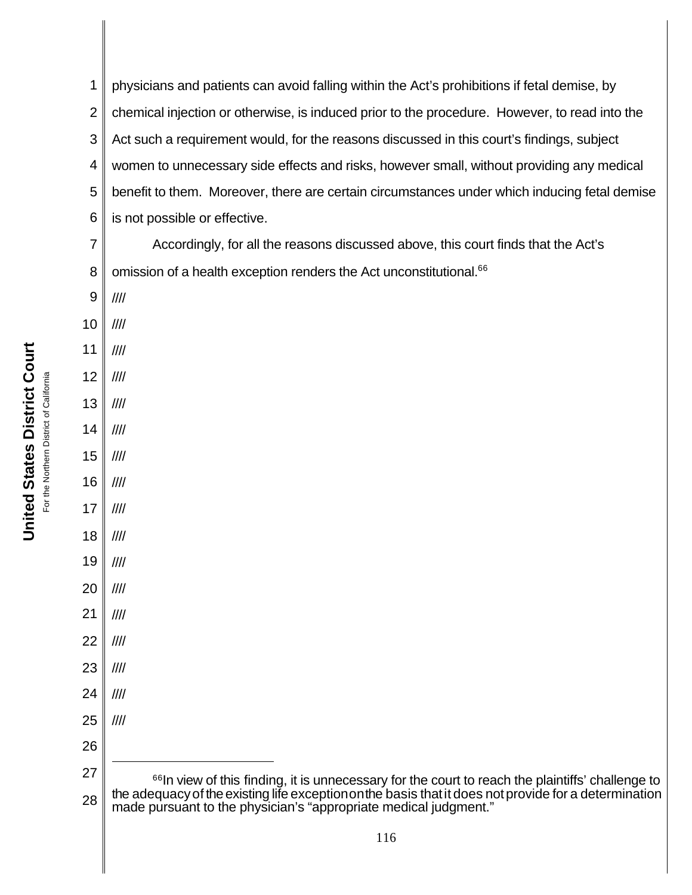1 2 3 4 5 6 physicians and patients can avoid falling within the Act's prohibitions if fetal demise, by chemical injection or otherwise, is induced prior to the procedure. However, to read into the Act such a requirement would, for the reasons discussed in this court's findings, subject women to unnecessary side effects and risks, however small, without providing any medical benefit to them. Moreover, there are certain circumstances under which inducing fetal demise is not possible or effective.

7 8 Accordingly, for all the reasons discussed above, this court finds that the Act's omission of a health exception renders the Act unconstitutional.<sup>66</sup>

- 9 ////
- 10 ////
- 11 ////
- 12 ////
- 13 ////
- 14 ////
- 15 ////
- 16 ////
- 17 ////
- 18 ////
- 19 ////
- 20 ////
- 21 ////
- 22 ////
- 23 ////
- 24 ////
- 25 ////
- 26
- 27

<sup>28</sup> <sup>66</sup>In view of this finding, it is unnecessary for the court to reach the plaintiffs' challenge to the adequacyof the existing life exceptiononthe basis thatit does notprovide for a determination made pursuant to the physician's "appropriate medical judgment."